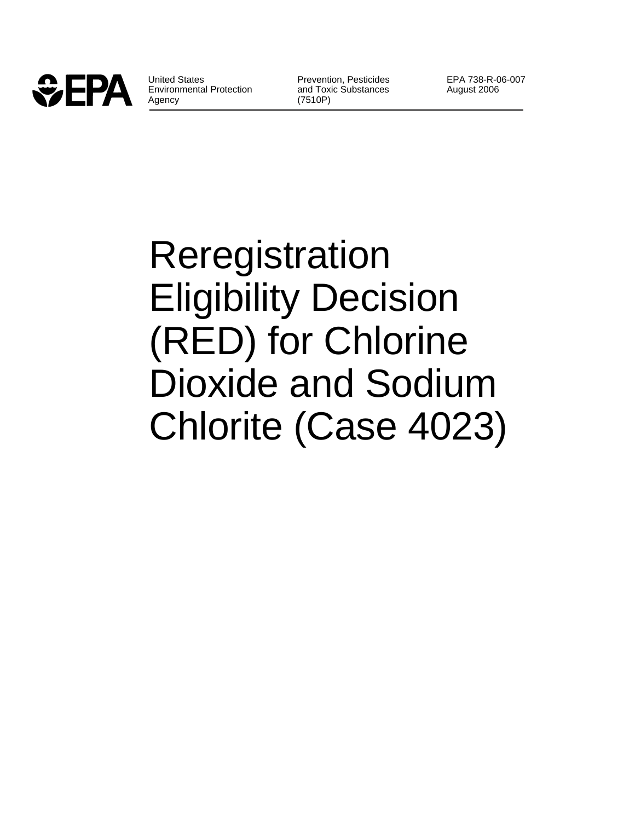

United States **Prevention, Pesticides** EPA 738-R-06-007 Environmental Protection and Toxic Substances August 2006 Agency (7510P)

# Reregistration Eligibility Decision (RED) for Chlorine Dioxide and Sodium Chlorite (Case 4023)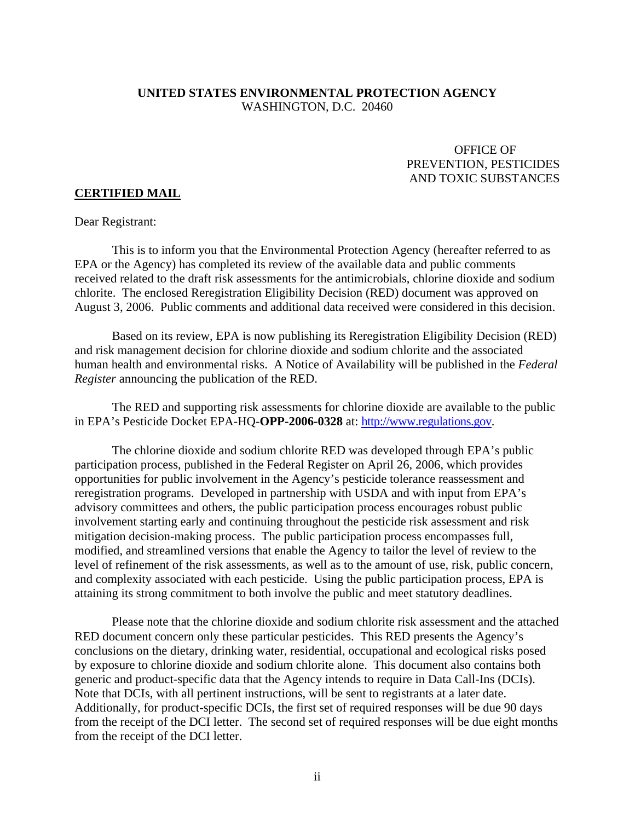# **UNITED STATES ENVIRONMENTAL PROTECTION AGENCY**  WASHINGTON, D.C. 20460

# OFFICE OF PREVENTION, PESTICIDES AND TOXIC SUBSTANCES

#### **CERTIFIED MAIL**

#### Dear Registrant:

This is to inform you that the Environmental Protection Agency (hereafter referred to as EPA or the Agency) has completed its review of the available data and public comments received related to the draft risk assessments for the antimicrobials, chlorine dioxide and sodium chlorite. The enclosed Reregistration Eligibility Decision (RED) document was approved on August 3, 2006. Public comments and additional data received were considered in this decision.

Based on its review, EPA is now publishing its Reregistration Eligibility Decision (RED) and risk management decision for chlorine dioxide and sodium chlorite and the associated human health and environmental risks. A Notice of Availability will be published in the *Federal Register* announcing the publication of the RED.

The RED and supporting risk assessments for chlorine dioxide are available to the public in EPA's Pesticide Docket EPA-HQ-**OPP-2006-0328** at: http://www.regulations.gov.

The chlorine dioxide and sodium chlorite RED was developed through EPA's public participation process, published in the Federal Register on April 26, 2006, which provides opportunities for public involvement in the Agency's pesticide tolerance reassessment and reregistration programs. Developed in partnership with USDA and with input from EPA's advisory committees and others, the public participation process encourages robust public involvement starting early and continuing throughout the pesticide risk assessment and risk mitigation decision-making process. The public participation process encompasses full, modified, and streamlined versions that enable the Agency to tailor the level of review to the level of refinement of the risk assessments, as well as to the amount of use, risk, public concern, and complexity associated with each pesticide. Using the public participation process, EPA is attaining its strong commitment to both involve the public and meet statutory deadlines.

Please note that the chlorine dioxide and sodium chlorite risk assessment and the attached RED document concern only these particular pesticides. This RED presents the Agency's conclusions on the dietary, drinking water, residential, occupational and ecological risks posed by exposure to chlorine dioxide and sodium chlorite alone. This document also contains both generic and product-specific data that the Agency intends to require in Data Call-Ins (DCIs). Note that DCIs, with all pertinent instructions, will be sent to registrants at a later date. Additionally, for product-specific DCIs, the first set of required responses will be due 90 days from the receipt of the DCI letter. The second set of required responses will be due eight months from the receipt of the DCI letter.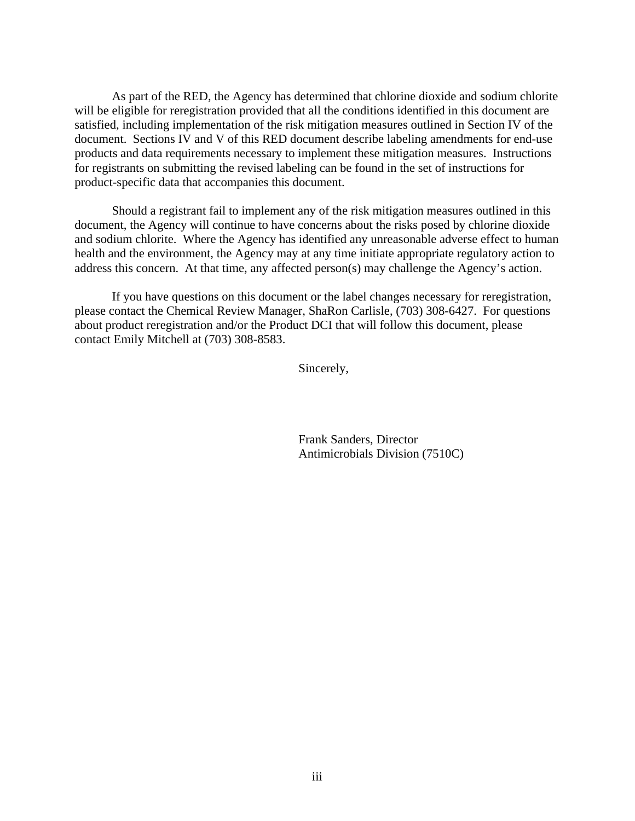As part of the RED, the Agency has determined that chlorine dioxide and sodium chlorite will be eligible for reregistration provided that all the conditions identified in this document are satisfied, including implementation of the risk mitigation measures outlined in Section IV of the document. Sections IV and V of this RED document describe labeling amendments for end-use products and data requirements necessary to implement these mitigation measures. Instructions for registrants on submitting the revised labeling can be found in the set of instructions for product-specific data that accompanies this document.

Should a registrant fail to implement any of the risk mitigation measures outlined in this document, the Agency will continue to have concerns about the risks posed by chlorine dioxide and sodium chlorite. Where the Agency has identified any unreasonable adverse effect to human health and the environment, the Agency may at any time initiate appropriate regulatory action to address this concern. At that time, any affected person(s) may challenge the Agency's action.

If you have questions on this document or the label changes necessary for reregistration, please contact the Chemical Review Manager, ShaRon Carlisle, (703) 308-6427. For questions about product reregistration and/or the Product DCI that will follow this document, please contact Emily Mitchell at (703) 308-8583.

Sincerely,

 Frank Sanders, Director Antimicrobials Division (7510C)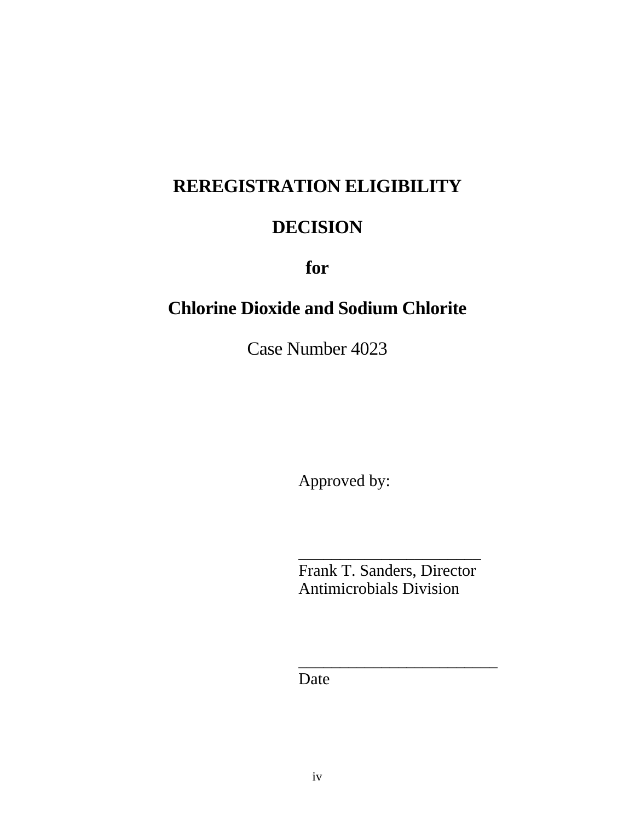# **REREGISTRATION ELIGIBILITY**

# **DECISION**

**for** 

# **Chlorine Dioxide and Sodium Chlorite**

Case Number 4023

Approved by:

Frank T. Sanders, Director Antimicrobials Division

\_\_\_\_\_\_\_\_\_\_\_\_\_\_\_\_\_\_\_\_\_\_\_\_

\_\_\_\_\_\_\_\_\_\_\_\_\_\_\_\_\_\_\_\_\_\_

Date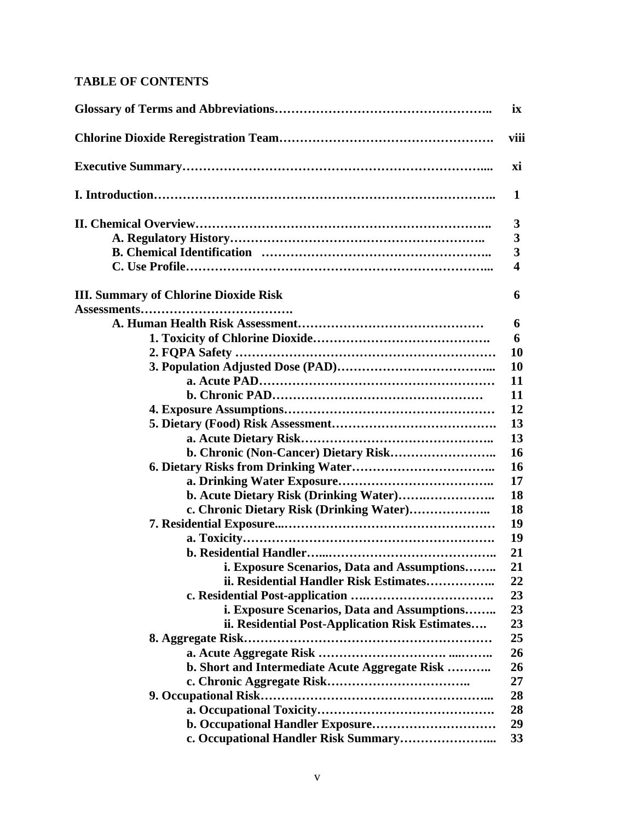# **TABLE OF CONTENTS**

|                                                 | i <b>x</b>              |
|-------------------------------------------------|-------------------------|
|                                                 | viii                    |
|                                                 | хi                      |
|                                                 | 1                       |
|                                                 | 3                       |
|                                                 | 3                       |
|                                                 | $\overline{\mathbf{3}}$ |
|                                                 | $\overline{\mathbf{4}}$ |
| <b>III. Summary of Chlorine Dioxide Risk</b>    | 6                       |
|                                                 |                         |
|                                                 | 6                       |
|                                                 | 6                       |
|                                                 | 10                      |
|                                                 | 10                      |
|                                                 | 11                      |
|                                                 | 11                      |
|                                                 | 12                      |
|                                                 | 13                      |
|                                                 | 13                      |
|                                                 | 16                      |
|                                                 | 16                      |
|                                                 | 17                      |
| b. Acute Dietary Risk (Drinking Water)          | 18                      |
| c. Chronic Dietary Risk (Drinking Water)        | 18                      |
|                                                 | 19                      |
|                                                 | 19                      |
|                                                 | 21                      |
| i. Exposure Scenarios, Data and Assumptions     | 21                      |
| ii. Residential Handler Risk Estimates          | 22                      |
|                                                 | 23                      |
| i. Exposure Scenarios, Data and Assumptions     | 23                      |
| ii. Residential Post-Application Risk Estimates | 23                      |
|                                                 | 25                      |
|                                                 | 26                      |
| b. Short and Intermediate Acute Aggregate Risk  | 26                      |
|                                                 | 27                      |
|                                                 | 28                      |
|                                                 | 28                      |
|                                                 | 29                      |
|                                                 | 33                      |
|                                                 |                         |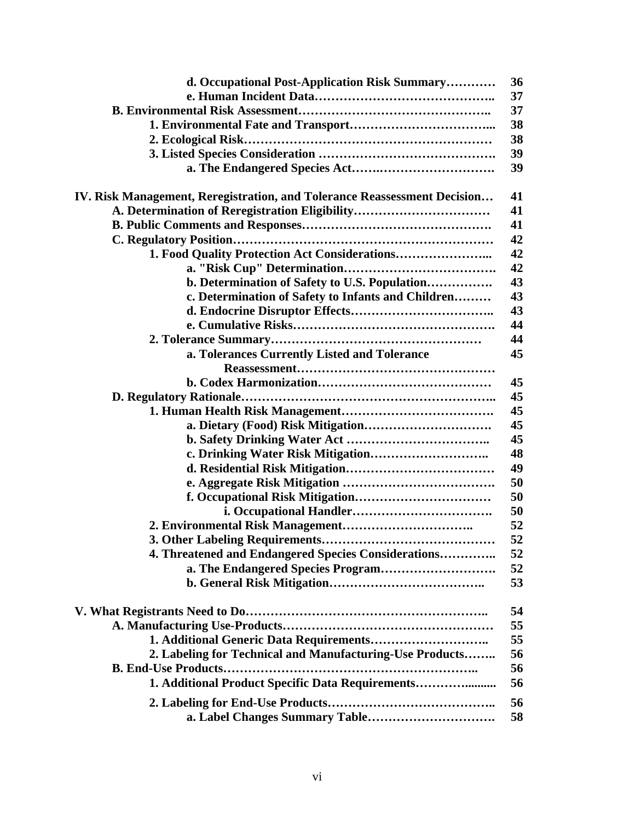| d. Occupational Post-Application Risk Summary                            | 36 |
|--------------------------------------------------------------------------|----|
|                                                                          | 37 |
|                                                                          | 37 |
|                                                                          | 38 |
|                                                                          | 38 |
|                                                                          | 39 |
|                                                                          | 39 |
| IV. Risk Management, Reregistration, and Tolerance Reassessment Decision | 41 |
| A. Determination of Reregistration Eligibility                           | 41 |
|                                                                          | 41 |
|                                                                          | 42 |
|                                                                          | 42 |
|                                                                          | 42 |
| b. Determination of Safety to U.S. Population                            | 43 |
| c. Determination of Safety to Infants and Children                       | 43 |
|                                                                          | 43 |
|                                                                          | 44 |
|                                                                          | 44 |
| a. Tolerances Currently Listed and Tolerance                             | 45 |
|                                                                          |    |
|                                                                          | 45 |
|                                                                          | 45 |
|                                                                          | 45 |
|                                                                          | 45 |
|                                                                          | 45 |
|                                                                          | 48 |
|                                                                          | 49 |
|                                                                          | 50 |
|                                                                          | 50 |
|                                                                          | 50 |
|                                                                          | 52 |
|                                                                          | 52 |
| 4. Threatened and Endangered Species Considerations                      | 52 |
|                                                                          |    |
| a. The Endangered Species Program                                        | 52 |
|                                                                          | 53 |
|                                                                          | 54 |
|                                                                          | 55 |
|                                                                          | 55 |
| 2. Labeling for Technical and Manufacturing-Use Products                 | 56 |
|                                                                          | 56 |
| 1. Additional Product Specific Data Requirements                         | 56 |
|                                                                          | 56 |
|                                                                          | 58 |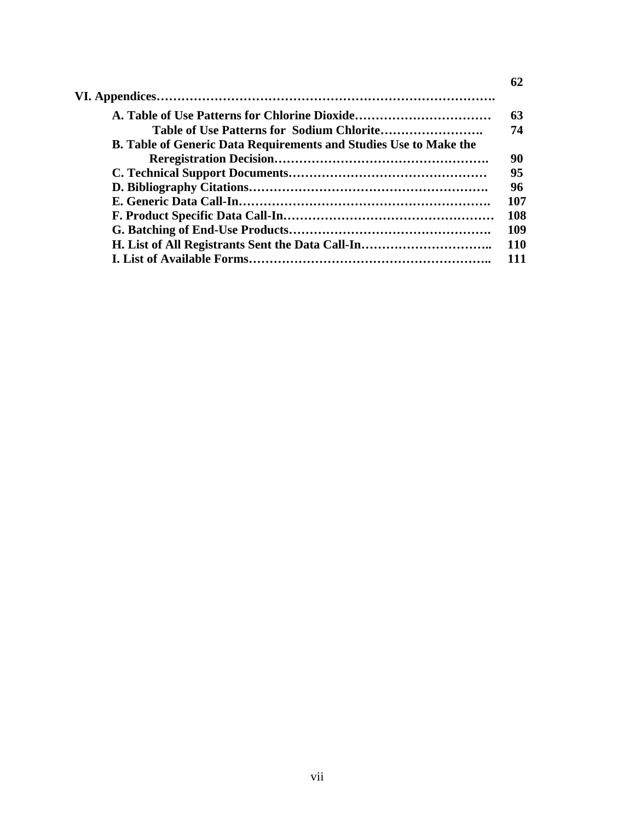|                                                                          | 62         |
|--------------------------------------------------------------------------|------------|
|                                                                          |            |
| A. Table of Use Patterns for Chlorine Dioxide                            | 63         |
|                                                                          | 74         |
| <b>B. Table of Generic Data Requirements and Studies Use to Make the</b> |            |
|                                                                          | 90         |
|                                                                          | 95         |
|                                                                          | 96         |
|                                                                          | 107        |
|                                                                          | 108        |
|                                                                          | 109        |
| H. List of All Registrants Sent the Data Call-In                         | <b>110</b> |
|                                                                          | 111        |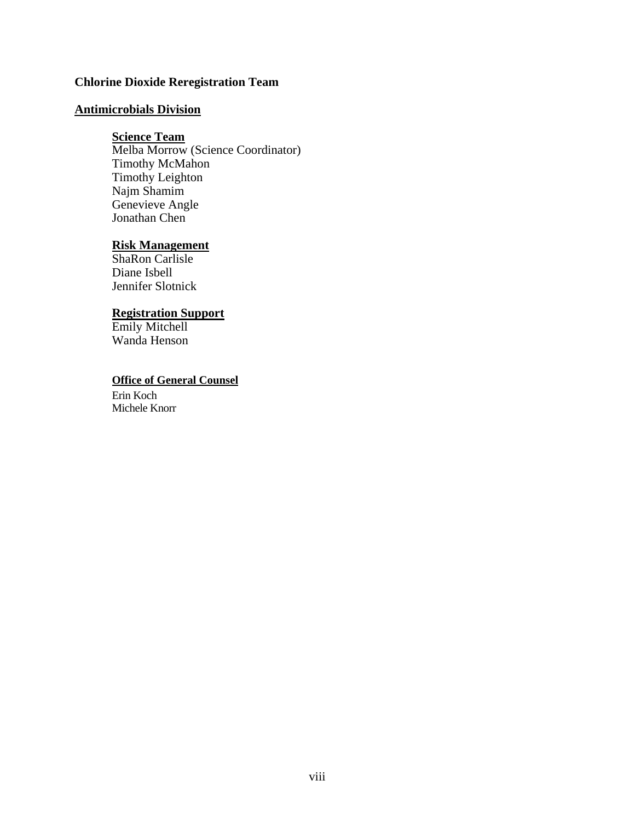# **Chlorine Dioxide Reregistration Team**

# **Antimicrobials Division**

#### **Science Team**

Melba Morrow (Science Coordinator) Timothy McMahon Timothy Leighton Najm Shamim Genevieve Angle Jonathan Chen

# **Risk Management**

ShaRon Carlisle Diane Isbell Jennifer Slotnick

#### **Registration Support**

Emily Mitchell Wanda Henson

# **Office of General Counsel**

Erin Koch Michele Knorr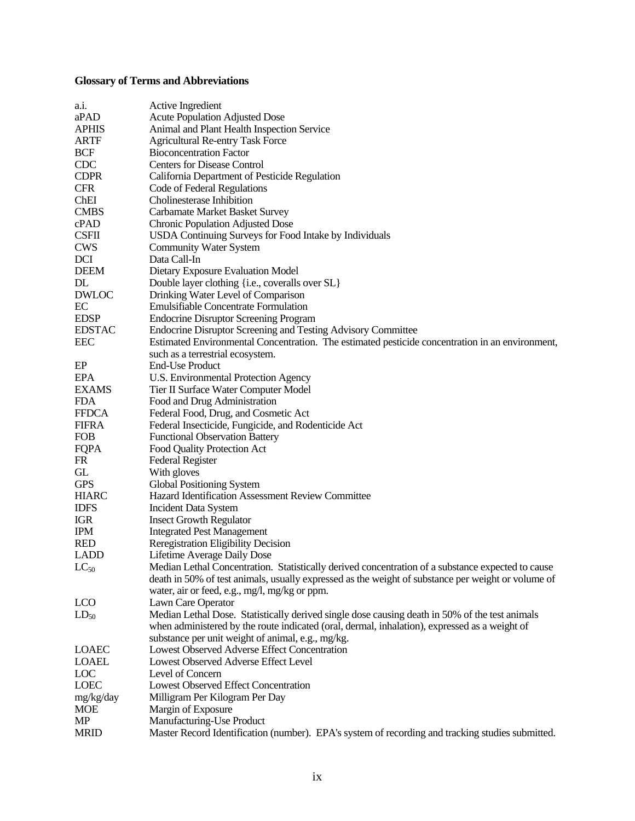# **Glossary of Terms and Abbreviations**

| a.i.          | Active Ingredient                                                                                  |
|---------------|----------------------------------------------------------------------------------------------------|
| aPAD          | <b>Acute Population Adjusted Dose</b>                                                              |
| <b>APHIS</b>  | Animal and Plant Health Inspection Service                                                         |
| <b>ARTF</b>   | <b>Agricultural Re-entry Task Force</b>                                                            |
| <b>BCF</b>    | <b>Bioconcentration Factor</b>                                                                     |
| <b>CDC</b>    | <b>Centers for Disease Control</b>                                                                 |
| <b>CDPR</b>   | California Department of Pesticide Regulation                                                      |
| <b>CFR</b>    | Code of Federal Regulations                                                                        |
| ChEI          | Cholinesterase Inhibition                                                                          |
| <b>CMBS</b>   | <b>Carbamate Market Basket Survey</b>                                                              |
| cPAD          |                                                                                                    |
| <b>CSFII</b>  | <b>Chronic Population Adjusted Dose</b>                                                            |
|               | <b>USDA Continuing Surveys for Food Intake by Individuals</b>                                      |
| <b>CWS</b>    | <b>Community Water System</b>                                                                      |
| DCI           | Data Call-In                                                                                       |
| <b>DEEM</b>   | Dietary Exposure Evaluation Model                                                                  |
| DL            | Double layer clothing {i.e., coveralls over SL}                                                    |
| <b>DWLOC</b>  | Drinking Water Level of Comparison                                                                 |
| EC            | <b>Emulsifiable Concentrate Formulation</b>                                                        |
| <b>EDSP</b>   | <b>Endocrine Disruptor Screening Program</b>                                                       |
| <b>EDSTAC</b> | <b>Endocrine Disruptor Screening and Testing Advisory Committee</b>                                |
| <b>EEC</b>    | Estimated Environmental Concentration. The estimated pesticide concentration in an environment,    |
|               | such as a terrestrial ecosystem.                                                                   |
| EP            | <b>End-Use Product</b>                                                                             |
| <b>EPA</b>    | <b>U.S. Environmental Protection Agency</b>                                                        |
| <b>EXAMS</b>  | Tier II Surface Water Computer Model                                                               |
| <b>FDA</b>    | Food and Drug Administration                                                                       |
| <b>FFDCA</b>  | Federal Food, Drug, and Cosmetic Act                                                               |
| <b>FIFRA</b>  | Federal Insecticide, Fungicide, and Rodenticide Act                                                |
| <b>FOB</b>    | <b>Functional Observation Battery</b>                                                              |
| FQPA          | Food Quality Protection Act                                                                        |
| FR            | <b>Federal Register</b>                                                                            |
| GL            | With gloves                                                                                        |
| <b>GPS</b>    | Global Positioning System                                                                          |
| <b>HIARC</b>  | Hazard Identification Assessment Review Committee                                                  |
| <b>IDFS</b>   | <b>Incident Data System</b>                                                                        |
| <b>IGR</b>    | <b>Insect Growth Regulator</b>                                                                     |
| <b>IPM</b>    | <b>Integrated Pest Management</b>                                                                  |
| <b>RED</b>    | Reregistration Eligibility Decision                                                                |
| <b>LADD</b>   | Lifetime Average Daily Dose                                                                        |
| $LC_{50}$     | Median Lethal Concentration. Statistically derived concentration of a substance expected to cause  |
|               | death in 50% of test animals, usually expressed as the weight of substance per weight or volume of |
|               | water, air or feed, e.g., mg/l, mg/kg or ppm.                                                      |
| <b>LCO</b>    | Lawn Care Operator                                                                                 |
| $LD_{50}$     | Median Lethal Dose. Statistically derived single dose causing death in 50% of the test animals     |
|               | when administered by the route indicated (oral, dermal, inhalation), expressed as a weight of      |
|               | substance per unit weight of animal, e.g., mg/kg.                                                  |
| <b>LOAEC</b>  | Lowest Observed Adverse Effect Concentration                                                       |
| <b>LOAEL</b>  | Lowest Observed Adverse Effect Level                                                               |
| LOC           | Level of Concern                                                                                   |
| <b>LOEC</b>   | <b>Lowest Observed Effect Concentration</b>                                                        |
| mg/kg/day     | Milligram Per Kilogram Per Day                                                                     |
| <b>MOE</b>    | Margin of Exposure                                                                                 |
| <b>MP</b>     | Manufacturing-Use Product                                                                          |
| <b>MRID</b>   | Master Record Identification (number). EPA's system of recording and tracking studies submitted.   |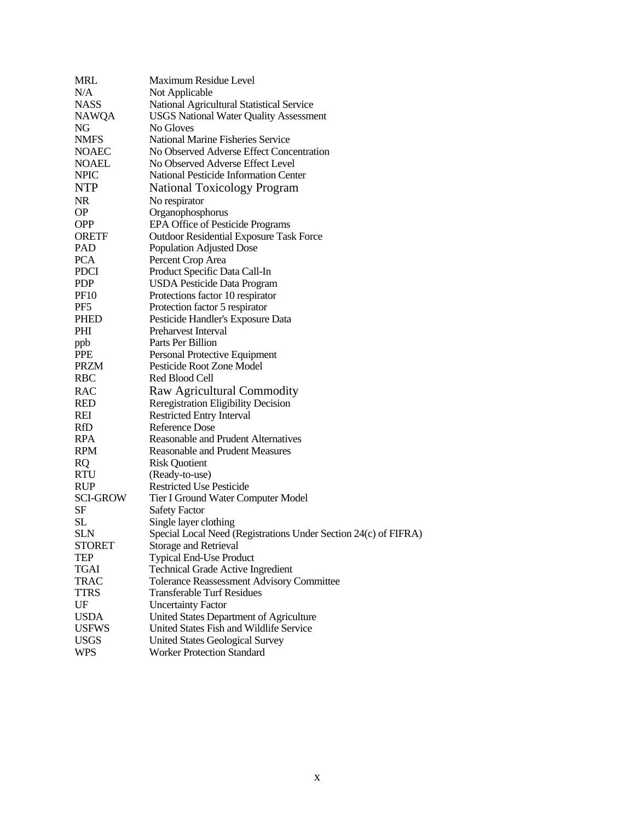| <b>MRL</b>      | Maximum Residue Level                                           |
|-----------------|-----------------------------------------------------------------|
| N/A             | Not Applicable                                                  |
| <b>NASS</b>     | National Agricultural Statistical Service                       |
| <b>NAWQA</b>    | <b>USGS National Water Quality Assessment</b>                   |
| NG              | No Gloves                                                       |
| <b>NMFS</b>     | <b>National Marine Fisheries Service</b>                        |
| <b>NOAEC</b>    | No Observed Adverse Effect Concentration                        |
| <b>NOAEL</b>    | No Observed Adverse Effect Level                                |
| <b>NPIC</b>     | National Pesticide Information Center                           |
| <b>NTP</b>      | <b>National Toxicology Program</b>                              |
| <b>NR</b>       | No respirator                                                   |
| <b>OP</b>       | Organophosphorus                                                |
| <b>OPP</b>      | EPA Office of Pesticide Programs                                |
| <b>ORETF</b>    | <b>Outdoor Residential Exposure Task Force</b>                  |
| PAD             | Population Adjusted Dose                                        |
| <b>PCA</b>      | Percent Crop Area                                               |
| <b>PDCI</b>     | Product Specific Data Call-In                                   |
| <b>PDP</b>      | <b>USDA Pesticide Data Program</b>                              |
| <b>PF10</b>     | Protections factor 10 respirator                                |
| PF5             | Protection factor 5 respirator                                  |
| <b>PHED</b>     | Pesticide Handler's Exposure Data                               |
| PHI             | Preharvest Interval                                             |
| ppb             | Parts Per Billion                                               |
| <b>PPE</b>      | Personal Protective Equipment                                   |
| <b>PRZM</b>     | Pesticide Root Zone Model                                       |
| <b>RBC</b>      | Red Blood Cell                                                  |
| <b>RAC</b>      | Raw Agricultural Commodity                                      |
| <b>RED</b>      | Reregistration Eligibility Decision                             |
| REI             | <b>Restricted Entry Interval</b>                                |
| RfD             | Reference Dose                                                  |
| <b>RPA</b>      | <b>Reasonable and Prudent Alternatives</b>                      |
| <b>RPM</b>      | <b>Reasonable and Prudent Measures</b>                          |
| <b>RQ</b>       | <b>Risk Quotient</b>                                            |
| <b>RTU</b>      | (Ready-to-use)                                                  |
| <b>RUP</b>      | <b>Restricted Use Pesticide</b>                                 |
| <b>SCI-GROW</b> | Tier I Ground Water Computer Model                              |
| SF              | <b>Safety Factor</b>                                            |
| <b>SL</b>       | Single layer clothing                                           |
| <b>SLN</b>      | Special Local Need (Registrations Under Section 24(c) of FIFRA) |
| <b>STORET</b>   | <b>Storage and Retrieval</b>                                    |
| TEP             | <b>Typical End-Use Product</b>                                  |
| TGAI            | <b>Technical Grade Active Ingredient</b>                        |
| <b>TRAC</b>     | <b>Tolerance Reassessment Advisory Committee</b>                |
| <b>TTRS</b>     | <b>Transferable Turf Residues</b>                               |
| UF              | <b>Uncertainty Factor</b>                                       |
| <b>USDA</b>     | United States Department of Agriculture                         |
| <b>USFWS</b>    | United States Fish and Wildlife Service                         |
| <b>USGS</b>     | <b>United States Geological Survey</b>                          |
| <b>WPS</b>      | <b>Worker Protection Standard</b>                               |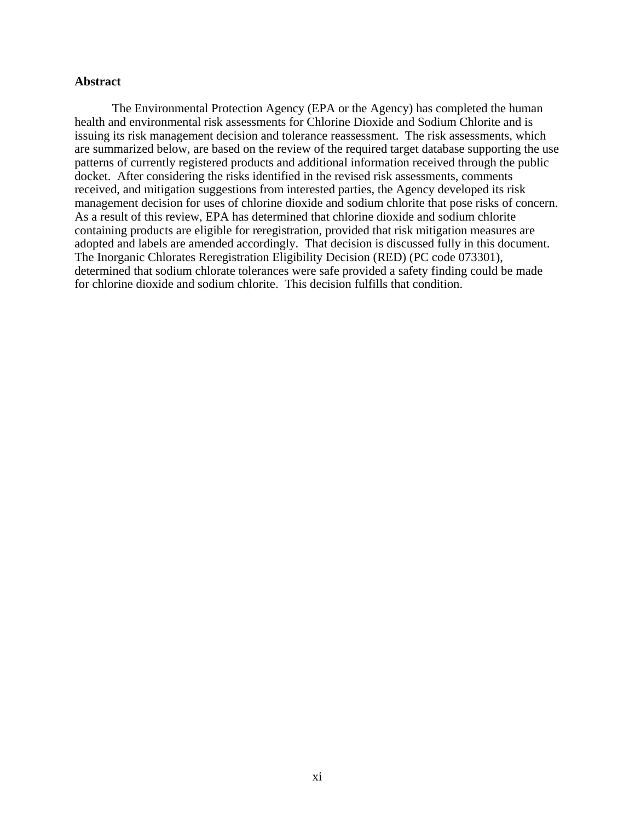#### **Abstract**

The Environmental Protection Agency (EPA or the Agency) has completed the human health and environmental risk assessments for Chlorine Dioxide and Sodium Chlorite and is issuing its risk management decision and tolerance reassessment. The risk assessments, which are summarized below, are based on the review of the required target database supporting the use patterns of currently registered products and additional information received through the public docket. After considering the risks identified in the revised risk assessments, comments received, and mitigation suggestions from interested parties, the Agency developed its risk management decision for uses of chlorine dioxide and sodium chlorite that pose risks of concern. As a result of this review, EPA has determined that chlorine dioxide and sodium chlorite containing products are eligible for reregistration, provided that risk mitigation measures are adopted and labels are amended accordingly. That decision is discussed fully in this document. The Inorganic Chlorates Reregistration Eligibility Decision (RED) (PC code 073301), determined that sodium chlorate tolerances were safe provided a safety finding could be made for chlorine dioxide and sodium chlorite. This decision fulfills that condition.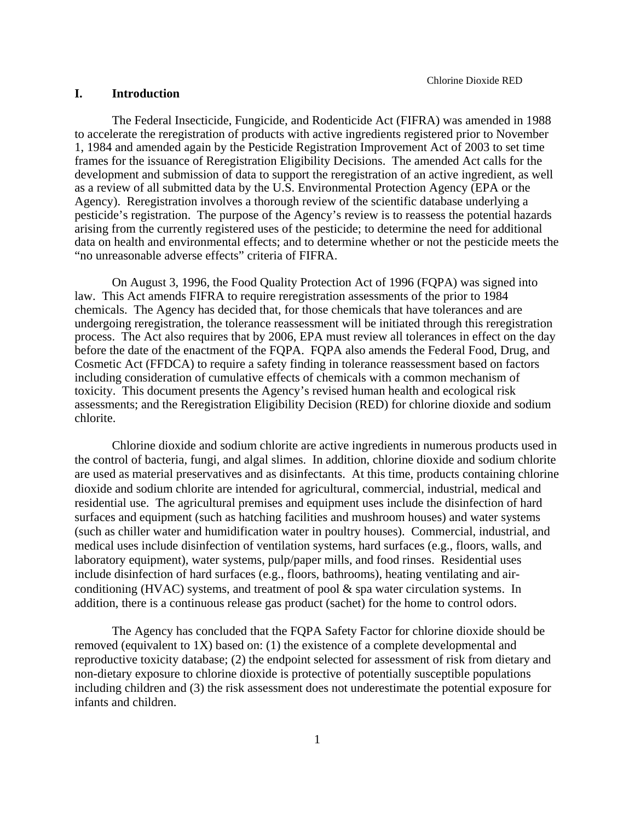# **I. Introduction**

The Federal Insecticide, Fungicide, and Rodenticide Act (FIFRA) was amended in 1988 to accelerate the reregistration of products with active ingredients registered prior to November 1, 1984 and amended again by the Pesticide Registration Improvement Act of 2003 to set time frames for the issuance of Reregistration Eligibility Decisions. The amended Act calls for the development and submission of data to support the reregistration of an active ingredient, as well as a review of all submitted data by the U.S. Environmental Protection Agency (EPA or the Agency). Reregistration involves a thorough review of the scientific database underlying a pesticide's registration. The purpose of the Agency's review is to reassess the potential hazards arising from the currently registered uses of the pesticide; to determine the need for additional data on health and environmental effects; and to determine whether or not the pesticide meets the "no unreasonable adverse effects" criteria of FIFRA.

On August 3, 1996, the Food Quality Protection Act of 1996 (FQPA) was signed into law. This Act amends FIFRA to require reregistration assessments of the prior to 1984 chemicals. The Agency has decided that, for those chemicals that have tolerances and are undergoing reregistration, the tolerance reassessment will be initiated through this reregistration process. The Act also requires that by 2006, EPA must review all tolerances in effect on the day before the date of the enactment of the FQPA. FQPA also amends the Federal Food, Drug, and Cosmetic Act (FFDCA) to require a safety finding in tolerance reassessment based on factors including consideration of cumulative effects of chemicals with a common mechanism of toxicity. This document presents the Agency's revised human health and ecological risk assessments; and the Reregistration Eligibility Decision (RED) for chlorine dioxide and sodium chlorite.

Chlorine dioxide and sodium chlorite are active ingredients in numerous products used in the control of bacteria, fungi, and algal slimes. In addition, chlorine dioxide and sodium chlorite are used as material preservatives and as disinfectants. At this time, products containing chlorine dioxide and sodium chlorite are intended for agricultural, commercial, industrial, medical and residential use. The agricultural premises and equipment uses include the disinfection of hard surfaces and equipment (such as hatching facilities and mushroom houses) and water systems (such as chiller water and humidification water in poultry houses). Commercial, industrial, and medical uses include disinfection of ventilation systems, hard surfaces (e.g., floors, walls, and laboratory equipment), water systems, pulp/paper mills, and food rinses. Residential uses include disinfection of hard surfaces (e.g., floors, bathrooms), heating ventilating and airconditioning (HVAC) systems, and treatment of pool & spa water circulation systems. In addition, there is a continuous release gas product (sachet) for the home to control odors.

The Agency has concluded that the FQPA Safety Factor for chlorine dioxide should be removed (equivalent to 1X) based on: (1) the existence of a complete developmental and reproductive toxicity database; (2) the endpoint selected for assessment of risk from dietary and non-dietary exposure to chlorine dioxide is protective of potentially susceptible populations including children and (3) the risk assessment does not underestimate the potential exposure for infants and children.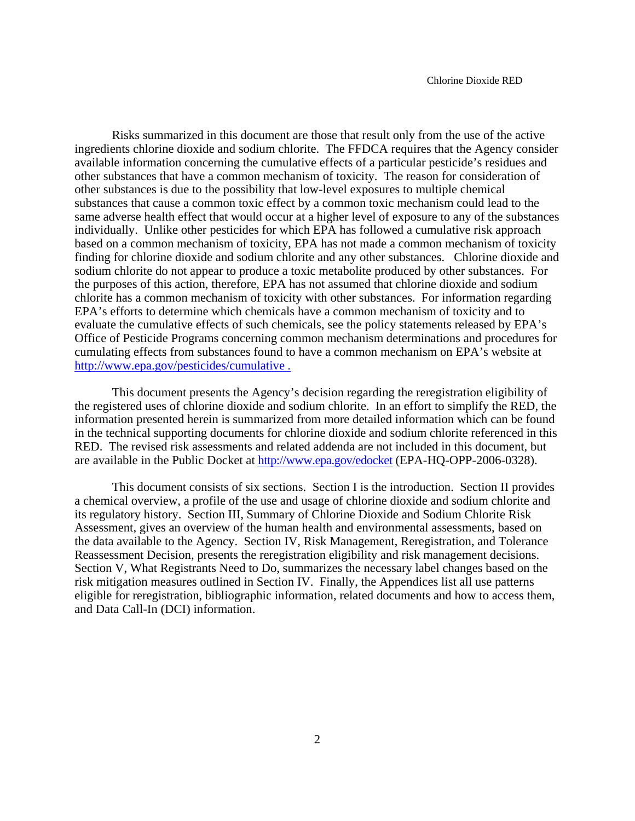Risks summarized in this document are those that result only from the use of the active ingredients chlorine dioxide and sodium chlorite. The FFDCA requires that the Agency consider available information concerning the cumulative effects of a particular pesticide's residues and other substances that have a common mechanism of toxicity. The reason for consideration of other substances is due to the possibility that low-level exposures to multiple chemical substances that cause a common toxic effect by a common toxic mechanism could lead to the same adverse health effect that would occur at a higher level of exposure to any of the substances individually. Unlike other pesticides for which EPA has followed a cumulative risk approach based on a common mechanism of toxicity, EPA has not made a common mechanism of toxicity finding for chlorine dioxide and sodium chlorite and any other substances. Chlorine dioxide and sodium chlorite do not appear to produce a toxic metabolite produced by other substances. For the purposes of this action, therefore, EPA has not assumed that chlorine dioxide and sodium chlorite has a common mechanism of toxicity with other substances. For information regarding EPA's efforts to determine which chemicals have a common mechanism of toxicity and to evaluate the cumulative effects of such chemicals, see the policy statements released by EPA's Office of Pesticide Programs concerning common mechanism determinations and procedures for cumulating effects from substances found to have a common mechanism on EPA's website at http://www.epa.gov/pesticides/cumulative .

This document presents the Agency's decision regarding the reregistration eligibility of the registered uses of chlorine dioxide and sodium chlorite. In an effort to simplify the RED, the information presented herein is summarized from more detailed information which can be found in the technical supporting documents for chlorine dioxide and sodium chlorite referenced in this RED. The revised risk assessments and related addenda are not included in this document, but are available in the Public Docket at http://www.epa.gov/edocket (EPA-HQ-OPP-2006-0328).

This document consists of six sections. Section I is the introduction. Section II provides a chemical overview, a profile of the use and usage of chlorine dioxide and sodium chlorite and its regulatory history. Section III, Summary of Chlorine Dioxide and Sodium Chlorite Risk Assessment, gives an overview of the human health and environmental assessments, based on the data available to the Agency. Section IV, Risk Management, Reregistration, and Tolerance Reassessment Decision, presents the reregistration eligibility and risk management decisions. Section V, What Registrants Need to Do, summarizes the necessary label changes based on the risk mitigation measures outlined in Section IV. Finally, the Appendices list all use patterns eligible for reregistration, bibliographic information, related documents and how to access them, and Data Call-In (DCI) information.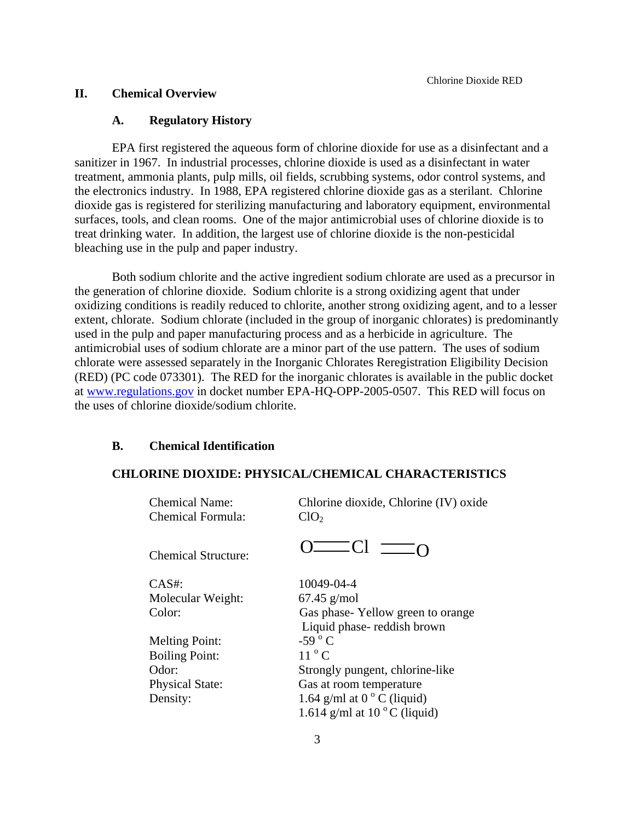# **II. Chemical Overview**

#### **A. Regulatory History**

EPA first registered the aqueous form of chlorine dioxide for use as a disinfectant and a sanitizer in 1967. In industrial processes, chlorine dioxide is used as a disinfectant in water treatment, ammonia plants, pulp mills, oil fields, scrubbing systems, odor control systems, and the electronics industry. In 1988, EPA registered chlorine dioxide gas as a sterilant. Chlorine dioxide gas is registered for sterilizing manufacturing and laboratory equipment, environmental surfaces, tools, and clean rooms. One of the major antimicrobial uses of chlorine dioxide is to treat drinking water. In addition, the largest use of chlorine dioxide is the non-pesticidal bleaching use in the pulp and paper industry.

Both sodium chlorite and the active ingredient sodium chlorate are used as a precursor in the generation of chlorine dioxide. Sodium chlorite is a strong oxidizing agent that under oxidizing conditions is readily reduced to chlorite, another strong oxidizing agent, and to a lesser extent, chlorate. Sodium chlorate (included in the group of inorganic chlorates) is predominantly used in the pulp and paper manufacturing process and as a herbicide in agriculture. The antimicrobial uses of sodium chlorate are a minor part of the use pattern. The uses of sodium chlorate were assessed separately in the Inorganic Chlorates Reregistration Eligibility Decision (RED) (PC code 073301). The RED for the inorganic chlorates is available in the public docket at www.regulations.gov in docket number EPA-HQ-OPP-2005-0507. This RED will focus on the uses of chlorine dioxide/sodium chlorite.

#### **B. Chemical Identification**

#### **CHLORINE DIOXIDE: PHYSICAL/CHEMICAL CHARACTERISTICS**

| <b>Chemical Name:</b><br><b>Chemical Formula:</b> | Chlorine dioxide, Chlorine (IV) oxide<br>ClO <sub>2</sub> |
|---------------------------------------------------|-----------------------------------------------------------|
| <b>Chemical Structure:</b>                        | $0$ — $Cl$ —                                              |
| $CAS#$ :                                          | 10049-04-4                                                |
| Molecular Weight:                                 | $67.45$ g/mol                                             |
| Color:                                            | Gas phase-Yellow green to orange                          |
|                                                   | Liquid phase-reddish brown                                |
| <b>Melting Point:</b>                             | -59 $^{\circ}$ C                                          |
| <b>Boiling Point:</b>                             | $11o$ C                                                   |
| Odor:                                             | Strongly pungent, chlorine-like                           |
| <b>Physical State:</b>                            | Gas at room temperature                                   |
| Density:                                          | 1.64 g/ml at $0^{\circ}$ C (liquid)                       |
|                                                   | 1.614 g/ml at $10^{\circ}$ C (liquid)                     |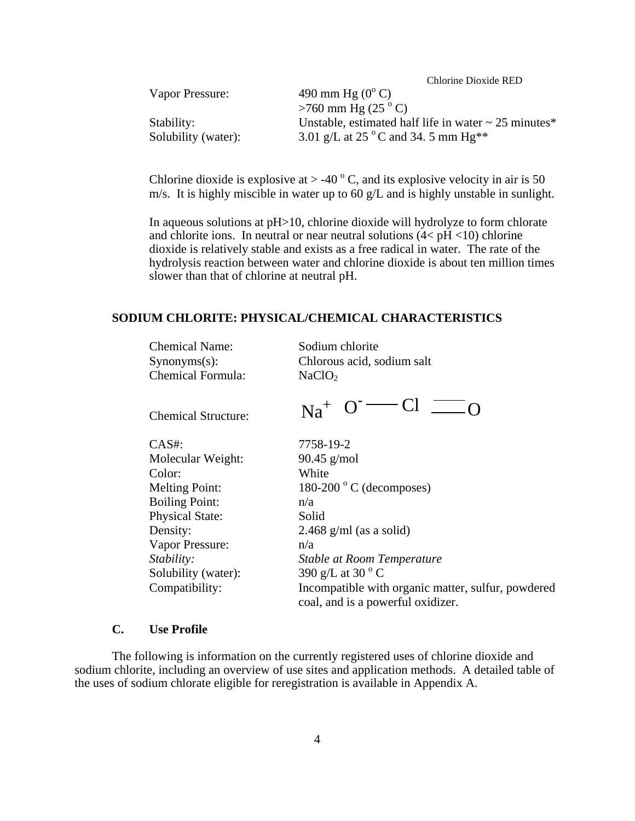| Vapor Pressure:     | 490 mm Hg $(0^{\circ} C)$                                 |
|---------------------|-----------------------------------------------------------|
|                     | $>760$ mm Hg (25 $^{\circ}$ C)                            |
| Stability:          | Unstable, estimated half life in water $\sim$ 25 minutes* |
| Solubility (water): | 3.01 g/L at 25 $^{\circ}$ C and 34.5 mm Hg**              |

Chlorine dioxide is explosive at  $>$  -40  $\degree$  C, and its explosive velocity in air is 50 m/s. It is highly miscible in water up to 60 g/L and is highly unstable in sunlight.

In aqueous solutions at pH>10, chlorine dioxide will hydrolyze to form chlorate and chlorite ions. In neutral or near neutral solutions  $(4 < pH < 10)$  chlorine dioxide is relatively stable and exists as a free radical in water. The rate of the hydrolysis reaction between water and chlorine dioxide is about ten million times slower than that of chlorine at neutral pH.

#### **SODIUM CHLORITE: PHYSICAL/CHEMICAL CHARACTERISTICS**

Chemical Name: Sodium chlorite Synonyms(s): Chlorous acid, sodium salt Chemical Formula: NaClO<sub>2</sub>

CAS#: 7758-19-2 Molecular Weight: 90.45 g/mol Color: White Melting Point: Boiling Point:  $n/a$ Physical State: Solid Vapor Pressure: n/a Solubility (water):

Chemical Structure:  $Na^+$   $O^ Cl$   $\underline{\hspace{1cm}}$   $O$ 

 $180-200$  ° C (decomposes) Density: 2.468 g/ml (as a solid) *Stability: Stable at Room Temperature*  390 g/L at 30 $\degree$ C Compatibility: Incompatible with organic matter, sulfur, powdered coal, and is a powerful oxidizer.

# **C. Use Profile**

The following is information on the currently registered uses of chlorine dioxide and sodium chlorite, including an overview of use sites and application methods. A detailed table of the uses of sodium chlorate eligible for reregistration is available in Appendix A.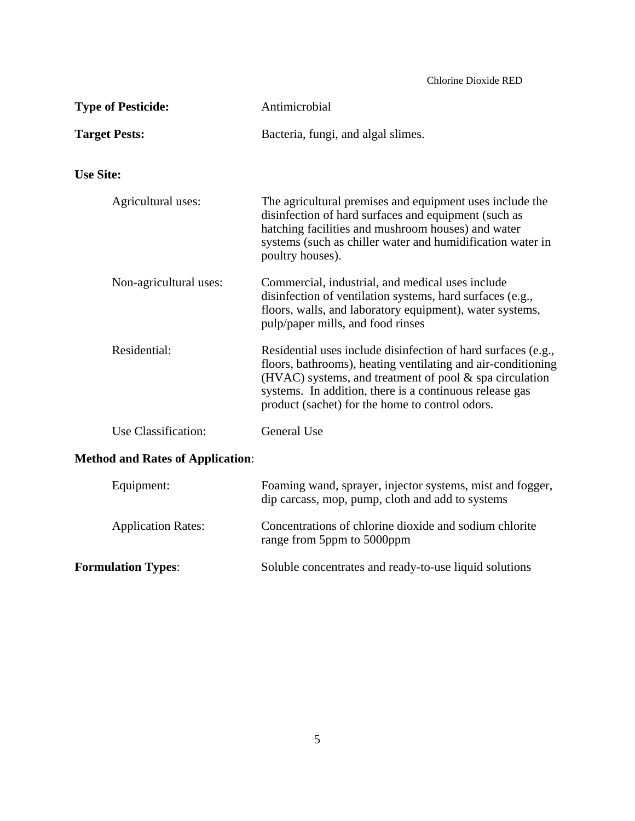| <b>Type of Pesticide:</b><br>Antimicrobial |                                                                                                                                                                                                                                                                                                           |  |  |
|--------------------------------------------|-----------------------------------------------------------------------------------------------------------------------------------------------------------------------------------------------------------------------------------------------------------------------------------------------------------|--|--|
| <b>Target Pests:</b>                       | Bacteria, fungi, and algal slimes.                                                                                                                                                                                                                                                                        |  |  |
| <b>Use Site:</b>                           |                                                                                                                                                                                                                                                                                                           |  |  |
| Agricultural uses:                         | The agricultural premises and equipment uses include the<br>disinfection of hard surfaces and equipment (such as<br>hatching facilities and mushroom houses) and water<br>systems (such as chiller water and humidification water in<br>poultry houses).                                                  |  |  |
| Non-agricultural uses:                     | Commercial, industrial, and medical uses include<br>disinfection of ventilation systems, hard surfaces (e.g.,<br>floors, walls, and laboratory equipment), water systems,<br>pulp/paper mills, and food rinses                                                                                            |  |  |
| Residential:                               | Residential uses include disinfection of hard surfaces (e.g.,<br>floors, bathrooms), heating ventilating and air-conditioning<br>(HVAC) systems, and treatment of pool $\&$ spa circulation<br>systems. In addition, there is a continuous release gas<br>product (sachet) for the home to control odors. |  |  |
| Use Classification:                        | General Use                                                                                                                                                                                                                                                                                               |  |  |
| <b>Method and Rates of Application:</b>    |                                                                                                                                                                                                                                                                                                           |  |  |
| Equipment:                                 | Foaming wand, sprayer, injector systems, mist and fogger,<br>dip carcass, mop, pump, cloth and add to systems                                                                                                                                                                                             |  |  |
| <b>Application Rates:</b>                  | Concentrations of chlorine dioxide and sodium chlorite<br>range from 5ppm to 5000ppm                                                                                                                                                                                                                      |  |  |

**Formulation Types**: Soluble concentrates and ready-to-use liquid solutions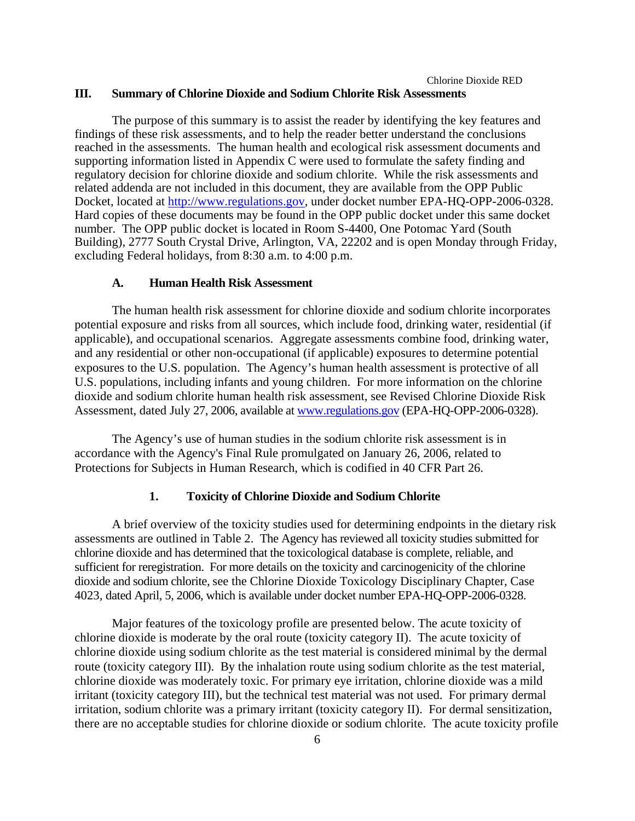# Chlorine Dioxide RED **III. Summary of Chlorine Dioxide and Sodium Chlorite Risk Assessments**

The purpose of this summary is to assist the reader by identifying the key features and findings of these risk assessments, and to help the reader better understand the conclusions reached in the assessments. The human health and ecological risk assessment documents and supporting information listed in Appendix C were used to formulate the safety finding and regulatory decision for chlorine dioxide and sodium chlorite. While the risk assessments and related addenda are not included in this document, they are available from the OPP Public Docket, located at http://www.regulations.gov, under docket number EPA-HQ-OPP-2006-0328. Hard copies of these documents may be found in the OPP public docket under this same docket number. The OPP public docket is located in Room S-4400, One Potomac Yard (South Building), 2777 South Crystal Drive, Arlington, VA, 22202 and is open Monday through Friday, excluding Federal holidays, from 8:30 a.m. to 4:00 p.m.

#### **A. Human Health Risk Assessment**

The human health risk assessment for chlorine dioxide and sodium chlorite incorporates potential exposure and risks from all sources, which include food, drinking water, residential (if applicable), and occupational scenarios. Aggregate assessments combine food, drinking water, and any residential or other non-occupational (if applicable) exposures to determine potential exposures to the U.S. population. The Agency's human health assessment is protective of all U.S. populations, including infants and young children. For more information on the chlorine dioxide and sodium chlorite human health risk assessment, see Revised Chlorine Dioxide Risk Assessment, dated July 27, 2006, available at www.regulations.gov (EPA-HQ-OPP-2006-0328).

The Agency's use of human studies in the sodium chlorite risk assessment is in accordance with the Agency's Final Rule promulgated on January 26, 2006, related to Protections for Subjects in Human Research, which is codified in 40 CFR Part 26.

#### **1. Toxicity of Chlorine Dioxide and Sodium Chlorite**

A brief overview of the toxicity studies used for determining endpoints in the dietary risk assessments are outlined in Table 2. The Agency has reviewed all toxicity studies submitted for chlorine dioxide and has determined that the toxicological database is complete, reliable, and sufficient for reregistration. For more details on the toxicity and carcinogenicity of the chlorine dioxide and sodium chlorite, see the Chlorine Dioxide Toxicology Disciplinary Chapter, Case 4023*,* dated April, 5, 2006, which is available under docket number EPA-HQ-OPP-2006-0328.

Major features of the toxicology profile are presented below. The acute toxicity of chlorine dioxide is moderate by the oral route (toxicity category II). The acute toxicity of chlorine dioxide using sodium chlorite as the test material is considered minimal by the dermal route (toxicity category III). By the inhalation route using sodium chlorite as the test material, chlorine dioxide was moderately toxic. For primary eye irritation, chlorine dioxide was a mild irritant (toxicity category III), but the technical test material was not used. For primary dermal irritation, sodium chlorite was a primary irritant (toxicity category II). For dermal sensitization, there are no acceptable studies for chlorine dioxide or sodium chlorite. The acute toxicity profile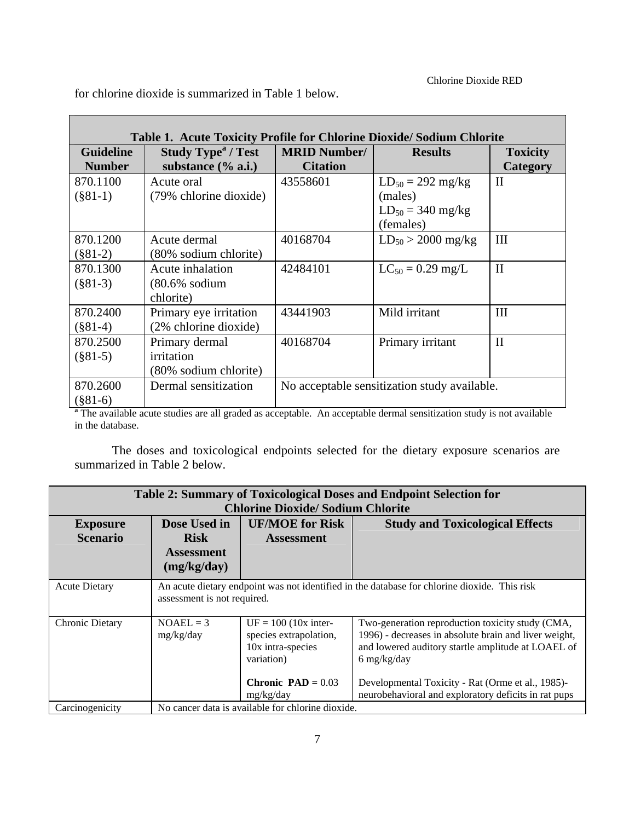for chlorine dioxide is summarized in Table 1 below.

| Table 1. Acute Toxicity Profile for Chlorine Dioxide/Sodium Chlorite |                                                                                                                                  |                                              |                               |                 |  |  |
|----------------------------------------------------------------------|----------------------------------------------------------------------------------------------------------------------------------|----------------------------------------------|-------------------------------|-----------------|--|--|
| <b>Guideline</b>                                                     | <b>Study Type<sup>a</sup> / Test</b>                                                                                             | <b>MRID Number/</b>                          | <b>Results</b>                | <b>Toxicity</b> |  |  |
| <b>Number</b>                                                        | substance $(\%$ a.i.)                                                                                                            | <b>Citation</b>                              |                               | Category        |  |  |
| 870.1100                                                             | Acute oral                                                                                                                       | 43558601                                     | $LD_{50} = 292 \text{ mg/kg}$ | $\mathbf{I}$    |  |  |
| $(\$81-1)$                                                           | (79% chlorine dioxide)                                                                                                           |                                              | (males)                       |                 |  |  |
|                                                                      |                                                                                                                                  |                                              | $LD_{50} = 340$ mg/kg         |                 |  |  |
|                                                                      |                                                                                                                                  |                                              | (females)                     |                 |  |  |
| 870.1200                                                             | Acute dermal                                                                                                                     | 40168704                                     | $LD_{50} > 2000$ mg/kg        | III             |  |  |
| $(\$81-2)$                                                           | (80% sodium chlorite)                                                                                                            |                                              |                               |                 |  |  |
| 870.1300                                                             | Acute inhalation                                                                                                                 | 42484101                                     | $LC_{50} = 0.29$ mg/L         | $\mathbf{I}$    |  |  |
| $(\$81-3)$                                                           | $(80.6\% \text{ sodium})$                                                                                                        |                                              |                               |                 |  |  |
|                                                                      | chlorite)                                                                                                                        |                                              |                               |                 |  |  |
| 870.2400                                                             | Primary eye irritation                                                                                                           | 43441903                                     | Mild irritant                 | III             |  |  |
| $(\$81-4)$                                                           | (2% chlorine dioxide)                                                                                                            |                                              |                               |                 |  |  |
| 870.2500                                                             | Primary dermal                                                                                                                   | 40168704                                     | Primary irritant              | $\mathbf{I}$    |  |  |
| $(\$81-5)$                                                           | irritation                                                                                                                       |                                              |                               |                 |  |  |
|                                                                      | (80% sodium chlorite)                                                                                                            |                                              |                               |                 |  |  |
| 870.2600                                                             | Dermal sensitization                                                                                                             | No acceptable sensitization study available. |                               |                 |  |  |
| $(\$81-6)$                                                           |                                                                                                                                  |                                              |                               |                 |  |  |
|                                                                      | <sup>a</sup> The available acute studies are all graded as acceptable. An acceptable dermal sensitization study is not available |                                              |                               |                 |  |  |

in the database.

The doses and toxicological endpoints selected for the dietary exposure scenarios are summarized in Table 2 below.

| <b>Table 2: Summary of Toxicological Doses and Endpoint Selection for</b><br><b>Chlorine Dioxide/Sodium Chlorite</b> |                                                                                                                             |                                                                                                                                                                                                                                                                                                                                                                                                                                                         |                                        |  |  |
|----------------------------------------------------------------------------------------------------------------------|-----------------------------------------------------------------------------------------------------------------------------|---------------------------------------------------------------------------------------------------------------------------------------------------------------------------------------------------------------------------------------------------------------------------------------------------------------------------------------------------------------------------------------------------------------------------------------------------------|----------------------------------------|--|--|
| <b>Exposure</b><br><b>Scenario</b>                                                                                   | <b>Dose Used in</b><br><b>Risk</b><br><b>Assessment</b><br>(mg/kg/day)                                                      | <b>UF/MOE</b> for Risk<br><b>Assessment</b>                                                                                                                                                                                                                                                                                                                                                                                                             | <b>Study and Toxicological Effects</b> |  |  |
| <b>Acute Dietary</b>                                                                                                 | An acute dietary endpoint was not identified in the database for chlorine dioxide. This risk<br>assessment is not required. |                                                                                                                                                                                                                                                                                                                                                                                                                                                         |                                        |  |  |
| <b>Chronic Dietary</b>                                                                                               | $NOAEL = 3$<br>mg/kg/day                                                                                                    | $UF = 100$ (10x inter-<br>Two-generation reproduction toxicity study (CMA,<br>1996) - decreases in absolute brain and liver weight,<br>species extrapolation,<br>10x intra-species<br>and lowered auditory startle amplitude at LOAEL of<br>variation)<br>$6 \frac{\text{mg}}{\text{kg}}$ /day<br>Chronic $\text{PAD} = 0.03$<br>Developmental Toxicity - Rat (Orme et al., 1985)-<br>neurobehavioral and exploratory deficits in rat pups<br>mg/kg/day |                                        |  |  |
| Carcinogenicity                                                                                                      | No cancer data is available for chlorine dioxide.                                                                           |                                                                                                                                                                                                                                                                                                                                                                                                                                                         |                                        |  |  |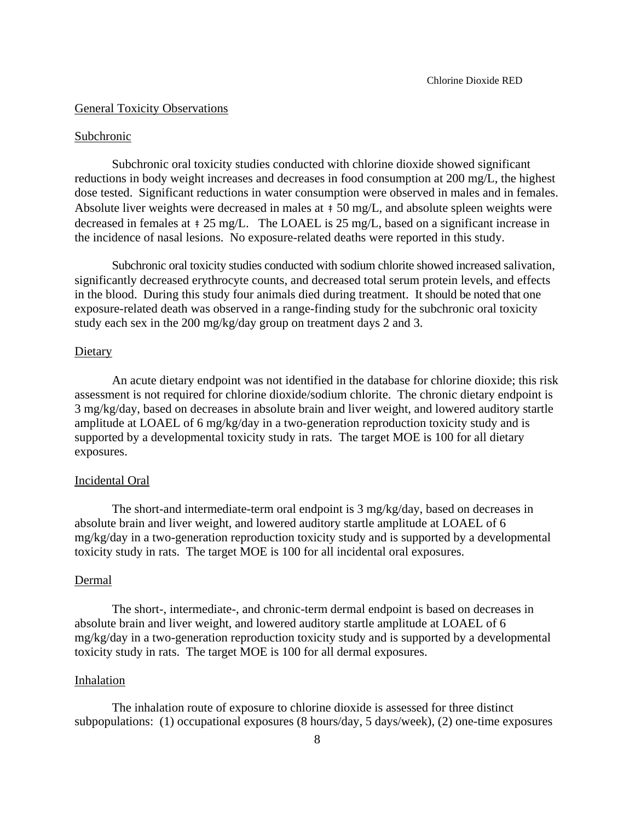#### General Toxicity Observations

#### Subchronic

Subchronic oral toxicity studies conducted with chlorine dioxide showed significant reductions in body weight increases and decreases in food consumption at 200 mg/L, the highest dose tested. Significant reductions in water consumption were observed in males and in females. Absolute liver weights were decreased in males at  $\pm 50$  mg/L, and absolute spleen weights were decreased in females at  $\pm 25 \text{ mg/L}$ . The LOAEL is 25 mg/L, based on a significant increase in the incidence of nasal lesions. No exposure-related deaths were reported in this study.

Subchronic oral toxicity studies conducted with sodium chlorite showed increased salivation, significantly decreased erythrocyte counts, and decreased total serum protein levels, and effects in the blood. During this study four animals died during treatment. It should be noted that one exposure-related death was observed in a range-finding study for the subchronic oral toxicity study each sex in the 200 mg/kg/day group on treatment days 2 and 3.

#### Dietary

An acute dietary endpoint was not identified in the database for chlorine dioxide; this risk assessment is not required for chlorine dioxide/sodium chlorite. The chronic dietary endpoint is 3 mg/kg/day, based on decreases in absolute brain and liver weight, and lowered auditory startle amplitude at LOAEL of 6 mg/kg/day in a two-generation reproduction toxicity study and is supported by a developmental toxicity study in rats. The target MOE is 100 for all dietary exposures.

#### Incidental Oral

The short-and intermediate-term oral endpoint is 3 mg/kg/day, based on decreases in absolute brain and liver weight, and lowered auditory startle amplitude at LOAEL of 6 mg/kg/day in a two-generation reproduction toxicity study and is supported by a developmental toxicity study in rats. The target MOE is 100 for all incidental oral exposures.

#### Dermal

The short-, intermediate-, and chronic-term dermal endpoint is based on decreases in absolute brain and liver weight, and lowered auditory startle amplitude at LOAEL of 6 mg/kg/day in a two-generation reproduction toxicity study and is supported by a developmental toxicity study in rats. The target MOE is 100 for all dermal exposures.

#### Inhalation

The inhalation route of exposure to chlorine dioxide is assessed for three distinct subpopulations: (1) occupational exposures (8 hours/day, 5 days/week), (2) one-time exposures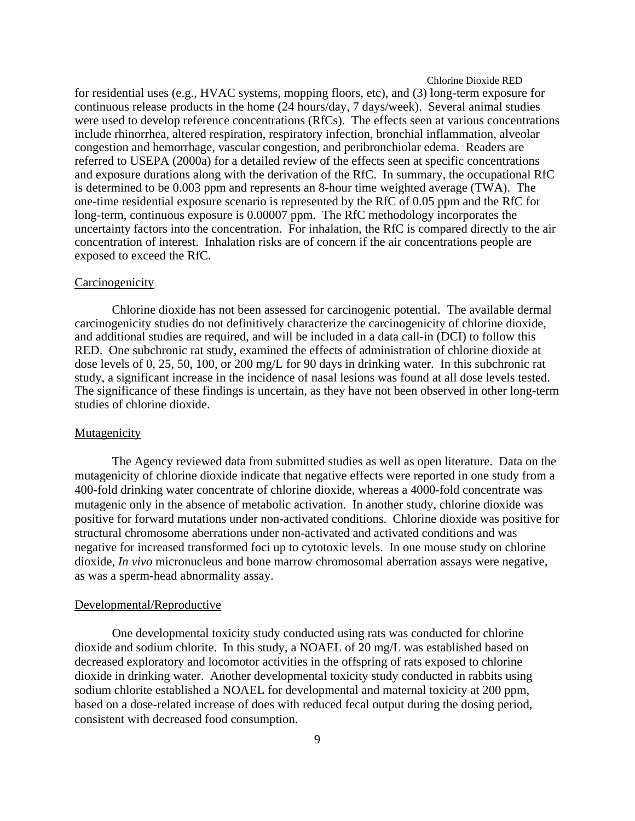for residential uses (e.g., HVAC systems, mopping floors, etc), and (3) long-term exposure for continuous release products in the home (24 hours/day, 7 days/week). Several animal studies were used to develop reference concentrations (RfCs). The effects seen at various concentrations include rhinorrhea, altered respiration, respiratory infection, bronchial inflammation, alveolar congestion and hemorrhage, vascular congestion, and peribronchiolar edema. Readers are referred to USEPA (2000a) for a detailed review of the effects seen at specific concentrations and exposure durations along with the derivation of the RfC. In summary, the occupational RfC is determined to be 0.003 ppm and represents an 8-hour time weighted average (TWA). The one-time residential exposure scenario is represented by the RfC of 0.05 ppm and the RfC for long-term, continuous exposure is 0.00007 ppm. The RfC methodology incorporates the uncertainty factors into the concentration. For inhalation, the RfC is compared directly to the air concentration of interest. Inhalation risks are of concern if the air concentrations people are exposed to exceed the RfC.

#### **Carcinogenicity**

Chlorine dioxide has not been assessed for carcinogenic potential. The available dermal carcinogenicity studies do not definitively characterize the carcinogenicity of chlorine dioxide, and additional studies are required, and will be included in a data call-in (DCI) to follow this RED. One subchronic rat study, examined the effects of administration of chlorine dioxide at dose levels of 0, 25, 50, 100, or 200 mg/L for 90 days in drinking water. In this subchronic rat study, a significant increase in the incidence of nasal lesions was found at all dose levels tested. The significance of these findings is uncertain, as they have not been observed in other long-term studies of chlorine dioxide.

#### **Mutagenicity**

The Agency reviewed data from submitted studies as well as open literature. Data on the mutagenicity of chlorine dioxide indicate that negative effects were reported in one study from a 400-fold drinking water concentrate of chlorine dioxide, whereas a 4000-fold concentrate was mutagenic only in the absence of metabolic activation. In another study, chlorine dioxide was positive for forward mutations under non-activated conditions. Chlorine dioxide was positive for structural chromosome aberrations under non-activated and activated conditions and was negative for increased transformed foci up to cytotoxic levels. In one mouse study on chlorine dioxide, *In vivo* micronucleus and bone marrow chromosomal aberration assays were negative, as was a sperm-head abnormality assay.

#### Developmental/Reproductive

One developmental toxicity study conducted using rats was conducted for chlorine dioxide and sodium chlorite. In this study, a NOAEL of 20 mg/L was established based on decreased exploratory and locomotor activities in the offspring of rats exposed to chlorine dioxide in drinking water. Another developmental toxicity study conducted in rabbits using sodium chlorite established a NOAEL for developmental and maternal toxicity at 200 ppm, based on a dose-related increase of does with reduced fecal output during the dosing period, consistent with decreased food consumption.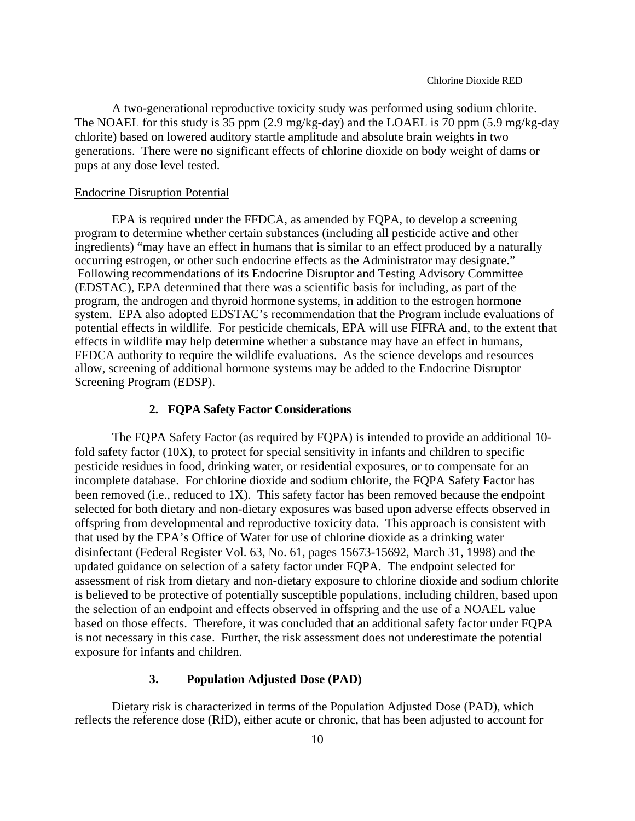A two-generational reproductive toxicity study was performed using sodium chlorite. The NOAEL for this study is 35 ppm (2.9 mg/kg-day) and the LOAEL is 70 ppm (5.9 mg/kg-day chlorite) based on lowered auditory startle amplitude and absolute brain weights in two generations. There were no significant effects of chlorine dioxide on body weight of dams or pups at any dose level tested.

#### Endocrine Disruption Potential

EPA is required under the FFDCA, as amended by FQPA, to develop a screening program to determine whether certain substances (including all pesticide active and other ingredients) "may have an effect in humans that is similar to an effect produced by a naturally occurring estrogen, or other such endocrine effects as the Administrator may designate." Following recommendations of its Endocrine Disruptor and Testing Advisory Committee (EDSTAC), EPA determined that there was a scientific basis for including, as part of the program, the androgen and thyroid hormone systems, in addition to the estrogen hormone system. EPA also adopted EDSTAC's recommendation that the Program include evaluations of potential effects in wildlife. For pesticide chemicals, EPA will use FIFRA and, to the extent that effects in wildlife may help determine whether a substance may have an effect in humans, FFDCA authority to require the wildlife evaluations. As the science develops and resources allow, screening of additional hormone systems may be added to the Endocrine Disruptor Screening Program (EDSP).

#### **2. FQPA Safety Factor Considerations**

The FQPA Safety Factor (as required by FQPA) is intended to provide an additional 10 fold safety factor (10X), to protect for special sensitivity in infants and children to specific pesticide residues in food, drinking water, or residential exposures, or to compensate for an incomplete database. For chlorine dioxide and sodium chlorite, the FQPA Safety Factor has been removed (i.e., reduced to 1X). This safety factor has been removed because the endpoint selected for both dietary and non-dietary exposures was based upon adverse effects observed in offspring from developmental and reproductive toxicity data. This approach is consistent with that used by the EPA's Office of Water for use of chlorine dioxide as a drinking water disinfectant (Federal Register Vol. 63, No. 61, pages 15673-15692, March 31, 1998) and the updated guidance on selection of a safety factor under FQPA. The endpoint selected for assessment of risk from dietary and non-dietary exposure to chlorine dioxide and sodium chlorite is believed to be protective of potentially susceptible populations, including children, based upon the selection of an endpoint and effects observed in offspring and the use of a NOAEL value based on those effects. Therefore, it was concluded that an additional safety factor under FQPA is not necessary in this case. Further, the risk assessment does not underestimate the potential exposure for infants and children.

# **3. Population Adjusted Dose (PAD)**

Dietary risk is characterized in terms of the Population Adjusted Dose (PAD), which reflects the reference dose (RfD), either acute or chronic, that has been adjusted to account for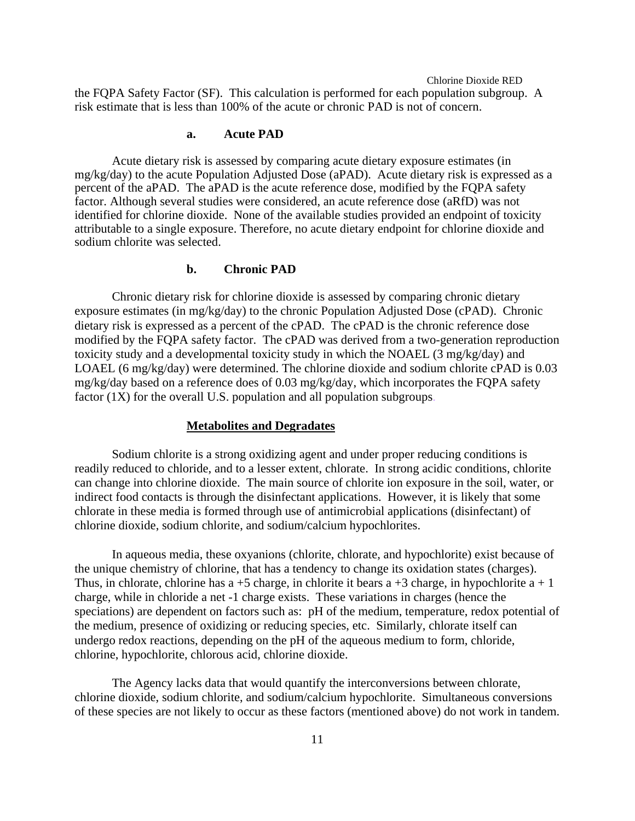the FQPA Safety Factor (SF). This calculation is performed for each population subgroup. A risk estimate that is less than 100% of the acute or chronic PAD is not of concern.

# **a. Acute PAD**

Acute dietary risk is assessed by comparing acute dietary exposure estimates (in mg/kg/day) to the acute Population Adjusted Dose (aPAD). Acute dietary risk is expressed as a percent of the aPAD. The aPAD is the acute reference dose, modified by the FQPA safety factor. Although several studies were considered, an acute reference dose (aRfD) was not identified for chlorine dioxide. None of the available studies provided an endpoint of toxicity attributable to a single exposure. Therefore, no acute dietary endpoint for chlorine dioxide and sodium chlorite was selected.

# **b. Chronic PAD**

Chronic dietary risk for chlorine dioxide is assessed by comparing chronic dietary exposure estimates (in mg/kg/day) to the chronic Population Adjusted Dose (cPAD). Chronic dietary risk is expressed as a percent of the cPAD. The cPAD is the chronic reference dose modified by the FQPA safety factor. The cPAD was derived from a two-generation reproduction toxicity study and a developmental toxicity study in which the NOAEL (3 mg/kg/day) and LOAEL (6 mg/kg/day) were determined. The chlorine dioxide and sodium chlorite cPAD is 0.03 mg/kg/day based on a reference does of 0.03 mg/kg/day, which incorporates the FQPA safety factor  $(1X)$  for the overall U.S. population and all population subgroups.

#### **Metabolites and Degradates**

Sodium chlorite is a strong oxidizing agent and under proper reducing conditions is readily reduced to chloride, and to a lesser extent, chlorate. In strong acidic conditions, chlorite can change into chlorine dioxide. The main source of chlorite ion exposure in the soil, water, or indirect food contacts is through the disinfectant applications. However, it is likely that some chlorate in these media is formed through use of antimicrobial applications (disinfectant) of chlorine dioxide, sodium chlorite, and sodium/calcium hypochlorites.

In aqueous media, these oxyanions (chlorite, chlorate, and hypochlorite) exist because of the unique chemistry of chlorine, that has a tendency to change its oxidation states (charges). Thus, in chlorate, chlorine has a +5 charge, in chlorite it bears a +3 charge, in hypochlorite a + 1 charge, while in chloride a net -1 charge exists. These variations in charges (hence the speciations) are dependent on factors such as: pH of the medium, temperature, redox potential of the medium, presence of oxidizing or reducing species, etc. Similarly, chlorate itself can undergo redox reactions, depending on the pH of the aqueous medium to form, chloride, chlorine, hypochlorite, chlorous acid, chlorine dioxide.

The Agency lacks data that would quantify the interconversions between chlorate, chlorine dioxide, sodium chlorite, and sodium/calcium hypochlorite. Simultaneous conversions of these species are not likely to occur as these factors (mentioned above) do not work in tandem.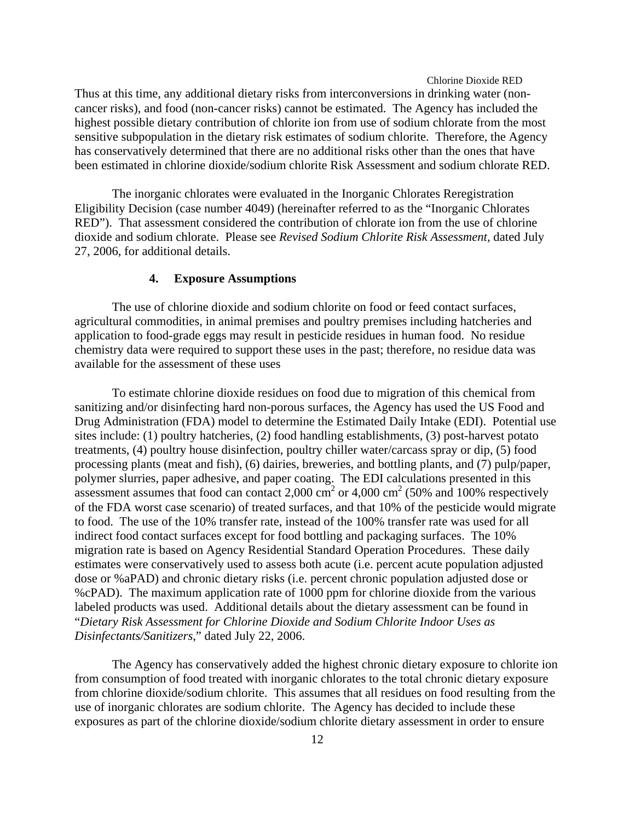Thus at this time, any additional dietary risks from interconversions in drinking water (noncancer risks), and food (non-cancer risks) cannot be estimated. The Agency has included the highest possible dietary contribution of chlorite ion from use of sodium chlorate from the most sensitive subpopulation in the dietary risk estimates of sodium chlorite. Therefore, the Agency has conservatively determined that there are no additional risks other than the ones that have been estimated in chlorine dioxide/sodium chlorite Risk Assessment and sodium chlorate RED.

The inorganic chlorates were evaluated in the Inorganic Chlorates Reregistration Eligibility Decision (case number 4049) (hereinafter referred to as the "Inorganic Chlorates RED"). That assessment considered the contribution of chlorate ion from the use of chlorine dioxide and sodium chlorate. Please see *Revised Sodium Chlorite Risk Assessment,* dated July 27, 2006, for additional details.

#### **4. Exposure Assumptions**

The use of chlorine dioxide and sodium chlorite on food or feed contact surfaces, agricultural commodities, in animal premises and poultry premises including hatcheries and application to food-grade eggs may result in pesticide residues in human food. No residue chemistry data were required to support these uses in the past; therefore, no residue data was available for the assessment of these uses

To estimate chlorine dioxide residues on food due to migration of this chemical from sanitizing and/or disinfecting hard non-porous surfaces, the Agency has used the US Food and Drug Administration (FDA) model to determine the Estimated Daily Intake (EDI). Potential use sites include: (1) poultry hatcheries, (2) food handling establishments, (3) post-harvest potato treatments, (4) poultry house disinfection, poultry chiller water/carcass spray or dip, (5) food processing plants (meat and fish), (6) dairies, breweries, and bottling plants, and (7) pulp/paper, polymer slurries, paper adhesive, and paper coating. The EDI calculations presented in this assessment assumes that food can contact 2,000 cm<sup>2</sup> or 4,000 cm<sup>2</sup> (50% and 100% respectively of the FDA worst case scenario) of treated surfaces, and that 10% of the pesticide would migrate to food. The use of the 10% transfer rate, instead of the 100% transfer rate was used for all indirect food contact surfaces except for food bottling and packaging surfaces. The 10% migration rate is based on Agency Residential Standard Operation Procedures. These daily estimates were conservatively used to assess both acute (i.e. percent acute population adjusted dose or %aPAD) and chronic dietary risks (i.e. percent chronic population adjusted dose or %cPAD). The maximum application rate of 1000 ppm for chlorine dioxide from the various labeled products was used. Additional details about the dietary assessment can be found in "*Dietary Risk Assessment for Chlorine Dioxide and Sodium Chlorite Indoor Uses as Disinfectants/Sanitizers*," dated July 22, 2006.

The Agency has conservatively added the highest chronic dietary exposure to chlorite ion from consumption of food treated with inorganic chlorates to the total chronic dietary exposure from chlorine dioxide/sodium chlorite. This assumes that all residues on food resulting from the use of inorganic chlorates are sodium chlorite. The Agency has decided to include these exposures as part of the chlorine dioxide/sodium chlorite dietary assessment in order to ensure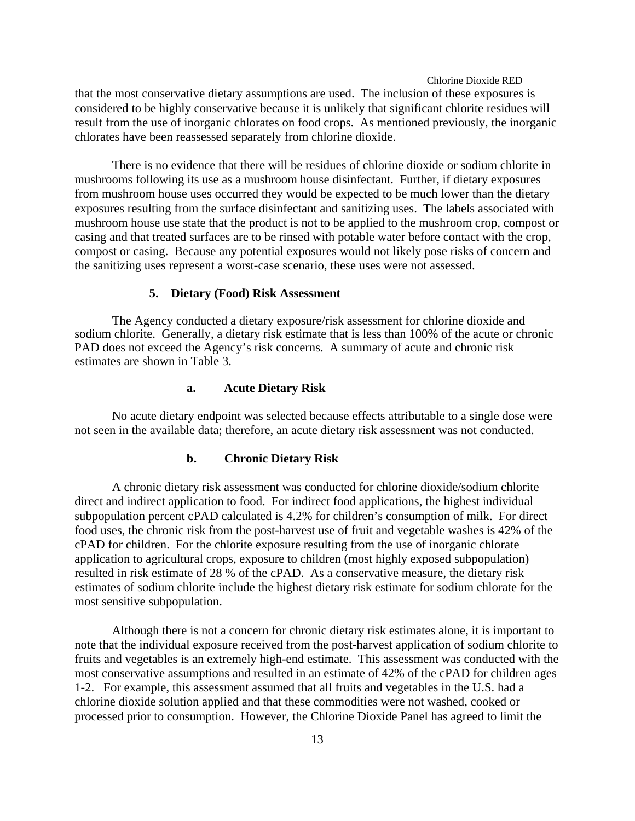that the most conservative dietary assumptions are used. The inclusion of these exposures is considered to be highly conservative because it is unlikely that significant chlorite residues will result from the use of inorganic chlorates on food crops. As mentioned previously, the inorganic chlorates have been reassessed separately from chlorine dioxide.

There is no evidence that there will be residues of chlorine dioxide or sodium chlorite in mushrooms following its use as a mushroom house disinfectant. Further, if dietary exposures from mushroom house uses occurred they would be expected to be much lower than the dietary exposures resulting from the surface disinfectant and sanitizing uses. The labels associated with mushroom house use state that the product is not to be applied to the mushroom crop, compost or casing and that treated surfaces are to be rinsed with potable water before contact with the crop, compost or casing. Because any potential exposures would not likely pose risks of concern and the sanitizing uses represent a worst-case scenario, these uses were not assessed.

#### **5. Dietary (Food) Risk Assessment**

The Agency conducted a dietary exposure/risk assessment for chlorine dioxide and sodium chlorite. Generally, a dietary risk estimate that is less than 100% of the acute or chronic PAD does not exceed the Agency's risk concerns. A summary of acute and chronic risk estimates are shown in Table 3.

#### **a. Acute Dietary Risk**

No acute dietary endpoint was selected because effects attributable to a single dose were not seen in the available data; therefore, an acute dietary risk assessment was not conducted.

#### **b. Chronic Dietary Risk**

A chronic dietary risk assessment was conducted for chlorine dioxide/sodium chlorite direct and indirect application to food. For indirect food applications, the highest individual subpopulation percent cPAD calculated is 4.2% for children's consumption of milk. For direct food uses, the chronic risk from the post-harvest use of fruit and vegetable washes is 42% of the cPAD for children. For the chlorite exposure resulting from the use of inorganic chlorate application to agricultural crops, exposure to children (most highly exposed subpopulation) resulted in risk estimate of 28 % of the cPAD. As a conservative measure, the dietary risk estimates of sodium chlorite include the highest dietary risk estimate for sodium chlorate for the most sensitive subpopulation.

Although there is not a concern for chronic dietary risk estimates alone, it is important to note that the individual exposure received from the post-harvest application of sodium chlorite to fruits and vegetables is an extremely high-end estimate. This assessment was conducted with the most conservative assumptions and resulted in an estimate of 42% of the cPAD for children ages 1-2. For example, this assessment assumed that all fruits and vegetables in the U.S. had a chlorine dioxide solution applied and that these commodities were not washed, cooked or processed prior to consumption. However, the Chlorine Dioxide Panel has agreed to limit the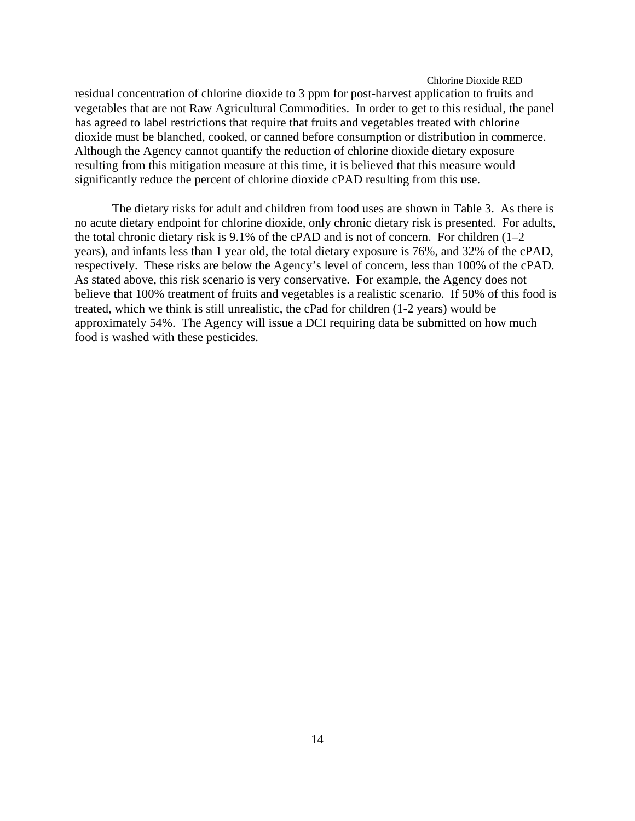residual concentration of chlorine dioxide to 3 ppm for post-harvest application to fruits and vegetables that are not Raw Agricultural Commodities. In order to get to this residual, the panel has agreed to label restrictions that require that fruits and vegetables treated with chlorine dioxide must be blanched, cooked, or canned before consumption or distribution in commerce. Although the Agency cannot quantify the reduction of chlorine dioxide dietary exposure resulting from this mitigation measure at this time, it is believed that this measure would significantly reduce the percent of chlorine dioxide cPAD resulting from this use.

The dietary risks for adult and children from food uses are shown in Table 3. As there is no acute dietary endpoint for chlorine dioxide, only chronic dietary risk is presented. For adults, the total chronic dietary risk is 9.1% of the cPAD and is not of concern. For children (1–2 years), and infants less than 1 year old, the total dietary exposure is 76%, and 32% of the cPAD, respectively. These risks are below the Agency's level of concern, less than 100% of the cPAD. As stated above, this risk scenario is very conservative. For example, the Agency does not believe that 100% treatment of fruits and vegetables is a realistic scenario. If 50% of this food is treated, which we think is still unrealistic, the cPad for children (1-2 years) would be approximately 54%. The Agency will issue a DCI requiring data be submitted on how much food is washed with these pesticides.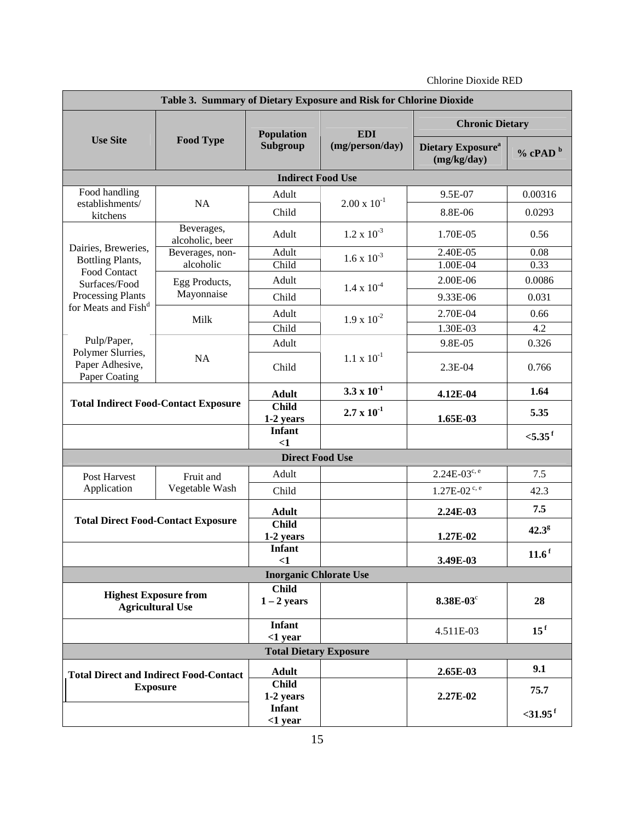| Table 3. Summary of Dietary Exposure and Risk for Chlorine Dioxide |                                             |                                          |                               |                                                     |                       |
|--------------------------------------------------------------------|---------------------------------------------|------------------------------------------|-------------------------------|-----------------------------------------------------|-----------------------|
|                                                                    | <b>Food Type</b>                            | <b>Population</b><br>Subgroup            | <b>EDI</b><br>(mg/person/day) | <b>Chronic Dietary</b>                              |                       |
| <b>Use Site</b>                                                    |                                             |                                          |                               | <b>Dietary Exposure</b> <sup>a</sup><br>(mg/kg/day) | $%$ cPAD $b$          |
|                                                                    |                                             | <b>Indirect Food Use</b>                 |                               |                                                     |                       |
| Food handling                                                      |                                             | Adult                                    |                               | 9.5E-07                                             | 0.00316               |
| establishments/<br>kitchens                                        | NA                                          | Child                                    | $2.00 \times 10^{-1}$         | 8.8E-06                                             | 0.0293                |
|                                                                    | Beverages,<br>alcoholic, beer               | Adult                                    | $1.2 \ge 10^{-3}$             | 1.70E-05                                            | 0.56                  |
| Dairies, Breweries,<br>Bottling Plants,                            | Beverages, non-                             | Adult                                    | $1.6 \times 10^{-3}$          | 2.40E-05                                            | 0.08                  |
| Food Contact                                                       | alcoholic                                   | Child                                    |                               | 1.00E-04                                            | 0.33                  |
| Surfaces/Food                                                      | Egg Products,                               | Adult                                    | $1.4 \times 10^{-4}$          | 2.00E-06                                            | 0.0086                |
| <b>Processing Plants</b>                                           | Mayonnaise                                  | Child                                    |                               | 9.33E-06                                            | 0.031                 |
| for Meats and Fish <sup>d</sup>                                    | Milk                                        | Adult                                    | $1.9 \times 10^{-2}$          | 2.70E-04                                            | 0.66                  |
|                                                                    |                                             | Child                                    |                               | 1.30E-03                                            | 4.2                   |
| Pulp/Paper,                                                        |                                             | Adult                                    |                               | 9.8E-05                                             | 0.326                 |
| Polymer Slurries,<br>Paper Adhesive,<br>Paper Coating              | <b>NA</b>                                   | Child                                    | $1.1 \times 10^{-1}$          | 2.3E-04                                             | 0.766                 |
|                                                                    |                                             | <b>Adult</b>                             | $3.3 \times 10^{-1}$          | 4.12E-04                                            | 1.64                  |
|                                                                    | <b>Total Indirect Food-Contact Exposure</b> | <b>Child</b><br>1-2 years                | $2.7 \times 10^{-1}$          | 1.65E-03                                            | 5.35                  |
|                                                                    |                                             | <b>Infant</b><br><1                      |                               |                                                     | $< 5.35$ <sup>f</sup> |
|                                                                    |                                             | <b>Direct Food Use</b>                   |                               |                                                     |                       |
| Post Harvest                                                       | Fruit and                                   | Adult                                    |                               | $2.24E-03^{c,e}$                                    | 7.5                   |
| Application                                                        | Vegetable Wash                              | Child                                    |                               | $1.27E-02$ <sup>c, e</sup>                          | 42.3                  |
|                                                                    |                                             | <b>Adult</b>                             |                               | 2.24E-03                                            | 7.5                   |
|                                                                    | <b>Total Direct Food-Contact Exposure</b>   | <b>Child</b><br>1-2 years                |                               | 1.27E-02                                            | $42.3^{\circ}$        |
|                                                                    |                                             | Infant<br>$\leq$ 1                       |                               | 3.49E-03                                            | 11.6 <sup>f</sup>     |
|                                                                    |                                             | <b>Inorganic Chlorate Use</b>            |                               |                                                     |                       |
| <b>Highest Exposure from</b><br><b>Agricultural Use</b>            |                                             | <b>Child</b><br>$1 - 2$ years            |                               | 8.38E-03°                                           | 28                    |
|                                                                    |                                             | <b>Infant</b><br>$<$ 1 year              |                               | 4.511E-03                                           | 15 <sup>f</sup>       |
| <b>Total Dietary Exposure</b>                                      |                                             |                                          |                               |                                                     |                       |
|                                                                    |                                             | <b>Adult</b>                             |                               | 2.65E-03                                            | 9.1                   |
| <b>Total Direct and Indirect Food-Contact</b><br><b>Exposure</b>   |                                             | <b>Child</b>                             |                               |                                                     | 75.7                  |
|                                                                    |                                             | 1-2 years<br><b>Infant</b><br>$<$ 1 year |                               | 2.27E-02                                            | $<$ 31.95 $^{\rm f}$  |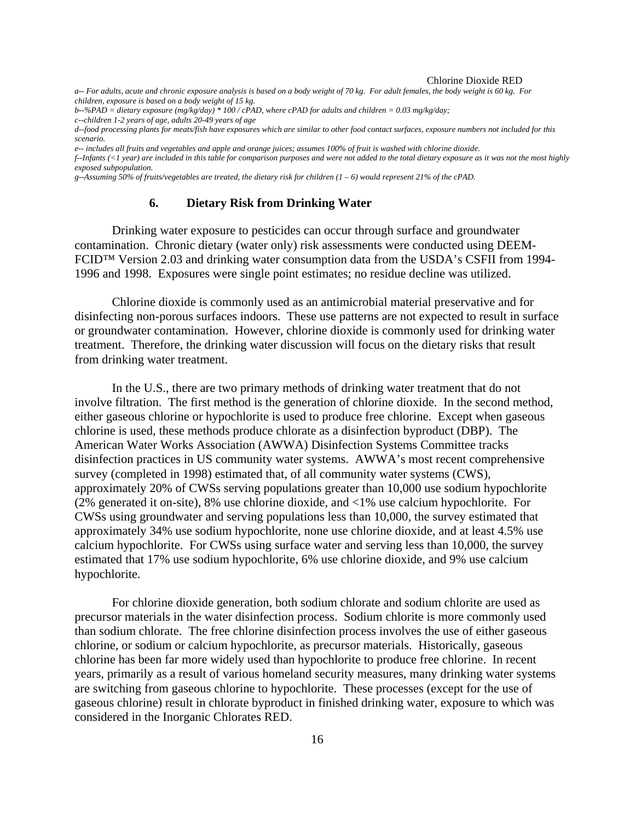*a-- For adults, acute and chronic exposure analysis is based on a body weight of 70 kg. For adult females, the body weight is 60 kg. For children, exposure is based on a body weight of 15 kg.* 

*b--%PAD = dietary exposure (mg/kg/day) \* 100 / cPAD, where cPAD for adults and children = 0.03 mg/kg/day;* 

*d--food processing plants for meats/fish have exposures which are similar to other food contact surfaces, exposure numbers not included for this scenario.* 

*e-- includes all fruits and vegetables and apple and orange juices; assumes 100% of fruit is washed with chlorine dioxide.* 

*f--Infants (<1 year) are included in this table for comparison purposes and were not added to the total dietary exposure as it was not the most highly exposed subpopulation.* 

*g--Assuming 50% of fruits/vegetables are treated, the dietary risk for children (1 – 6) would represent 21% of the cPAD.* 

#### **6. Dietary Risk from Drinking Water**

Drinking water exposure to pesticides can occur through surface and groundwater contamination. Chronic dietary (water only) risk assessments were conducted using DEEM-FCID™ Version 2.03 and drinking water consumption data from the USDA's CSFII from 1994 1996 and 1998. Exposures were single point estimates; no residue decline was utilized.

Chlorine dioxide is commonly used as an antimicrobial material preservative and for disinfecting non-porous surfaces indoors. These use patterns are not expected to result in surface or groundwater contamination. However, chlorine dioxide is commonly used for drinking water treatment. Therefore, the drinking water discussion will focus on the dietary risks that result from drinking water treatment.

In the U.S., there are two primary methods of drinking water treatment that do not involve filtration. The first method is the generation of chlorine dioxide. In the second method, either gaseous chlorine or hypochlorite is used to produce free chlorine. Except when gaseous chlorine is used, these methods produce chlorate as a disinfection byproduct (DBP). The American Water Works Association (AWWA) Disinfection Systems Committee tracks disinfection practices in US community water systems. AWWA's most recent comprehensive survey (completed in 1998) estimated that, of all community water systems (CWS), approximately 20% of CWSs serving populations greater than 10,000 use sodium hypochlorite (2% generated it on-site), 8% use chlorine dioxide, and <1% use calcium hypochlorite. For CWSs using groundwater and serving populations less than 10,000, the survey estimated that approximately 34% use sodium hypochlorite, none use chlorine dioxide, and at least 4.5% use calcium hypochlorite. For CWSs using surface water and serving less than 10,000, the survey estimated that 17% use sodium hypochlorite, 6% use chlorine dioxide, and 9% use calcium hypochlorite.

For chlorine dioxide generation, both sodium chlorate and sodium chlorite are used as precursor materials in the water disinfection process. Sodium chlorite is more commonly used than sodium chlorate. The free chlorine disinfection process involves the use of either gaseous chlorine, or sodium or calcium hypochlorite, as precursor materials. Historically, gaseous chlorine has been far more widely used than hypochlorite to produce free chlorine. In recent years, primarily as a result of various homeland security measures, many drinking water systems are switching from gaseous chlorine to hypochlorite. These processes (except for the use of gaseous chlorine) result in chlorate byproduct in finished drinking water, exposure to which was considered in the Inorganic Chlorates RED.

*c--children 1-2 years of age, adults 20-49 years of age*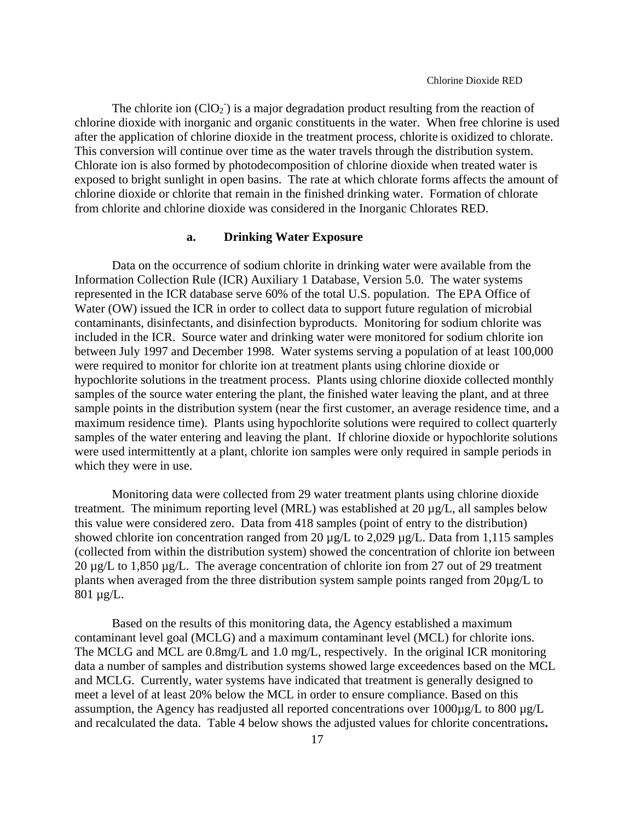The chlorite ion  $(CIO_2)$  is a major degradation product resulting from the reaction of chlorine dioxide with inorganic and organic constituents in the water. When free chlorine is used after the application of chlorine dioxide in the treatment process, chlorite is oxidized to chlorate. This conversion will continue over time as the water travels through the distribution system. Chlorate ion is also formed by photodecomposition of chlorine dioxide when treated water is exposed to bright sunlight in open basins. The rate at which chlorate forms affects the amount of chlorine dioxide or chlorite that remain in the finished drinking water. Formation of chlorate from chlorite and chlorine dioxide was considered in the Inorganic Chlorates RED.

#### **a. Drinking Water Exposure**

Data on the occurrence of sodium chlorite in drinking water were available from the Information Collection Rule (ICR) Auxiliary 1 Database, Version 5.0. The water systems represented in the ICR database serve 60% of the total U.S. population. The EPA Office of Water (OW) issued the ICR in order to collect data to support future regulation of microbial contaminants, disinfectants, and disinfection byproducts. Monitoring for sodium chlorite was included in the ICR. Source water and drinking water were monitored for sodium chlorite ion between July 1997 and December 1998. Water systems serving a population of at least 100,000 were required to monitor for chlorite ion at treatment plants using chlorine dioxide or hypochlorite solutions in the treatment process. Plants using chlorine dioxide collected monthly samples of the source water entering the plant, the finished water leaving the plant, and at three sample points in the distribution system (near the first customer, an average residence time, and a maximum residence time). Plants using hypochlorite solutions were required to collect quarterly samples of the water entering and leaving the plant. If chlorine dioxide or hypochlorite solutions were used intermittently at a plant, chlorite ion samples were only required in sample periods in which they were in use.

Monitoring data were collected from 29 water treatment plants using chlorine dioxide treatment. The minimum reporting level (MRL) was established at 20 µg/L, all samples below this value were considered zero. Data from 418 samples (point of entry to the distribution) showed chlorite ion concentration ranged from 20  $\mu$ g/L to 2,029  $\mu$ g/L. Data from 1,115 samples (collected from within the distribution system) showed the concentration of chlorite ion between 20 µg/L to 1,850 µg/L. The average concentration of chlorite ion from 27 out of 29 treatment plants when averaged from the three distribution system sample points ranged from 20µg/L to 801 µg/L.

Based on the results of this monitoring data, the Agency established a maximum contaminant level goal (MCLG) and a maximum contaminant level (MCL) for chlorite ions. The MCLG and MCL are 0.8mg/L and 1.0 mg/L, respectively. In the original ICR monitoring data a number of samples and distribution systems showed large exceedences based on the MCL and MCLG. Currently, water systems have indicated that treatment is generally designed to meet a level of at least 20% below the MCL in order to ensure compliance. Based on this assumption, the Agency has readjusted all reported concentrations over 1000µg/L to 800 µg/L and recalculated the data. Table 4 below shows the adjusted values for chlorite concentrations**.**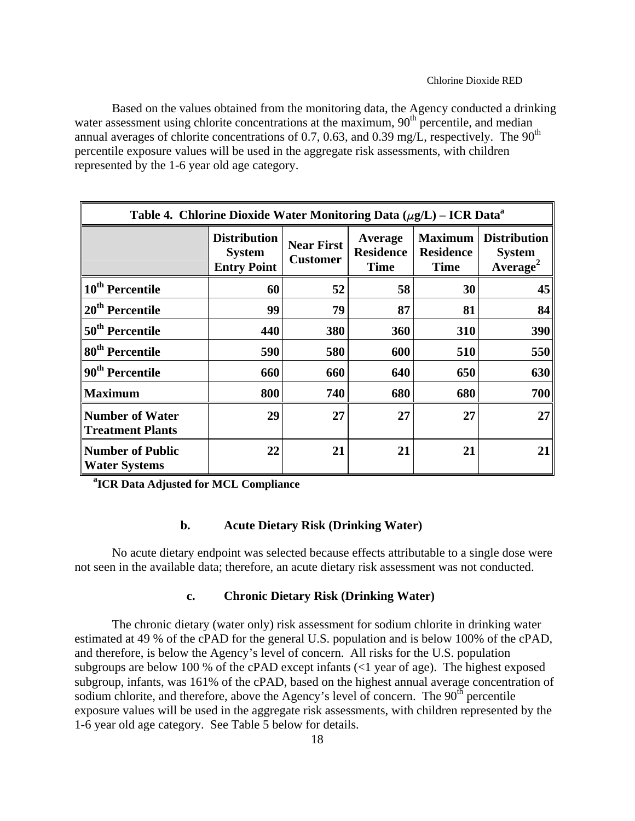Based on the values obtained from the monitoring data, the Agency conducted a drinking water assessment using chlorite concentrations at the maximum,  $90<sup>th</sup>$  percentile, and median annual averages of chlorite concentrations of 0.7, 0.63, and 0.39 mg/L, respectively. The  $90<sup>th</sup>$ percentile exposure values will be used in the aggregate risk assessments, with children represented by the 1-6 year old age category.

| Table 4. Chlorine Dioxide Water Monitoring Data $(\mu g/L) - ICR$ Data <sup>a</sup> |                                                            |                                      |                                            |                                                   |                                                              |
|-------------------------------------------------------------------------------------|------------------------------------------------------------|--------------------------------------|--------------------------------------------|---------------------------------------------------|--------------------------------------------------------------|
|                                                                                     | <b>Distribution</b><br><b>System</b><br><b>Entry Point</b> | <b>Near First</b><br><b>Customer</b> | Average<br><b>Residence</b><br><b>Time</b> | <b>Maximum</b><br><b>Residence</b><br><b>Time</b> | <b>Distribution</b><br><b>System</b><br>Average <sup>2</sup> |
| 10 <sup>th</sup> Percentile                                                         | 60                                                         | 52                                   | 58                                         | 30                                                | 45                                                           |
| 20 <sup>th</sup> Percentile                                                         | 99                                                         | 79                                   | 87                                         | 81                                                | 84                                                           |
| 50 <sup>th</sup> Percentile                                                         | 440                                                        | 380                                  | 360                                        | 310                                               | 390                                                          |
| 80 <sup>th</sup> Percentile                                                         | 590                                                        | 580                                  | 600                                        | 510                                               | 550                                                          |
| 90 <sup>th</sup> Percentile                                                         | 660                                                        | 660                                  | 640                                        | 650                                               | 630                                                          |
| <b>Maximum</b>                                                                      | 800                                                        | 740                                  | 680                                        | 680                                               | 700                                                          |
| <b>Number of Water</b><br><b>Treatment Plants</b>                                   | 29                                                         | 27                                   | 27                                         | 27                                                | 27                                                           |
| <b>Number of Public</b><br><b>Water Systems</b>                                     | 22                                                         | 21                                   | 21                                         | 21                                                | 2 <sub>1</sub>                                               |

**a ICR Data Adjusted for MCL Compliance** 

#### **b. Acute Dietary Risk (Drinking Water)**

No acute dietary endpoint was selected because effects attributable to a single dose were not seen in the available data; therefore, an acute dietary risk assessment was not conducted.

#### **c. Chronic Dietary Risk (Drinking Water)**

The chronic dietary (water only) risk assessment for sodium chlorite in drinking water estimated at 49 % of the cPAD for the general U.S. population and is below 100% of the cPAD, and therefore, is below the Agency's level of concern. All risks for the U.S. population subgroups are below 100 % of the cPAD except infants  $\langle$  quare of age). The highest exposed subgroup, infants, was 161% of the cPAD, based on the highest annual average concentration of sodium chlorite, and therefore, above the Agency's level of concern. The  $90<sup>th</sup>$  percentile exposure values will be used in the aggregate risk assessments, with children represented by the 1-6 year old age category. See Table 5 below for details.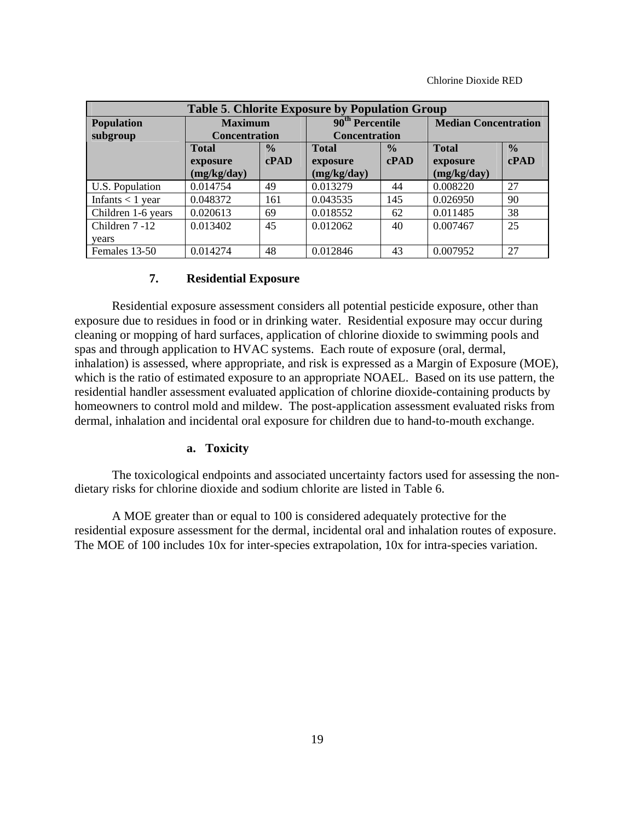| <b>Table 5. Chlorite Exposure by Population Group</b> |                      |               |                               |              |                             |               |
|-------------------------------------------------------|----------------------|---------------|-------------------------------|--------------|-----------------------------|---------------|
| <b>Population</b>                                     | <b>Maximum</b>       |               | 90 <sup>th</sup> Percentile   |              | <b>Median Concentration</b> |               |
| subgroup                                              | <b>Concentration</b> |               | <b>Concentration</b>          |              |                             |               |
|                                                       | <b>Total</b>         | $\frac{0}{0}$ | $\frac{0}{0}$<br><b>Total</b> |              | <b>Total</b>                | $\frac{0}{0}$ |
|                                                       | exposure             | c <b>PAD</b>  | exposure                      | c <b>PAD</b> | exposure                    | c <b>PAD</b>  |
|                                                       | (mg/kg/day)          |               | (mg/kg/day)                   |              | (mg/kg/day)                 |               |
| U.S. Population                                       | 0.014754             | 49            | 0.013279                      | 44           | 0.008220                    | 27            |
| Infants $<$ 1 year                                    | 0.048372             | 161           | 0.043535                      | 145          | 0.026950                    | 90            |
| Children 1-6 years                                    | 0.020613             | 69            | 0.018552                      | 62           | 0.011485                    | 38            |
| Children 7 -12                                        | 0.013402             | 45            | 0.012062                      | 40           | 0.007467                    | 25            |
| years                                                 |                      |               |                               |              |                             |               |
| Females 13-50                                         | 0.014274             | 48            | 0.012846                      | 43           | 0.007952                    | 27            |

#### **7. Residential Exposure**

Residential exposure assessment considers all potential pesticide exposure, other than exposure due to residues in food or in drinking water. Residential exposure may occur during cleaning or mopping of hard surfaces, application of chlorine dioxide to swimming pools and spas and through application to HVAC systems. Each route of exposure (oral, dermal, inhalation) is assessed, where appropriate, and risk is expressed as a Margin of Exposure (MOE), which is the ratio of estimated exposure to an appropriate NOAEL. Based on its use pattern, the residential handler assessment evaluated application of chlorine dioxide-containing products by homeowners to control mold and mildew. The post-application assessment evaluated risks from dermal, inhalation and incidental oral exposure for children due to hand-to-mouth exchange.

#### **a. Toxicity**

The toxicological endpoints and associated uncertainty factors used for assessing the nondietary risks for chlorine dioxide and sodium chlorite are listed in Table 6.

A MOE greater than or equal to 100 is considered adequately protective for the residential exposure assessment for the dermal, incidental oral and inhalation routes of exposure. The MOE of 100 includes 10x for inter-species extrapolation, 10x for intra-species variation.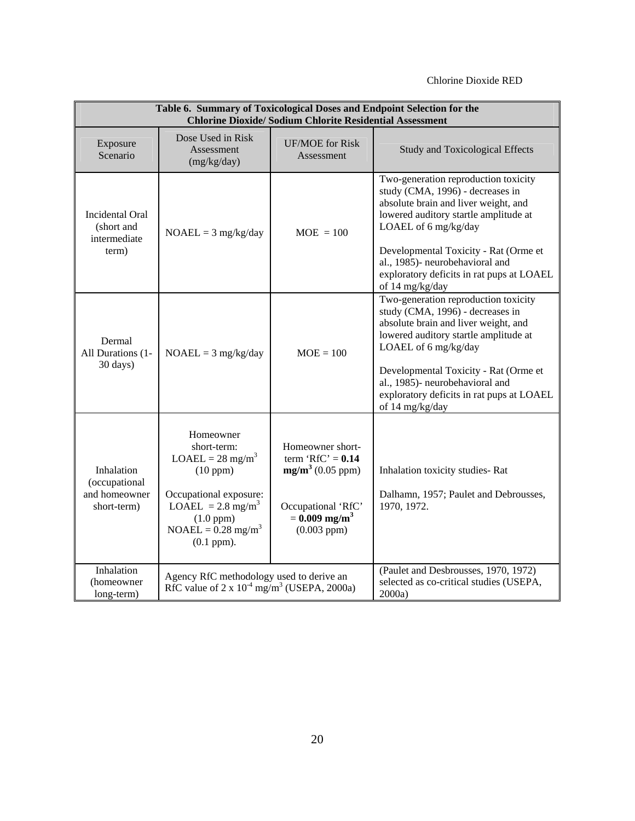| Table 6. Summary of Toxicological Doses and Endpoint Selection for the<br><b>Chlorine Dioxide/ Sodium Chlorite Residential Assessment</b> |                                                                                                                                                                                                           |                                                                                                                                          |                                                                                                                                                                                                                                                                                                                               |  |  |  |
|-------------------------------------------------------------------------------------------------------------------------------------------|-----------------------------------------------------------------------------------------------------------------------------------------------------------------------------------------------------------|------------------------------------------------------------------------------------------------------------------------------------------|-------------------------------------------------------------------------------------------------------------------------------------------------------------------------------------------------------------------------------------------------------------------------------------------------------------------------------|--|--|--|
| Exposure<br>Scenario                                                                                                                      | Dose Used in Risk<br>Assessment<br>(mg/kg/day)                                                                                                                                                            | <b>UF/MOE</b> for Risk<br>Assessment                                                                                                     | <b>Study and Toxicological Effects</b>                                                                                                                                                                                                                                                                                        |  |  |  |
| Incidental Oral<br>(short and<br>intermediate<br>term)                                                                                    | $NOAEL = 3 mg/kg/day$                                                                                                                                                                                     | $MOE = 100$                                                                                                                              | Two-generation reproduction toxicity<br>study (CMA, 1996) - decreases in<br>absolute brain and liver weight, and<br>lowered auditory startle amplitude at<br>LOAEL of 6 mg/kg/day<br>Developmental Toxicity - Rat (Orme et<br>al., 1985)- neurobehavioral and<br>exploratory deficits in rat pups at LOAEL<br>of 14 mg/kg/day |  |  |  |
| Dermal<br>All Durations (1-<br>30 days)                                                                                                   | $NOAEL = 3 mg/kg/day$                                                                                                                                                                                     | $MOE = 100$                                                                                                                              | Two-generation reproduction toxicity<br>study (CMA, 1996) - decreases in<br>absolute brain and liver weight, and<br>lowered auditory startle amplitude at<br>LOAEL of 6 mg/kg/day<br>Developmental Toxicity - Rat (Orme et<br>al., 1985)- neurobehavioral and<br>exploratory deficits in rat pups at LOAEL<br>of 14 mg/kg/day |  |  |  |
| Inhalation<br>(occupational<br>and homeowner<br>short-term)                                                                               | Homeowner<br>short-term:<br>$LOAEL = 28$ mg/m <sup>3</sup><br>(10 ppm)<br>Occupational exposure:<br>LOAEL = $2.8 \text{ mg/m}^3$<br>$(1.0$ ppm $)$<br>$NOAEL = 0.28$ mg/m <sup>3</sup><br>$(0.1$ ppm $).$ | Homeowner short-<br>term ' $RfC' = 0.14$<br>$mg/m^3$ (0.05 ppm)<br>Occupational 'RfC'<br>$= 0.009$ mg/m <sup>3</sup><br>$(0.003$ ppm $)$ | Inhalation toxicity studies-Rat<br>Dalhamn, 1957; Paulet and Debrousses,<br>1970, 1972.                                                                                                                                                                                                                                       |  |  |  |
| Inhalation<br>(homeowner)<br>long-term)                                                                                                   | Agency RfC methodology used to derive an<br>RfC value of $2 \times 10^{-4}$ mg/m <sup>3</sup> (USEPA, 2000a)                                                                                              |                                                                                                                                          | (Paulet and Desbrousses, 1970, 1972)<br>selected as co-critical studies (USEPA,<br>2000a)                                                                                                                                                                                                                                     |  |  |  |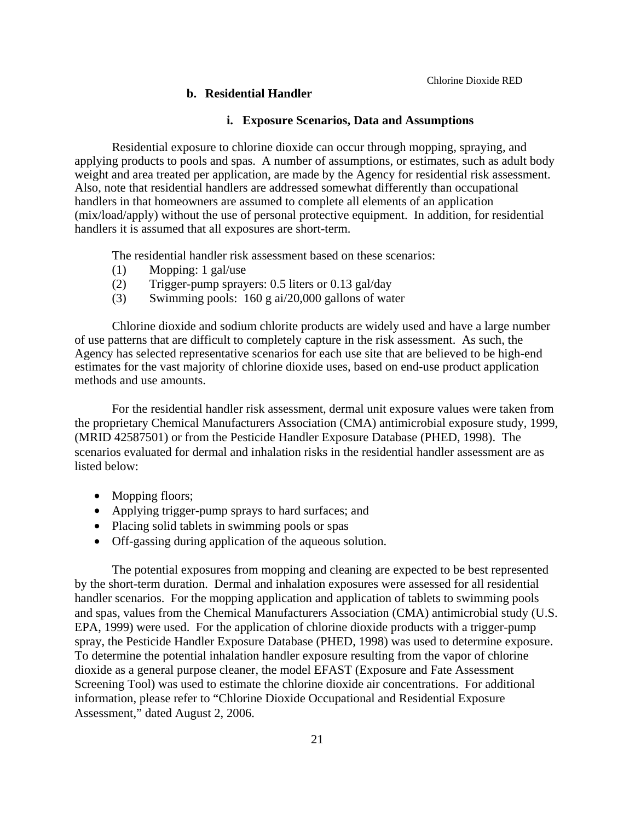#### **b. Residential Handler**

#### **i. Exposure Scenarios, Data and Assumptions**

Residential exposure to chlorine dioxide can occur through mopping, spraying, and applying products to pools and spas. A number of assumptions, or estimates, such as adult body weight and area treated per application, are made by the Agency for residential risk assessment. Also, note that residential handlers are addressed somewhat differently than occupational handlers in that homeowners are assumed to complete all elements of an application (mix/load/apply) without the use of personal protective equipment. In addition, for residential handlers it is assumed that all exposures are short-term.

The residential handler risk assessment based on these scenarios:

- (1) Mopping: 1 gal/use
- (2) Trigger-pump sprayers: 0.5 liters or 0.13 gal/day
- (3) Swimming pools: 160 g ai/20,000 gallons of water

Chlorine dioxide and sodium chlorite products are widely used and have a large number of use patterns that are difficult to completely capture in the risk assessment. As such, the Agency has selected representative scenarios for each use site that are believed to be high-end estimates for the vast majority of chlorine dioxide uses, based on end-use product application methods and use amounts.

For the residential handler risk assessment, dermal unit exposure values were taken from the proprietary Chemical Manufacturers Association (CMA) antimicrobial exposure study, 1999, (MRID 42587501) or from the Pesticide Handler Exposure Database (PHED, 1998). The scenarios evaluated for dermal and inhalation risks in the residential handler assessment are as listed below:

- Mopping floors;
- Applying trigger-pump sprays to hard surfaces; and
- Placing solid tablets in swimming pools or spas
- Off-gassing during application of the aqueous solution.

The potential exposures from mopping and cleaning are expected to be best represented by the short-term duration. Dermal and inhalation exposures were assessed for all residential handler scenarios. For the mopping application and application of tablets to swimming pools and spas, values from the Chemical Manufacturers Association (CMA) antimicrobial study (U.S. EPA, 1999) were used. For the application of chlorine dioxide products with a trigger-pump spray, the Pesticide Handler Exposure Database (PHED, 1998) was used to determine exposure. To determine the potential inhalation handler exposure resulting from the vapor of chlorine dioxide as a general purpose cleaner, the model EFAST (Exposure and Fate Assessment Screening Tool) was used to estimate the chlorine dioxide air concentrations. For additional information, please refer to "Chlorine Dioxide Occupational and Residential Exposure Assessment," dated August 2, 2006.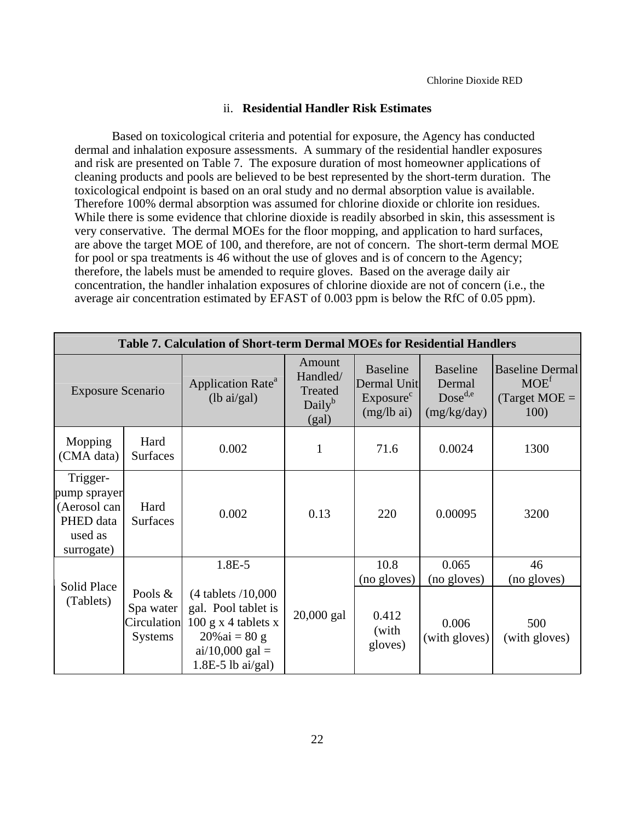#### ii. **Residential Handler Risk Estimates**

Based on toxicological criteria and potential for exposure, the Agency has conducted dermal and inhalation exposure assessments. A summary of the residential handler exposures and risk are presented on Table 7. The exposure duration of most homeowner applications of cleaning products and pools are believed to be best represented by the short-term duration. The toxicological endpoint is based on an oral study and no dermal absorption value is available. Therefore 100% dermal absorption was assumed for chlorine dioxide or chlorite ion residues. While there is some evidence that chlorine dioxide is readily absorbed in skin, this assessment is very conservative. The dermal MOEs for the floor mopping, and application to hard surfaces, are above the target MOE of 100, and therefore, are not of concern. The short-term dermal MOE for pool or spa treatments is 46 without the use of gloves and is of concern to the Agency; therefore, the labels must be amended to require gloves. Based on the average daily air concentration, the handler inhalation exposures of chlorine dioxide are not of concern (i.e., the average air concentration estimated by EFAST of 0.003 ppm is below the RfC of 0.05 ppm).

| <b>Table 7. Calculation of Short-term Dermal MOEs for Residential Handlers</b> |                                                       |                                                                                                                                                |                                                              |                                                                                 |                                                          |                                                               |
|--------------------------------------------------------------------------------|-------------------------------------------------------|------------------------------------------------------------------------------------------------------------------------------------------------|--------------------------------------------------------------|---------------------------------------------------------------------------------|----------------------------------------------------------|---------------------------------------------------------------|
| <b>Exposure Scenario</b>                                                       |                                                       | Application Rate <sup>a</sup><br>$(lb \text{ ai/gal})$                                                                                         | Amount<br>Handled/<br>Treated<br>Daily <sup>b</sup><br>(gal) | <b>Baseline</b><br>Dermal Unit<br>Exposure <sup>c</sup><br>$(mg/lb \text{ ai})$ | <b>Baseline</b><br>Dermal<br>$Dose^{d,e}$<br>(mg/kg/day) | <b>Baseline Dermal</b><br>$MOE^{f}$<br>$Target MOE =$<br>100) |
| Mopping<br>(CMA data)                                                          | Hard<br><b>Surfaces</b>                               | 0.002                                                                                                                                          | 1                                                            | 71.6                                                                            | 0.0024                                                   | 1300                                                          |
| Trigger-<br>pump sprayer<br>(Aerosol can<br>PHED data<br>used as<br>surrogate) | Hard<br><b>Surfaces</b>                               | 0.002                                                                                                                                          | 0.13                                                         | 220                                                                             | 0.00095                                                  | 3200                                                          |
|                                                                                |                                                       | 1.8E-5                                                                                                                                         |                                                              | 10.8                                                                            | 0.065                                                    | 46                                                            |
| <b>Solid Place</b><br>(Tablets)                                                | Pools &<br>Spa water<br>Circulation<br><b>Systems</b> | $(4$ tablets $/10,000$<br>gal. Pool tablet is<br>$100 \text{ g}$ x 4 tablets x<br>$20\%$ ai = 80 g<br>$ai/10,000$ gal =<br>$1.8E-5$ lb ai/gal) | 20,000 gal                                                   | (no gloves)<br>0.412<br>(with<br>gloves)                                        | (no gloves)<br>0.006<br>(with gloves)                    | (no gloves)<br>500<br>(with gloves)                           |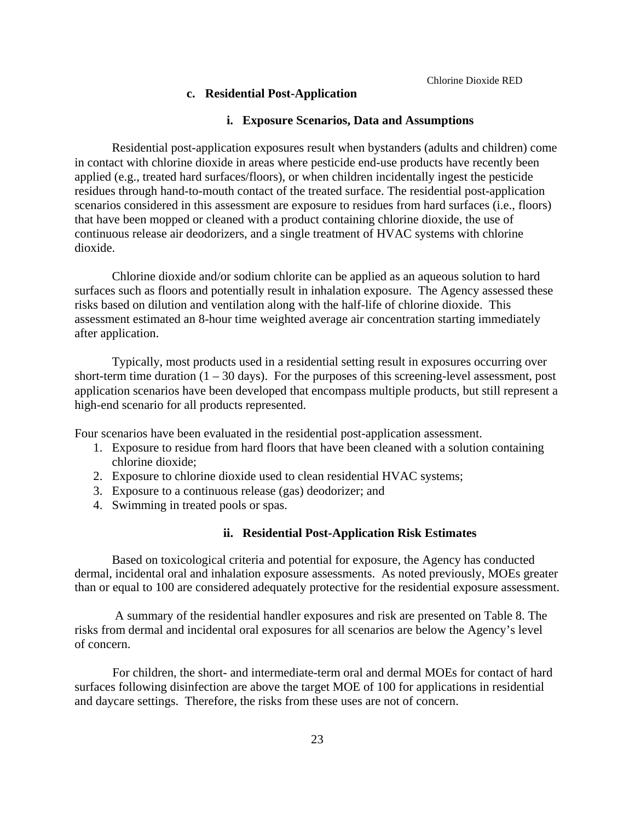# **c. Residential Post-Application**

# **i. Exposure Scenarios, Data and Assumptions**

Residential post-application exposures result when bystanders (adults and children) come in contact with chlorine dioxide in areas where pesticide end-use products have recently been applied (e.g., treated hard surfaces/floors), or when children incidentally ingest the pesticide residues through hand-to-mouth contact of the treated surface. The residential post-application scenarios considered in this assessment are exposure to residues from hard surfaces (i.e., floors) that have been mopped or cleaned with a product containing chlorine dioxide, the use of continuous release air deodorizers, and a single treatment of HVAC systems with chlorine dioxide.

Chlorine dioxide and/or sodium chlorite can be applied as an aqueous solution to hard surfaces such as floors and potentially result in inhalation exposure. The Agency assessed these risks based on dilution and ventilation along with the half-life of chlorine dioxide. This assessment estimated an 8-hour time weighted average air concentration starting immediately after application.

Typically, most products used in a residential setting result in exposures occurring over short-term time duration  $(1 - 30 \text{ days})$ . For the purposes of this screening-level assessment, post application scenarios have been developed that encompass multiple products, but still represent a high-end scenario for all products represented.

Four scenarios have been evaluated in the residential post-application assessment.

- 1. Exposure to residue from hard floors that have been cleaned with a solution containing chlorine dioxide;
- 2. Exposure to chlorine dioxide used to clean residential HVAC systems;
- 3. Exposure to a continuous release (gas) deodorizer; and
- 4. Swimming in treated pools or spas.

#### **ii. Residential Post-Application Risk Estimates**

Based on toxicological criteria and potential for exposure, the Agency has conducted dermal, incidental oral and inhalation exposure assessments. As noted previously, MOEs greater than or equal to 100 are considered adequately protective for the residential exposure assessment.

 A summary of the residential handler exposures and risk are presented on Table 8. The risks from dermal and incidental oral exposures for all scenarios are below the Agency's level of concern.

For children, the short- and intermediate-term oral and dermal MOEs for contact of hard surfaces following disinfection are above the target MOE of 100 for applications in residential and daycare settings. Therefore, the risks from these uses are not of concern.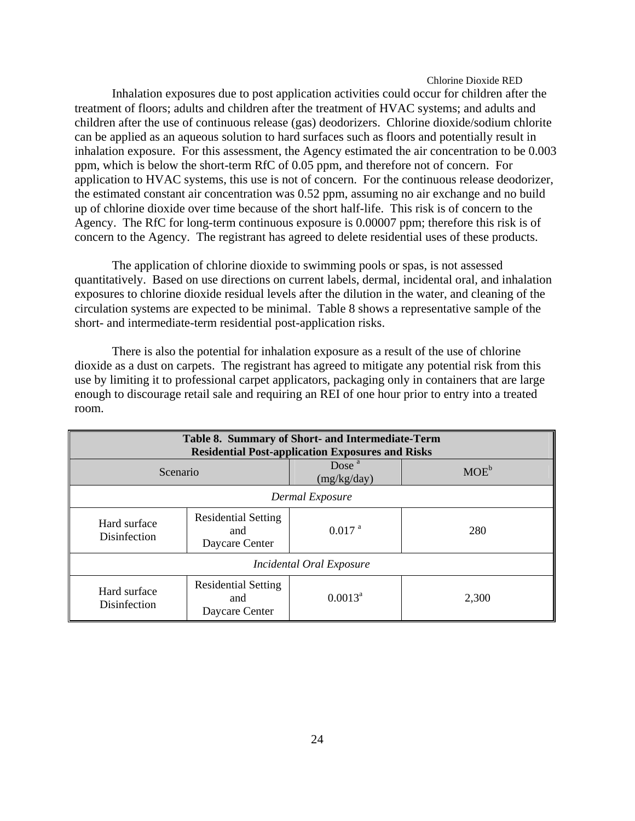Inhalation exposures due to post application activities could occur for children after the treatment of floors; adults and children after the treatment of HVAC systems; and adults and children after the use of continuous release (gas) deodorizers. Chlorine dioxide/sodium chlorite can be applied as an aqueous solution to hard surfaces such as floors and potentially result in inhalation exposure. For this assessment, the Agency estimated the air concentration to be 0.003 ppm, which is below the short-term RfC of 0.05 ppm, and therefore not of concern. For application to HVAC systems, this use is not of concern. For the continuous release deodorizer, the estimated constant air concentration was 0.52 ppm, assuming no air exchange and no build up of chlorine dioxide over time because of the short half-life. This risk is of concern to the Agency. The RfC for long-term continuous exposure is 0.00007 ppm; therefore this risk is of concern to the Agency. The registrant has agreed to delete residential uses of these products.

The application of chlorine dioxide to swimming pools or spas, is not assessed quantitatively. Based on use directions on current labels, dermal, incidental oral, and inhalation exposures to chlorine dioxide residual levels after the dilution in the water, and cleaning of the circulation systems are expected to be minimal. Table 8 shows a representative sample of the short- and intermediate-term residential post-application risks.

There is also the potential for inhalation exposure as a result of the use of chlorine dioxide as a dust on carpets. The registrant has agreed to mitigate any potential risk from this use by limiting it to professional carpet applicators, packaging only in containers that are large enough to discourage retail sale and requiring an REI of one hour prior to entry into a treated room.

| Table 8. Summary of Short- and Intermediate-Term<br><b>Residential Post-application Exposures and Risks</b> |                                                     |                         |         |  |  |
|-------------------------------------------------------------------------------------------------------------|-----------------------------------------------------|-------------------------|---------|--|--|
| Scenario                                                                                                    |                                                     | Dose $a$<br>(mg/kg/day) | $MOE^b$ |  |  |
| Dermal Exposure                                                                                             |                                                     |                         |         |  |  |
| Hard surface<br><b>Disinfection</b>                                                                         | <b>Residential Setting</b><br>and<br>Daycare Center | $0.017$ <sup>a</sup>    | 280     |  |  |
| Incidental Oral Exposure                                                                                    |                                                     |                         |         |  |  |
| Hard surface<br><b>Disinfection</b>                                                                         | <b>Residential Setting</b><br>and<br>Daycare Center | $0.0013^a$              | 2,300   |  |  |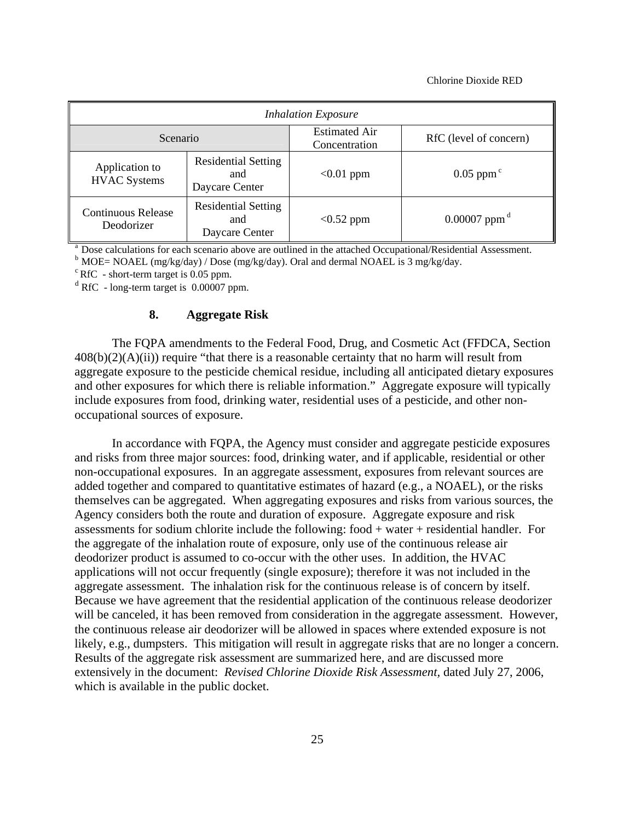| <b>Inhalation Exposure</b>            |                                                     |                                       |                            |  |  |
|---------------------------------------|-----------------------------------------------------|---------------------------------------|----------------------------|--|--|
| <b>Scenario</b>                       |                                                     | <b>Estimated Air</b><br>Concentration | RfC (level of concern)     |  |  |
| Application to<br><b>HVAC</b> Systems | <b>Residential Setting</b><br>and<br>Daycare Center | $< 0.01$ ppm                          | $0.05$ ppm <sup>c</sup>    |  |  |
| Continuous Release<br>Deodorizer      | <b>Residential Setting</b><br>and<br>Daycare Center | $< 0.52$ ppm                          | $0.00007$ ppm <sup>d</sup> |  |  |

<sup>a</sup> Dose calculations for each scenario above are outlined in the attached Occupational/Residential Assessment.<br><sup>b</sup> MOE= NOAEL (mg/kg/day) / Dose (mg/kg/day). Oral and dermal NOAEL is 3 mg/kg/day.<br><sup>c</sup> RfC - short-term tar

 $d$  RfC - long-term target is 0.00007 ppm.

#### **8. Aggregate Risk**

The FQPA amendments to the Federal Food, Drug, and Cosmetic Act (FFDCA, Section  $408(b)(2)(A)(ii)$  require "that there is a reasonable certainty that no harm will result from aggregate exposure to the pesticide chemical residue, including all anticipated dietary exposures and other exposures for which there is reliable information." Aggregate exposure will typically include exposures from food, drinking water, residential uses of a pesticide, and other nonoccupational sources of exposure.

In accordance with FQPA, the Agency must consider and aggregate pesticide exposures and risks from three major sources: food, drinking water, and if applicable, residential or other non-occupational exposures. In an aggregate assessment, exposures from relevant sources are added together and compared to quantitative estimates of hazard (e.g., a NOAEL), or the risks themselves can be aggregated. When aggregating exposures and risks from various sources, the Agency considers both the route and duration of exposure. Aggregate exposure and risk assessments for sodium chlorite include the following: food + water + residential handler. For the aggregate of the inhalation route of exposure, only use of the continuous release air deodorizer product is assumed to co-occur with the other uses. In addition, the HVAC applications will not occur frequently (single exposure); therefore it was not included in the aggregate assessment. The inhalation risk for the continuous release is of concern by itself. Because we have agreement that the residential application of the continuous release deodorizer will be canceled, it has been removed from consideration in the aggregate assessment. However, the continuous release air deodorizer will be allowed in spaces where extended exposure is not likely, e.g., dumpsters. This mitigation will result in aggregate risks that are no longer a concern. Results of the aggregate risk assessment are summarized here, and are discussed more extensively in the document: *Revised Chlorine Dioxide Risk Assessment,* dated July 27, 2006, which is available in the public docket.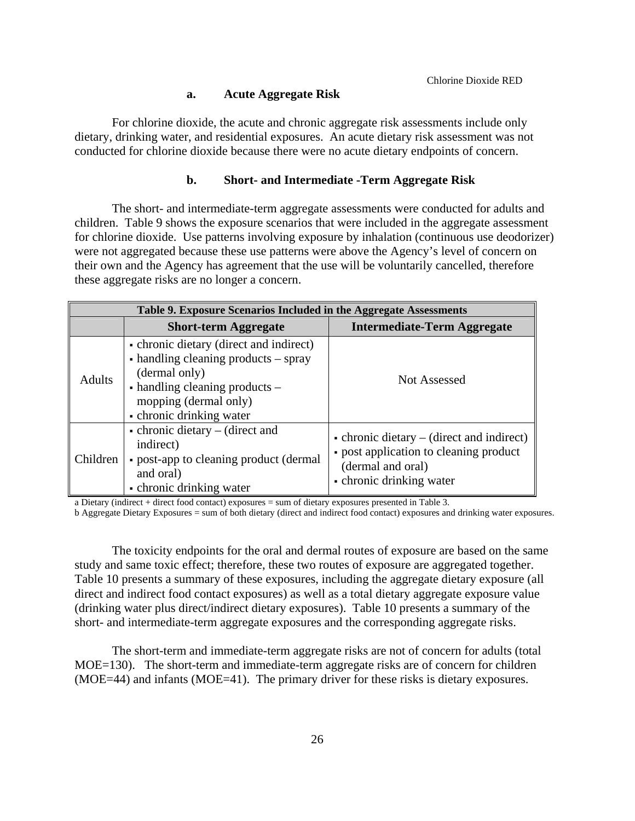## **a. Acute Aggregate Risk**

For chlorine dioxide, the acute and chronic aggregate risk assessments include only dietary, drinking water, and residential exposures. An acute dietary risk assessment was not conducted for chlorine dioxide because there were no acute dietary endpoints of concern.

## **b. Short- and Intermediate -Term Aggregate Risk**

The short- and intermediate-term aggregate assessments were conducted for adults and children. Table 9 shows the exposure scenarios that were included in the aggregate assessment for chlorine dioxide. Use patterns involving exposure by inhalation (continuous use deodorizer) were not aggregated because these use patterns were above the Agency's level of concern on their own and the Agency has agreement that the use will be voluntarily cancelled, therefore these aggregate risks are no longer a concern.

|               | Table 9. Exposure Scenarios Included in the Aggregate Assessments                                                                                                                                 |                                                                                                                                              |  |  |  |
|---------------|---------------------------------------------------------------------------------------------------------------------------------------------------------------------------------------------------|----------------------------------------------------------------------------------------------------------------------------------------------|--|--|--|
|               | <b>Short-term Aggregate</b>                                                                                                                                                                       | <b>Intermediate-Term Aggregate</b>                                                                                                           |  |  |  |
| <b>Adults</b> | • chronic dietary (direct and indirect)<br>• handling cleaning products – spray<br>(dermal only)<br>$\bullet$ handling cleaning products $-$<br>mopping (dermal only)<br>• chronic drinking water | <b>Not Assessed</b>                                                                                                                          |  |  |  |
| Children      | $\bullet$ chronic dietary – (direct and<br>indirect)<br>• post-app to cleaning product (dermal<br>and oral)<br>• chronic drinking water                                                           | $\bullet$ chronic dietary – (direct and indirect)<br>• post application to cleaning product<br>(dermal and oral)<br>• chronic drinking water |  |  |  |

a Dietary (indirect + direct food contact) exposures = sum of dietary exposures presented in Table 3.

b Aggregate Dietary Exposures = sum of both dietary (direct and indirect food contact) exposures and drinking water exposures.

The toxicity endpoints for the oral and dermal routes of exposure are based on the same study and same toxic effect; therefore, these two routes of exposure are aggregated together. Table 10 presents a summary of these exposures, including the aggregate dietary exposure (all direct and indirect food contact exposures) as well as a total dietary aggregate exposure value (drinking water plus direct/indirect dietary exposures). Table 10 presents a summary of the short- and intermediate-term aggregate exposures and the corresponding aggregate risks.

The short-term and immediate-term aggregate risks are not of concern for adults (total MOE=130). The short-term and immediate-term aggregate risks are of concern for children (MOE=44) and infants (MOE=41). The primary driver for these risks is dietary exposures.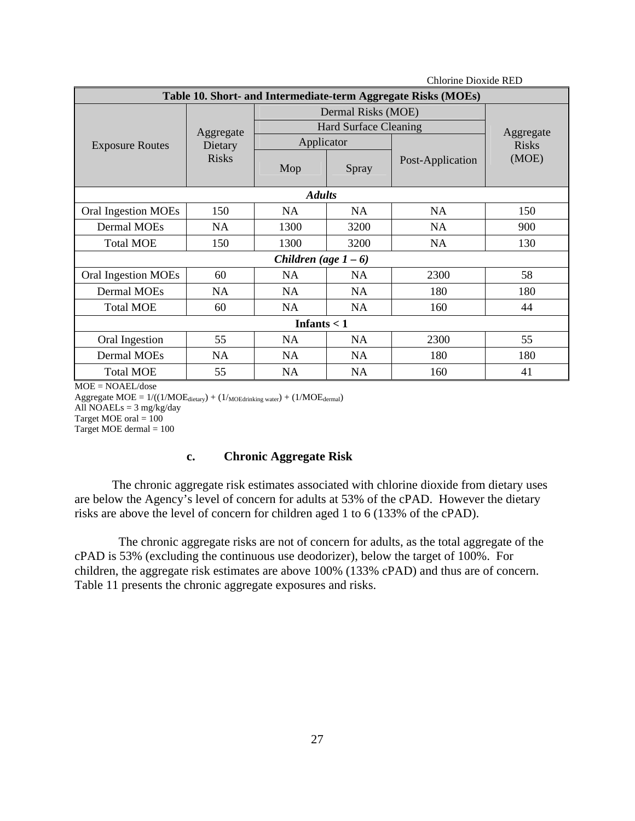| <b>Chlorine Dioxide RED</b>                                   |              |                         |                              |                  |              |  |  |
|---------------------------------------------------------------|--------------|-------------------------|------------------------------|------------------|--------------|--|--|
| Table 10. Short- and Intermediate-term Aggregate Risks (MOEs) |              |                         |                              |                  |              |  |  |
|                                                               |              | Dermal Risks (MOE)      |                              |                  |              |  |  |
|                                                               | Aggregate    |                         | <b>Hard Surface Cleaning</b> |                  | Aggregate    |  |  |
| <b>Exposure Routes</b>                                        | Dietary      | Applicator              |                              |                  | <b>Risks</b> |  |  |
|                                                               | <b>Risks</b> | Mop                     | Spray                        | Post-Application | (MOE)        |  |  |
| <b>Adults</b>                                                 |              |                         |                              |                  |              |  |  |
| <b>Oral Ingestion MOEs</b>                                    | 150          | <b>NA</b>               | <b>NA</b>                    | <b>NA</b>        | 150          |  |  |
| <b>Dermal MOEs</b>                                            | NA.          | 1300                    | 3200                         | <b>NA</b>        | 900          |  |  |
| <b>Total MOE</b>                                              | 150          | 1300                    | 3200                         | <b>NA</b>        | 130          |  |  |
|                                                               |              | Children (age $1 - 6$ ) |                              |                  |              |  |  |
| <b>Oral Ingestion MOEs</b>                                    | 60           | <b>NA</b>               | <b>NA</b>                    | 2300             | 58           |  |  |
| Dermal MOEs                                                   | <b>NA</b>    | <b>NA</b>               | <b>NA</b>                    | 180              | 180          |  |  |
| <b>Total MOE</b>                                              | 60           | <b>NA</b>               | <b>NA</b>                    | 160              | 44           |  |  |
| Infants $<$ 1                                                 |              |                         |                              |                  |              |  |  |
| Oral Ingestion                                                | 55           | NA.                     | NA.                          | 2300             | 55           |  |  |
| <b>Dermal MOEs</b>                                            | <b>NA</b>    | <b>NA</b>               | <b>NA</b>                    | 180              | 180          |  |  |
| <b>Total MOE</b>                                              | 55           | NA                      | <b>NA</b>                    | 160              | 41           |  |  |

MOE = NOAEL/dose

Aggregate  $MOE = 1/((1/MOE_{\text{dietary}}) + (1/\text{MOEstimking water}) + (1/MOE_{\text{dermal}})$ All NOAELs =  $3 \text{ mg/kg/day}$ Target MOE oral  $= 100$ Target MOE dermal  $= 100$ 

## **c. Chronic Aggregate Risk**

The chronic aggregate risk estimates associated with chlorine dioxide from dietary uses are below the Agency's level of concern for adults at 53% of the cPAD. However the dietary risks are above the level of concern for children aged 1 to 6 (133% of the cPAD).

The chronic aggregate risks are not of concern for adults, as the total aggregate of the cPAD is 53% (excluding the continuous use deodorizer), below the target of 100%. For children, the aggregate risk estimates are above 100% (133% cPAD) and thus are of concern. Table 11 presents the chronic aggregate exposures and risks.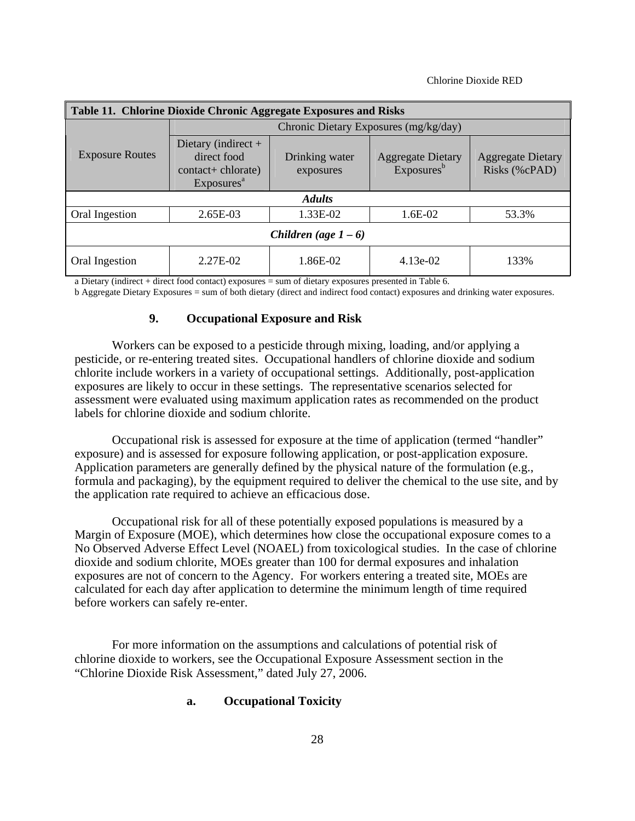| Table 11. Chlorine Dioxide Chronic Aggregate Exposures and Risks |                                                                                      |                             |                                                    |                                           |  |  |
|------------------------------------------------------------------|--------------------------------------------------------------------------------------|-----------------------------|----------------------------------------------------|-------------------------------------------|--|--|
|                                                                  |                                                                                      |                             | Chronic Dietary Exposures (mg/kg/day)              |                                           |  |  |
| <b>Exposure Routes</b>                                           | Dietary (indirect $+$<br>direct food<br>contact+ chlorate)<br>Exposures <sup>a</sup> | Drinking water<br>exposures | <b>Aggregate Dietary</b><br>Exposures <sup>b</sup> | <b>Aggregate Dietary</b><br>Risks (%cPAD) |  |  |
|                                                                  |                                                                                      | <b>Adults</b>               |                                                    |                                           |  |  |
| Oral Ingestion                                                   | 2.65E-03                                                                             | 1.33E-02                    | 1.6E-02                                            | 53.3%                                     |  |  |
| Children (age $1-6$ )                                            |                                                                                      |                             |                                                    |                                           |  |  |
| Oral Ingestion                                                   | 2.27E-02                                                                             | 1.86E-02                    | $4.13e-02$                                         | 133%                                      |  |  |

a Dietary (indirect + direct food contact) exposures = sum of dietary exposures presented in Table 6.

b Aggregate Dietary Exposures = sum of both dietary (direct and indirect food contact) exposures and drinking water exposures.

## **9. Occupational Exposure and Risk**

Workers can be exposed to a pesticide through mixing, loading, and/or applying a pesticide, or re-entering treated sites. Occupational handlers of chlorine dioxide and sodium chlorite include workers in a variety of occupational settings. Additionally, post-application exposures are likely to occur in these settings. The representative scenarios selected for assessment were evaluated using maximum application rates as recommended on the product labels for chlorine dioxide and sodium chlorite.

Occupational risk is assessed for exposure at the time of application (termed "handler" exposure) and is assessed for exposure following application, or post-application exposure. Application parameters are generally defined by the physical nature of the formulation (e.g., formula and packaging), by the equipment required to deliver the chemical to the use site, and by the application rate required to achieve an efficacious dose.

Occupational risk for all of these potentially exposed populations is measured by a Margin of Exposure (MOE), which determines how close the occupational exposure comes to a No Observed Adverse Effect Level (NOAEL) from toxicological studies. In the case of chlorine dioxide and sodium chlorite, MOEs greater than 100 for dermal exposures and inhalation exposures are not of concern to the Agency. For workers entering a treated site, MOEs are calculated for each day after application to determine the minimum length of time required before workers can safely re-enter.

For more information on the assumptions and calculations of potential risk of chlorine dioxide to workers, see the Occupational Exposure Assessment section in the "Chlorine Dioxide Risk Assessment," dated July 27, 2006.

## **a. Occupational Toxicity**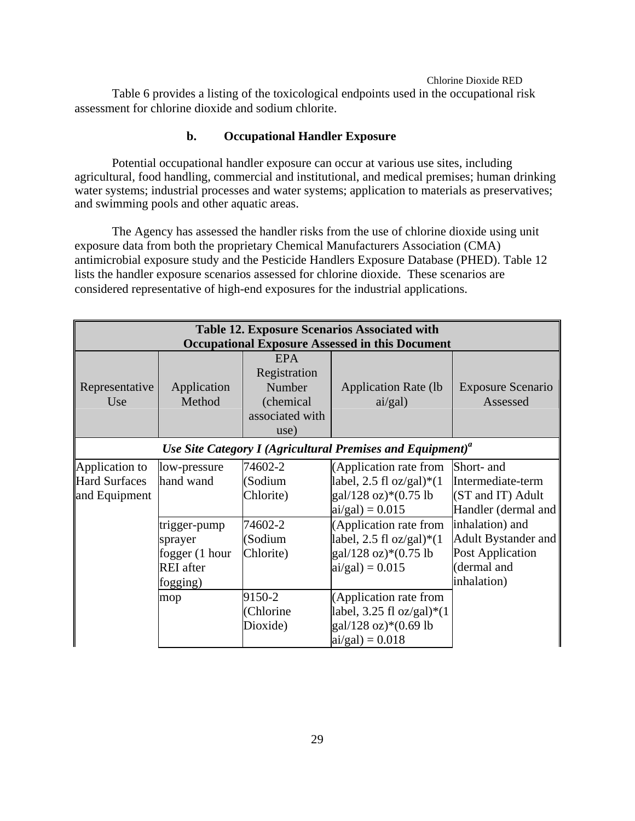Table 6 provides a listing of the toxicological endpoints used in the occupational risk assessment for chlorine dioxide and sodium chlorite.

## **b. Occupational Handler Exposure**

Potential occupational handler exposure can occur at various use sites, including agricultural, food handling, commercial and institutional, and medical premises; human drinking water systems; industrial processes and water systems; application to materials as preservatives; and swimming pools and other aquatic areas.

The Agency has assessed the handler risks from the use of chlorine dioxide using unit exposure data from both the proprietary Chemical Manufacturers Association (CMA) antimicrobial exposure study and the Pesticide Handlers Exposure Database (PHED). Table 12 lists the handler exposure scenarios assessed for chlorine dioxide. These scenarios are considered representative of high-end exposures for the industrial applications.

|                                                                        | <b>Table 12. Exposure Scenarios Associated with</b><br><b>Occupational Exposure Assessed in this Document</b> |                                                                              |                                                                                                     |                                                                                                 |  |  |
|------------------------------------------------------------------------|---------------------------------------------------------------------------------------------------------------|------------------------------------------------------------------------------|-----------------------------------------------------------------------------------------------------|-------------------------------------------------------------------------------------------------|--|--|
| Representative<br>Use                                                  | Application<br>Method                                                                                         | <b>EPA</b><br>Registration<br>Number<br>(chemical<br>associated with<br>use) | <b>Application Rate (lb)</b><br>ai/gal)                                                             | <b>Exposure Scenario</b><br>Assessed                                                            |  |  |
| Use Site Category I (Agricultural Premises and Equipment) <sup>a</sup> |                                                                                                               |                                                                              |                                                                                                     |                                                                                                 |  |  |
| Application to<br>Hard Surfaces<br>and Equipment                       | low-pressure<br>hand wand                                                                                     | 74602-2<br>(Sodium<br>Chlorite)                                              | (Application rate from<br>label, 2.5 fl oz/gal) $*(1)$<br>gal/128 oz)*(0.75 lb<br>$ai/gal$ = 0.015  | Short- and<br>Intermediate-term<br>(ST and IT) Adult<br>Handler (dermal and                     |  |  |
|                                                                        | trigger-pump<br>sprayer<br>fogger (1 hour<br><b>REI</b> after<br>fogging)                                     | 74602-2<br>(Sodium<br>Chlorite)                                              | (Application rate from<br>label, 2.5 fl oz/gal)* $(1$<br>gal/128 oz)*(0.75 lb<br>$ai/gal$ ) = 0.015 | inhalation) and<br>Adult Bystander and<br><b>Post Application</b><br>(dermal and<br>inhalation) |  |  |
|                                                                        | mop                                                                                                           | 9150-2<br>(Chlorine<br>Dioxide)                                              | (Application rate from<br>label, 3.25 fl oz/gal)*(1<br>gal/128 oz)*(0.69 lb<br>$ai/gal$ = 0.018     |                                                                                                 |  |  |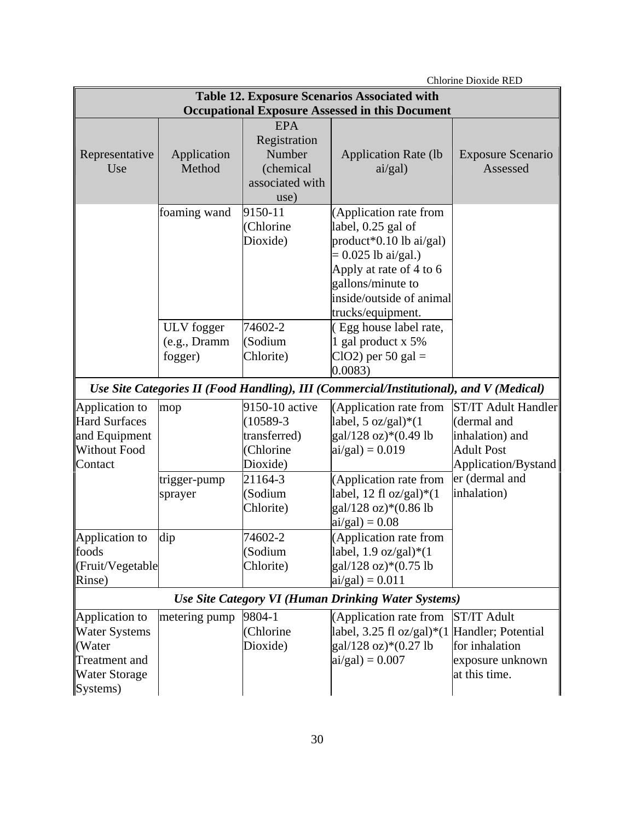|                      | <b>Chlorine Dioxide RED</b> |                 |                                                                                         |                            |  |
|----------------------|-----------------------------|-----------------|-----------------------------------------------------------------------------------------|----------------------------|--|
|                      |                             |                 | Table 12. Exposure Scenarios Associated with                                            |                            |  |
|                      |                             |                 | <b>Occupational Exposure Assessed in this Document</b>                                  |                            |  |
|                      |                             | <b>EPA</b>      |                                                                                         |                            |  |
|                      |                             | Registration    |                                                                                         |                            |  |
| Representative       | Application                 | Number          | <b>Application Rate (lb</b>                                                             | <b>Exposure Scenario</b>   |  |
| Use                  | Method                      | (chemical       | ai/gal)                                                                                 | Assessed                   |  |
|                      |                             | associated with |                                                                                         |                            |  |
|                      |                             | use)            |                                                                                         |                            |  |
|                      | foaming wand                | 9150-11         | (Application rate from                                                                  |                            |  |
|                      |                             | (Chlorine       | label, 0.25 gal of                                                                      |                            |  |
|                      |                             | Dioxide)        | product*0.10 lb ai/gal)                                                                 |                            |  |
|                      |                             |                 | $= 0.025$ lb ai/gal.)                                                                   |                            |  |
|                      |                             |                 | Apply at rate of 4 to 6                                                                 |                            |  |
|                      |                             |                 | gallons/minute to                                                                       |                            |  |
|                      |                             |                 | inside/outside of animal                                                                |                            |  |
|                      |                             |                 | trucks/equipment.                                                                       |                            |  |
|                      | ULV fogger                  | 74602-2         | (Egg house label rate,                                                                  |                            |  |
|                      | (e.g., Dramm)               | (Sodium         | 1 gal product x 5%                                                                      |                            |  |
|                      | fogger)                     | Chlorite)       | $ClO2$ ) per 50 gal =                                                                   |                            |  |
|                      |                             |                 | 0.0083)                                                                                 |                            |  |
|                      |                             |                 | Use Site Categories II (Food Handling), III (Commercial/Institutional), and V (Medical) |                            |  |
| Application to       | mop                         | 9150-10 active  | (Application rate from                                                                  | <b>ST/IT Adult Handler</b> |  |
| <b>Hard Surfaces</b> |                             | $(10589 - 3)$   | label, 5 $oz/gal)*(1$                                                                   | (dermal and                |  |
| and Equipment        |                             | transferred)    | gal/128 oz)*(0.49 lb                                                                    | inhalation) and            |  |
| <b>Without Food</b>  |                             | (Chlorine       | $ai/gal$ ) = 0.019                                                                      | <b>Adult Post</b>          |  |
| Contact              |                             | Dioxide)        |                                                                                         | Application/Bystand        |  |
|                      | trigger-pump                | 21164-3         | (Application rate from                                                                  | er (dermal and             |  |
|                      | sprayer                     | (Sodium         | label, 12 fl oz/gal)* $(1$                                                              | inhalation)                |  |
|                      |                             | Chlorite)       | gal/128 oz)*(0.86 lb                                                                    |                            |  |
|                      |                             |                 | $ai/gal$ ) = 0.08                                                                       |                            |  |
| Application to       | dip                         | 74602-2         | (Application rate from                                                                  |                            |  |
| foods                |                             | (Sodium         | label, $1.9 \text{ oz/gal}*(1)$                                                         |                            |  |
| (Fruit/Vegetable     |                             | Chlorite)       | $gal/128$ oz)* $(0.75$ lb                                                               |                            |  |
| Rinse)               |                             |                 | $ai/gal$ = 0.011                                                                        |                            |  |
|                      |                             |                 | Use Site Category VI (Human Drinking Water Systems)                                     |                            |  |
| Application to       | metering pump               | 9804-1          | (Application rate from                                                                  | <b>ST/IT Adult</b>         |  |
| <b>Water Systems</b> |                             | (Chlorine       | label, 3.25 fl oz/gal)*(1 Handler; Potential                                            |                            |  |
| (Water               |                             | Dioxide)        | $gal/128$ oz)* $(0.27$ lb                                                               | for inhalation             |  |
| <b>Treatment</b> and |                             |                 | $ai/gal$ = 0.007                                                                        | exposure unknown           |  |
| <b>Water Storage</b> |                             |                 |                                                                                         | at this time.              |  |
| Systems)             |                             |                 |                                                                                         |                            |  |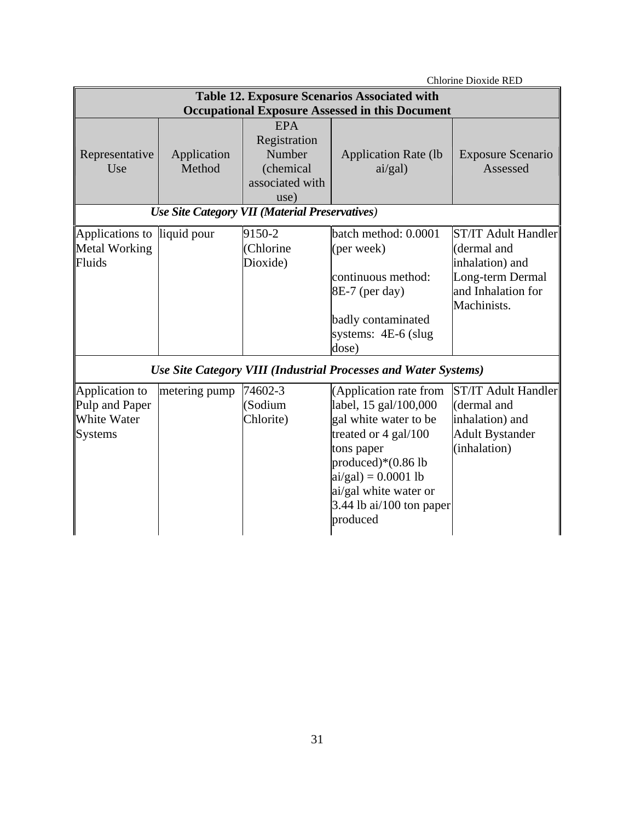| <b>Chlorine Dioxide RED</b>                                       |                                                                                                               |                                                                              |                                                                                                                                                                                                                                  |                                                                                                                       |  |  |  |
|-------------------------------------------------------------------|---------------------------------------------------------------------------------------------------------------|------------------------------------------------------------------------------|----------------------------------------------------------------------------------------------------------------------------------------------------------------------------------------------------------------------------------|-----------------------------------------------------------------------------------------------------------------------|--|--|--|
|                                                                   | <b>Table 12. Exposure Scenarios Associated with</b><br><b>Occupational Exposure Assessed in this Document</b> |                                                                              |                                                                                                                                                                                                                                  |                                                                                                                       |  |  |  |
| Representative<br>Use                                             | Application<br>Method                                                                                         | <b>EPA</b><br>Registration<br>Number<br>(chemical<br>associated with<br>use) | <b>Application Rate (lb</b><br>ai/gal)                                                                                                                                                                                           | <b>Exposure Scenario</b><br>Assessed                                                                                  |  |  |  |
|                                                                   |                                                                                                               | Use Site Category VII (Material Preservatives)                               |                                                                                                                                                                                                                                  |                                                                                                                       |  |  |  |
| Applications to<br>liquid pour<br>Metal Working<br>Fluids         |                                                                                                               | 9150-2<br>(Chlorine<br>Dioxide)                                              | batch method: 0.0001<br>(per week)<br>continuous method:<br>$8E-7$ (per day)<br>badly contaminated<br>systems: $4E-6$ (slug<br>dose)                                                                                             | <b>ST/IT Adult Handler</b><br>(dermal and<br>inhalation) and<br>Long-term Dermal<br>and Inhalation for<br>Machinists. |  |  |  |
|                                                                   |                                                                                                               |                                                                              | Use Site Category VIII (Industrial Processes and Water Systems)                                                                                                                                                                  |                                                                                                                       |  |  |  |
| Application to<br>Pulp and Paper<br>White Water<br><b>Systems</b> | metering pump                                                                                                 | 74602-3<br>(Sodium<br>Chlorite)                                              | (Application rate from<br>label, 15 gal/100,000<br>gal white water to be<br>treated or 4 gal/100<br>tons paper<br>produced) $*(0.86$ lb<br>$ai/gal$ = 0.0001 lb<br>ai/gal white water or<br>3.44 lb ai/100 ton paper<br>produced | <b>ST/IT Adult Handler</b><br>(dermal and<br>inhalation) and<br><b>Adult Bystander</b><br>(inhalation)                |  |  |  |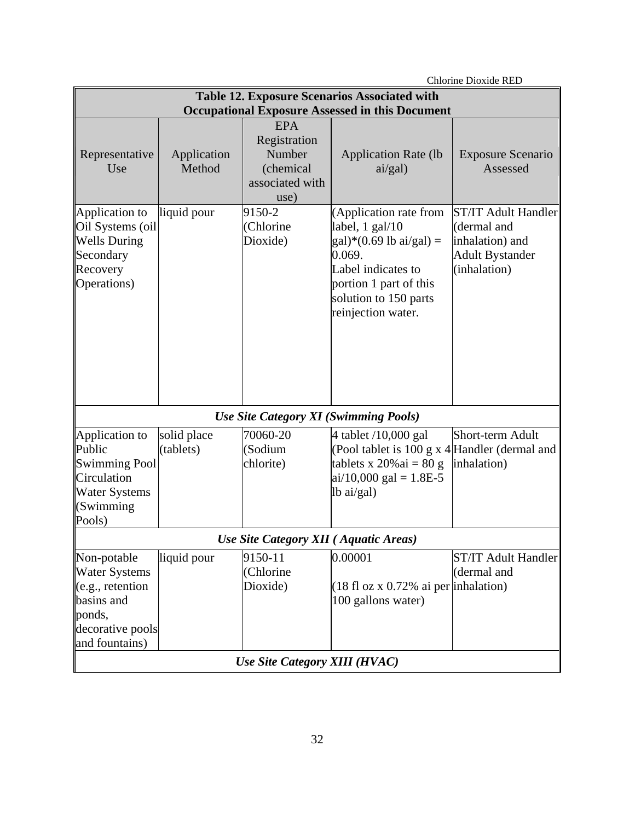| Chlorine Dioxide RED                                                                                                  |                          |                                                                              |                                                                                                                                                                                                    |                                                                                                        |
|-----------------------------------------------------------------------------------------------------------------------|--------------------------|------------------------------------------------------------------------------|----------------------------------------------------------------------------------------------------------------------------------------------------------------------------------------------------|--------------------------------------------------------------------------------------------------------|
|                                                                                                                       |                          |                                                                              | <b>Table 12. Exposure Scenarios Associated with</b>                                                                                                                                                |                                                                                                        |
|                                                                                                                       |                          |                                                                              | <b>Occupational Exposure Assessed in this Document</b>                                                                                                                                             |                                                                                                        |
| Representative<br>Use                                                                                                 | Application<br>Method    | <b>EPA</b><br>Registration<br>Number<br>(chemical<br>associated with<br>use) | <b>Application Rate (lb</b><br>ai/gal)                                                                                                                                                             | <b>Exposure Scenario</b><br>Assessed                                                                   |
| Application to<br>Oil Systems (oil<br><b>Wells During</b><br>Secondary<br>Recovery<br>Operations)                     | liquid pour              | 9150-2<br>(Chlorine<br>Dioxide)                                              | (Application rate from<br>label, 1 gal/10<br>$\text{gal}$ <sup>*</sup> (0.69 lb ai/gal) =<br>0.069.<br>Label indicates to<br>portion 1 part of this<br>solution to 150 parts<br>reinjection water. | <b>ST/IT Adult Handler</b><br>(dermal and<br>inhalation) and<br><b>Adult Bystander</b><br>(inhalation) |
|                                                                                                                       |                          |                                                                              | <b>Use Site Category XI (Swimming Pools)</b>                                                                                                                                                       |                                                                                                        |
| Application to<br>Public<br><b>Swimming Pool</b><br>Circulation<br><b>Water Systems</b><br>(Swimming<br>Pools)        | solid place<br>(tablets) | 70060-20<br>(Sodium<br>chlorite)                                             | 4 tablet /10,000 gal<br>(Pool tablet is 100 g x $4$ Handler (dermal and<br>tablets x $20\%$ ai = 80 g<br>$ai/10,000$ gal = 1.8E-5<br>lb ai/gal)                                                    | Short-term Adult<br>inhalation)                                                                        |
|                                                                                                                       |                          | Use Site Category XII (Aquatic Areas)                                        |                                                                                                                                                                                                    |                                                                                                        |
| Non-potable<br><b>Water Systems</b><br>(e.g., retention<br>basins and<br>ponds,<br>decorative pools<br>and fountains) | liquid pour              | 9150-11<br>(Chlorine<br>Dioxide)                                             | 0.00001<br>$(18 \text{ fl oz x } 0.72\% \text{ ai per}$ inhalation)<br>100 gallons water)                                                                                                          | <b>ST/IT Adult Handler</b><br>(dermal and                                                              |
|                                                                                                                       |                          | Use Site Category XIII (HVAC)                                                |                                                                                                                                                                                                    |                                                                                                        |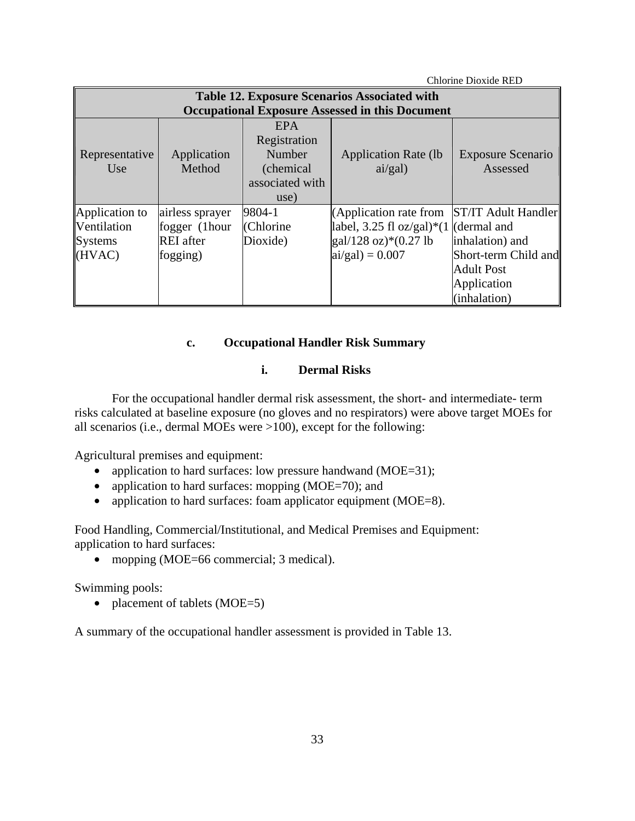| Chlorine Dioxide RED |                  |                 |                                                        |                            |
|----------------------|------------------|-----------------|--------------------------------------------------------|----------------------------|
|                      |                  |                 | <b>Table 12. Exposure Scenarios Associated with</b>    |                            |
|                      |                  |                 | <b>Occupational Exposure Assessed in this Document</b> |                            |
| <b>EPA</b>           |                  |                 |                                                        |                            |
|                      |                  | Registration    |                                                        |                            |
| Representative       | Application      | Number          | <b>Application Rate (lb)</b>                           | <b>Exposure Scenario</b>   |
| Use                  | Method           | (chemical)      | ai/gal)                                                | Assessed                   |
|                      |                  | associated with |                                                        |                            |
|                      |                  | use)            |                                                        |                            |
| Application to       | airless sprayer  | 9804-1          | (Application rate from                                 | <b>ST/IT Adult Handler</b> |
| Ventilation          | fogger (1hour    | (Chlorine       | label, 3.25 fl oz/gal)*(1 (dermal and                  |                            |
| Systems              | <b>REI</b> after | Dioxide)        | $\text{gal}/128 \text{ oz}$ * (0.27 lb                 | inhalation) and            |
| (HVAC)               | fogging)         |                 | $ai/gal$ = 0.007                                       | Short-term Child and       |
|                      |                  |                 |                                                        | <b>Adult Post</b>          |
|                      |                  |                 |                                                        | Application                |
|                      |                  |                 |                                                        | (inhalation)               |

## **c. Occupational Handler Risk Summary**

## **i. Dermal Risks**

For the occupational handler dermal risk assessment, the short- and intermediate- term risks calculated at baseline exposure (no gloves and no respirators) were above target MOEs for all scenarios (i.e., dermal MOEs were >100), except for the following:

Agricultural premises and equipment:

- application to hard surfaces: low pressure handwand (MOE=31);
- application to hard surfaces: mopping (MOE=70); and
- application to hard surfaces: foam applicator equipment (MOE=8).

Food Handling, Commercial/Institutional, and Medical Premises and Equipment: application to hard surfaces:

• mopping (MOE=66 commercial; 3 medical).

Swimming pools:

• placement of tablets (MOE=5)

A summary of the occupational handler assessment is provided in Table 13.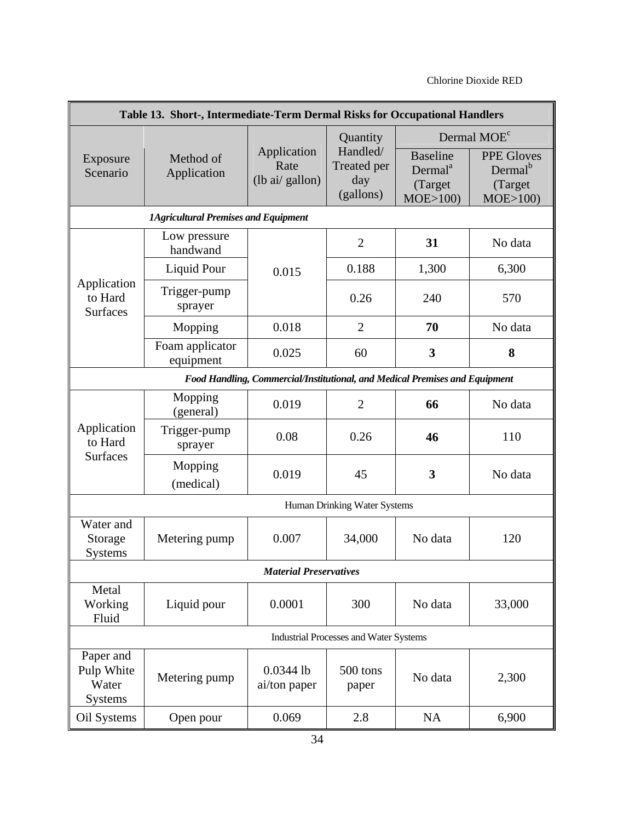| Table 13. Short-, Intermediate-Term Dermal Risks for Occupational Handlers  |                                             |                                       |                                                         |                                                              |                                                                                           |
|-----------------------------------------------------------------------------|---------------------------------------------|---------------------------------------|---------------------------------------------------------|--------------------------------------------------------------|-------------------------------------------------------------------------------------------|
| Exposure<br>Scenario                                                        | Method of<br>Application                    | Application<br>Rate<br>(lb ai/gallon) | Quantity<br>Handled/<br>Treated per<br>day<br>(gallons) | <b>Baseline</b><br>Dermal <sup>a</sup><br>(Target<br>MOE>100 | Dermal MOE <sup>c</sup><br><b>PPE Gloves</b><br>Dermal <sup>b</sup><br>(Target<br>MOE>100 |
|                                                                             | <b>1Agricultural Premises and Equipment</b> |                                       |                                                         |                                                              |                                                                                           |
|                                                                             | Low pressure<br>handwand                    |                                       | $\overline{2}$                                          | 31                                                           | No data                                                                                   |
|                                                                             | Liquid Pour                                 | 0.015                                 | 0.188                                                   | 1,300                                                        | 6,300                                                                                     |
| Application<br>to Hard<br><b>Surfaces</b>                                   | Trigger-pump<br>sprayer                     |                                       | 0.26                                                    | 240                                                          | 570                                                                                       |
|                                                                             | Mopping                                     | 0.018                                 | $\overline{2}$                                          | 70                                                           | No data                                                                                   |
|                                                                             | Foam applicator<br>equipment                | 0.025                                 | 60                                                      | 3                                                            | 8                                                                                         |
| Food Handling, Commercial/Institutional, and Medical Premises and Equipment |                                             |                                       |                                                         |                                                              |                                                                                           |
|                                                                             | Mopping<br>(general)                        | 0.019                                 | $\overline{2}$<br>66                                    |                                                              | No data                                                                                   |
| Application<br>to Hard                                                      | Trigger-pump<br>sprayer                     | 0.08                                  | 0.26                                                    | 46                                                           | 110                                                                                       |
| <b>Surfaces</b>                                                             | Mopping<br>(medical)                        | 0.019                                 | 3<br>45                                                 |                                                              | No data                                                                                   |
|                                                                             |                                             |                                       | Human Drinking Water Systems                            |                                                              |                                                                                           |
| Water and<br>Storage<br><b>Systems</b>                                      | Metering pump                               | 0.007                                 | 34,000                                                  | No data                                                      | 120                                                                                       |
|                                                                             |                                             | <b>Material Preservatives</b>         |                                                         |                                                              |                                                                                           |
| Metal<br>Working<br>Fluid                                                   | Liquid pour                                 | 0.0001                                | 300                                                     | No data                                                      | 33,000                                                                                    |
|                                                                             |                                             |                                       | <b>Industrial Processes and Water Systems</b>           |                                                              |                                                                                           |
| Paper and<br>Pulp White<br>Water<br><b>Systems</b>                          | Metering pump                               | $0.0344$ lb<br>ai/ton paper           | 500 tons<br>paper                                       | No data                                                      | 2,300                                                                                     |
| Oil Systems                                                                 | Open pour                                   | 0.069                                 | 2.8                                                     | <b>NA</b>                                                    | 6,900                                                                                     |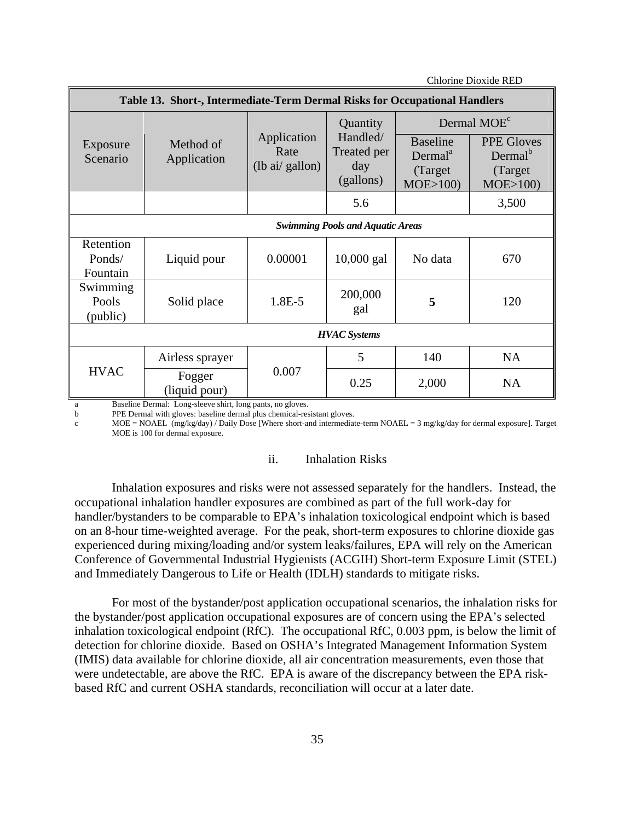|                                         | Table 13. Short-, Intermediate-Term Dermal Risks for Occupational Handlers |                                                        |                                             |                                                               |                                                                 |  |
|-----------------------------------------|----------------------------------------------------------------------------|--------------------------------------------------------|---------------------------------------------|---------------------------------------------------------------|-----------------------------------------------------------------|--|
|                                         |                                                                            |                                                        | Quantity                                    |                                                               | Dermal MOE <sup>c</sup>                                         |  |
| Exposure<br>Scenario                    | Method of<br>Application                                                   | Application<br>Rate<br>$(lb \text{ ai}/\text{gallon})$ | Handled/<br>Treated per<br>day<br>(gallons) | <b>Baseline</b><br>Dermal <sup>a</sup><br>(Target)<br>MOE>100 | <b>PPE Gloves</b><br>Dermal <sup>b</sup><br>(Target)<br>MOE>100 |  |
|                                         |                                                                            |                                                        | 5.6                                         |                                                               | 3,500                                                           |  |
| <b>Swimming Pools and Aquatic Areas</b> |                                                                            |                                                        |                                             |                                                               |                                                                 |  |
| Retention<br>Ponds/<br>Fountain         | Liquid pour                                                                | 0.00001                                                | $10,000$ gal                                | No data                                                       | 670                                                             |  |
| Swimming<br>Pools<br>(public)           | Solid place                                                                | 1.8E-5                                                 | 200,000<br>gal                              | 5                                                             | 120                                                             |  |
| <b>HVAC</b> Systems                     |                                                                            |                                                        |                                             |                                                               |                                                                 |  |
|                                         | Airless sprayer                                                            |                                                        | 5                                           | 140                                                           | <b>NA</b>                                                       |  |
| <b>HVAC</b>                             | Fogger<br>(liquid pour)<br>Described Denned: Transportation status for     | 0.007<br>$-1 - -$                                      | 0.25                                        | 2,000                                                         | <b>NA</b>                                                       |  |

a Baseline Dermal: Long-sleeve shirt, long pants, no gloves.

b PPE Dermal with gloves: baseline dermal plus chemical-resistant gloves.

c MOE = NOAEL (mg/kg/day) / Daily Dose [Where short-and intermediate-term NOAEL = 3 mg/kg/day for dermal exposure]. Target MOE is 100 for dermal exposure.

#### ii. Inhalation Risks

Inhalation exposures and risks were not assessed separately for the handlers. Instead, the occupational inhalation handler exposures are combined as part of the full work-day for handler/bystanders to be comparable to EPA's inhalation toxicological endpoint which is based on an 8-hour time-weighted average. For the peak, short-term exposures to chlorine dioxide gas experienced during mixing/loading and/or system leaks/failures, EPA will rely on the American Conference of Governmental Industrial Hygienists (ACGIH) Short-term Exposure Limit (STEL) and Immediately Dangerous to Life or Health (IDLH) standards to mitigate risks.

For most of the bystander/post application occupational scenarios, the inhalation risks for the bystander/post application occupational exposures are of concern using the EPA's selected inhalation toxicological endpoint (RfC). The occupational RfC, 0.003 ppm, is below the limit of detection for chlorine dioxide. Based on OSHA's Integrated Management Information System (IMIS) data available for chlorine dioxide, all air concentration measurements, even those that were undetectable, are above the RfC. EPA is aware of the discrepancy between the EPA riskbased RfC and current OSHA standards, reconciliation will occur at a later date.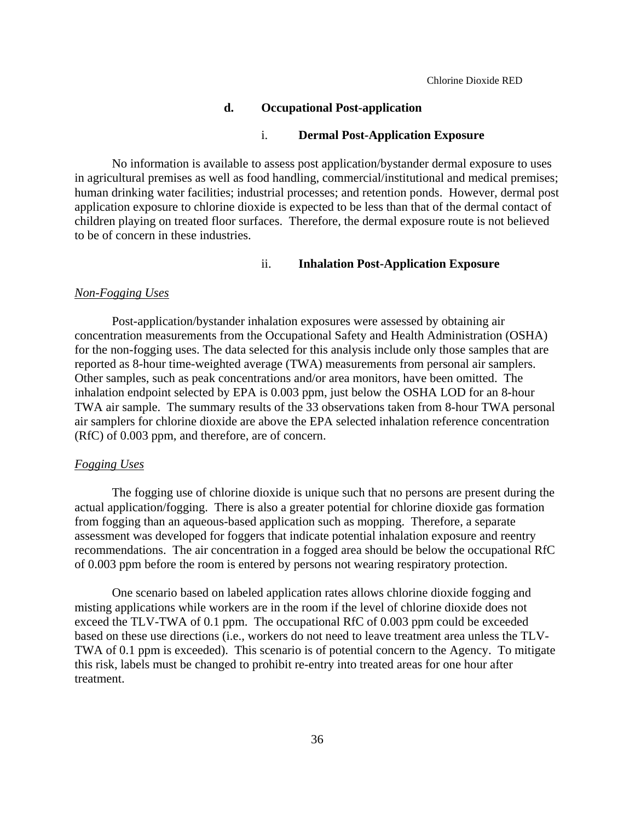### **d. Occupational Post-application**

### i. **Dermal Post-Application Exposure**

No information is available to assess post application/bystander dermal exposure to uses in agricultural premises as well as food handling, commercial/institutional and medical premises; human drinking water facilities; industrial processes; and retention ponds. However, dermal post application exposure to chlorine dioxide is expected to be less than that of the dermal contact of children playing on treated floor surfaces. Therefore, the dermal exposure route is not believed to be of concern in these industries.

## ii. **Inhalation Post-Application Exposure**

### *Non-Fogging Uses*

Post-application/bystander inhalation exposures were assessed by obtaining air concentration measurements from the Occupational Safety and Health Administration (OSHA) for the non-fogging uses. The data selected for this analysis include only those samples that are reported as 8-hour time-weighted average (TWA) measurements from personal air samplers. Other samples, such as peak concentrations and/or area monitors, have been omitted. The inhalation endpoint selected by EPA is 0.003 ppm, just below the OSHA LOD for an 8-hour TWA air sample. The summary results of the 33 observations taken from 8-hour TWA personal air samplers for chlorine dioxide are above the EPA selected inhalation reference concentration (RfC) of 0.003 ppm, and therefore, are of concern.

### *Fogging Uses*

The fogging use of chlorine dioxide is unique such that no persons are present during the actual application/fogging. There is also a greater potential for chlorine dioxide gas formation from fogging than an aqueous-based application such as mopping. Therefore, a separate assessment was developed for foggers that indicate potential inhalation exposure and reentry recommendations. The air concentration in a fogged area should be below the occupational RfC of 0.003 ppm before the room is entered by persons not wearing respiratory protection.

One scenario based on labeled application rates allows chlorine dioxide fogging and misting applications while workers are in the room if the level of chlorine dioxide does not exceed the TLV-TWA of 0.1 ppm. The occupational RfC of 0.003 ppm could be exceeded based on these use directions (i.e., workers do not need to leave treatment area unless the TLV-TWA of 0.1 ppm is exceeded). This scenario is of potential concern to the Agency. To mitigate this risk, labels must be changed to prohibit re-entry into treated areas for one hour after treatment.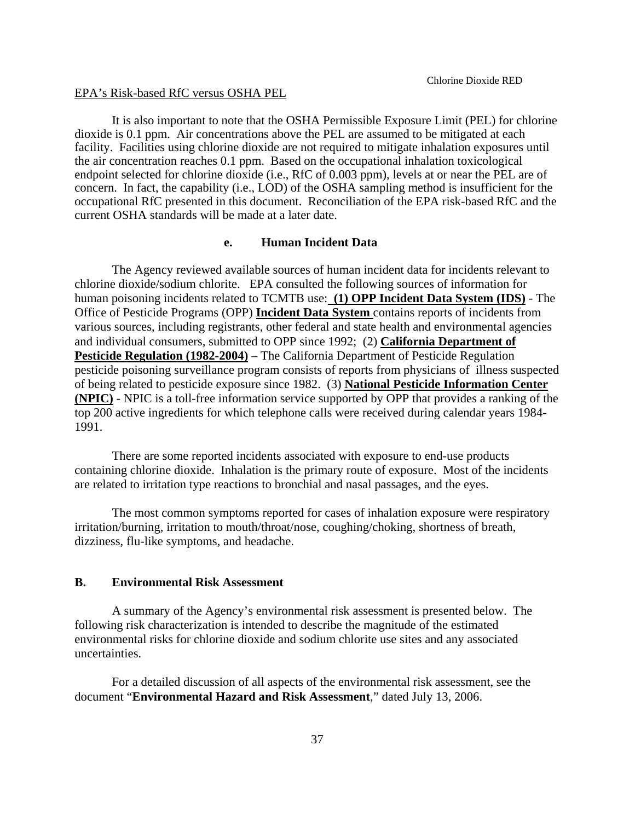#### EPA's Risk-based RfC versus OSHA PEL

It is also important to note that the OSHA Permissible Exposure Limit (PEL) for chlorine dioxide is 0.1 ppm. Air concentrations above the PEL are assumed to be mitigated at each facility. Facilities using chlorine dioxide are not required to mitigate inhalation exposures until the air concentration reaches 0.1 ppm. Based on the occupational inhalation toxicological endpoint selected for chlorine dioxide (i.e., RfC of 0.003 ppm), levels at or near the PEL are of concern. In fact, the capability (i.e., LOD) of the OSHA sampling method is insufficient for the occupational RfC presented in this document. Reconciliation of the EPA risk-based RfC and the current OSHA standards will be made at a later date.

### **e. Human Incident Data**

The Agency reviewed available sources of human incident data for incidents relevant to chlorine dioxide/sodium chlorite. EPA consulted the following sources of information for human poisoning incidents related to TCMTB use: **(1) OPP Incident Data System (IDS)** - The Office of Pesticide Programs (OPP) **Incident Data System** contains reports of incidents from various sources, including registrants, other federal and state health and environmental agencies and individual consumers, submitted to OPP since 1992; (2) **California Department of Pesticide Regulation (1982-2004)** – The California Department of Pesticide Regulation pesticide poisoning surveillance program consists of reports from physicians of illness suspected of being related to pesticide exposure since 1982. (3) **National Pesticide Information Center (NPIC)** - NPIC is a toll-free information service supported by OPP that provides a ranking of the top 200 active ingredients for which telephone calls were received during calendar years 1984 1991.

There are some reported incidents associated with exposure to end-use products containing chlorine dioxide. Inhalation is the primary route of exposure. Most of the incidents are related to irritation type reactions to bronchial and nasal passages, and the eyes.

The most common symptoms reported for cases of inhalation exposure were respiratory irritation/burning, irritation to mouth/throat/nose, coughing/choking, shortness of breath, dizziness, flu-like symptoms, and headache.

## **B. Environmental Risk Assessment**

A summary of the Agency's environmental risk assessment is presented below. The following risk characterization is intended to describe the magnitude of the estimated environmental risks for chlorine dioxide and sodium chlorite use sites and any associated uncertainties.

For a detailed discussion of all aspects of the environmental risk assessment, see the document "**Environmental Hazard and Risk Assessment**," dated July 13, 2006.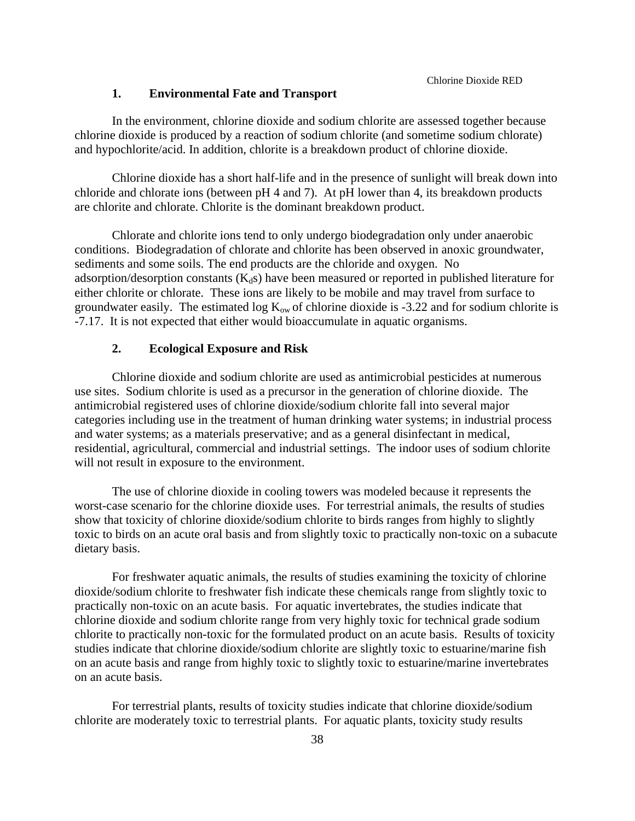## **1. Environmental Fate and Transport**

In the environment, chlorine dioxide and sodium chlorite are assessed together because chlorine dioxide is produced by a reaction of sodium chlorite (and sometime sodium chlorate) and hypochlorite/acid. In addition, chlorite is a breakdown product of chlorine dioxide.

Chlorine dioxide has a short half-life and in the presence of sunlight will break down into chloride and chlorate ions (between pH 4 and 7). At pH lower than 4, its breakdown products are chlorite and chlorate. Chlorite is the dominant breakdown product.

Chlorate and chlorite ions tend to only undergo biodegradation only under anaerobic conditions. Biodegradation of chlorate and chlorite has been observed in anoxic groundwater, sediments and some soils. The end products are the chloride and oxygen. No adsorption/desorption constants  $(K_d s)$  have been measured or reported in published literature for either chlorite or chlorate. These ions are likely to be mobile and may travel from surface to groundwater easily. The estimated log  $K_{ow}$  of chlorine dioxide is -3.22 and for sodium chlorite is -7.17. It is not expected that either would bioaccumulate in aquatic organisms.

### **2. Ecological Exposure and Risk**

Chlorine dioxide and sodium chlorite are used as antimicrobial pesticides at numerous use sites. Sodium chlorite is used as a precursor in the generation of chlorine dioxide. The antimicrobial registered uses of chlorine dioxide/sodium chlorite fall into several major categories including use in the treatment of human drinking water systems; in industrial process and water systems; as a materials preservative; and as a general disinfectant in medical, residential, agricultural, commercial and industrial settings. The indoor uses of sodium chlorite will not result in exposure to the environment.

The use of chlorine dioxide in cooling towers was modeled because it represents the worst-case scenario for the chlorine dioxide uses. For terrestrial animals, the results of studies show that toxicity of chlorine dioxide/sodium chlorite to birds ranges from highly to slightly toxic to birds on an acute oral basis and from slightly toxic to practically non-toxic on a subacute dietary basis.

For freshwater aquatic animals, the results of studies examining the toxicity of chlorine dioxide/sodium chlorite to freshwater fish indicate these chemicals range from slightly toxic to practically non-toxic on an acute basis. For aquatic invertebrates, the studies indicate that chlorine dioxide and sodium chlorite range from very highly toxic for technical grade sodium chlorite to practically non-toxic for the formulated product on an acute basis. Results of toxicity studies indicate that chlorine dioxide/sodium chlorite are slightly toxic to estuarine/marine fish on an acute basis and range from highly toxic to slightly toxic to estuarine/marine invertebrates on an acute basis.

For terrestrial plants, results of toxicity studies indicate that chlorine dioxide/sodium chlorite are moderately toxic to terrestrial plants. For aquatic plants, toxicity study results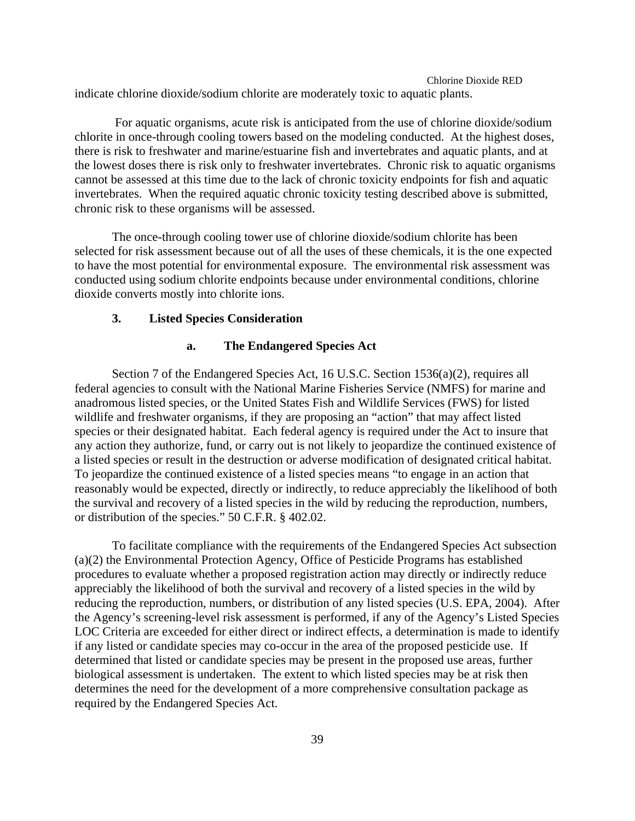Chlorine Dioxide RED indicate chlorine dioxide/sodium chlorite are moderately toxic to aquatic plants.

 For aquatic organisms, acute risk is anticipated from the use of chlorine dioxide/sodium chlorite in once-through cooling towers based on the modeling conducted. At the highest doses, there is risk to freshwater and marine/estuarine fish and invertebrates and aquatic plants, and at the lowest doses there is risk only to freshwater invertebrates. Chronic risk to aquatic organisms cannot be assessed at this time due to the lack of chronic toxicity endpoints for fish and aquatic invertebrates. When the required aquatic chronic toxicity testing described above is submitted, chronic risk to these organisms will be assessed.

The once-through cooling tower use of chlorine dioxide/sodium chlorite has been selected for risk assessment because out of all the uses of these chemicals, it is the one expected to have the most potential for environmental exposure. The environmental risk assessment was conducted using sodium chlorite endpoints because under environmental conditions, chlorine dioxide converts mostly into chlorite ions.

### **3. Listed Species Consideration**

#### **a. The Endangered Species Act**

Section 7 of the Endangered Species Act, 16 U.S.C. Section 1536(a)(2), requires all federal agencies to consult with the National Marine Fisheries Service (NMFS) for marine and anadromous listed species, or the United States Fish and Wildlife Services (FWS) for listed wildlife and freshwater organisms, if they are proposing an "action" that may affect listed species or their designated habitat. Each federal agency is required under the Act to insure that any action they authorize, fund, or carry out is not likely to jeopardize the continued existence of a listed species or result in the destruction or adverse modification of designated critical habitat. To jeopardize the continued existence of a listed species means "to engage in an action that reasonably would be expected, directly or indirectly, to reduce appreciably the likelihood of both the survival and recovery of a listed species in the wild by reducing the reproduction, numbers, or distribution of the species." 50 C.F.R. § 402.02.

To facilitate compliance with the requirements of the Endangered Species Act subsection (a)(2) the Environmental Protection Agency, Office of Pesticide Programs has established procedures to evaluate whether a proposed registration action may directly or indirectly reduce appreciably the likelihood of both the survival and recovery of a listed species in the wild by reducing the reproduction, numbers, or distribution of any listed species (U.S. EPA, 2004). After the Agency's screening-level risk assessment is performed, if any of the Agency's Listed Species LOC Criteria are exceeded for either direct or indirect effects, a determination is made to identify if any listed or candidate species may co-occur in the area of the proposed pesticide use. If determined that listed or candidate species may be present in the proposed use areas, further biological assessment is undertaken. The extent to which listed species may be at risk then determines the need for the development of a more comprehensive consultation package as required by the Endangered Species Act.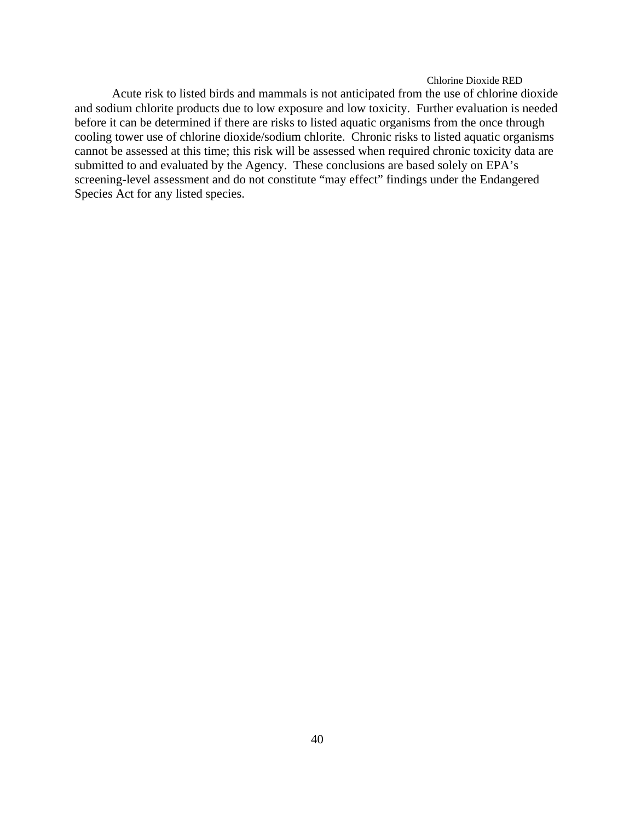Acute risk to listed birds and mammals is not anticipated from the use of chlorine dioxide and sodium chlorite products due to low exposure and low toxicity. Further evaluation is needed before it can be determined if there are risks to listed aquatic organisms from the once through cooling tower use of chlorine dioxide/sodium chlorite. Chronic risks to listed aquatic organisms cannot be assessed at this time; this risk will be assessed when required chronic toxicity data are submitted to and evaluated by the Agency. These conclusions are based solely on EPA's screening-level assessment and do not constitute "may effect" findings under the Endangered Species Act for any listed species.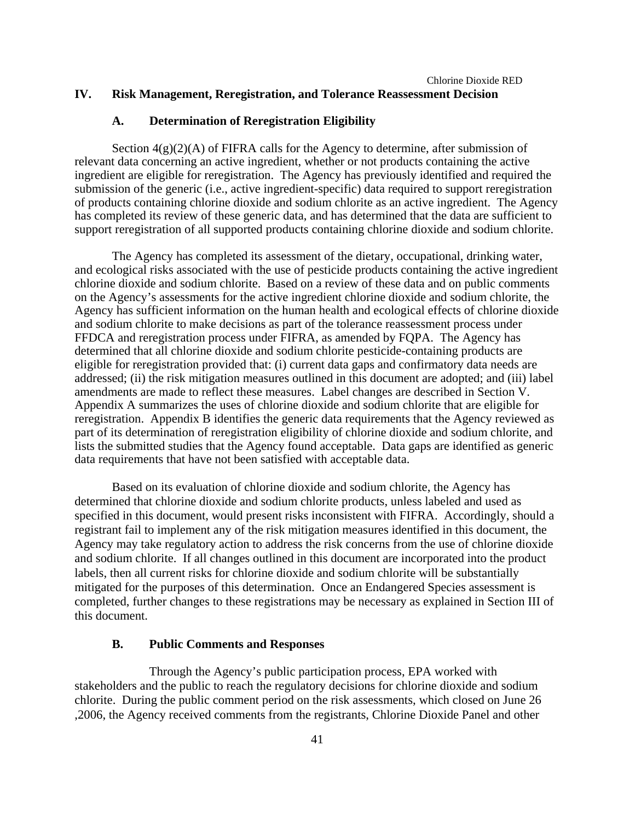## Chlorine Dioxide RED **IV. Risk Management, Reregistration, and Tolerance Reassessment Decision**

### **A. Determination of Reregistration Eligibility**

Section  $4(g)(2)(A)$  of FIFRA calls for the Agency to determine, after submission of relevant data concerning an active ingredient, whether or not products containing the active ingredient are eligible for reregistration. The Agency has previously identified and required the submission of the generic (i.e., active ingredient-specific) data required to support reregistration of products containing chlorine dioxide and sodium chlorite as an active ingredient. The Agency has completed its review of these generic data, and has determined that the data are sufficient to support reregistration of all supported products containing chlorine dioxide and sodium chlorite.

The Agency has completed its assessment of the dietary, occupational, drinking water, and ecological risks associated with the use of pesticide products containing the active ingredient chlorine dioxide and sodium chlorite. Based on a review of these data and on public comments on the Agency's assessments for the active ingredient chlorine dioxide and sodium chlorite, the Agency has sufficient information on the human health and ecological effects of chlorine dioxide and sodium chlorite to make decisions as part of the tolerance reassessment process under FFDCA and reregistration process under FIFRA, as amended by FQPA. The Agency has determined that all chlorine dioxide and sodium chlorite pesticide-containing products are eligible for reregistration provided that: (i) current data gaps and confirmatory data needs are addressed; (ii) the risk mitigation measures outlined in this document are adopted; and (iii) label amendments are made to reflect these measures. Label changes are described in Section V. Appendix A summarizes the uses of chlorine dioxide and sodium chlorite that are eligible for reregistration. Appendix B identifies the generic data requirements that the Agency reviewed as part of its determination of reregistration eligibility of chlorine dioxide and sodium chlorite, and lists the submitted studies that the Agency found acceptable. Data gaps are identified as generic data requirements that have not been satisfied with acceptable data.

Based on its evaluation of chlorine dioxide and sodium chlorite, the Agency has determined that chlorine dioxide and sodium chlorite products, unless labeled and used as specified in this document, would present risks inconsistent with FIFRA. Accordingly, should a registrant fail to implement any of the risk mitigation measures identified in this document, the Agency may take regulatory action to address the risk concerns from the use of chlorine dioxide and sodium chlorite. If all changes outlined in this document are incorporated into the product labels, then all current risks for chlorine dioxide and sodium chlorite will be substantially mitigated for the purposes of this determination. Once an Endangered Species assessment is completed, further changes to these registrations may be necessary as explained in Section III of this document.

## **B. Public Comments and Responses**

Through the Agency's public participation process, EPA worked with stakeholders and the public to reach the regulatory decisions for chlorine dioxide and sodium chlorite. During the public comment period on the risk assessments, which closed on June 26 ,2006, the Agency received comments from the registrants, Chlorine Dioxide Panel and other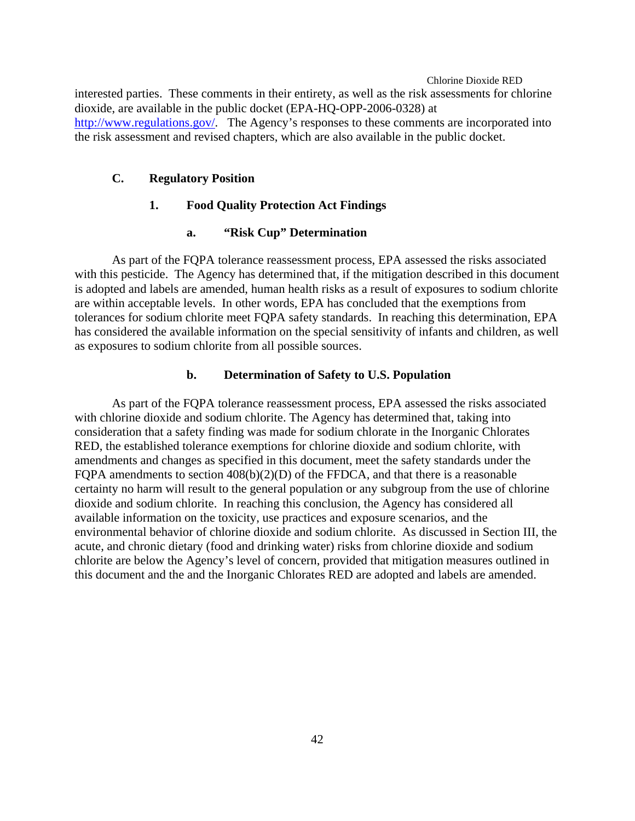Chlorine Dioxide RED interested parties. These comments in their entirety, as well as the risk assessments for chlorine dioxide, are available in the public docket (EPA-HQ-OPP-2006-0328) at http://www.regulations.gov/. The Agency's responses to these comments are incorporated into the risk assessment and revised chapters, which are also available in the public docket.

## **C. Regulatory Position**

## **1. Food Quality Protection Act Findings**

#### **a. "Risk Cup" Determination**

As part of the FQPA tolerance reassessment process, EPA assessed the risks associated with this pesticide. The Agency has determined that, if the mitigation described in this document is adopted and labels are amended, human health risks as a result of exposures to sodium chlorite are within acceptable levels. In other words, EPA has concluded that the exemptions from tolerances for sodium chlorite meet FQPA safety standards. In reaching this determination, EPA has considered the available information on the special sensitivity of infants and children, as well as exposures to sodium chlorite from all possible sources.

### **b. Determination of Safety to U.S. Population**

As part of the FQPA tolerance reassessment process, EPA assessed the risks associated with chlorine dioxide and sodium chlorite. The Agency has determined that, taking into consideration that a safety finding was made for sodium chlorate in the Inorganic Chlorates RED, the established tolerance exemptions for chlorine dioxide and sodium chlorite, with amendments and changes as specified in this document, meet the safety standards under the FQPA amendments to section 408(b)(2)(D) of the FFDCA, and that there is a reasonable certainty no harm will result to the general population or any subgroup from the use of chlorine dioxide and sodium chlorite. In reaching this conclusion, the Agency has considered all available information on the toxicity, use practices and exposure scenarios, and the environmental behavior of chlorine dioxide and sodium chlorite. As discussed in Section III, the acute, and chronic dietary (food and drinking water) risks from chlorine dioxide and sodium chlorite are below the Agency's level of concern, provided that mitigation measures outlined in this document and the and the Inorganic Chlorates RED are adopted and labels are amended.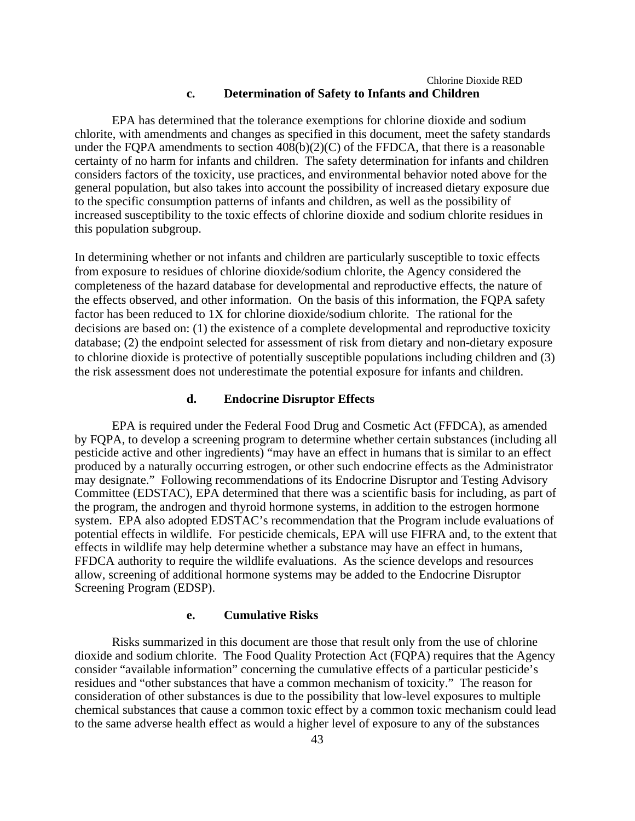## Chlorine Dioxide RED **c. Determination of Safety to Infants and Children**

EPA has determined that the tolerance exemptions for chlorine dioxide and sodium chlorite, with amendments and changes as specified in this document, meet the safety standards under the FQPA amendments to section 408(b)(2)(C) of the FFDCA, that there is a reasonable certainty of no harm for infants and children. The safety determination for infants and children considers factors of the toxicity, use practices, and environmental behavior noted above for the general population, but also takes into account the possibility of increased dietary exposure due to the specific consumption patterns of infants and children, as well as the possibility of increased susceptibility to the toxic effects of chlorine dioxide and sodium chlorite residues in this population subgroup.

In determining whether or not infants and children are particularly susceptible to toxic effects from exposure to residues of chlorine dioxide/sodium chlorite, the Agency considered the completeness of the hazard database for developmental and reproductive effects, the nature of the effects observed, and other information. On the basis of this information, the FQPA safety factor has been reduced to 1X for chlorine dioxide/sodium chlorite*.* The rational for the decisions are based on: (1) the existence of a complete developmental and reproductive toxicity database; (2) the endpoint selected for assessment of risk from dietary and non-dietary exposure to chlorine dioxide is protective of potentially susceptible populations including children and (3) the risk assessment does not underestimate the potential exposure for infants and children.

### **d. Endocrine Disruptor Effects**

EPA is required under the Federal Food Drug and Cosmetic Act (FFDCA), as amended by FQPA, to develop a screening program to determine whether certain substances (including all pesticide active and other ingredients) "may have an effect in humans that is similar to an effect produced by a naturally occurring estrogen, or other such endocrine effects as the Administrator may designate." Following recommendations of its Endocrine Disruptor and Testing Advisory Committee (EDSTAC), EPA determined that there was a scientific basis for including, as part of the program, the androgen and thyroid hormone systems, in addition to the estrogen hormone system. EPA also adopted EDSTAC's recommendation that the Program include evaluations of potential effects in wildlife. For pesticide chemicals, EPA will use FIFRA and, to the extent that effects in wildlife may help determine whether a substance may have an effect in humans, FFDCA authority to require the wildlife evaluations. As the science develops and resources allow, screening of additional hormone systems may be added to the Endocrine Disruptor Screening Program (EDSP).

## **e. Cumulative Risks**

Risks summarized in this document are those that result only from the use of chlorine dioxide and sodium chlorite. The Food Quality Protection Act (FQPA) requires that the Agency consider "available information" concerning the cumulative effects of a particular pesticide's residues and "other substances that have a common mechanism of toxicity." The reason for consideration of other substances is due to the possibility that low-level exposures to multiple chemical substances that cause a common toxic effect by a common toxic mechanism could lead to the same adverse health effect as would a higher level of exposure to any of the substances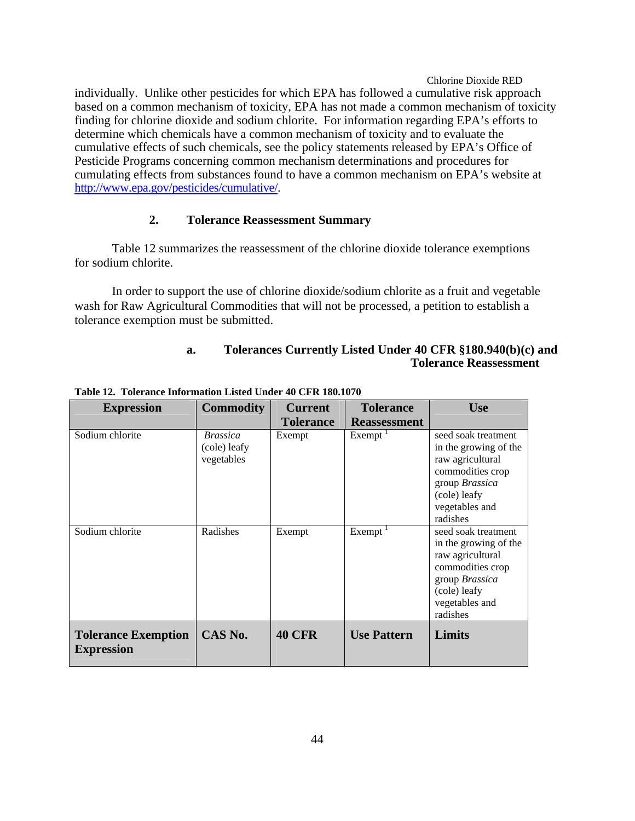individually. Unlike other pesticides for which EPA has followed a cumulative risk approach based on a common mechanism of toxicity, EPA has not made a common mechanism of toxicity finding for chlorine dioxide and sodium chlorite. For information regarding EPA's efforts to determine which chemicals have a common mechanism of toxicity and to evaluate the cumulative effects of such chemicals, see the policy statements released by EPA's Office of Pesticide Programs concerning common mechanism determinations and procedures for cumulating effects from substances found to have a common mechanism on EPA's website at http://www.epa.gov/pesticides/cumulative/.

## **2. Tolerance Reassessment Summary**

Table 12 summarizes the reassessment of the chlorine dioxide tolerance exemptions for sodium chlorite.

In order to support the use of chlorine dioxide/sodium chlorite as a fruit and vegetable wash for Raw Agricultural Commodities that will not be processed, a petition to establish a tolerance exemption must be submitted.

## **a. Tolerances Currently Listed Under 40 CFR §180.940(b)(c) and Tolerance Reassessment**

| <b>Expression</b>                               | <b>Commodity</b>                              | <b>Current</b>   | <b>Tolerance</b>    | <b>Use</b>                                                                                                                                           |
|-------------------------------------------------|-----------------------------------------------|------------------|---------------------|------------------------------------------------------------------------------------------------------------------------------------------------------|
|                                                 |                                               | <b>Tolerance</b> | <b>Reassessment</b> |                                                                                                                                                      |
| Sodium chlorite                                 | <b>Brassica</b><br>(cole) leafy<br>vegetables | Exempt           | Exempt <sup>1</sup> | seed soak treatment<br>in the growing of the<br>raw agricultural<br>commodities crop<br>group Brassica<br>(cole) leafy<br>vegetables and<br>radishes |
| Sodium chlorite                                 | Radishes                                      | Exempt           | Exempt              | seed soak treatment<br>in the growing of the<br>raw agricultural<br>commodities crop<br>group Brassica<br>(cole) leafy<br>vegetables and<br>radishes |
| <b>Tolerance Exemption</b><br><b>Expression</b> | CAS No.                                       | <b>40 CFR</b>    | <b>Use Pattern</b>  | Limits                                                                                                                                               |

**Table 12. Tolerance Information Listed Under 40 CFR 180.1070**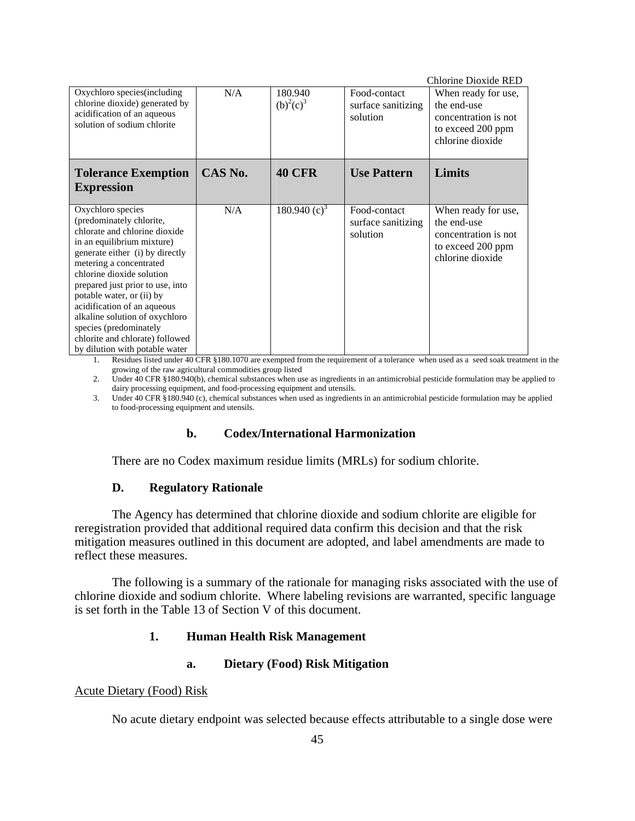| Oxychloro species (including<br>chlorine dioxide) generated by<br>acidification of an aqueous<br>solution of sodium chlorite                                                                                                                                                                                                                                                                                                             | N/A     | 180.940<br>$(b)^{2}(c)^{3}$ | Food-contact<br>surface sanitizing<br>solution | Chlorine Dioxide RED<br>When ready for use,<br>the end-use<br>concentration is not<br>to exceed 200 ppm<br>chlorine dioxide |
|------------------------------------------------------------------------------------------------------------------------------------------------------------------------------------------------------------------------------------------------------------------------------------------------------------------------------------------------------------------------------------------------------------------------------------------|---------|-----------------------------|------------------------------------------------|-----------------------------------------------------------------------------------------------------------------------------|
| <b>Tolerance Exemption</b><br><b>Expression</b>                                                                                                                                                                                                                                                                                                                                                                                          | CAS No. | <b>40 CFR</b>               | <b>Use Pattern</b>                             | Limits                                                                                                                      |
| Oxychloro species<br>(predominately chlorite,<br>chlorate and chlorine dioxide<br>in an equilibrium mixture)<br>generate either (i) by directly<br>metering a concentrated<br>chlorine dioxide solution<br>prepared just prior to use, into<br>potable water, or (ii) by<br>acidification of an aqueous<br>alkaline solution of oxychloro<br>species (predominately<br>chlorite and chlorate) followed<br>by dilution with potable water | N/A     | 180.940 $(c)^3$             | Food-contact<br>surface sanitizing<br>solution | When ready for use,<br>the end-use<br>concentration is not<br>to exceed 200 ppm<br>chlorine dioxide                         |

1. Residues listed under 40 CFR §180.1070 are exempted from the requirement of a tolerance when used as a seed soak treatment in the growing of the raw agricultural commodities group listed

2. Under 40 CFR §180.940(b), chemical substances when use as ingredients in an antimicrobial pesticide formulation may be applied to dairy processing equipment, and food-processing equipment and utensils.

3. Under 40 CFR §180.940 (c), chemical substances when used as ingredients in an antimicrobial pesticide formulation may be applied to food-processing equipment and utensils.

## **b. Codex/International Harmonization**

There are no Codex maximum residue limits (MRLs) for sodium chlorite.

## **D. Regulatory Rationale**

The Agency has determined that chlorine dioxide and sodium chlorite are eligible for reregistration provided that additional required data confirm this decision and that the risk mitigation measures outlined in this document are adopted, and label amendments are made to reflect these measures.

The following is a summary of the rationale for managing risks associated with the use of chlorine dioxide and sodium chlorite. Where labeling revisions are warranted, specific language is set forth in the Table 13 of Section V of this document.

## **1. Human Health Risk Management**

## **a. Dietary (Food) Risk Mitigation**

## Acute Dietary (Food) Risk

No acute dietary endpoint was selected because effects attributable to a single dose were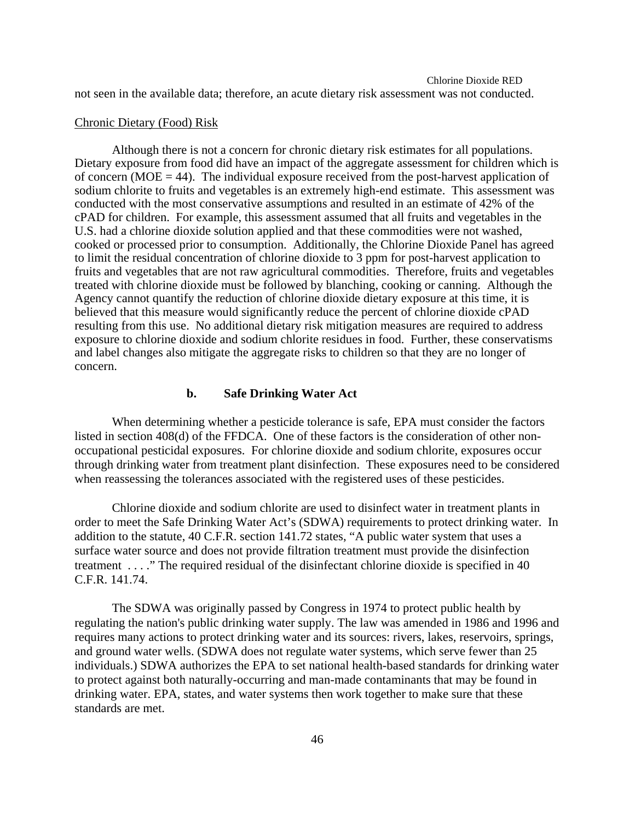## Chlorine Dioxide RED not seen in the available data; therefore, an acute dietary risk assessment was not conducted.

## Chronic Dietary (Food) Risk

Although there is not a concern for chronic dietary risk estimates for all populations. Dietary exposure from food did have an impact of the aggregate assessment for children which is of concern (MOE  $= 44$ ). The individual exposure received from the post-harvest application of sodium chlorite to fruits and vegetables is an extremely high-end estimate. This assessment was conducted with the most conservative assumptions and resulted in an estimate of 42% of the cPAD for children. For example, this assessment assumed that all fruits and vegetables in the U.S. had a chlorine dioxide solution applied and that these commodities were not washed, cooked or processed prior to consumption. Additionally, the Chlorine Dioxide Panel has agreed to limit the residual concentration of chlorine dioxide to 3 ppm for post-harvest application to fruits and vegetables that are not raw agricultural commodities. Therefore, fruits and vegetables treated with chlorine dioxide must be followed by blanching, cooking or canning. Although the Agency cannot quantify the reduction of chlorine dioxide dietary exposure at this time, it is believed that this measure would significantly reduce the percent of chlorine dioxide cPAD resulting from this use. No additional dietary risk mitigation measures are required to address exposure to chlorine dioxide and sodium chlorite residues in food. Further, these conservatisms and label changes also mitigate the aggregate risks to children so that they are no longer of concern.

## **b. Safe Drinking Water Act**

When determining whether a pesticide tolerance is safe, EPA must consider the factors listed in section 408(d) of the FFDCA. One of these factors is the consideration of other nonoccupational pesticidal exposures. For chlorine dioxide and sodium chlorite, exposures occur through drinking water from treatment plant disinfection. These exposures need to be considered when reassessing the tolerances associated with the registered uses of these pesticides.

Chlorine dioxide and sodium chlorite are used to disinfect water in treatment plants in order to meet the Safe Drinking Water Act's (SDWA) requirements to protect drinking water. In addition to the statute, 40 C.F.R. section 141.72 states, "A public water system that uses a surface water source and does not provide filtration treatment must provide the disinfection treatment . . . ." The required residual of the disinfectant chlorine dioxide is specified in 40 C.F.R. 141.74.

The SDWA was originally passed by Congress in 1974 to protect public health by regulating the nation's public drinking water supply. The law was amended in 1986 and 1996 and requires many actions to protect drinking water and its sources: rivers, lakes, reservoirs, springs, and ground water wells. (SDWA does not regulate water systems, which serve fewer than 25 individuals.) SDWA authorizes the EPA to set national health-based standards for drinking water to protect against both naturally-occurring and man-made contaminants that may be found in drinking water. EPA, states, and water systems then work together to make sure that these standards are met.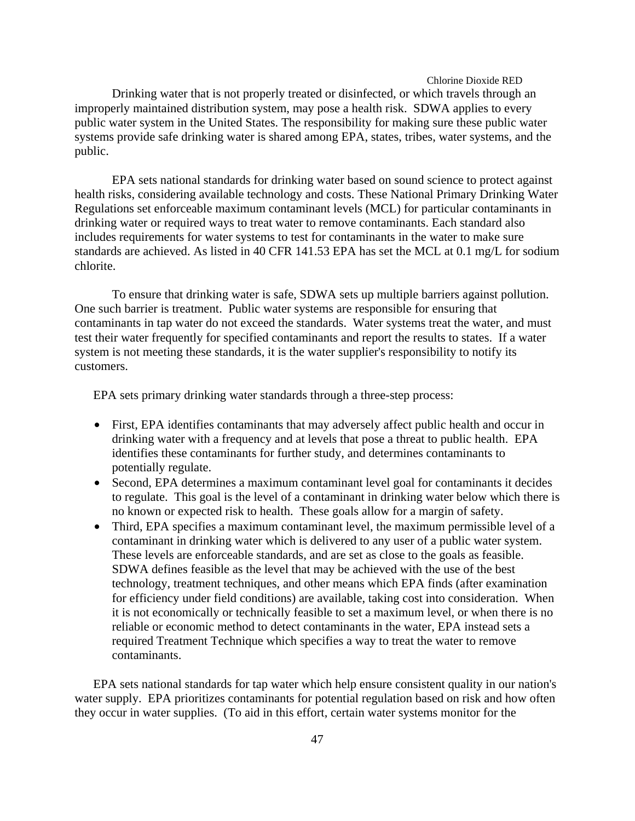Drinking water that is not properly treated or disinfected, or which travels through an improperly maintained distribution system, may pose a health risk. SDWA applies to every public water system in the United States. The responsibility for making sure these public water systems provide safe drinking water is shared among EPA, states, tribes, water systems, and the public.

EPA sets national standards for drinking water based on sound science to protect against health risks, considering available technology and costs. These National Primary Drinking Water Regulations set enforceable maximum contaminant levels (MCL) for particular contaminants in drinking water or required ways to treat water to remove contaminants. Each standard also includes requirements for water systems to test for contaminants in the water to make sure standards are achieved. As listed in 40 CFR 141.53 EPA has set the MCL at 0.1 mg/L for sodium chlorite.

To ensure that drinking water is safe, SDWA sets up multiple barriers against pollution. One such barrier is treatment. Public water systems are responsible for ensuring that contaminants in tap water do not exceed the standards. Water systems treat the water, and must test their water frequently for specified contaminants and report the results to states. If a water system is not meeting these standards, it is the water supplier's responsibility to notify its customers.

EPA sets primary drinking water standards through a three-step process:

- First, EPA identifies contaminants that may adversely affect public health and occur in drinking water with a frequency and at levels that pose a threat to public health. EPA identifies these contaminants for further study, and determines contaminants to potentially regulate.
- Second, EPA determines a maximum contaminant level goal for contaminants it decides to regulate. This goal is the level of a contaminant in drinking water below which there is no known or expected risk to health. These goals allow for a margin of safety.
- Third, EPA specifies a maximum contaminant level, the maximum permissible level of a contaminant in drinking water which is delivered to any user of a public water system. These levels are enforceable standards, and are set as close to the goals as feasible. SDWA defines feasible as the level that may be achieved with the use of the best technology, treatment techniques, and other means which EPA finds (after examination for efficiency under field conditions) are available, taking cost into consideration. When it is not economically or technically feasible to set a maximum level, or when there is no reliable or economic method to detect contaminants in the water, EPA instead sets a required Treatment Technique which specifies a way to treat the water to remove contaminants.

EPA sets national standards for tap water which help ensure consistent quality in our nation's water supply. EPA prioritizes contaminants for potential regulation based on risk and how often they occur in water supplies. (To aid in this effort, certain water systems monitor for the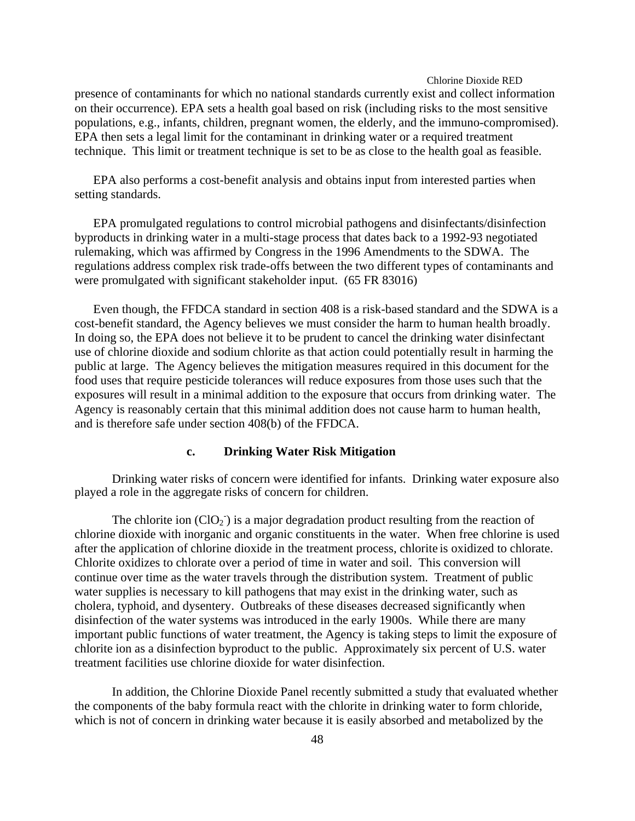presence of contaminants for which no national standards currently exist and collect information on their occurrence). EPA sets a health goal based on risk (including risks to the most sensitive populations, e.g., infants, children, pregnant women, the elderly, and the immuno-compromised). EPA then sets a legal limit for the contaminant in drinking water or a required treatment technique. This limit or treatment technique is set to be as close to the health goal as feasible.

EPA also performs a cost-benefit analysis and obtains input from interested parties when setting standards.

EPA promulgated regulations to control microbial pathogens and disinfectants/disinfection byproducts in drinking water in a multi-stage process that dates back to a 1992-93 negotiated rulemaking, which was affirmed by Congress in the 1996 Amendments to the SDWA. The regulations address complex risk trade-offs between the two different types of contaminants and were promulgated with significant stakeholder input. (65 FR 83016)

Even though, the FFDCA standard in section 408 is a risk-based standard and the SDWA is a cost-benefit standard, the Agency believes we must consider the harm to human health broadly. In doing so, the EPA does not believe it to be prudent to cancel the drinking water disinfectant use of chlorine dioxide and sodium chlorite as that action could potentially result in harming the public at large. The Agency believes the mitigation measures required in this document for the food uses that require pesticide tolerances will reduce exposures from those uses such that the exposures will result in a minimal addition to the exposure that occurs from drinking water. The Agency is reasonably certain that this minimal addition does not cause harm to human health, and is therefore safe under section 408(b) of the FFDCA.

## **c. Drinking Water Risk Mitigation**

Drinking water risks of concern were identified for infants. Drinking water exposure also played a role in the aggregate risks of concern for children.

The chlorite ion  $(CIO_2)$  is a major degradation product resulting from the reaction of chlorine dioxide with inorganic and organic constituents in the water. When free chlorine is used after the application of chlorine dioxide in the treatment process, chlorite is oxidized to chlorate. Chlorite oxidizes to chlorate over a period of time in water and soil. This conversion will continue over time as the water travels through the distribution system. Treatment of public water supplies is necessary to kill pathogens that may exist in the drinking water, such as cholera, typhoid, and dysentery. Outbreaks of these diseases decreased significantly when disinfection of the water systems was introduced in the early 1900s. While there are many important public functions of water treatment, the Agency is taking steps to limit the exposure of chlorite ion as a disinfection byproduct to the public. Approximately six percent of U.S. water treatment facilities use chlorine dioxide for water disinfection.

In addition, the Chlorine Dioxide Panel recently submitted a study that evaluated whether the components of the baby formula react with the chlorite in drinking water to form chloride, which is not of concern in drinking water because it is easily absorbed and metabolized by the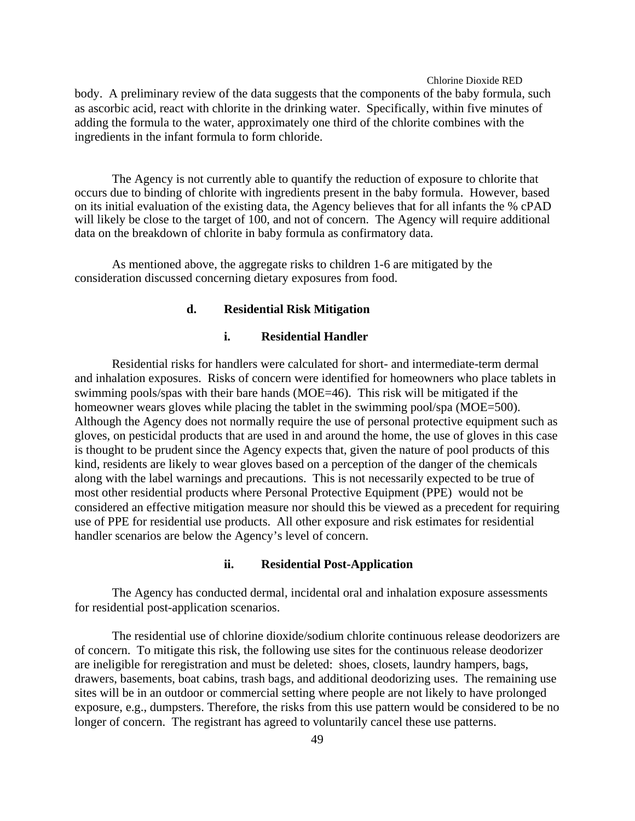body. A preliminary review of the data suggests that the components of the baby formula, such as ascorbic acid, react with chlorite in the drinking water. Specifically, within five minutes of adding the formula to the water, approximately one third of the chlorite combines with the ingredients in the infant formula to form chloride.

The Agency is not currently able to quantify the reduction of exposure to chlorite that occurs due to binding of chlorite with ingredients present in the baby formula. However, based on its initial evaluation of the existing data, the Agency believes that for all infants the % cPAD will likely be close to the target of 100, and not of concern. The Agency will require additional data on the breakdown of chlorite in baby formula as confirmatory data.

As mentioned above, the aggregate risks to children 1-6 are mitigated by the consideration discussed concerning dietary exposures from food.

#### **d. Residential Risk Mitigation**

## **i. Residential Handler**

Residential risks for handlers were calculated for short- and intermediate-term dermal and inhalation exposures. Risks of concern were identified for homeowners who place tablets in swimming pools/spas with their bare hands (MOE=46). This risk will be mitigated if the homeowner wears gloves while placing the tablet in the swimming pool/spa (MOE=500). Although the Agency does not normally require the use of personal protective equipment such as gloves, on pesticidal products that are used in and around the home, the use of gloves in this case is thought to be prudent since the Agency expects that, given the nature of pool products of this kind, residents are likely to wear gloves based on a perception of the danger of the chemicals along with the label warnings and precautions. This is not necessarily expected to be true of most other residential products where Personal Protective Equipment (PPE) would not be considered an effective mitigation measure nor should this be viewed as a precedent for requiring use of PPE for residential use products. All other exposure and risk estimates for residential handler scenarios are below the Agency's level of concern.

## **ii. Residential Post-Application**

The Agency has conducted dermal, incidental oral and inhalation exposure assessments for residential post-application scenarios.

The residential use of chlorine dioxide/sodium chlorite continuous release deodorizers are of concern. To mitigate this risk, the following use sites for the continuous release deodorizer are ineligible for reregistration and must be deleted: shoes, closets, laundry hampers, bags, drawers, basements, boat cabins, trash bags, and additional deodorizing uses. The remaining use sites will be in an outdoor or commercial setting where people are not likely to have prolonged exposure, e.g., dumpsters. Therefore, the risks from this use pattern would be considered to be no longer of concern. The registrant has agreed to voluntarily cancel these use patterns.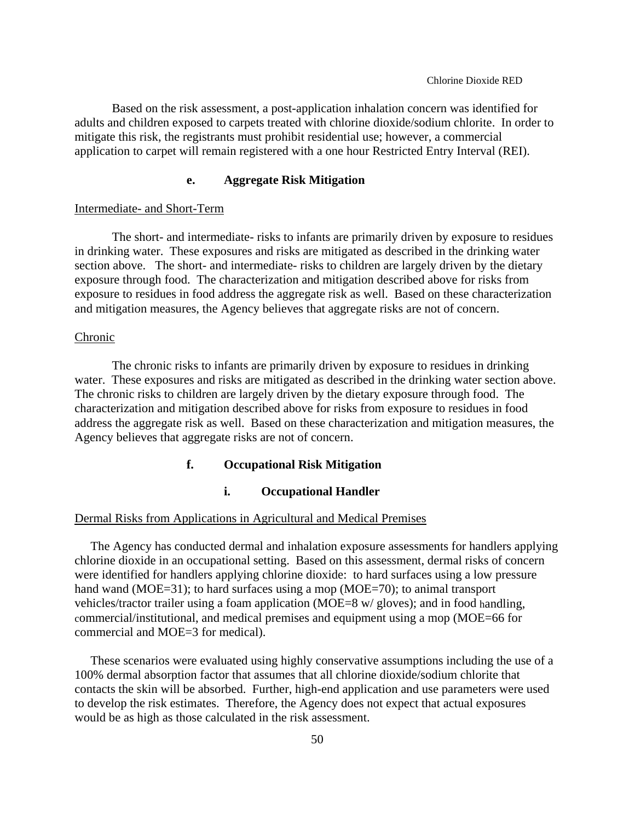Based on the risk assessment, a post-application inhalation concern was identified for adults and children exposed to carpets treated with chlorine dioxide/sodium chlorite. In order to mitigate this risk, the registrants must prohibit residential use; however, a commercial application to carpet will remain registered with a one hour Restricted Entry Interval (REI).

# **e. Aggregate Risk Mitigation**

#### Intermediate- and Short-Term

The short- and intermediate- risks to infants are primarily driven by exposure to residues in drinking water. These exposures and risks are mitigated as described in the drinking water section above. The short- and intermediate- risks to children are largely driven by the dietary exposure through food. The characterization and mitigation described above for risks from exposure to residues in food address the aggregate risk as well. Based on these characterization and mitigation measures, the Agency believes that aggregate risks are not of concern.

#### Chronic

The chronic risks to infants are primarily driven by exposure to residues in drinking water. These exposures and risks are mitigated as described in the drinking water section above. The chronic risks to children are largely driven by the dietary exposure through food. The characterization and mitigation described above for risks from exposure to residues in food address the aggregate risk as well. Based on these characterization and mitigation measures, the Agency believes that aggregate risks are not of concern.

## **f. Occupational Risk Mitigation**

## **i. Occupational Handler**

### Dermal Risks from Applications in Agricultural and Medical Premises

The Agency has conducted dermal and inhalation exposure assessments for handlers applying chlorine dioxide in an occupational setting. Based on this assessment, dermal risks of concern were identified for handlers applying chlorine dioxide: to hard surfaces using a low pressure hand wand (MOE=31); to hard surfaces using a mop (MOE=70); to animal transport vehicles/tractor trailer using a foam application (MOE=8 w/ gloves); and in food handling, commercial/institutional, and medical premises and equipment using a mop (MOE=66 for commercial and MOE=3 for medical).

These scenarios were evaluated using highly conservative assumptions including the use of a 100% dermal absorption factor that assumes that all chlorine dioxide/sodium chlorite that contacts the skin will be absorbed. Further, high-end application and use parameters were used to develop the risk estimates. Therefore, the Agency does not expect that actual exposures would be as high as those calculated in the risk assessment.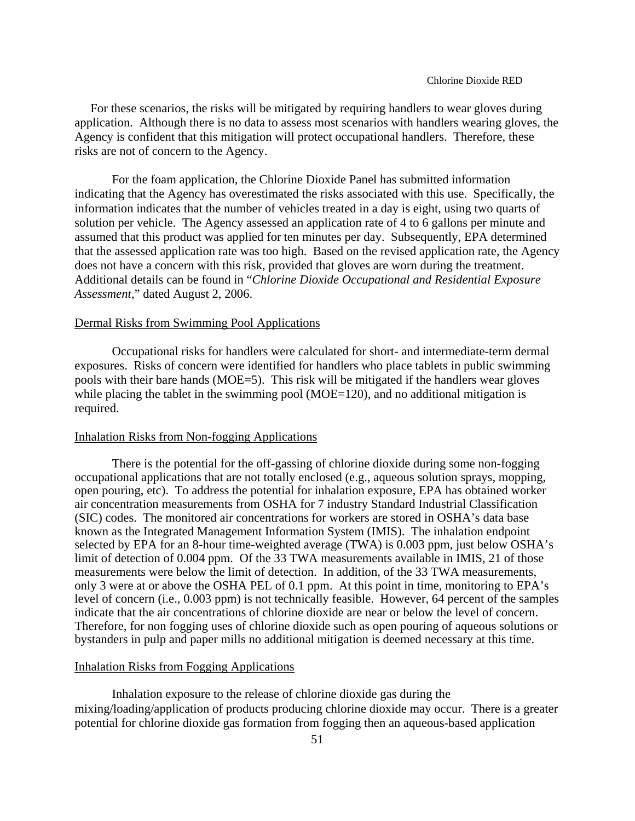For these scenarios, the risks will be mitigated by requiring handlers to wear gloves during application. Although there is no data to assess most scenarios with handlers wearing gloves, the Agency is confident that this mitigation will protect occupational handlers. Therefore, these risks are not of concern to the Agency.

For the foam application, the Chlorine Dioxide Panel has submitted information indicating that the Agency has overestimated the risks associated with this use. Specifically, the information indicates that the number of vehicles treated in a day is eight, using two quarts of solution per vehicle. The Agency assessed an application rate of 4 to 6 gallons per minute and assumed that this product was applied for ten minutes per day. Subsequently, EPA determined that the assessed application rate was too high. Based on the revised application rate, the Agency does not have a concern with this risk, provided that gloves are worn during the treatment. Additional details can be found in "*Chlorine Dioxide Occupational and Residential Exposure Assessment*," dated August 2, 2006.

## Dermal Risks from Swimming Pool Applications

Occupational risks for handlers were calculated for short- and intermediate-term dermal exposures. Risks of concern were identified for handlers who place tablets in public swimming pools with their bare hands (MOE=5). This risk will be mitigated if the handlers wear gloves while placing the tablet in the swimming pool ( $MOE=120$ ), and no additional mitigation is required.

#### Inhalation Risks from Non-fogging Applications

There is the potential for the off-gassing of chlorine dioxide during some non-fogging occupational applications that are not totally enclosed (e.g., aqueous solution sprays, mopping, open pouring, etc). To address the potential for inhalation exposure, EPA has obtained worker air concentration measurements from OSHA for 7 industry Standard Industrial Classification (SIC) codes. The monitored air concentrations for workers are stored in OSHA's data base known as the Integrated Management Information System (IMIS). The inhalation endpoint selected by EPA for an 8-hour time-weighted average (TWA) is 0.003 ppm, just below OSHA's limit of detection of 0.004 ppm. Of the 33 TWA measurements available in IMIS, 21 of those measurements were below the limit of detection. In addition, of the 33 TWA measurements, only 3 were at or above the OSHA PEL of 0.1 ppm. At this point in time, monitoring to EPA's level of concern (i.e., 0.003 ppm) is not technically feasible. However, 64 percent of the samples indicate that the air concentrations of chlorine dioxide are near or below the level of concern. Therefore, for non fogging uses of chlorine dioxide such as open pouring of aqueous solutions or bystanders in pulp and paper mills no additional mitigation is deemed necessary at this time.

## Inhalation Risks from Fogging Applications

Inhalation exposure to the release of chlorine dioxide gas during the mixing/loading/application of products producing chlorine dioxide may occur. There is a greater potential for chlorine dioxide gas formation from fogging then an aqueous-based application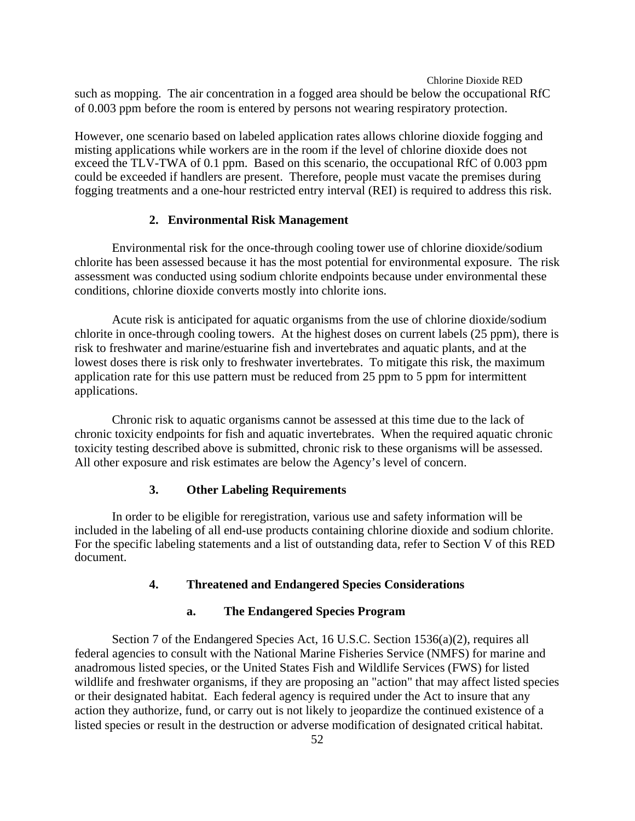such as mopping. The air concentration in a fogged area should be below the occupational RfC of 0.003 ppm before the room is entered by persons not wearing respiratory protection.

However, one scenario based on labeled application rates allows chlorine dioxide fogging and misting applications while workers are in the room if the level of chlorine dioxide does not exceed the TLV-TWA of 0.1 ppm. Based on this scenario, the occupational RfC of 0.003 ppm could be exceeded if handlers are present. Therefore, people must vacate the premises during fogging treatments and a one-hour restricted entry interval (REI) is required to address this risk.

## **2. Environmental Risk Management**

Environmental risk for the once-through cooling tower use of chlorine dioxide/sodium chlorite has been assessed because it has the most potential for environmental exposure. The risk assessment was conducted using sodium chlorite endpoints because under environmental these conditions, chlorine dioxide converts mostly into chlorite ions.

Acute risk is anticipated for aquatic organisms from the use of chlorine dioxide/sodium chlorite in once-through cooling towers. At the highest doses on current labels (25 ppm), there is risk to freshwater and marine/estuarine fish and invertebrates and aquatic plants, and at the lowest doses there is risk only to freshwater invertebrates. To mitigate this risk, the maximum application rate for this use pattern must be reduced from 25 ppm to 5 ppm for intermittent applications.

Chronic risk to aquatic organisms cannot be assessed at this time due to the lack of chronic toxicity endpoints for fish and aquatic invertebrates. When the required aquatic chronic toxicity testing described above is submitted, chronic risk to these organisms will be assessed. All other exposure and risk estimates are below the Agency's level of concern.

## **3. Other Labeling Requirements**

In order to be eligible for reregistration, various use and safety information will be included in the labeling of all end-use products containing chlorine dioxide and sodium chlorite. For the specific labeling statements and a list of outstanding data, refer to Section V of this RED document.

## **4. Threatened and Endangered Species Considerations**

## **a. The Endangered Species Program**

Section 7 of the Endangered Species Act, 16 U.S.C. Section 1536(a)(2), requires all federal agencies to consult with the National Marine Fisheries Service (NMFS) for marine and anadromous listed species, or the United States Fish and Wildlife Services (FWS) for listed wildlife and freshwater organisms, if they are proposing an "action" that may affect listed species or their designated habitat. Each federal agency is required under the Act to insure that any action they authorize, fund, or carry out is not likely to jeopardize the continued existence of a listed species or result in the destruction or adverse modification of designated critical habitat.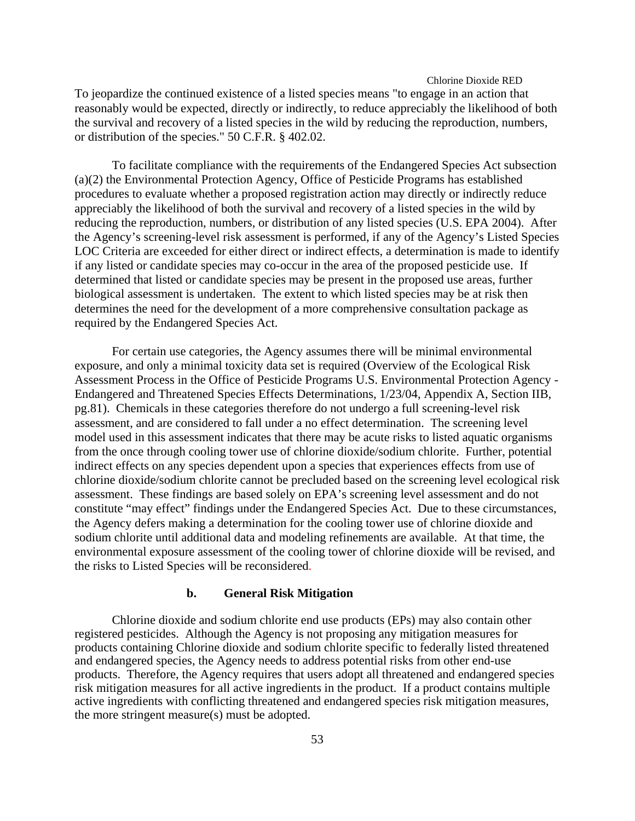To jeopardize the continued existence of a listed species means "to engage in an action that reasonably would be expected, directly or indirectly, to reduce appreciably the likelihood of both the survival and recovery of a listed species in the wild by reducing the reproduction, numbers, or distribution of the species." 50 C.F.R. § 402.02.

To facilitate compliance with the requirements of the Endangered Species Act subsection (a)(2) the Environmental Protection Agency, Office of Pesticide Programs has established procedures to evaluate whether a proposed registration action may directly or indirectly reduce appreciably the likelihood of both the survival and recovery of a listed species in the wild by reducing the reproduction, numbers, or distribution of any listed species (U.S. EPA 2004). After the Agency's screening-level risk assessment is performed, if any of the Agency's Listed Species LOC Criteria are exceeded for either direct or indirect effects, a determination is made to identify if any listed or candidate species may co-occur in the area of the proposed pesticide use. If determined that listed or candidate species may be present in the proposed use areas, further biological assessment is undertaken. The extent to which listed species may be at risk then determines the need for the development of a more comprehensive consultation package as required by the Endangered Species Act.

For certain use categories, the Agency assumes there will be minimal environmental exposure, and only a minimal toxicity data set is required (Overview of the Ecological Risk Assessment Process in the Office of Pesticide Programs U.S. Environmental Protection Agency - Endangered and Threatened Species Effects Determinations, 1/23/04, Appendix A, Section IIB, pg.81). Chemicals in these categories therefore do not undergo a full screening-level risk assessment, and are considered to fall under a no effect determination. The screening level model used in this assessment indicates that there may be acute risks to listed aquatic organisms from the once through cooling tower use of chlorine dioxide/sodium chlorite. Further, potential indirect effects on any species dependent upon a species that experiences effects from use of chlorine dioxide/sodium chlorite cannot be precluded based on the screening level ecological risk assessment. These findings are based solely on EPA's screening level assessment and do not constitute "may effect" findings under the Endangered Species Act. Due to these circumstances, the Agency defers making a determination for the cooling tower use of chlorine dioxide and sodium chlorite until additional data and modeling refinements are available. At that time, the environmental exposure assessment of the cooling tower of chlorine dioxide will be revised, and the risks to Listed Species will be reconsidered.

## **b. General Risk Mitigation**

Chlorine dioxide and sodium chlorite end use products (EPs) may also contain other registered pesticides. Although the Agency is not proposing any mitigation measures for products containing Chlorine dioxide and sodium chlorite specific to federally listed threatened and endangered species, the Agency needs to address potential risks from other end-use products. Therefore, the Agency requires that users adopt all threatened and endangered species risk mitigation measures for all active ingredients in the product. If a product contains multiple active ingredients with conflicting threatened and endangered species risk mitigation measures, the more stringent measure(s) must be adopted.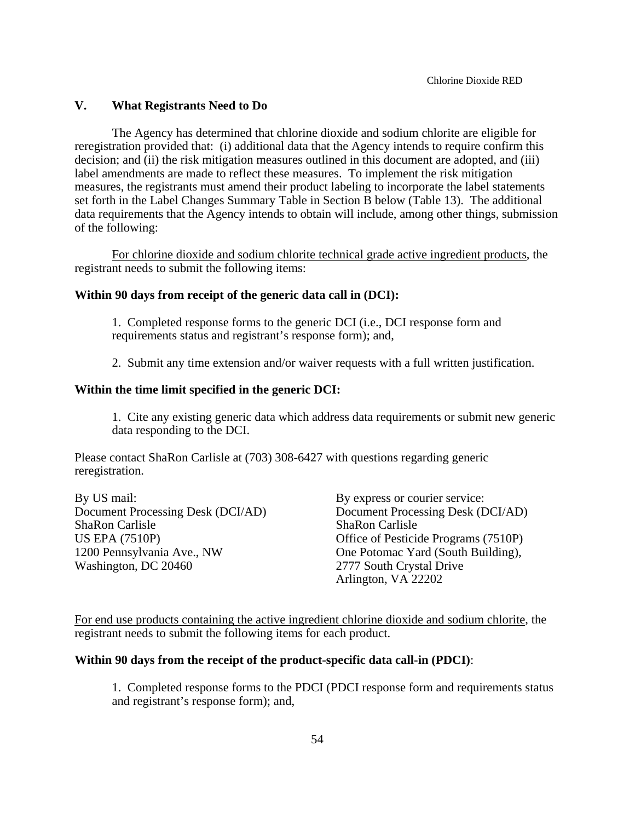## **V. What Registrants Need to Do**

The Agency has determined that chlorine dioxide and sodium chlorite are eligible for reregistration provided that: (i) additional data that the Agency intends to require confirm this decision; and (ii) the risk mitigation measures outlined in this document are adopted, and (iii) label amendments are made to reflect these measures. To implement the risk mitigation measures, the registrants must amend their product labeling to incorporate the label statements set forth in the Label Changes Summary Table in Section B below (Table 13). The additional data requirements that the Agency intends to obtain will include, among other things, submission of the following:

For chlorine dioxide and sodium chlorite technical grade active ingredient products, the registrant needs to submit the following items:

#### **Within 90 days from receipt of the generic data call in (DCI):**

1. Completed response forms to the generic DCI (i.e., DCI response form and requirements status and registrant's response form); and,

2. Submit any time extension and/or waiver requests with a full written justification.

### **Within the time limit specified in the generic DCI:**

1. Cite any existing generic data which address data requirements or submit new generic data responding to the DCI.

Please contact ShaRon Carlisle at (703) 308-6427 with questions regarding generic reregistration.

By US mail: By express or courier service: Document Processing Desk (DCI/AD) Document Processing Desk (DCI/AD) ShaRon Carlisle ShaRon Carlisle US EPA (7510P) Office of Pesticide Programs (7510P) 1200 Pennsylvania Ave., NW One Potomac Yard (South Building), Washington, DC 20460 2777 South Crystal Drive

Arlington, VA 22202

For end use products containing the active ingredient chlorine dioxide and sodium chlorite, the registrant needs to submit the following items for each product.

## **Within 90 days from the receipt of the product-specific data call-in (PDCI)**:

1. Completed response forms to the PDCI (PDCI response form and requirements status and registrant's response form); and,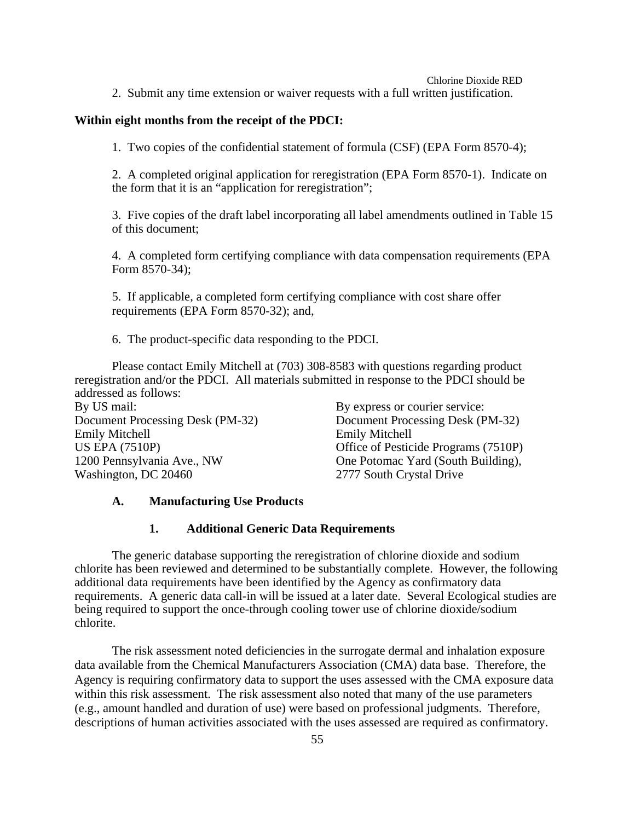2. Submit any time extension or waiver requests with a full written justification.

### **Within eight months from the receipt of the PDCI:**

1. Two copies of the confidential statement of formula (CSF) (EPA Form 8570-4);

2. A completed original application for reregistration (EPA Form 8570-1). Indicate on the form that it is an "application for reregistration";

3. Five copies of the draft label incorporating all label amendments outlined in Table 15 of this document;

4. A completed form certifying compliance with data compensation requirements (EPA Form 8570-34);

5. If applicable, a completed form certifying compliance with cost share offer requirements (EPA Form 8570-32); and,

6. The product-specific data responding to the PDCI.

Please contact Emily Mitchell at (703) 308-8583 with questions regarding product reregistration and/or the PDCI. All materials submitted in response to the PDCI should be addressed as follows:

By US mail: By express or courier service: Emily Mitchell Emily Mitchell Washington, DC 20460 2777 South Crystal Drive

Document Processing Desk (PM-32) Document Processing Desk (PM-32) Office of Pesticide Programs (7510P) 1200 Pennsylvania Ave., NW One Potomac Yard (South Building),

## **A. Manufacturing Use Products**

#### **1. Additional Generic Data Requirements**

The generic database supporting the reregistration of chlorine dioxide and sodium chlorite has been reviewed and determined to be substantially complete. However, the following additional data requirements have been identified by the Agency as confirmatory data requirements. A generic data call-in will be issued at a later date. Several Ecological studies are being required to support the once-through cooling tower use of chlorine dioxide/sodium chlorite.

The risk assessment noted deficiencies in the surrogate dermal and inhalation exposure data available from the Chemical Manufacturers Association (CMA) data base. Therefore, the Agency is requiring confirmatory data to support the uses assessed with the CMA exposure data within this risk assessment. The risk assessment also noted that many of the use parameters (e.g., amount handled and duration of use) were based on professional judgments. Therefore, descriptions of human activities associated with the uses assessed are required as confirmatory.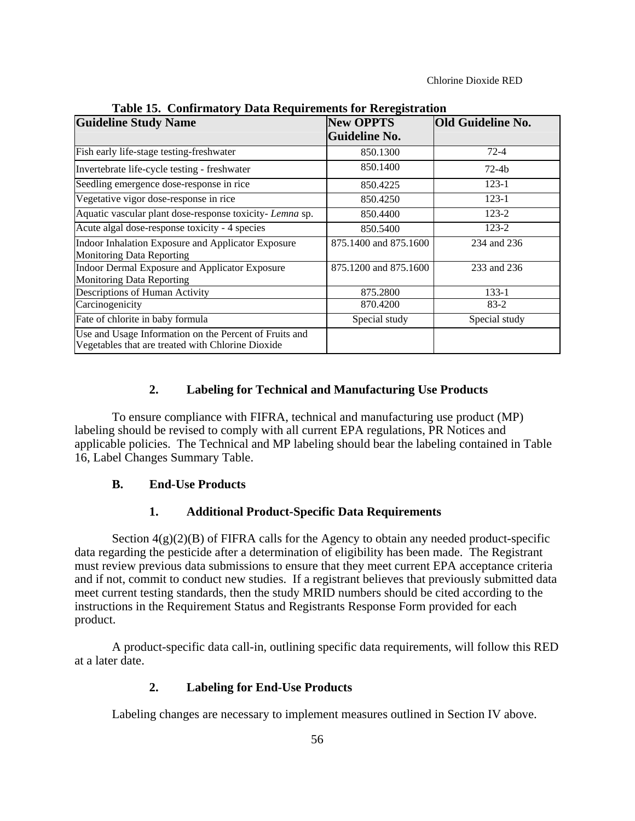| <b>Guideline Study Name</b>                                                                                 | <b>New OPPTS</b>      | <b>Old Guideline No.</b> |  |
|-------------------------------------------------------------------------------------------------------------|-----------------------|--------------------------|--|
|                                                                                                             | <b>Guideline No.</b>  |                          |  |
| Fish early life-stage testing-freshwater                                                                    | 850.1300              | $72 - 4$                 |  |
| Invertebrate life-cycle testing - freshwater                                                                | 850.1400              | $72-4b$                  |  |
| Seedling emergence dose-response in rice                                                                    | 850.4225              | $123-1$                  |  |
| Vegetative vigor dose-response in rice                                                                      | 850.4250              | $123-1$                  |  |
| Aquatic vascular plant dose-response toxicity- Lemna sp.                                                    | 850.4400              | $123 - 2$                |  |
| Acute algal dose-response toxicity - 4 species                                                              | 850.5400              | $123 - 2$                |  |
| Indoor Inhalation Exposure and Applicator Exposure<br><b>Monitoring Data Reporting</b>                      | 875.1400 and 875.1600 | 234 and 236              |  |
| Indoor Dermal Exposure and Applicator Exposure<br><b>Monitoring Data Reporting</b>                          | 875.1200 and 875.1600 | 233 and 236              |  |
| Descriptions of Human Activity                                                                              | 875.2800              | $133 - 1$                |  |
| Carcinogenicity                                                                                             | 870.4200              | $83-2$                   |  |
| Fate of chlorite in baby formula                                                                            | Special study         | Special study            |  |
| Use and Usage Information on the Percent of Fruits and<br>Vegetables that are treated with Chlorine Dioxide |                       |                          |  |

**Table 15. Confirmatory Data Requirements for Reregistration** 

## **2. Labeling for Technical and Manufacturing Use Products**

To ensure compliance with FIFRA, technical and manufacturing use product (MP) labeling should be revised to comply with all current EPA regulations, PR Notices and applicable policies. The Technical and MP labeling should bear the labeling contained in Table 16, Label Changes Summary Table.

## **B. End-Use Products**

## **1. Additional Product-Specific Data Requirements**

Section  $4(g)(2)(B)$  of FIFRA calls for the Agency to obtain any needed product-specific data regarding the pesticide after a determination of eligibility has been made. The Registrant must review previous data submissions to ensure that they meet current EPA acceptance criteria and if not, commit to conduct new studies. If a registrant believes that previously submitted data meet current testing standards, then the study MRID numbers should be cited according to the instructions in the Requirement Status and Registrants Response Form provided for each product.

A product-specific data call-in, outlining specific data requirements, will follow this RED at a later date.

## **2. Labeling for End-Use Products**

Labeling changes are necessary to implement measures outlined in Section IV above.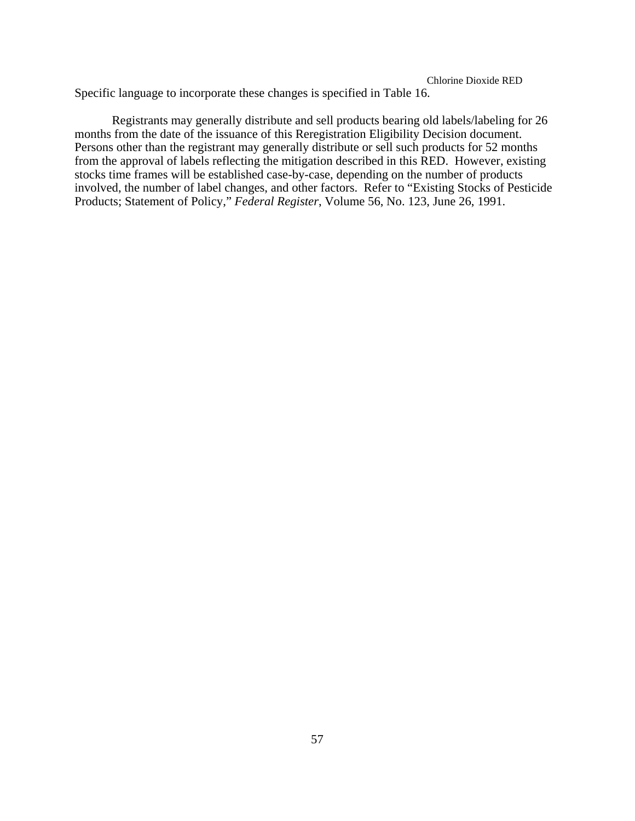Chlorine Dioxide RED Specific language to incorporate these changes is specified in Table 16.

Registrants may generally distribute and sell products bearing old labels/labeling for 26 months from the date of the issuance of this Reregistration Eligibility Decision document. Persons other than the registrant may generally distribute or sell such products for 52 months from the approval of labels reflecting the mitigation described in this RED. However, existing stocks time frames will be established case-by-case, depending on the number of products involved, the number of label changes, and other factors. Refer to "Existing Stocks of Pesticide Products; Statement of Policy," *Federal Register*, Volume 56, No. 123, June 26, 1991.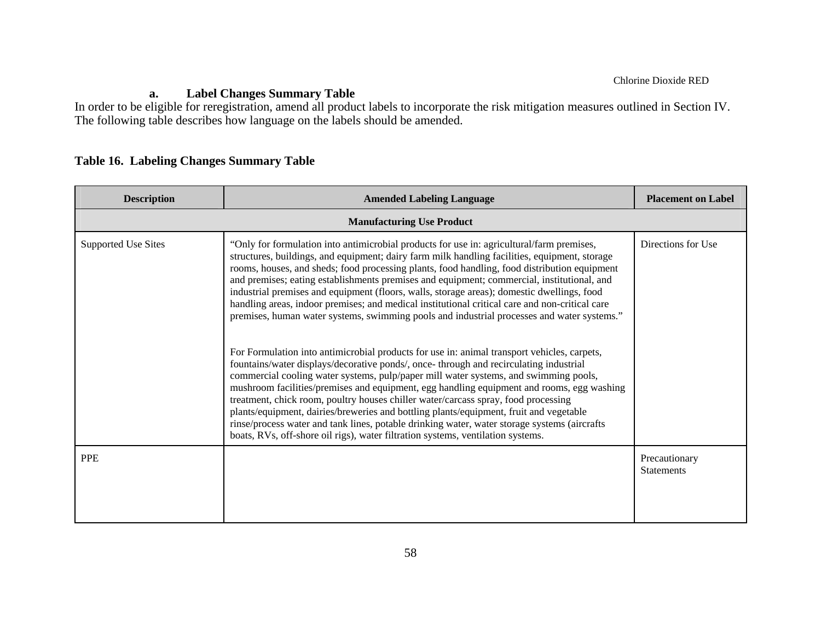# **a. Label Changes Summary Table**

In order to be eligible for reregistration, amend all product labels to incorporate the risk mitigation measures outlined in Section IV. The following table describes how language on the labels should be amended.

# **Table 16. Labeling Changes Summary Table**

| <b>Description</b>               | <b>Amended Labeling Language</b>                                                                                                                                                                                                                                                                                                                                                                                                                                                                                                                                                                                                                                                                                                              | <b>Placement on Label</b>          |  |  |
|----------------------------------|-----------------------------------------------------------------------------------------------------------------------------------------------------------------------------------------------------------------------------------------------------------------------------------------------------------------------------------------------------------------------------------------------------------------------------------------------------------------------------------------------------------------------------------------------------------------------------------------------------------------------------------------------------------------------------------------------------------------------------------------------|------------------------------------|--|--|
| <b>Manufacturing Use Product</b> |                                                                                                                                                                                                                                                                                                                                                                                                                                                                                                                                                                                                                                                                                                                                               |                                    |  |  |
| <b>Supported Use Sites</b>       | "Only for formulation into antimicrobial products for use in: agricultural/farm premises,<br>structures, buildings, and equipment; dairy farm milk handling facilities, equipment, storage<br>rooms, houses, and sheds; food processing plants, food handling, food distribution equipment<br>and premises; eating establishments premises and equipment; commercial, institutional, and<br>industrial premises and equipment (floors, walls, storage areas); domestic dwellings, food<br>handling areas, indoor premises; and medical institutional critical care and non-critical care<br>premises, human water systems, swimming pools and industrial processes and water systems."                                                        | Directions for Use                 |  |  |
|                                  | For Formulation into antimicrobial products for use in: animal transport vehicles, carpets,<br>fountains/water displays/decorative ponds/, once- through and recirculating industrial<br>commercial cooling water systems, pulp/paper mill water systems, and swimming pools,<br>mushroom facilities/premises and equipment, egg handling equipment and rooms, egg washing<br>treatment, chick room, poultry houses chiller water/carcass spray, food processing<br>plants/equipment, dairies/breweries and bottling plants/equipment, fruit and vegetable<br>rinse/process water and tank lines, potable drinking water, water storage systems (aircrafts<br>boats, RVs, off-shore oil rigs), water filtration systems, ventilation systems. |                                    |  |  |
| <b>PPE</b>                       |                                                                                                                                                                                                                                                                                                                                                                                                                                                                                                                                                                                                                                                                                                                                               | Precautionary<br><b>Statements</b> |  |  |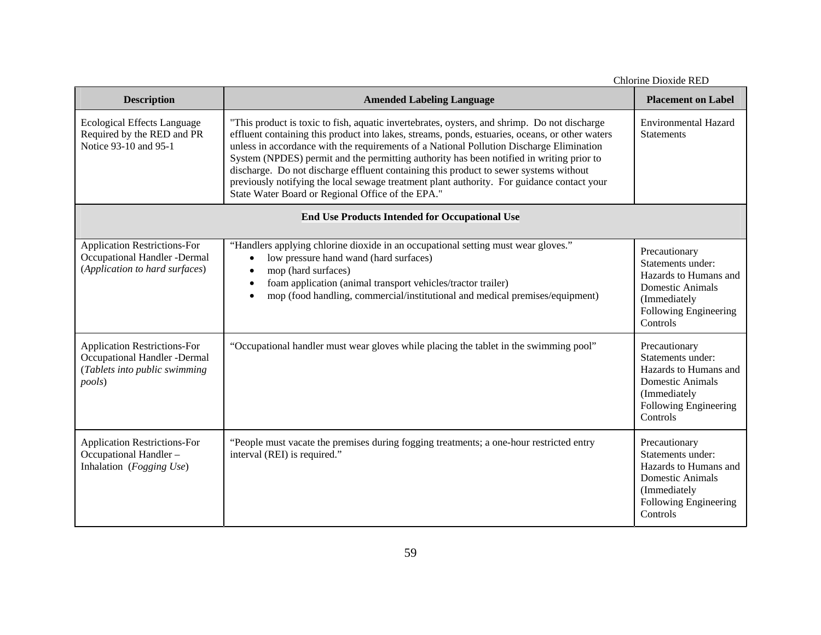| Chlorine Dioxide RED                                                                                           |                                                                                                                                                                                                                                                                                                                                                                                                                                                                                                                                                                                                                                     |                                                                                                                                             |  |  |
|----------------------------------------------------------------------------------------------------------------|-------------------------------------------------------------------------------------------------------------------------------------------------------------------------------------------------------------------------------------------------------------------------------------------------------------------------------------------------------------------------------------------------------------------------------------------------------------------------------------------------------------------------------------------------------------------------------------------------------------------------------------|---------------------------------------------------------------------------------------------------------------------------------------------|--|--|
| <b>Description</b>                                                                                             | <b>Amended Labeling Language</b>                                                                                                                                                                                                                                                                                                                                                                                                                                                                                                                                                                                                    | <b>Placement on Label</b>                                                                                                                   |  |  |
| <b>Ecological Effects Language</b><br>Required by the RED and PR<br>Notice 93-10 and 95-1                      | "This product is toxic to fish, aquatic invertebrates, oysters, and shrimp. Do not discharge<br>effluent containing this product into lakes, streams, ponds, estuaries, oceans, or other waters<br>unless in accordance with the requirements of a National Pollution Discharge Elimination<br>System (NPDES) permit and the permitting authority has been notified in writing prior to<br>discharge. Do not discharge effluent containing this product to sewer systems without<br>previously notifying the local sewage treatment plant authority. For guidance contact your<br>State Water Board or Regional Office of the EPA." | <b>Environmental Hazard</b><br><b>Statements</b>                                                                                            |  |  |
| <b>End Use Products Intended for Occupational Use</b>                                                          |                                                                                                                                                                                                                                                                                                                                                                                                                                                                                                                                                                                                                                     |                                                                                                                                             |  |  |
| <b>Application Restrictions-For</b><br>Occupational Handler -Dermal<br>(Application to hard surfaces)          | "Handlers applying chlorine dioxide in an occupational setting must wear gloves."<br>low pressure hand wand (hard surfaces)<br>mop (hard surfaces)<br>foam application (animal transport vehicles/tractor trailer)<br>mop (food handling, commercial/institutional and medical premises/equipment)<br>$\bullet$                                                                                                                                                                                                                                                                                                                     | Precautionary<br>Statements under:<br>Hazards to Humans and<br>Domestic Animals<br>(Immediately<br>Following Engineering<br>Controls        |  |  |
| <b>Application Restrictions-For</b><br>Occupational Handler -Dermal<br>(Tablets into public swimming<br>pools) | "Occupational handler must wear gloves while placing the tablet in the swimming pool"                                                                                                                                                                                                                                                                                                                                                                                                                                                                                                                                               | Precautionary<br>Statements under:<br>Hazards to Humans and<br><b>Domestic Animals</b><br>(Immediately<br>Following Engineering<br>Controls |  |  |
| <b>Application Restrictions-For</b><br>Occupational Handler-<br>Inhalation (Fogging Use)                       | "People must vacate the premises during fogging treatments; a one-hour restricted entry<br>interval (REI) is required."                                                                                                                                                                                                                                                                                                                                                                                                                                                                                                             | Precautionary<br>Statements under:<br>Hazards to Humans and<br>Domestic Animals<br>(Immediately<br>Following Engineering<br>Controls        |  |  |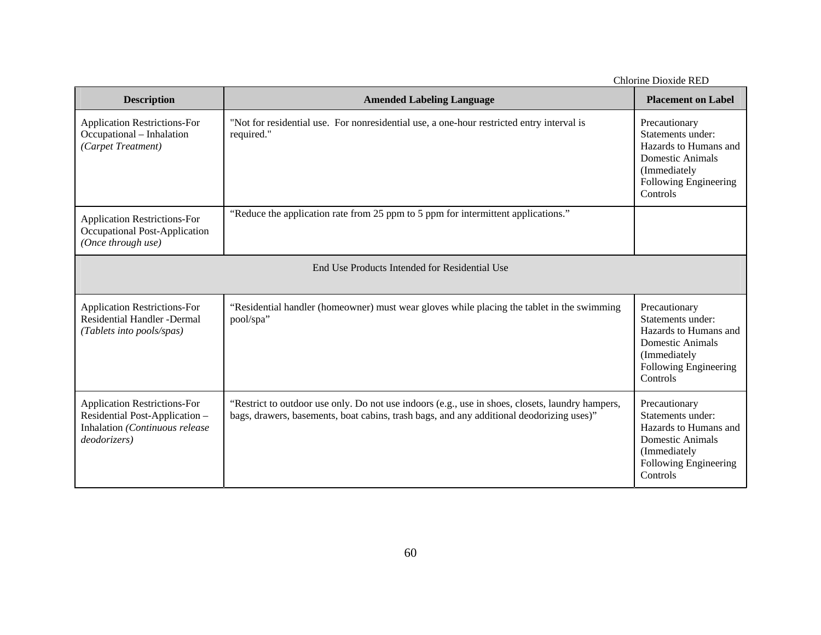| Chlorine Dioxide RED                                                                                                    |                                                                                                                                                                                              |                                                                                                                                             |  |
|-------------------------------------------------------------------------------------------------------------------------|----------------------------------------------------------------------------------------------------------------------------------------------------------------------------------------------|---------------------------------------------------------------------------------------------------------------------------------------------|--|
| <b>Description</b>                                                                                                      | <b>Amended Labeling Language</b>                                                                                                                                                             | <b>Placement on Label</b>                                                                                                                   |  |
| <b>Application Restrictions-For</b><br>Occupational - Inhalation<br>(Carpet Treatment)                                  | "Not for residential use. For nonresidential use, a one-hour restricted entry interval is<br>required."                                                                                      | Precautionary<br>Statements under:<br>Hazards to Humans and<br>Domestic Animals<br>(Immediately<br>Following Engineering<br>Controls        |  |
| <b>Application Restrictions-For</b><br>Occupational Post-Application<br>(Once through use)                              | "Reduce the application rate from 25 ppm to 5 ppm for intermittent applications."                                                                                                            |                                                                                                                                             |  |
| End Use Products Intended for Residential Use                                                                           |                                                                                                                                                                                              |                                                                                                                                             |  |
| <b>Application Restrictions-For</b><br><b>Residential Handler - Dermal</b><br>(Tablets into pools/spas)                 | "Residential handler (homeowner) must wear gloves while placing the tablet in the swimming<br>pool/spa"                                                                                      | Precautionary<br>Statements under:<br>Hazards to Humans and<br><b>Domestic Animals</b><br>(Immediately<br>Following Engineering<br>Controls |  |
| <b>Application Restrictions-For</b><br>Residential Post-Application -<br>Inhalation (Continuous release<br>deodorizers) | "Restrict to outdoor use only. Do not use indoors (e.g., use in shoes, closets, laundry hampers,<br>bags, drawers, basements, boat cabins, trash bags, and any additional deodorizing uses)" | Precautionary<br>Statements under:<br>Hazards to Humans and<br><b>Domestic Animals</b><br>(Immediately<br>Following Engineering<br>Controls |  |

Chlorine Dioxide RED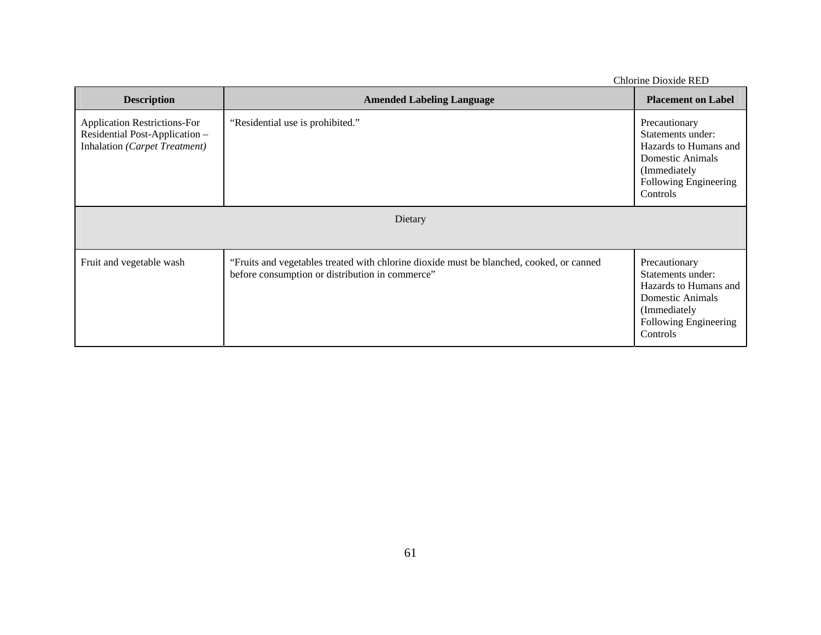| CHIOLING DIOXIGE KED                                                                                   |                                                                                                                                             |                                                                                                                                              |
|--------------------------------------------------------------------------------------------------------|---------------------------------------------------------------------------------------------------------------------------------------------|----------------------------------------------------------------------------------------------------------------------------------------------|
| <b>Description</b>                                                                                     | <b>Amended Labeling Language</b>                                                                                                            | <b>Placement on Label</b>                                                                                                                    |
| <b>Application Restrictions-For</b><br>Residential Post-Application -<br>Inhalation (Carpet Treatment) | "Residential use is prohibited."                                                                                                            | Precautionary<br>Statements under:<br>Hazards to Humans and<br><b>Domestic Animals</b><br>(Immediately)<br>Following Engineering<br>Controls |
|                                                                                                        | Dietary                                                                                                                                     |                                                                                                                                              |
| Fruit and vegetable wash                                                                               | "Fruits and vegetables treated with chlorine dioxide must be blanched, cooked, or canned<br>before consumption or distribution in commerce" | Precautionary<br>Statements under:<br>Hazards to Humans and<br>Domestic Animals<br>(Immediately<br>Following Engineering<br>Controls         |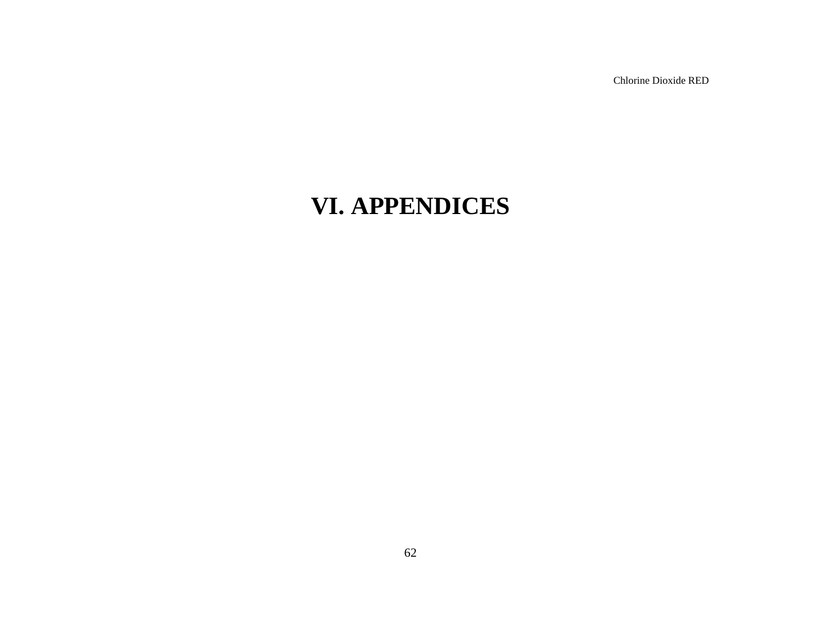# **VI. APPENDICES**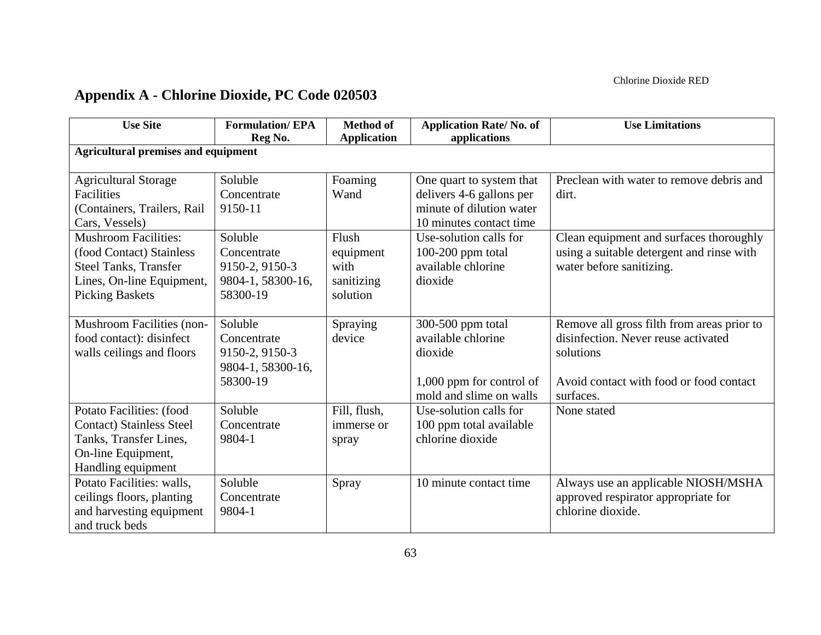## **Appendix A - Chlorine Dioxide, PC Code 020503**

| <b>Use Site</b>                            | <b>Formulation/EPA</b> | <b>Method of</b>   | <b>Application Rate/No. of</b> | <b>Use Limitations</b>                     |  |  |  |
|--------------------------------------------|------------------------|--------------------|--------------------------------|--------------------------------------------|--|--|--|
| <b>Agricultural premises and equipment</b> | Reg No.                | <b>Application</b> | applications                   |                                            |  |  |  |
|                                            |                        |                    |                                |                                            |  |  |  |
| <b>Agricultural Storage</b>                | Soluble                | Foaming            | One quart to system that       | Preclean with water to remove debris and   |  |  |  |
| Facilities                                 | Concentrate            | Wand               | delivers 4-6 gallons per       | dirt.                                      |  |  |  |
| (Containers, Trailers, Rail                | 9150-11                |                    | minute of dilution water       |                                            |  |  |  |
| Cars, Vessels)                             |                        |                    | 10 minutes contact time        |                                            |  |  |  |
| <b>Mushroom Facilities:</b>                | Soluble                | Flush              | Use-solution calls for         | Clean equipment and surfaces thoroughly    |  |  |  |
| (food Contact) Stainless                   | Concentrate            | equipment          | $100-200$ ppm total            | using a suitable detergent and rinse with  |  |  |  |
| <b>Steel Tanks, Transfer</b>               | 9150-2, 9150-3         | with               | available chlorine             | water before sanitizing.                   |  |  |  |
| Lines, On-line Equipment,                  | 9804-1, 58300-16,      | sanitizing         | dioxide                        |                                            |  |  |  |
| <b>Picking Baskets</b>                     | 58300-19               | solution           |                                |                                            |  |  |  |
|                                            |                        |                    |                                |                                            |  |  |  |
| Mushroom Facilities (non-                  | Soluble                | Spraying           | 300-500 ppm total              | Remove all gross filth from areas prior to |  |  |  |
| food contact): disinfect                   | Concentrate            | device             | available chlorine             | disinfection. Never reuse activated        |  |  |  |
| walls ceilings and floors                  | 9150-2, 9150-3         |                    | dioxide                        | solutions                                  |  |  |  |
|                                            | 9804-1, 58300-16,      |                    |                                |                                            |  |  |  |
|                                            | 58300-19               |                    | 1,000 ppm for control of       | Avoid contact with food or food contact    |  |  |  |
|                                            |                        |                    | mold and slime on walls        | surfaces.                                  |  |  |  |
| Potato Facilities: (food                   | Soluble                | Fill, flush,       | Use-solution calls for         | None stated                                |  |  |  |
| <b>Contact) Stainless Steel</b>            | Concentrate            | immerse or         | 100 ppm total available        |                                            |  |  |  |
| Tanks, Transfer Lines,                     | 9804-1                 | spray              | chlorine dioxide               |                                            |  |  |  |
| On-line Equipment,                         |                        |                    |                                |                                            |  |  |  |
| Handling equipment                         |                        |                    |                                |                                            |  |  |  |
| Potato Facilities: walls,                  | Soluble                | Spray              | 10 minute contact time         | Always use an applicable NIOSH/MSHA        |  |  |  |
| ceilings floors, planting                  | Concentrate            |                    |                                | approved respirator appropriate for        |  |  |  |
| and harvesting equipment                   | 9804-1                 |                    |                                | chlorine dioxide.                          |  |  |  |
| and truck beds                             |                        |                    |                                |                                            |  |  |  |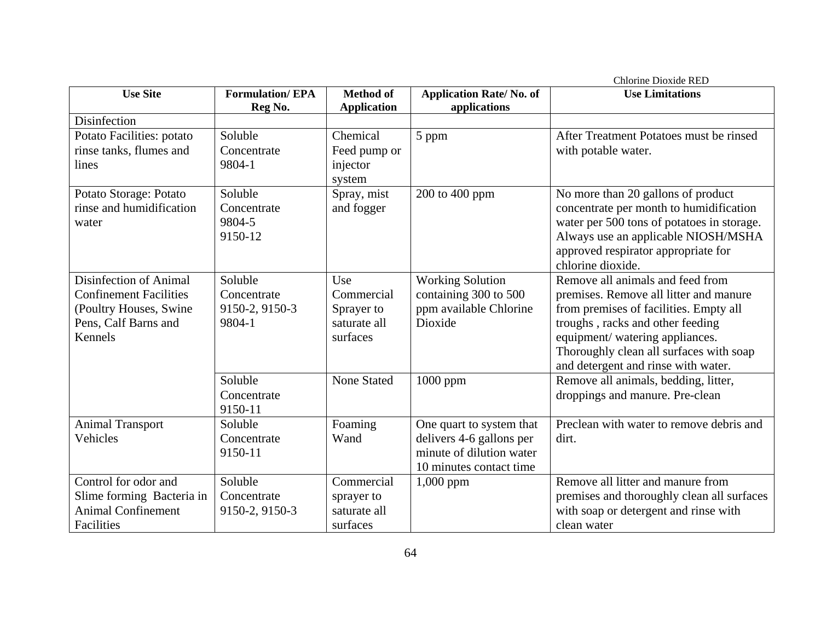|                               |                        |                       |                                | <b>Chlorine Dioxide RED</b>                |
|-------------------------------|------------------------|-----------------------|--------------------------------|--------------------------------------------|
| <b>Use Site</b>               | <b>Formulation/EPA</b> | <b>Method of</b>      | <b>Application Rate/No. of</b> | <b>Use Limitations</b>                     |
| Disinfection                  | Reg No.                | <b>Application</b>    | applications                   |                                            |
|                               |                        |                       |                                |                                            |
| Potato Facilities: potato     | Soluble                | Chemical              | 5 ppm                          | After Treatment Potatoes must be rinsed    |
| rinse tanks, flumes and       | Concentrate<br>9804-1  | Feed pump or          |                                | with potable water.                        |
| lines                         |                        | injector              |                                |                                            |
| Potato Storage: Potato        | Soluble                | system<br>Spray, mist | 200 to 400 ppm                 | No more than 20 gallons of product         |
| rinse and humidification      | Concentrate            | and fogger            |                                | concentrate per month to humidification    |
| water                         | 9804-5                 |                       |                                | water per 500 tons of potatoes in storage. |
|                               | 9150-12                |                       |                                | Always use an applicable NIOSH/MSHA        |
|                               |                        |                       |                                | approved respirator appropriate for        |
|                               |                        |                       |                                | chlorine dioxide.                          |
| Disinfection of Animal        | Soluble                | Use                   | Working Solution               | Remove all animals and feed from           |
| <b>Confinement Facilities</b> | Concentrate            | Commercial            | containing 300 to 500          | premises. Remove all litter and manure     |
| (Poultry Houses, Swine        | 9150-2, 9150-3         | Sprayer to            | ppm available Chlorine         | from premises of facilities. Empty all     |
| Pens, Calf Barns and          | 9804-1                 | saturate all          | Dioxide                        | troughs, racks and other feeding           |
| Kennels                       |                        | surfaces              |                                | equipment/ watering appliances.            |
|                               |                        |                       |                                | Thoroughly clean all surfaces with soap    |
|                               |                        |                       |                                | and detergent and rinse with water.        |
|                               | Soluble                | <b>None Stated</b>    | 1000 ppm                       | Remove all animals, bedding, litter,       |
|                               | Concentrate            |                       |                                | droppings and manure. Pre-clean            |
|                               | 9150-11                |                       |                                |                                            |
| <b>Animal Transport</b>       | Soluble                | Foaming               | One quart to system that       | Preclean with water to remove debris and   |
| Vehicles                      | Concentrate            | Wand                  | delivers 4-6 gallons per       | dirt.                                      |
|                               | 9150-11                |                       | minute of dilution water       |                                            |
|                               |                        |                       | 10 minutes contact time        |                                            |
| Control for odor and          | Soluble                | Commercial            | $1,000$ ppm                    | Remove all litter and manure from          |
| Slime forming Bacteria in     | Concentrate            | sprayer to            |                                | premises and thoroughly clean all surfaces |
| <b>Animal Confinement</b>     | 9150-2, 9150-3         | saturate all          |                                | with soap or detergent and rinse with      |
| Facilities                    |                        | surfaces              |                                | clean water                                |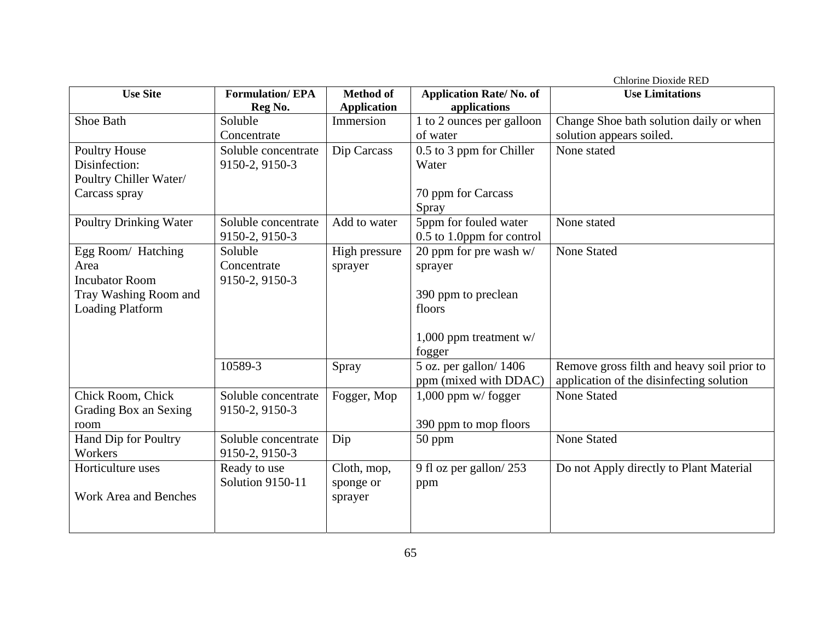|                               |                         |                    |                                     | <b>Chlorine Dioxide RED</b>                |
|-------------------------------|-------------------------|--------------------|-------------------------------------|--------------------------------------------|
| <b>Use Site</b>               | <b>Formulation/EPA</b>  | <b>Method of</b>   | <b>Application Rate/No. of</b>      | <b>Use Limitations</b>                     |
|                               | Reg No.                 | <b>Application</b> | applications                        |                                            |
| Shoe Bath                     | Soluble                 | Immersion          | 1 to 2 ounces per galloon           | Change Shoe bath solution daily or when    |
|                               | Concentrate             |                    | of water                            | solution appears soiled.                   |
| <b>Poultry House</b>          | Soluble concentrate     | Dip Carcass        | 0.5 to 3 ppm for Chiller            | None stated                                |
| Disinfection:                 | 9150-2, 9150-3          |                    | Water                               |                                            |
| Poultry Chiller Water/        |                         |                    |                                     |                                            |
| Carcass spray                 |                         |                    | 70 ppm for Carcass                  |                                            |
|                               |                         |                    | Spray                               |                                            |
| <b>Poultry Drinking Water</b> | Soluble concentrate     | Add to water       | 5ppm for fouled water               | None stated                                |
|                               | 9150-2, 9150-3          |                    | 0.5 to 1.0ppm for control           |                                            |
| Egg Room/ Hatching            | Soluble                 | High pressure      | 20 ppm for pre wash $w/$            | <b>None Stated</b>                         |
| Area                          | Concentrate             | sprayer            | sprayer                             |                                            |
| <b>Incubator Room</b>         | 9150-2, 9150-3          |                    |                                     |                                            |
| Tray Washing Room and         |                         |                    | 390 ppm to preclean                 |                                            |
| <b>Loading Platform</b>       |                         |                    | floors                              |                                            |
|                               |                         |                    |                                     |                                            |
|                               |                         |                    | 1,000 ppm treatment w/              |                                            |
|                               |                         |                    | fogger                              |                                            |
|                               | 10589-3                 | Spray              | 5 oz. per gallon/ $14\overline{06}$ | Remove gross filth and heavy soil prior to |
|                               |                         |                    | ppm (mixed with DDAC)               | application of the disinfecting solution   |
| Chick Room, Chick             | Soluble concentrate     | Fogger, Mop        | $1,000$ ppm w/fogger                | <b>None Stated</b>                         |
| Grading Box an Sexing         | 9150-2, 9150-3          |                    |                                     |                                            |
| room                          |                         |                    | 390 ppm to mop floors               |                                            |
| Hand Dip for Poultry          | Soluble concentrate     | Dip                | 50 ppm                              | <b>None Stated</b>                         |
| Workers                       | 9150-2, 9150-3          |                    |                                     |                                            |
| Horticulture uses             | Ready to use            | Cloth, mop,        | 9 fl oz per gallon/253              | Do not Apply directly to Plant Material    |
|                               | <b>Solution 9150-11</b> | sponge or          |                                     |                                            |
| Work Area and Benches         |                         |                    | ppm                                 |                                            |
|                               |                         | sprayer            |                                     |                                            |
|                               |                         |                    |                                     |                                            |
|                               |                         |                    |                                     |                                            |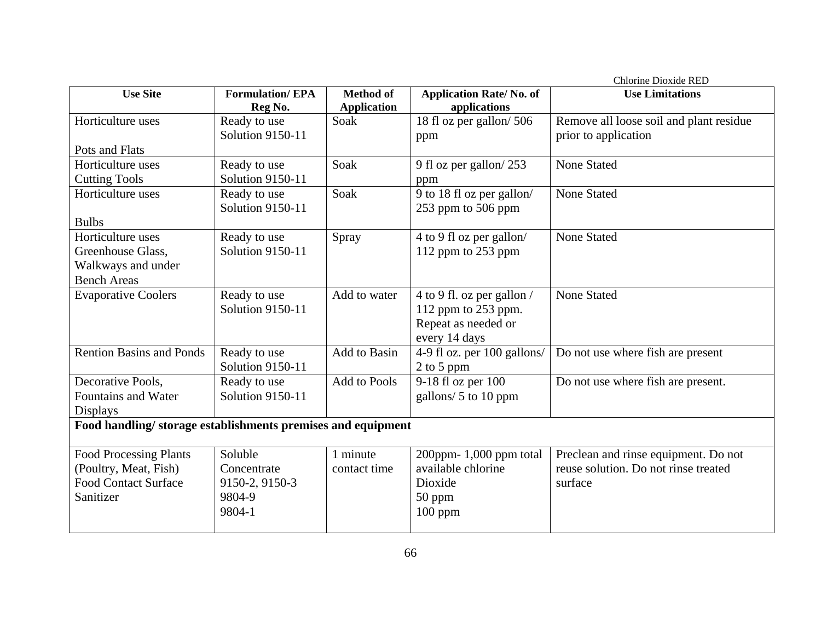|                                                             |                                   |                                        |                                                | Chlorine Dioxide RED                    |  |
|-------------------------------------------------------------|-----------------------------------|----------------------------------------|------------------------------------------------|-----------------------------------------|--|
| <b>Use Site</b>                                             | <b>Formulation/EPA</b><br>Reg No. | <b>Method of</b><br><b>Application</b> | <b>Application Rate/No. of</b><br>applications | <b>Use Limitations</b>                  |  |
| Horticulture uses                                           | Ready to use                      | Soak                                   | 18 fl oz per gallon/506                        | Remove all loose soil and plant residue |  |
|                                                             | <b>Solution 9150-11</b>           |                                        | ppm                                            | prior to application                    |  |
| Pots and Flats                                              |                                   |                                        |                                                |                                         |  |
| Horticulture uses                                           | Ready to use                      | Soak                                   | 9 fl oz per gallon/253                         | <b>None Stated</b>                      |  |
| <b>Cutting Tools</b>                                        | Solution 9150-11                  |                                        | ppm                                            |                                         |  |
| Horticulture uses                                           | Ready to use                      | Soak                                   | 9 to 18 fl oz per gallon/                      | <b>None Stated</b>                      |  |
|                                                             | <b>Solution 9150-11</b>           |                                        | 253 ppm to 506 ppm                             |                                         |  |
| <b>Bulbs</b>                                                |                                   |                                        |                                                |                                         |  |
| Horticulture uses                                           | Ready to use                      | Spray                                  | 4 to 9 fl oz per gallon/                       | <b>None Stated</b>                      |  |
| Greenhouse Glass,                                           | <b>Solution 9150-11</b>           |                                        | 112 ppm to 253 ppm                             |                                         |  |
| Walkways and under                                          |                                   |                                        |                                                |                                         |  |
| <b>Bench Areas</b>                                          |                                   |                                        |                                                |                                         |  |
| <b>Evaporative Coolers</b>                                  | Ready to use                      | Add to water                           | 4 to 9 fl. oz per gallon /                     | <b>None Stated</b>                      |  |
|                                                             | Solution 9150-11                  |                                        | 112 ppm to 253 ppm.                            |                                         |  |
|                                                             |                                   |                                        | Repeat as needed or                            |                                         |  |
|                                                             |                                   |                                        | every 14 days                                  |                                         |  |
| <b>Rention Basins and Ponds</b>                             | Ready to use                      | Add to Basin                           | 4-9 fl oz. per 100 gallons/                    | Do not use where fish are present       |  |
|                                                             | Solution 9150-11                  |                                        | 2 to 5 ppm                                     |                                         |  |
| Decorative Pools,                                           | Ready to use                      | <b>Add to Pools</b>                    | 9-18 fl oz per 100                             | Do not use where fish are present.      |  |
| <b>Fountains and Water</b>                                  | Solution 9150-11                  |                                        | gallons/ 5 to 10 ppm                           |                                         |  |
| <b>Displays</b>                                             |                                   |                                        |                                                |                                         |  |
| Food handling/storage establishments premises and equipment |                                   |                                        |                                                |                                         |  |
| <b>Food Processing Plants</b>                               | Soluble                           | 1 minute                               | 200ppm- $1,000$ ppm total                      | Preclean and rinse equipment. Do not    |  |
| (Poultry, Meat, Fish)                                       | Concentrate                       | contact time                           | available chlorine                             | reuse solution. Do not rinse treated    |  |
| <b>Food Contact Surface</b>                                 | 9150-2, 9150-3                    |                                        | Dioxide                                        | surface                                 |  |
| Sanitizer                                                   | 9804-9                            |                                        | $50$ ppm                                       |                                         |  |
|                                                             | 9804-1                            |                                        | $100$ ppm                                      |                                         |  |
|                                                             |                                   |                                        |                                                |                                         |  |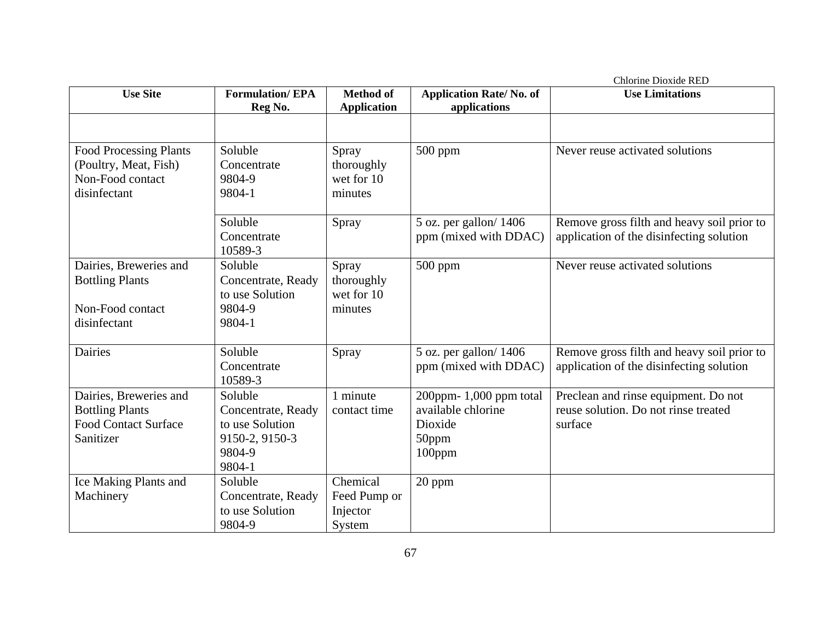| <b>Use Site</b>               | <b>Formulation/EPA</b>                | <b>Method of</b>   | <b>Application Rate/No. of</b> | Chlorine Dioxide RED<br><b>Use Limitations</b> |
|-------------------------------|---------------------------------------|--------------------|--------------------------------|------------------------------------------------|
|                               | Reg No.                               | <b>Application</b> | applications                   |                                                |
|                               |                                       |                    |                                |                                                |
|                               |                                       |                    |                                |                                                |
| <b>Food Processing Plants</b> | Soluble                               | Spray              | 500 ppm                        | Never reuse activated solutions                |
| (Poultry, Meat, Fish)         | Concentrate                           | thoroughly         |                                |                                                |
| Non-Food contact              | 9804-9                                | wet for 10         |                                |                                                |
| disinfectant                  | 9804-1                                | minutes            |                                |                                                |
|                               | Soluble                               | Spray              | $5$ oz. per gallon/ $1406$     | Remove gross filth and heavy soil prior to     |
|                               | Concentrate                           |                    | ppm (mixed with DDAC)          | application of the disinfecting solution       |
|                               | 10589-3                               |                    |                                |                                                |
| Dairies, Breweries and        | Soluble                               | Spray              | $500$ ppm                      | Never reuse activated solutions                |
| <b>Bottling Plants</b>        | Concentrate, Ready                    | thoroughly         |                                |                                                |
|                               | to use Solution                       | wet for 10         |                                |                                                |
| Non-Food contact              | 9804-9                                | minutes            |                                |                                                |
| disinfectant                  | 9804-1                                |                    |                                |                                                |
|                               |                                       |                    |                                |                                                |
| <b>Dairies</b>                | Soluble                               | Spray              | 5 oz. per gallon/1406          | Remove gross filth and heavy soil prior to     |
|                               | Concentrate                           |                    | ppm (mixed with DDAC)          | application of the disinfecting solution       |
|                               | 10589-3                               |                    |                                |                                                |
| Dairies, Breweries and        | Soluble                               | 1 minute           | $200$ ppm- 1,000 ppm total     | Preclean and rinse equipment. Do not           |
| <b>Bottling Plants</b>        | Concentrate, Ready                    | contact time       | available chlorine             | reuse solution. Do not rinse treated           |
| <b>Food Contact Surface</b>   | to use Solution                       |                    | Dioxide                        | surface                                        |
| Sanitizer                     | 9150-2, 9150-3                        |                    | 50ppm                          |                                                |
|                               | 9804-9                                |                    | 100ppm                         |                                                |
|                               | 9804-1                                | Chemical           |                                |                                                |
| Ice Making Plants and         | Soluble                               |                    | 20 ppm                         |                                                |
| Machinery                     | Concentrate, Ready<br>to use Solution | Feed Pump or       |                                |                                                |
|                               | 9804-9                                | Injector<br>System |                                |                                                |
|                               |                                       |                    |                                |                                                |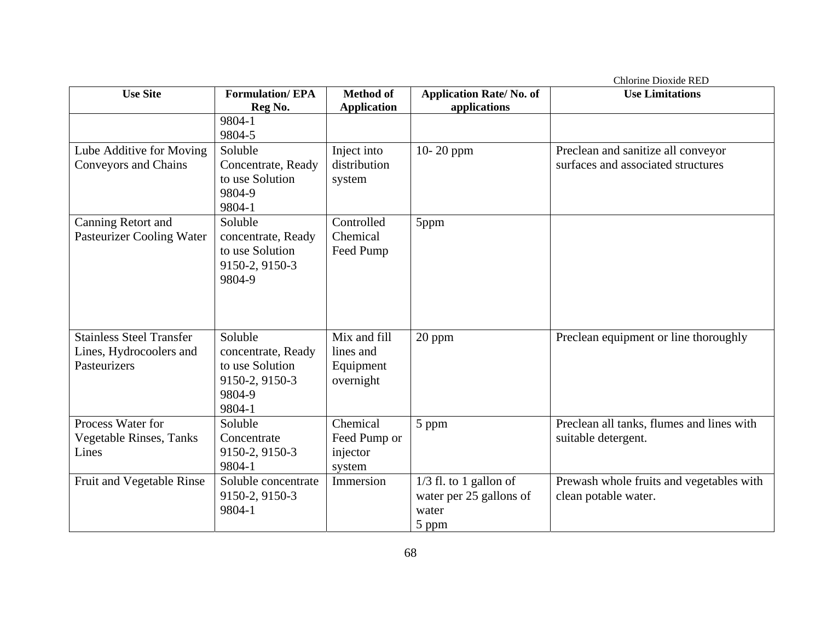| <b>Use Site</b>                  | <b>Formulation/EPA</b>   | <b>Method</b> of   | <b>Application Rate/No. of</b> | <b>Use Limitations</b>                    |
|----------------------------------|--------------------------|--------------------|--------------------------------|-------------------------------------------|
|                                  | Reg No.                  | <b>Application</b> | applications                   |                                           |
|                                  | 9804-1                   |                    |                                |                                           |
|                                  | 9804-5                   |                    |                                |                                           |
| Lube Additive for Moving         | Soluble                  | Inject into        | $10-20$ ppm                    | Preclean and sanitize all conveyor        |
| Conveyors and Chains             | Concentrate, Ready       | distribution       |                                | surfaces and associated structures        |
|                                  | to use Solution          | system             |                                |                                           |
|                                  | 9804-9                   |                    |                                |                                           |
|                                  | 9804-1                   |                    |                                |                                           |
| Canning Retort and               | Soluble                  | Controlled         | 5ppm                           |                                           |
| <b>Pasteurizer Cooling Water</b> | concentrate, Ready       | Chemical           |                                |                                           |
|                                  | to use Solution          | Feed Pump          |                                |                                           |
|                                  | 9150-2, 9150-3<br>9804-9 |                    |                                |                                           |
|                                  |                          |                    |                                |                                           |
|                                  |                          |                    |                                |                                           |
|                                  |                          |                    |                                |                                           |
| <b>Stainless Steel Transfer</b>  | Soluble                  | Mix and fill       | 20 ppm                         | Preclean equipment or line thoroughly     |
| Lines, Hydrocoolers and          | concentrate, Ready       | lines and          |                                |                                           |
| Pasteurizers                     | to use Solution          | Equipment          |                                |                                           |
|                                  | 9150-2, 9150-3           | overnight          |                                |                                           |
|                                  | 9804-9                   |                    |                                |                                           |
|                                  | 9804-1                   |                    |                                |                                           |
| Process Water for                | Soluble                  | Chemical           | 5 ppm                          | Preclean all tanks, flumes and lines with |
| Vegetable Rinses, Tanks          | Concentrate              | Feed Pump or       |                                | suitable detergent.                       |
| Lines                            | 9150-2, 9150-3           | injector           |                                |                                           |
|                                  | 9804-1                   | system             |                                |                                           |
| Fruit and Vegetable Rinse        | Soluble concentrate      | Immersion          | $1/3$ fl. to 1 gallon of       | Prewash whole fruits and vegetables with  |
|                                  | 9150-2, 9150-3<br>9804-1 |                    | water per 25 gallons of        | clean potable water.                      |
|                                  |                          |                    | water                          |                                           |
|                                  |                          |                    | 5 ppm                          |                                           |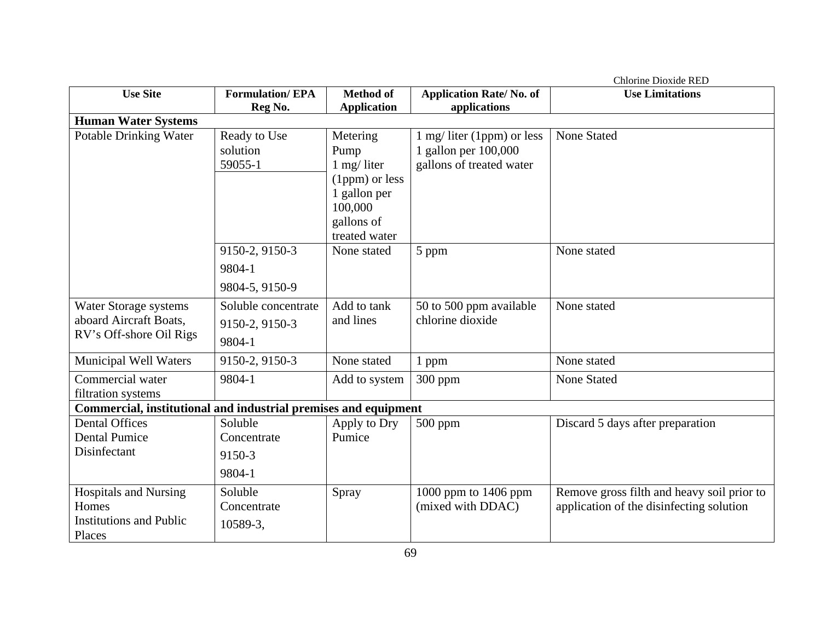|                                                                                   |                                                 |                                                                                                               |                                                                                | <b>Chlorine Dioxide RED</b>                                                            |
|-----------------------------------------------------------------------------------|-------------------------------------------------|---------------------------------------------------------------------------------------------------------------|--------------------------------------------------------------------------------|----------------------------------------------------------------------------------------|
| <b>Use Site</b>                                                                   | <b>Formulation/EPA</b><br>Reg No.               | <b>Method of</b><br><b>Application</b>                                                                        | <b>Application Rate/No. of</b><br>applications                                 | <b>Use Limitations</b>                                                                 |
| <b>Human Water Systems</b>                                                        |                                                 |                                                                                                               |                                                                                |                                                                                        |
| <b>Potable Drinking Water</b>                                                     | Ready to Use<br>solution<br>59055-1             | Metering<br>Pump<br>$1$ mg/ liter<br>(1ppm) or less<br>1 gallon per<br>100,000<br>gallons of<br>treated water | 1 mg/ liter (1ppm) or less<br>1 gallon per 100,000<br>gallons of treated water | <b>None Stated</b>                                                                     |
|                                                                                   | 9150-2, 9150-3<br>9804-1<br>9804-5, 9150-9      | None stated                                                                                                   | 5 ppm                                                                          | None stated                                                                            |
| Water Storage systems<br>aboard Aircraft Boats,<br>RV's Off-shore Oil Rigs        | Soluble concentrate<br>9150-2, 9150-3<br>9804-1 | Add to tank<br>and lines                                                                                      | 50 to 500 ppm available<br>chlorine dioxide                                    | None stated                                                                            |
| <b>Municipal Well Waters</b>                                                      | 9150-2, 9150-3                                  | None stated                                                                                                   | 1 ppm                                                                          | None stated                                                                            |
| Commercial water<br>filtration systems                                            | 9804-1                                          | Add to system                                                                                                 | $300$ ppm                                                                      | <b>None Stated</b>                                                                     |
| Commercial, institutional and industrial premises and equipment                   |                                                 |                                                                                                               |                                                                                |                                                                                        |
| <b>Dental Offices</b><br><b>Dental Pumice</b><br>Disinfectant                     | Soluble<br>Concentrate<br>9150-3<br>9804-1      | Apply to Dry<br>Pumice                                                                                        | $500$ ppm                                                                      | Discard 5 days after preparation                                                       |
| <b>Hospitals and Nursing</b><br>Homes<br><b>Institutions and Public</b><br>Places | Soluble<br>Concentrate<br>10589-3,              | Spray                                                                                                         | 1000 ppm to 1406 ppm<br>(mixed with DDAC)                                      | Remove gross filth and heavy soil prior to<br>application of the disinfecting solution |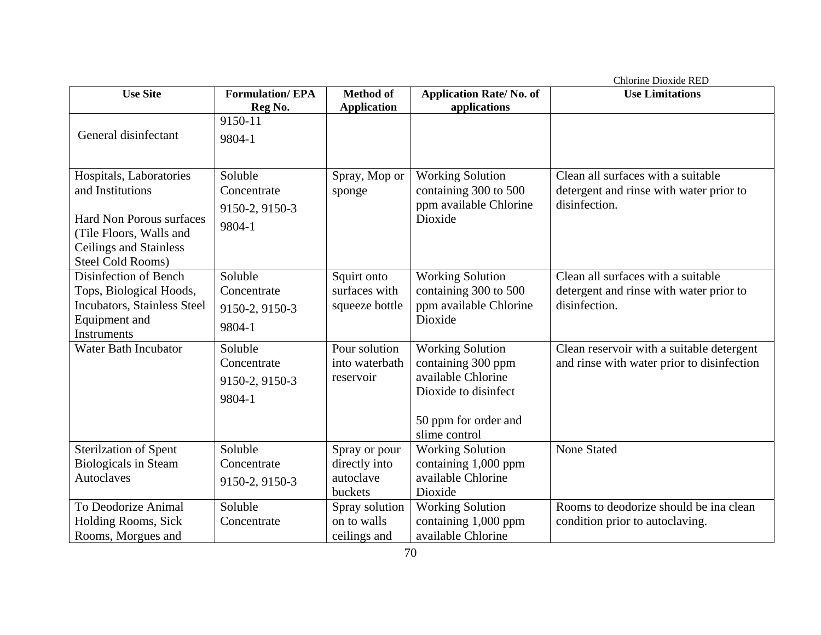|                                                                                                                                                                        |                                                    |                                                        |                                                                                                                                      | Chlorine Dioxide RED                                                                           |
|------------------------------------------------------------------------------------------------------------------------------------------------------------------------|----------------------------------------------------|--------------------------------------------------------|--------------------------------------------------------------------------------------------------------------------------------------|------------------------------------------------------------------------------------------------|
| <b>Use Site</b>                                                                                                                                                        | <b>Formulation/EPA</b>                             | <b>Method of</b>                                       | <b>Application Rate/No. of</b>                                                                                                       | <b>Use Limitations</b>                                                                         |
|                                                                                                                                                                        | Reg No.                                            | <b>Application</b>                                     | applications                                                                                                                         |                                                                                                |
| General disinfectant                                                                                                                                                   | 9150-11<br>9804-1                                  |                                                        |                                                                                                                                      |                                                                                                |
| Hospitals, Laboratories<br>and Institutions<br><b>Hard Non Porous surfaces</b><br>(Tile Floors, Walls and<br><b>Ceilings and Stainless</b><br><b>Steel Cold Rooms)</b> | Soluble<br>Concentrate<br>9150-2, 9150-3<br>9804-1 | Spray, Mop or<br>sponge                                | <b>Working Solution</b><br>containing 300 to 500<br>ppm available Chlorine<br>Dioxide                                                | Clean all surfaces with a suitable<br>detergent and rinse with water prior to<br>disinfection. |
| Disinfection of Bench<br>Tops, Biological Hoods,<br><b>Incubators, Stainless Steel</b><br>Equipment and<br>Instruments                                                 | Soluble<br>Concentrate<br>9150-2, 9150-3<br>9804-1 | Squirt onto<br>surfaces with<br>squeeze bottle         | <b>Working Solution</b><br>containing 300 to 500<br>ppm available Chlorine<br>Dioxide                                                | Clean all surfaces with a suitable<br>detergent and rinse with water prior to<br>disinfection. |
| <b>Water Bath Incubator</b>                                                                                                                                            | Soluble<br>Concentrate<br>9150-2, 9150-3<br>9804-1 | Pour solution<br>into waterbath<br>reservoir           | <b>Working Solution</b><br>containing 300 ppm<br>available Chlorine<br>Dioxide to disinfect<br>50 ppm for order and<br>slime control | Clean reservoir with a suitable detergent<br>and rinse with water prior to disinfection        |
| <b>Sterilzation of Spent</b><br><b>Biologicals in Steam</b><br>Autoclaves                                                                                              | Soluble<br>Concentrate<br>9150-2, 9150-3           | Spray or pour<br>directly into<br>autoclave<br>buckets | <b>Working Solution</b><br>containing 1,000 ppm<br>available Chlorine<br>Dioxide                                                     | <b>None Stated</b>                                                                             |
| To Deodorize Animal<br>Holding Rooms, Sick<br>Rooms, Morgues and                                                                                                       | Soluble<br>Concentrate                             | Spray solution<br>on to walls<br>ceilings and          | <b>Working Solution</b><br>containing 1,000 ppm<br>available Chlorine                                                                | Rooms to deodorize should be ina clean<br>condition prior to autoclaving.                      |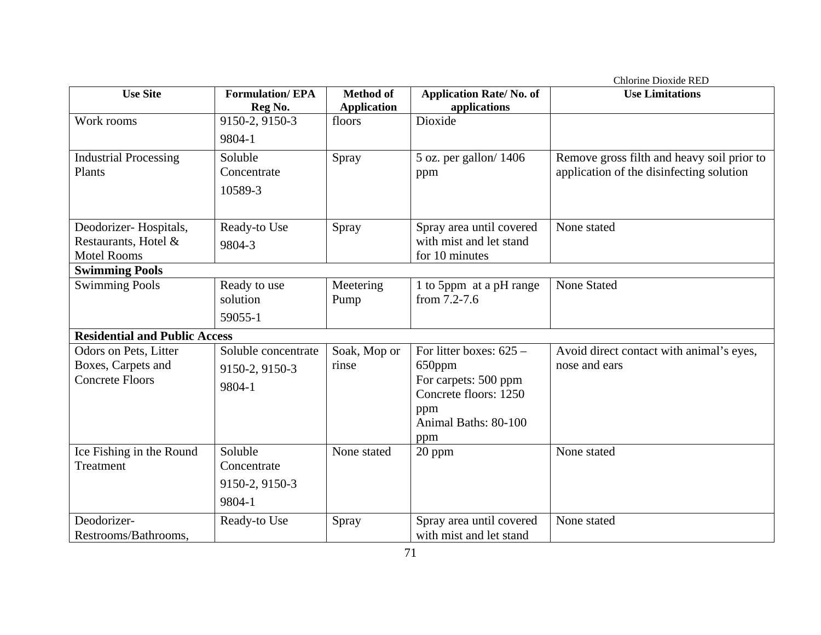| <b>Use Site</b>                      | <b>Formulation/EPA</b> | <b>Method of</b>   | <b>Application Rate/No. of</b> | Chlorine Dioxide RED<br><b>Use Limitations</b> |
|--------------------------------------|------------------------|--------------------|--------------------------------|------------------------------------------------|
|                                      | Reg No.                | <b>Application</b> | applications                   |                                                |
| Work rooms                           | 9150-2, 9150-3         | floors             | Dioxide                        |                                                |
|                                      |                        |                    |                                |                                                |
|                                      | 9804-1                 |                    |                                |                                                |
| <b>Industrial Processing</b>         | Soluble                | Spray              | 5 oz. per gallon/1406          | Remove gross filth and heavy soil prior to     |
| Plants                               | Concentrate            |                    | ppm                            | application of the disinfecting solution       |
|                                      | 10589-3                |                    |                                |                                                |
|                                      |                        |                    |                                |                                                |
| Deodorizer-Hospitals,                | Ready-to Use           | Spray              | Spray area until covered       | None stated                                    |
| Restaurants, Hotel &                 |                        |                    | with mist and let stand        |                                                |
| <b>Motel Rooms</b>                   | 9804-3                 |                    | for 10 minutes                 |                                                |
| <b>Swimming Pools</b>                |                        |                    |                                |                                                |
| <b>Swimming Pools</b>                | Ready to use           | Meetering          | 1 to 5ppm at a pH range        | <b>None Stated</b>                             |
|                                      | solution               | Pump               | from $7.2 - 7.6$               |                                                |
|                                      |                        |                    |                                |                                                |
|                                      | 59055-1                |                    |                                |                                                |
| <b>Residential and Public Access</b> |                        |                    |                                |                                                |
| Odors on Pets, Litter                | Soluble concentrate    | Soak, Mop or       | For litter boxes: $625 -$      | Avoid direct contact with animal's eyes,       |
| Boxes, Carpets and                   | 9150-2, 9150-3         | rinse              | 650ppm                         | nose and ears                                  |
| <b>Concrete Floors</b>               | 9804-1                 |                    | For carpets: 500 ppm           |                                                |
|                                      |                        |                    | Concrete floors: 1250          |                                                |
|                                      |                        |                    | ppm                            |                                                |
|                                      |                        |                    | Animal Baths: 80-100           |                                                |
|                                      |                        |                    | ppm                            |                                                |
| Ice Fishing in the Round             | Soluble                | None stated        | 20 ppm                         | None stated                                    |
| Treatment                            | Concentrate            |                    |                                |                                                |
|                                      | 9150-2, 9150-3         |                    |                                |                                                |
|                                      | 9804-1                 |                    |                                |                                                |
|                                      |                        |                    |                                |                                                |
| Deodorizer-                          | Ready-to Use           | Spray              | Spray area until covered       | None stated                                    |
| Restrooms/Bathrooms,                 |                        |                    | with mist and let stand        |                                                |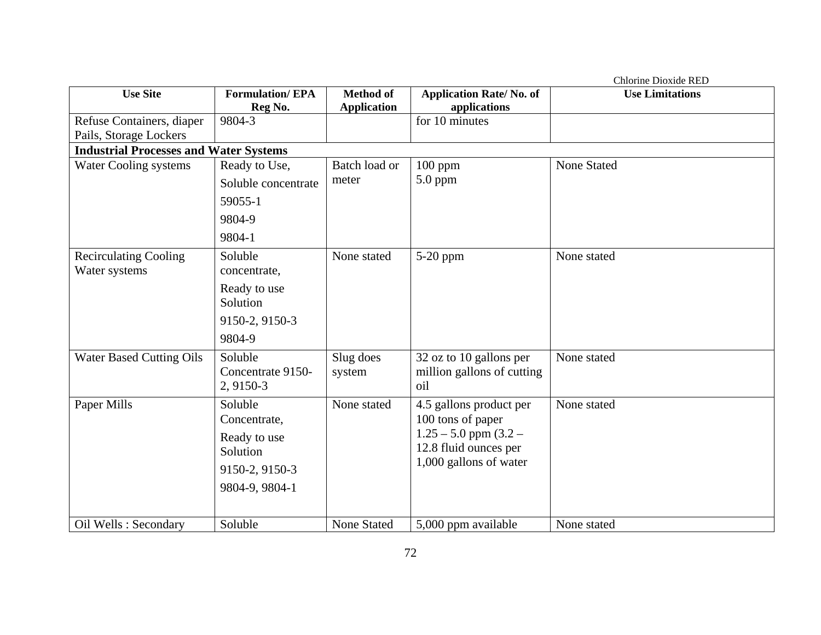|                                               |                                               |                    |                                              | Chlorine Dioxide RED   |  |  |  |
|-----------------------------------------------|-----------------------------------------------|--------------------|----------------------------------------------|------------------------|--|--|--|
| <b>Use Site</b>                               | <b>Formulation/EPA</b>                        | <b>Method of</b>   | <b>Application Rate/No. of</b>               | <b>Use Limitations</b> |  |  |  |
|                                               | Reg No.                                       | <b>Application</b> | applications                                 |                        |  |  |  |
| Refuse Containers, diaper                     | 9804-3                                        |                    | for 10 minutes                               |                        |  |  |  |
| Pails, Storage Lockers                        |                                               |                    |                                              |                        |  |  |  |
|                                               | <b>Industrial Processes and Water Systems</b> |                    |                                              |                        |  |  |  |
| Water Cooling systems                         | Ready to Use,                                 | Batch load or      | $100$ ppm                                    | <b>None Stated</b>     |  |  |  |
|                                               | Soluble concentrate                           | meter              | 5.0 ppm                                      |                        |  |  |  |
|                                               | 59055-1                                       |                    |                                              |                        |  |  |  |
|                                               | 9804-9                                        |                    |                                              |                        |  |  |  |
|                                               | 9804-1                                        |                    |                                              |                        |  |  |  |
| <b>Recirculating Cooling</b><br>Water systems | Soluble<br>concentrate,                       | None stated        | 5-20 ppm                                     | None stated            |  |  |  |
|                                               | Ready to use<br>Solution                      |                    |                                              |                        |  |  |  |
|                                               | 9150-2, 9150-3                                |                    |                                              |                        |  |  |  |
|                                               | 9804-9                                        |                    |                                              |                        |  |  |  |
| <b>Water Based Cutting Oils</b>               | Soluble                                       | Slug does          | 32 oz to 10 gallons per                      | None stated            |  |  |  |
|                                               | Concentrate 9150-<br>2, 9150-3                | system             | million gallons of cutting<br>oil            |                        |  |  |  |
| Paper Mills                                   | Soluble<br>Concentrate,                       | None stated        | 4.5 gallons product per<br>100 tons of paper | None stated            |  |  |  |
|                                               |                                               |                    | $1.25 - 5.0$ ppm $(3.2 -$                    |                        |  |  |  |
|                                               | Ready to use<br>Solution                      |                    | 12.8 fluid ounces per                        |                        |  |  |  |
|                                               | 9150-2, 9150-3                                |                    | 1,000 gallons of water                       |                        |  |  |  |
|                                               | 9804-9, 9804-1                                |                    |                                              |                        |  |  |  |
|                                               |                                               |                    |                                              |                        |  |  |  |
| Oil Wells: Secondary                          | Soluble                                       | <b>None Stated</b> | 5,000 ppm available                          | None stated            |  |  |  |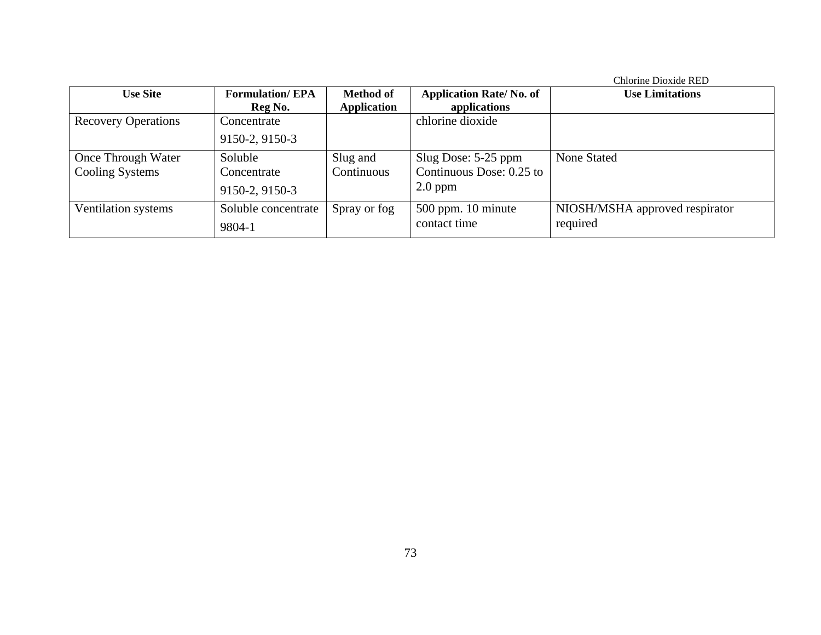|                            |                        |                    |                                | Chlorine Dioxide RED           |
|----------------------------|------------------------|--------------------|--------------------------------|--------------------------------|
| <b>Use Site</b>            | <b>Formulation/EPA</b> | <b>Method of</b>   | <b>Application Rate/No. of</b> | <b>Use Limitations</b>         |
|                            | Reg No.                | <b>Application</b> | applications                   |                                |
| <b>Recovery Operations</b> | Concentrate            |                    | chlorine dioxide               |                                |
|                            | 9150-2, 9150-3         |                    |                                |                                |
| Once Through Water         | Soluble                | Slug and           | Slug Dose: 5-25 ppm            | <b>None Stated</b>             |
| Cooling Systems            | Concentrate            | Continuous         | Continuous Dose: 0.25 to       |                                |
|                            | 9150-2, 9150-3         |                    | $2.0$ ppm                      |                                |
| Ventilation systems        | Soluble concentrate    | Spray or fog       | $500$ ppm. 10 minute           | NIOSH/MSHA approved respirator |
|                            | 9804-1                 |                    | contact time                   | required                       |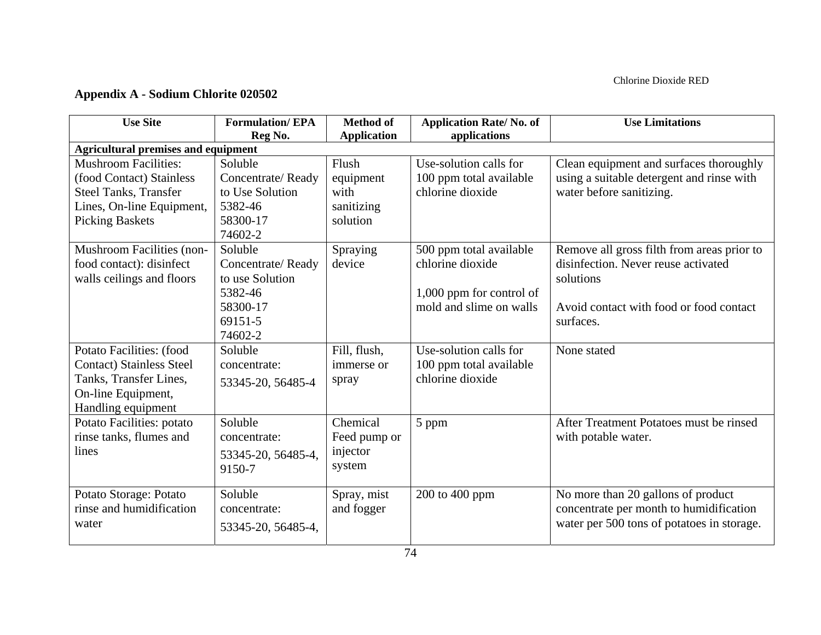## **Appendix A - Sodium Chlorite 020502**

| <b>Use Site</b>                            | <b>Formulation/EPA</b><br>Reg No. | <b>Method of</b><br><b>Application</b> | <b>Application Rate/No. of</b><br>applications | <b>Use Limitations</b>                     |
|--------------------------------------------|-----------------------------------|----------------------------------------|------------------------------------------------|--------------------------------------------|
| <b>Agricultural premises and equipment</b> |                                   |                                        |                                                |                                            |
| <b>Mushroom Facilities:</b>                | Soluble                           | Flush                                  | Use-solution calls for                         | Clean equipment and surfaces thoroughly    |
| (food Contact) Stainless                   | Concentrate/Ready                 | equipment                              | 100 ppm total available                        | using a suitable detergent and rinse with  |
| <b>Steel Tanks, Transfer</b>               | to Use Solution                   | with                                   | chlorine dioxide                               | water before sanitizing.                   |
| Lines, On-line Equipment,                  | 5382-46                           | sanitizing                             |                                                |                                            |
| <b>Picking Baskets</b>                     | 58300-17                          | solution                               |                                                |                                            |
|                                            | 74602-2                           |                                        |                                                |                                            |
| Mushroom Facilities (non-                  | Soluble                           | Spraying                               | 500 ppm total available                        | Remove all gross filth from areas prior to |
| food contact): disinfect                   | Concentrate/Ready                 | device                                 | chlorine dioxide                               | disinfection. Never reuse activated        |
| walls ceilings and floors                  | to use Solution                   |                                        |                                                | solutions                                  |
|                                            | 5382-46                           |                                        | 1,000 ppm for control of                       |                                            |
|                                            | 58300-17                          |                                        | mold and slime on walls                        | Avoid contact with food or food contact    |
|                                            | 69151-5                           |                                        |                                                | surfaces.                                  |
|                                            | 74602-2                           |                                        |                                                |                                            |
| Potato Facilities: (food                   | Soluble                           | Fill, flush,                           | Use-solution calls for                         | None stated                                |
| <b>Contact)</b> Stainless Steel            | concentrate:                      | immerse or                             | 100 ppm total available                        |                                            |
| Tanks, Transfer Lines,                     | 53345-20, 56485-4                 | spray                                  | chlorine dioxide                               |                                            |
| On-line Equipment,                         |                                   |                                        |                                                |                                            |
| Handling equipment                         |                                   |                                        |                                                |                                            |
| Potato Facilities: potato                  | Soluble                           | Chemical                               | 5 ppm                                          | After Treatment Potatoes must be rinsed    |
| rinse tanks, flumes and                    | concentrate:                      | Feed pump or                           |                                                | with potable water.                        |
| lines                                      | 53345-20, 56485-4,                | injector                               |                                                |                                            |
|                                            | 9150-7                            | system                                 |                                                |                                            |
|                                            |                                   |                                        |                                                |                                            |
| Potato Storage: Potato                     | Soluble                           | Spray, mist                            | 200 to 400 ppm                                 | No more than 20 gallons of product         |
| rinse and humidification                   | concentrate:                      | and fogger                             |                                                | concentrate per month to humidification    |
| water                                      | 53345-20, 56485-4,                |                                        |                                                | water per 500 tons of potatoes in storage. |
|                                            |                                   |                                        |                                                |                                            |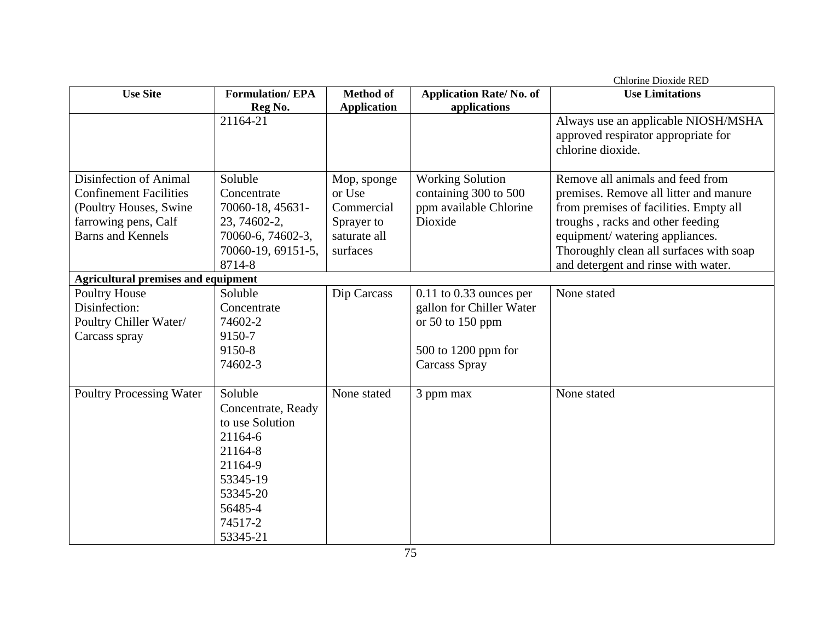| <b>Use Site</b>                                                                                                                                                                     | <b>Formulation/EPA</b>                                                                                                                      | <b>Method of</b>                                                              | <b>Application Rate/No. of</b>                                                                                        | <b>Use Limitations</b>                                                                                                                                                                                                                                                        |
|-------------------------------------------------------------------------------------------------------------------------------------------------------------------------------------|---------------------------------------------------------------------------------------------------------------------------------------------|-------------------------------------------------------------------------------|-----------------------------------------------------------------------------------------------------------------------|-------------------------------------------------------------------------------------------------------------------------------------------------------------------------------------------------------------------------------------------------------------------------------|
|                                                                                                                                                                                     | Reg No.                                                                                                                                     | <b>Application</b>                                                            | applications                                                                                                          |                                                                                                                                                                                                                                                                               |
|                                                                                                                                                                                     | 21164-21                                                                                                                                    |                                                                               |                                                                                                                       | Always use an applicable NIOSH/MSHA<br>approved respirator appropriate for<br>chlorine dioxide.                                                                                                                                                                               |
| Disinfection of Animal<br><b>Confinement Facilities</b><br>(Poultry Houses, Swine<br>farrowing pens, Calf<br><b>Barns and Kennels</b><br><b>Agricultural premises and equipment</b> | Soluble<br>Concentrate<br>70060-18, 45631-<br>23, 74602-2,<br>70060-6, 74602-3,<br>70060-19, 69151-5,<br>8714-8                             | Mop, sponge<br>or Use<br>Commercial<br>Sprayer to<br>saturate all<br>surfaces | <b>Working Solution</b><br>containing 300 to 500<br>ppm available Chlorine<br>Dioxide                                 | Remove all animals and feed from<br>premises. Remove all litter and manure<br>from premises of facilities. Empty all<br>troughs, racks and other feeding<br>equipment/ watering appliances.<br>Thoroughly clean all surfaces with soap<br>and detergent and rinse with water. |
| Poultry House<br>Disinfection:<br>Poultry Chiller Water/<br>Carcass spray                                                                                                           | Soluble<br>Concentrate<br>74602-2<br>9150-7<br>9150-8<br>74602-3                                                                            | Dip Carcass                                                                   | $0.11$ to 0.33 ounces per<br>gallon for Chiller Water<br>or $50$ to $150$ ppm<br>500 to 1200 ppm for<br>Carcass Spray | None stated                                                                                                                                                                                                                                                                   |
| <b>Poultry Processing Water</b>                                                                                                                                                     | Soluble<br>Concentrate, Ready<br>to use Solution<br>21164-6<br>21164-8<br>21164-9<br>53345-19<br>53345-20<br>56485-4<br>74517-2<br>53345-21 | None stated                                                                   | 3 ppm max                                                                                                             | None stated                                                                                                                                                                                                                                                                   |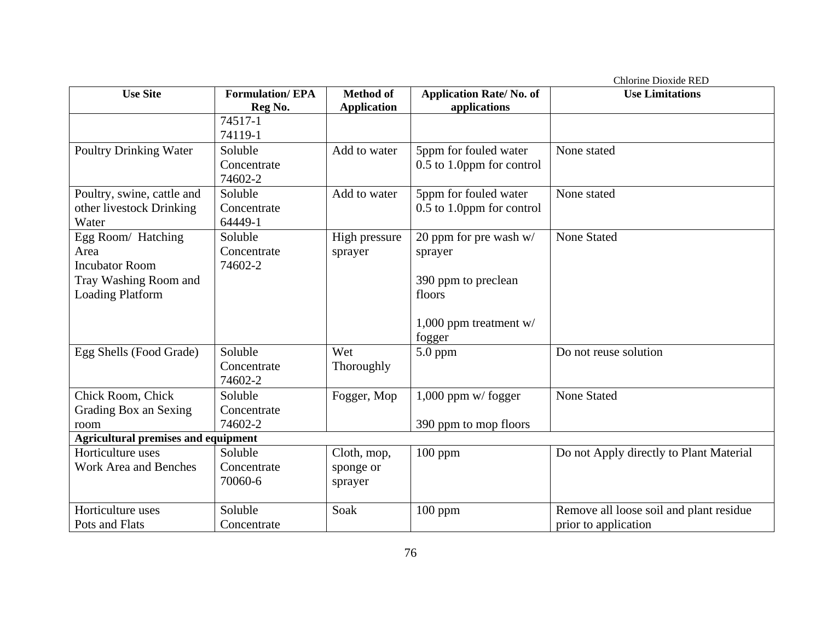|                                            |                        |                    |                                | Chlorine Dioxide RED                    |
|--------------------------------------------|------------------------|--------------------|--------------------------------|-----------------------------------------|
| <b>Use Site</b>                            | <b>Formulation/EPA</b> | <b>Method of</b>   | <b>Application Rate/No. of</b> | <b>Use Limitations</b>                  |
|                                            | Reg No.                | <b>Application</b> | applications                   |                                         |
|                                            | 74517-1                |                    |                                |                                         |
|                                            | 74119-1                |                    |                                |                                         |
| Poultry Drinking Water                     | Soluble                | Add to water       | 5ppm for fouled water          | None stated                             |
|                                            | Concentrate            |                    | 0.5 to 1.0ppm for control      |                                         |
|                                            | 74602-2                |                    |                                |                                         |
| Poultry, swine, cattle and                 | Soluble                | Add to water       | 5ppm for fouled water          | None stated                             |
| other livestock Drinking                   | Concentrate            |                    | 0.5 to 1.0ppm for control      |                                         |
| Water                                      | 64449-1                |                    |                                |                                         |
| Egg Room/ Hatching                         | Soluble                | High pressure      | 20 ppm for pre wash w/         | <b>None Stated</b>                      |
| Area                                       | Concentrate            | sprayer            | sprayer                        |                                         |
| <b>Incubator Room</b>                      | 74602-2                |                    |                                |                                         |
| Tray Washing Room and                      |                        |                    | 390 ppm to preclean            |                                         |
| <b>Loading Platform</b>                    |                        |                    | floors                         |                                         |
|                                            |                        |                    |                                |                                         |
|                                            |                        |                    | 1,000 ppm treatment $w/$       |                                         |
|                                            |                        |                    | fogger                         |                                         |
| Egg Shells (Food Grade)                    | Soluble                | Wet                | 5.0 ppm                        | Do not reuse solution                   |
|                                            | Concentrate            | Thoroughly         |                                |                                         |
|                                            | 74602-2                |                    |                                |                                         |
| Chick Room, Chick                          | Soluble                | Fogger, Mop        | $1,000$ ppm w/fogger           | <b>None Stated</b>                      |
| Grading Box an Sexing                      | Concentrate            |                    |                                |                                         |
| room                                       | 74602-2                |                    | 390 ppm to mop floors          |                                         |
| <b>Agricultural premises and equipment</b> |                        |                    |                                |                                         |
| Horticulture uses                          | Soluble                | Cloth, mop,        | $100$ ppm                      | Do not Apply directly to Plant Material |
| <b>Work Area and Benches</b>               | Concentrate            | sponge or          |                                |                                         |
|                                            | 70060-6                | sprayer            |                                |                                         |
| Horticulture uses                          | Soluble                | Soak               |                                |                                         |
| Pots and Flats                             |                        |                    | $100$ ppm                      | Remove all loose soil and plant residue |
|                                            | Concentrate            |                    |                                | prior to application                    |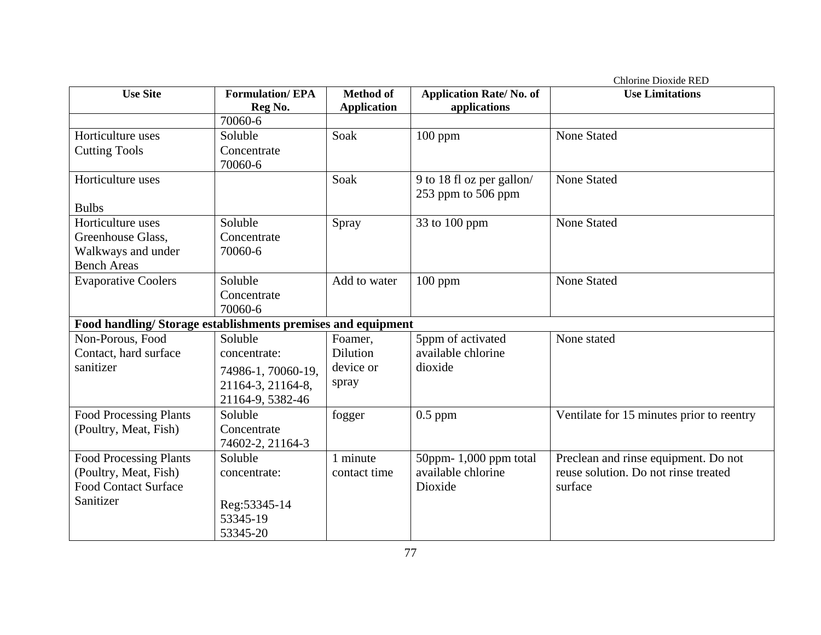|                                                             |                        |                    |                                | Chlorine Dioxide RED                      |
|-------------------------------------------------------------|------------------------|--------------------|--------------------------------|-------------------------------------------|
| <b>Use Site</b>                                             | <b>Formulation/EPA</b> | <b>Method of</b>   | <b>Application Rate/No. of</b> | <b>Use Limitations</b>                    |
|                                                             | Reg No.                | <b>Application</b> | applications                   |                                           |
|                                                             | 70060-6                |                    |                                |                                           |
| Horticulture uses                                           | Soluble                | Soak               | $100$ ppm                      | <b>None Stated</b>                        |
| <b>Cutting Tools</b>                                        | Concentrate            |                    |                                |                                           |
|                                                             | 70060-6                |                    |                                |                                           |
| Horticulture uses                                           |                        | Soak               | 9 to 18 fl oz per gallon/      | <b>None Stated</b>                        |
|                                                             |                        |                    | 253 ppm to 506 ppm             |                                           |
| <b>Bulbs</b>                                                |                        |                    |                                |                                           |
| Horticulture uses                                           | Soluble                | Spray              | 33 to 100 ppm                  | <b>None Stated</b>                        |
| Greenhouse Glass,                                           | Concentrate            |                    |                                |                                           |
| Walkways and under                                          | 70060-6                |                    |                                |                                           |
| <b>Bench Areas</b>                                          |                        |                    |                                |                                           |
| <b>Evaporative Coolers</b>                                  | Soluble                | Add to water       | $100$ ppm                      | None Stated                               |
|                                                             | Concentrate            |                    |                                |                                           |
|                                                             | 70060-6                |                    |                                |                                           |
| Food handling/Storage establishments premises and equipment |                        |                    |                                |                                           |
| Non-Porous, Food                                            | Soluble                | Foamer,            | 5ppm of activated              | None stated                               |
| Contact, hard surface                                       | concentrate:           | <b>Dilution</b>    | available chlorine             |                                           |
| sanitizer                                                   | 74986-1, 70060-19,     | device or          | dioxide                        |                                           |
|                                                             | 21164-3, 21164-8,      | spray              |                                |                                           |
|                                                             | 21164-9, 5382-46       |                    |                                |                                           |
| <b>Food Processing Plants</b>                               | Soluble                | fogger             | $0.5$ ppm                      | Ventilate for 15 minutes prior to reentry |
| (Poultry, Meat, Fish)                                       | Concentrate            |                    |                                |                                           |
|                                                             | 74602-2, 21164-3       |                    |                                |                                           |
| <b>Food Processing Plants</b>                               | Soluble                | 1 minute           | 50ppm-1,000 ppm total          | Preclean and rinse equipment. Do not      |
| (Poultry, Meat, Fish)                                       | concentrate:           | contact time       | available chlorine             | reuse solution. Do not rinse treated      |
| <b>Food Contact Surface</b>                                 |                        |                    | Dioxide                        | surface                                   |
| Sanitizer                                                   | Reg: 53345-14          |                    |                                |                                           |
|                                                             | 53345-19               |                    |                                |                                           |
|                                                             | 53345-20               |                    |                                |                                           |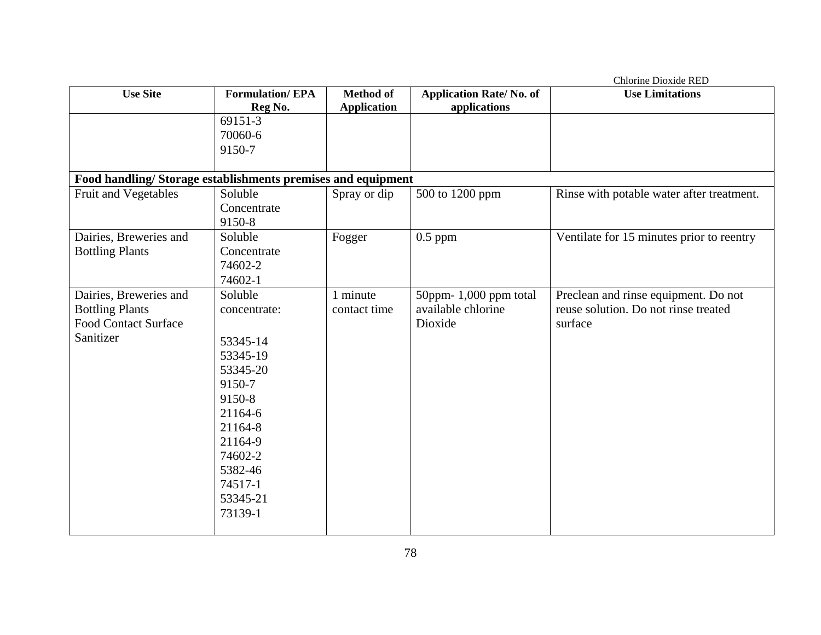|                                                             |                        |                    |                                | Chlorine Dioxide RED                      |
|-------------------------------------------------------------|------------------------|--------------------|--------------------------------|-------------------------------------------|
| <b>Use Site</b>                                             | <b>Formulation/EPA</b> | <b>Method of</b>   | <b>Application Rate/No. of</b> | <b>Use Limitations</b>                    |
|                                                             | Reg No.                | <b>Application</b> | applications                   |                                           |
|                                                             | 69151-3                |                    |                                |                                           |
|                                                             | 70060-6                |                    |                                |                                           |
|                                                             | 9150-7                 |                    |                                |                                           |
|                                                             |                        |                    |                                |                                           |
| Food handling/Storage establishments premises and equipment |                        |                    |                                |                                           |
| Fruit and Vegetables                                        | Soluble                | Spray or dip       | 500 to 1200 ppm                | Rinse with potable water after treatment. |
|                                                             | Concentrate            |                    |                                |                                           |
|                                                             | 9150-8                 |                    |                                |                                           |
| Dairies, Breweries and                                      | Soluble                | Fogger             | $0.5$ ppm                      | Ventilate for 15 minutes prior to reentry |
| <b>Bottling Plants</b>                                      | Concentrate            |                    |                                |                                           |
|                                                             | 74602-2                |                    |                                |                                           |
|                                                             | 74602-1                |                    |                                |                                           |
| Dairies, Breweries and                                      | Soluble                | 1 minute           | 50ppm- $1,000$ ppm total       | Preclean and rinse equipment. Do not      |
| <b>Bottling Plants</b>                                      | concentrate:           | contact time       | available chlorine             | reuse solution. Do not rinse treated      |
| <b>Food Contact Surface</b>                                 |                        |                    | Dioxide                        | surface                                   |
| Sanitizer                                                   | 53345-14               |                    |                                |                                           |
|                                                             | 53345-19               |                    |                                |                                           |
|                                                             | 53345-20               |                    |                                |                                           |
|                                                             | 9150-7                 |                    |                                |                                           |
|                                                             | 9150-8                 |                    |                                |                                           |
|                                                             | 21164-6                |                    |                                |                                           |
|                                                             | 21164-8                |                    |                                |                                           |
|                                                             | 21164-9                |                    |                                |                                           |
|                                                             | 74602-2                |                    |                                |                                           |
|                                                             | 5382-46                |                    |                                |                                           |
|                                                             | 74517-1                |                    |                                |                                           |
|                                                             | 53345-21               |                    |                                |                                           |
|                                                             |                        |                    |                                |                                           |
|                                                             | 73139-1                |                    |                                |                                           |
|                                                             |                        |                    |                                |                                           |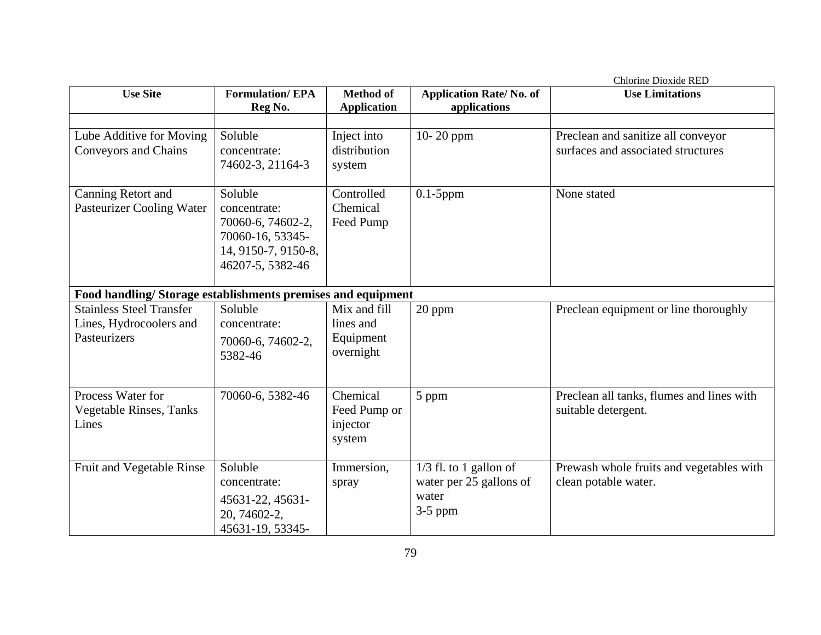|                                                                            |                                                                                                             |                                                     |                                                                           | <b>Chlorine Dioxide RED</b>                                              |
|----------------------------------------------------------------------------|-------------------------------------------------------------------------------------------------------------|-----------------------------------------------------|---------------------------------------------------------------------------|--------------------------------------------------------------------------|
| <b>Use Site</b>                                                            | <b>Formulation/EPA</b><br>Reg No.                                                                           | <b>Method of</b><br><b>Application</b>              | <b>Application Rate/No. of</b><br>applications                            | <b>Use Limitations</b>                                                   |
|                                                                            |                                                                                                             |                                                     |                                                                           |                                                                          |
| Lube Additive for Moving<br><b>Conveyors and Chains</b>                    | Soluble<br>concentrate:<br>74602-3, 21164-3                                                                 | Inject into<br>distribution<br>system               | 10-20 ppm                                                                 | Preclean and sanitize all conveyor<br>surfaces and associated structures |
| Canning Retort and<br><b>Pasteurizer Cooling Water</b>                     | Soluble<br>concentrate:<br>70060-6, 74602-2,<br>70060-16, 53345-<br>14, 9150-7, 9150-8,<br>46207-5, 5382-46 | Controlled<br>Chemical<br>Feed Pump                 | $0.1-5$ ppm                                                               | None stated                                                              |
| Food handling/Storage establishments premises and equipment                |                                                                                                             |                                                     |                                                                           |                                                                          |
| <b>Stainless Steel Transfer</b><br>Lines, Hydrocoolers and<br>Pasteurizers | Soluble<br>concentrate:<br>70060-6, 74602-2,<br>5382-46                                                     | Mix and fill<br>lines and<br>Equipment<br>overnight | 20 ppm                                                                    | Preclean equipment or line thoroughly                                    |
| Process Water for<br><b>Vegetable Rinses, Tanks</b><br>Lines               | 70060-6, 5382-46                                                                                            | Chemical<br>Feed Pump or<br>injector<br>system      | 5 ppm                                                                     | Preclean all tanks, flumes and lines with<br>suitable detergent.         |
| Fruit and Vegetable Rinse                                                  | Soluble<br>concentrate:<br>45631-22, 45631-<br>20, 74602-2,<br>45631-19, 53345-                             | Immersion,<br>spray                                 | $1/3$ fl. to 1 gallon of<br>water per 25 gallons of<br>water<br>$3-5$ ppm | Prewash whole fruits and vegetables with<br>clean potable water.         |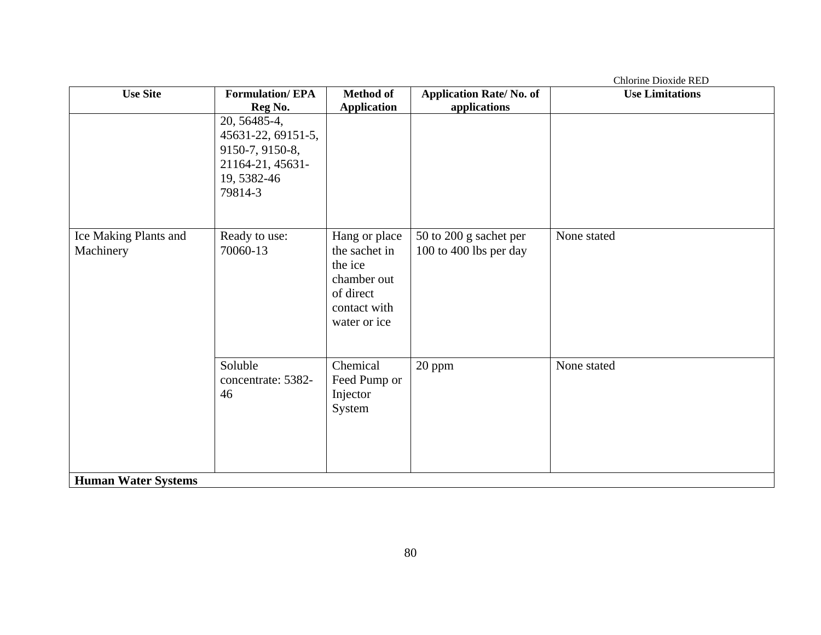|                            |                        |                    |                                | Chlorine Dioxide RED   |
|----------------------------|------------------------|--------------------|--------------------------------|------------------------|
| <b>Use Site</b>            | <b>Formulation/EPA</b> | <b>Method of</b>   | <b>Application Rate/No. of</b> | <b>Use Limitations</b> |
|                            | Reg No.                | <b>Application</b> | applications                   |                        |
|                            | 20, 56485-4,           |                    |                                |                        |
|                            | 45631-22, 69151-5,     |                    |                                |                        |
|                            | 9150-7, 9150-8,        |                    |                                |                        |
|                            | 21164-21, 45631-       |                    |                                |                        |
|                            | 19, 5382-46            |                    |                                |                        |
|                            | 79814-3                |                    |                                |                        |
|                            |                        |                    |                                |                        |
|                            |                        |                    |                                |                        |
| Ice Making Plants and      | Ready to use:          | Hang or place      | 50 to 200 g sachet per         | None stated            |
| Machinery                  | 70060-13               | the sachet in      | 100 to 400 lbs per day         |                        |
|                            |                        | the ice            |                                |                        |
|                            |                        | chamber out        |                                |                        |
|                            |                        | of direct          |                                |                        |
|                            |                        | contact with       |                                |                        |
|                            |                        | water or ice       |                                |                        |
|                            |                        |                    |                                |                        |
|                            |                        |                    |                                |                        |
|                            | Soluble                | Chemical           | 20 ppm                         | None stated            |
|                            | concentrate: 5382-     | Feed Pump or       |                                |                        |
|                            | 46                     | Injector           |                                |                        |
|                            |                        | System             |                                |                        |
|                            |                        |                    |                                |                        |
|                            |                        |                    |                                |                        |
|                            |                        |                    |                                |                        |
|                            |                        |                    |                                |                        |
| <b>Human Water Systems</b> |                        |                    |                                |                        |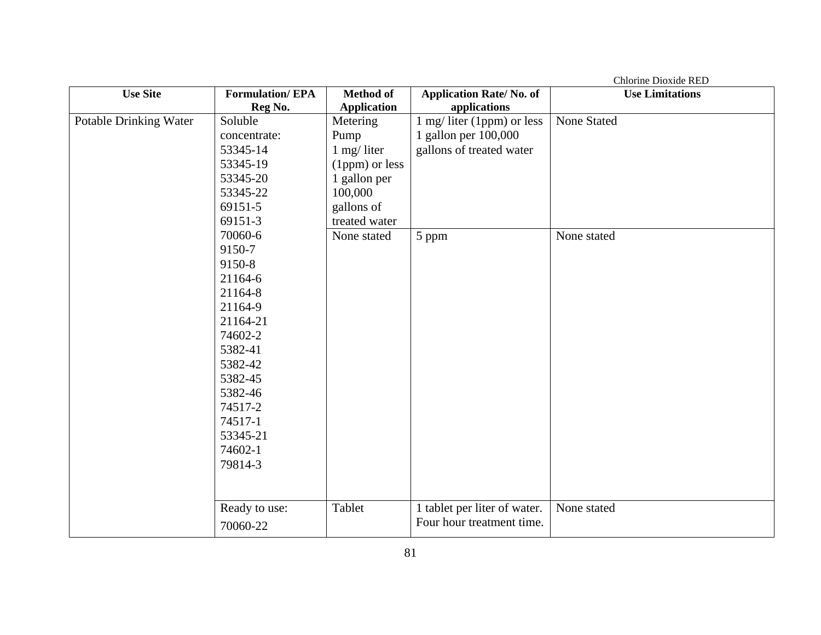|                               |                        |                    |                                | Chlorine Dioxide RED   |
|-------------------------------|------------------------|--------------------|--------------------------------|------------------------|
| <b>Use Site</b>               | <b>Formulation/EPA</b> | <b>Method of</b>   | <b>Application Rate/No. of</b> | <b>Use Limitations</b> |
|                               | Reg No.                | <b>Application</b> | applications                   |                        |
| <b>Potable Drinking Water</b> | Soluble                | Metering           | 1 mg/ liter (1ppm) or less     | <b>None Stated</b>     |
|                               | concentrate:           | Pump               | 1 gallon per 100,000           |                        |
|                               | 53345-14               | $1$ mg/ liter      | gallons of treated water       |                        |
|                               | 53345-19               | (1ppm) or less     |                                |                        |
|                               | 53345-20               | 1 gallon per       |                                |                        |
|                               | 53345-22               | 100,000            |                                |                        |
|                               | 69151-5                | gallons of         |                                |                        |
|                               | 69151-3                | treated water      |                                |                        |
|                               | 70060-6                | None stated        | 5 ppm                          | None stated            |
|                               | 9150-7                 |                    |                                |                        |
|                               | 9150-8                 |                    |                                |                        |
|                               | 21164-6                |                    |                                |                        |
|                               | 21164-8                |                    |                                |                        |
|                               | 21164-9                |                    |                                |                        |
|                               | 21164-21               |                    |                                |                        |
|                               | 74602-2                |                    |                                |                        |
|                               | 5382-41                |                    |                                |                        |
|                               | 5382-42                |                    |                                |                        |
|                               | 5382-45                |                    |                                |                        |
|                               | 5382-46                |                    |                                |                        |
|                               | 74517-2                |                    |                                |                        |
|                               | 74517-1                |                    |                                |                        |
|                               | 53345-21               |                    |                                |                        |
|                               | 74602-1                |                    |                                |                        |
|                               | 79814-3                |                    |                                |                        |
|                               |                        |                    |                                |                        |
|                               |                        |                    |                                |                        |
|                               | Ready to use:          | Tablet             | 1 tablet per liter of water.   | None stated            |
|                               | 70060-22               |                    | Four hour treatment time.      |                        |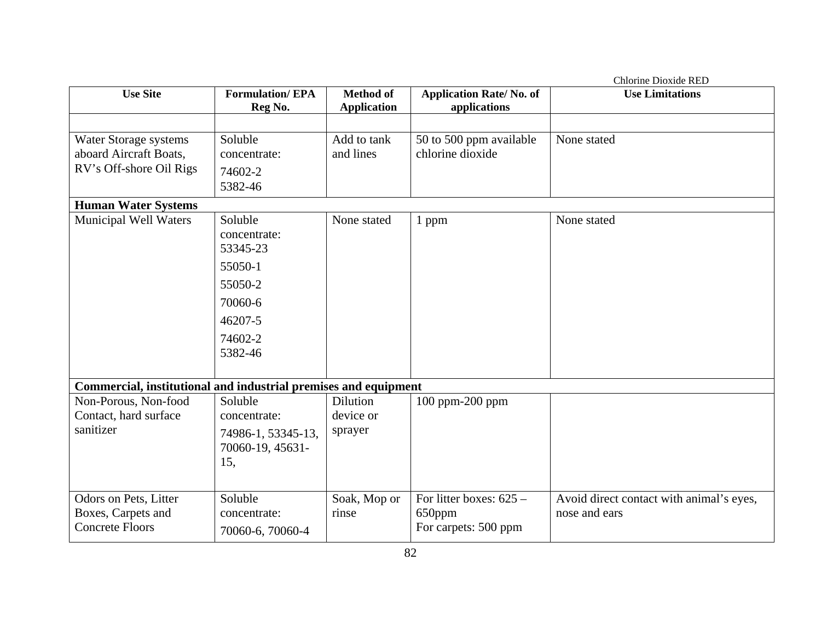|                                                                 |                        |                    |                                | Chlorine Dioxide RED                     |
|-----------------------------------------------------------------|------------------------|--------------------|--------------------------------|------------------------------------------|
| <b>Use Site</b>                                                 | <b>Formulation/EPA</b> | <b>Method of</b>   | <b>Application Rate/No. of</b> | <b>Use Limitations</b>                   |
|                                                                 | Reg No.                | <b>Application</b> | applications                   |                                          |
|                                                                 |                        |                    |                                |                                          |
| Water Storage systems                                           | Soluble                | Add to tank        | 50 to 500 ppm available        | None stated                              |
| aboard Aircraft Boats,                                          | concentrate:           | and lines          | chlorine dioxide               |                                          |
| RV's Off-shore Oil Rigs                                         | 74602-2                |                    |                                |                                          |
|                                                                 | 5382-46                |                    |                                |                                          |
| <b>Human Water Systems</b>                                      |                        |                    |                                |                                          |
| <b>Municipal Well Waters</b>                                    | Soluble                | None stated        | 1 ppm                          | None stated                              |
|                                                                 | concentrate:           |                    |                                |                                          |
|                                                                 | 53345-23               |                    |                                |                                          |
|                                                                 | 55050-1                |                    |                                |                                          |
|                                                                 | 55050-2                |                    |                                |                                          |
|                                                                 | 70060-6                |                    |                                |                                          |
|                                                                 | 46207-5                |                    |                                |                                          |
|                                                                 | 74602-2                |                    |                                |                                          |
|                                                                 | 5382-46                |                    |                                |                                          |
|                                                                 |                        |                    |                                |                                          |
| Commercial, institutional and industrial premises and equipment |                        |                    |                                |                                          |
| Non-Porous, Non-food                                            | Soluble                | <b>Dilution</b>    | 100 ppm-200 ppm                |                                          |
| Contact, hard surface                                           | concentrate:           | device or          |                                |                                          |
| sanitizer                                                       | 74986-1, 53345-13,     | sprayer            |                                |                                          |
|                                                                 | 70060-19, 45631-       |                    |                                |                                          |
|                                                                 | 15,                    |                    |                                |                                          |
|                                                                 |                        |                    |                                |                                          |
| Odors on Pets, Litter                                           | Soluble                | Soak, Mop or       | For litter boxes: 625 -        | Avoid direct contact with animal's eyes, |
| Boxes, Carpets and                                              | concentrate:           | rinse              | 650ppm                         | nose and ears                            |
| <b>Concrete Floors</b>                                          | 70060-6, 70060-4       |                    | For carpets: 500 ppm           |                                          |
|                                                                 |                        |                    |                                |                                          |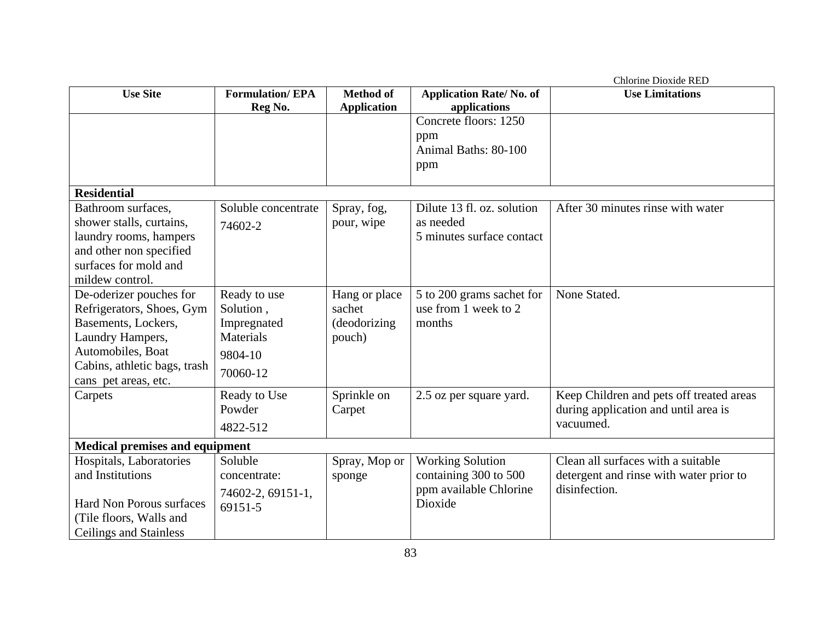|                                       |                        |                    |                                | Chlorine Dioxide RED                     |  |  |
|---------------------------------------|------------------------|--------------------|--------------------------------|------------------------------------------|--|--|
| <b>Use Site</b>                       | <b>Formulation/EPA</b> | <b>Method of</b>   | <b>Application Rate/No. of</b> | <b>Use Limitations</b>                   |  |  |
|                                       | Reg No.                | <b>Application</b> | applications                   |                                          |  |  |
|                                       |                        |                    | Concrete floors: 1250          |                                          |  |  |
|                                       |                        |                    | ppm                            |                                          |  |  |
|                                       |                        |                    | Animal Baths: 80-100           |                                          |  |  |
|                                       |                        |                    | ppm                            |                                          |  |  |
|                                       |                        |                    |                                |                                          |  |  |
| <b>Residential</b>                    |                        |                    |                                |                                          |  |  |
| Bathroom surfaces,                    | Soluble concentrate    | Spray, fog,        | Dilute 13 fl. oz. solution     | After 30 minutes rinse with water        |  |  |
| shower stalls, curtains,              | 74602-2                | pour, wipe         | as needed                      |                                          |  |  |
| laundry rooms, hampers                |                        |                    | 5 minutes surface contact      |                                          |  |  |
| and other non specified               |                        |                    |                                |                                          |  |  |
| surfaces for mold and                 |                        |                    |                                |                                          |  |  |
| mildew control.                       |                        |                    |                                |                                          |  |  |
| De-oderizer pouches for               | Ready to use           | Hang or place      | 5 to 200 grams sachet for      | None Stated.                             |  |  |
| Refrigerators, Shoes, Gym             | Solution,              | sachet             | use from 1 week to 2           |                                          |  |  |
| Basements, Lockers,                   | Impregnated            | (deodorizing       | months                         |                                          |  |  |
| Laundry Hampers,                      | <b>Materials</b>       | pouch)             |                                |                                          |  |  |
| Automobiles, Boat                     | 9804-10                |                    |                                |                                          |  |  |
| Cabins, athletic bags, trash          | 70060-12               |                    |                                |                                          |  |  |
| cans pet areas, etc.                  |                        |                    |                                |                                          |  |  |
| Carpets                               | Ready to Use           | Sprinkle on        | 2.5 oz per square yard.        | Keep Children and pets off treated areas |  |  |
|                                       | Powder                 | Carpet             |                                | during application and until area is     |  |  |
|                                       | 4822-512               |                    |                                | vacuumed.                                |  |  |
| <b>Medical premises and equipment</b> |                        |                    |                                |                                          |  |  |
| Hospitals, Laboratories               | Soluble                | Spray, Mop or      | <b>Working Solution</b>        | Clean all surfaces with a suitable       |  |  |
| and Institutions                      | concentrate:           | sponge             | containing 300 to 500          | detergent and rinse with water prior to  |  |  |
|                                       | 74602-2, 69151-1,      |                    | ppm available Chlorine         | disinfection.                            |  |  |
| <b>Hard Non Porous surfaces</b>       | 69151-5                |                    | Dioxide                        |                                          |  |  |
| (Tile floors, Walls and               |                        |                    |                                |                                          |  |  |
| <b>Ceilings and Stainless</b>         |                        |                    |                                |                                          |  |  |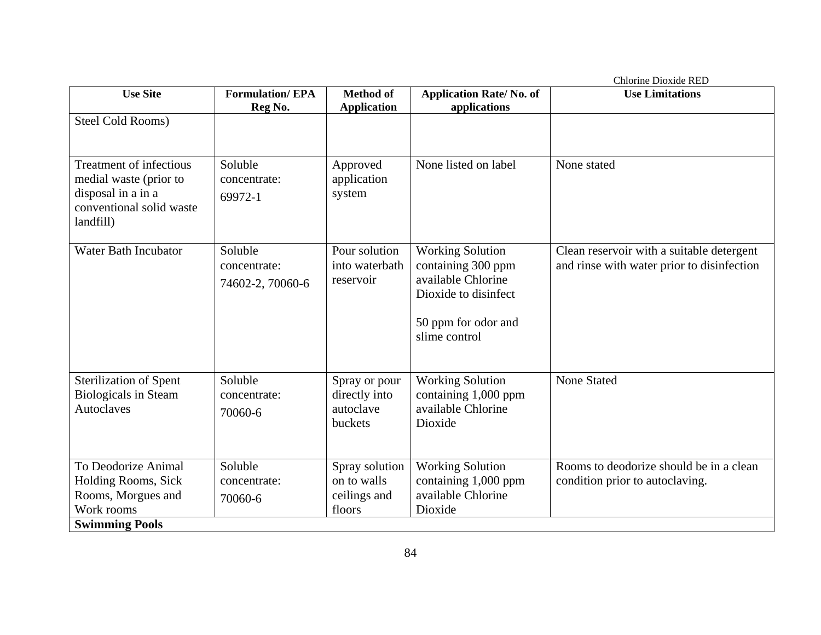|                                                                                                                         |                                             |                                                         |                                                                                                                                     | <b>Chlorine Dioxide RED</b>                                                             |
|-------------------------------------------------------------------------------------------------------------------------|---------------------------------------------|---------------------------------------------------------|-------------------------------------------------------------------------------------------------------------------------------------|-----------------------------------------------------------------------------------------|
| <b>Use Site</b>                                                                                                         | <b>Formulation/EPA</b>                      | <b>Method of</b>                                        | <b>Application Rate/No. of</b><br>applications                                                                                      | <b>Use Limitations</b>                                                                  |
| Steel Cold Rooms)                                                                                                       | Reg No.                                     | <b>Application</b>                                      |                                                                                                                                     |                                                                                         |
| <b>Treatment of infectious</b><br>medial waste (prior to<br>disposal in a in a<br>conventional solid waste<br>landfill) | Soluble<br>concentrate:<br>69972-1          | Approved<br>application<br>system                       | None listed on label                                                                                                                | None stated                                                                             |
| <b>Water Bath Incubator</b>                                                                                             | Soluble<br>concentrate:<br>74602-2, 70060-6 | Pour solution<br>into waterbath<br>reservoir            | <b>Working Solution</b><br>containing 300 ppm<br>available Chlorine<br>Dioxide to disinfect<br>50 ppm for odor and<br>slime control | Clean reservoir with a suitable detergent<br>and rinse with water prior to disinfection |
| <b>Sterilization of Spent</b><br><b>Biologicals in Steam</b><br><b>Autoclaves</b>                                       | Soluble<br>concentrate:<br>70060-6          | Spray or pour<br>directly into<br>autoclave<br>buckets  | <b>Working Solution</b><br>containing 1,000 ppm<br>available Chlorine<br>Dioxide                                                    | <b>None Stated</b>                                                                      |
| To Deodorize Animal<br>Holding Rooms, Sick<br>Rooms, Morgues and<br>Work rooms<br><b>Swimming Pools</b>                 | Soluble<br>concentrate:<br>70060-6          | Spray solution<br>on to walls<br>ceilings and<br>floors | <b>Working Solution</b><br>containing 1,000 ppm<br>available Chlorine<br>Dioxide                                                    | Rooms to deodorize should be in a clean<br>condition prior to autoclaving.              |
|                                                                                                                         |                                             |                                                         |                                                                                                                                     |                                                                                         |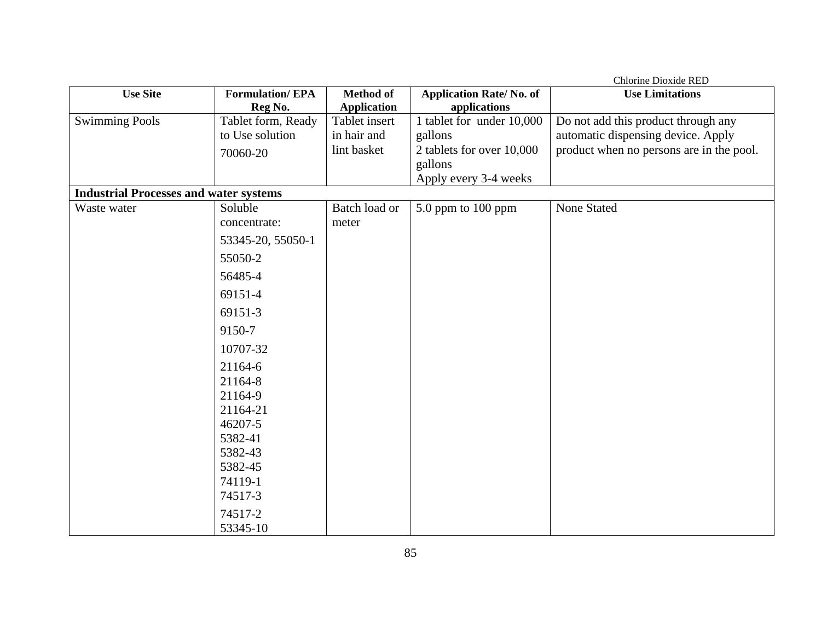|                                               |                        |                    |                                | Chlorine Dioxide RED                     |
|-----------------------------------------------|------------------------|--------------------|--------------------------------|------------------------------------------|
| <b>Use Site</b>                               | <b>Formulation/EPA</b> | <b>Method of</b>   | <b>Application Rate/No. of</b> | <b>Use Limitations</b>                   |
|                                               | Reg No.                | <b>Application</b> | applications                   |                                          |
| <b>Swimming Pools</b>                         | Tablet form, Ready     | Tablet insert      | 1 tablet for under 10,000      | Do not add this product through any      |
|                                               | to Use solution        | in hair and        | gallons                        | automatic dispensing device. Apply       |
|                                               | 70060-20               | lint basket        | 2 tablets for over 10,000      | product when no persons are in the pool. |
|                                               |                        |                    | gallons                        |                                          |
|                                               |                        |                    | Apply every 3-4 weeks          |                                          |
| <b>Industrial Processes and water systems</b> |                        |                    |                                |                                          |
| Waste water                                   | Soluble                | Batch load or      | 5.0 ppm to 100 ppm             | <b>None Stated</b>                       |
|                                               | concentrate:           | meter              |                                |                                          |
|                                               | 53345-20, 55050-1      |                    |                                |                                          |
|                                               | 55050-2                |                    |                                |                                          |
|                                               | 56485-4                |                    |                                |                                          |
|                                               | 69151-4                |                    |                                |                                          |
|                                               | 69151-3                |                    |                                |                                          |
|                                               | 9150-7                 |                    |                                |                                          |
|                                               | 10707-32               |                    |                                |                                          |
|                                               | 21164-6                |                    |                                |                                          |
|                                               | 21164-8                |                    |                                |                                          |
|                                               | 21164-9                |                    |                                |                                          |
|                                               | 21164-21               |                    |                                |                                          |
|                                               | 46207-5                |                    |                                |                                          |
|                                               | 5382-41                |                    |                                |                                          |
|                                               | 5382-43                |                    |                                |                                          |
|                                               | 5382-45                |                    |                                |                                          |
|                                               | 74119-1                |                    |                                |                                          |
|                                               | 74517-3                |                    |                                |                                          |
|                                               | 74517-2                |                    |                                |                                          |
|                                               | 53345-10               |                    |                                |                                          |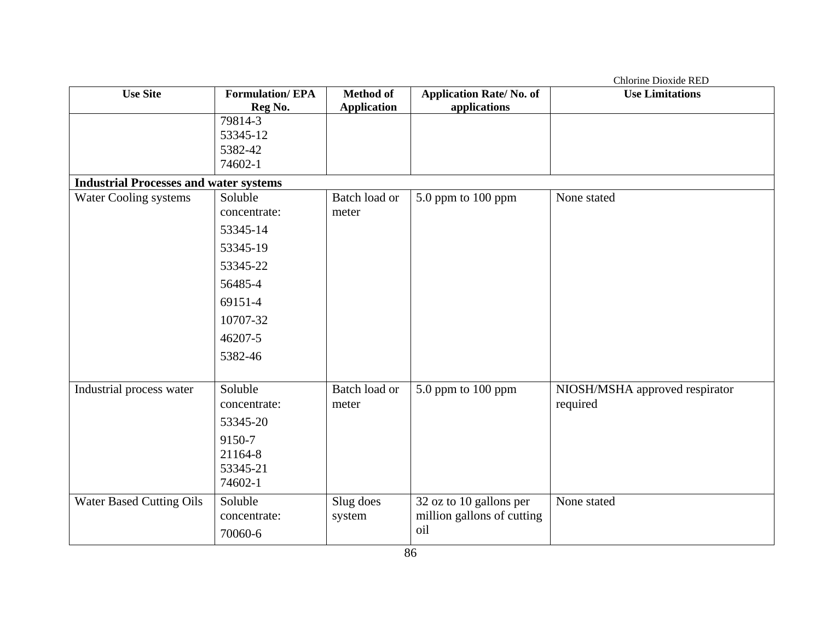|                                               |                         |                        |                                | Chlorine Dioxide RED                       |
|-----------------------------------------------|-------------------------|------------------------|--------------------------------|--------------------------------------------|
| <b>Use Site</b>                               | <b>Formulation/EPA</b>  | <b>Method of</b>       | <b>Application Rate/No. of</b> | <b>Use Limitations</b>                     |
|                                               | Reg No.                 | <b>Application</b>     | applications                   |                                            |
|                                               | 79814-3                 |                        |                                |                                            |
|                                               | 53345-12                |                        |                                |                                            |
|                                               | 5382-42                 |                        |                                |                                            |
|                                               | 74602-1                 |                        |                                |                                            |
| <b>Industrial Processes and water systems</b> |                         |                        |                                |                                            |
| Water Cooling systems                         | Soluble                 | Batch load or          | 5.0 ppm to 100 ppm             | None stated                                |
|                                               | concentrate:            | meter                  |                                |                                            |
|                                               | 53345-14                |                        |                                |                                            |
|                                               | 53345-19                |                        |                                |                                            |
|                                               | 53345-22                |                        |                                |                                            |
|                                               | 56485-4                 |                        |                                |                                            |
|                                               | 69151-4                 |                        |                                |                                            |
|                                               | 10707-32                |                        |                                |                                            |
|                                               | 46207-5                 |                        |                                |                                            |
|                                               | 5382-46                 |                        |                                |                                            |
|                                               |                         |                        |                                |                                            |
| Industrial process water                      | Soluble<br>concentrate: | Batch load or<br>meter | 5.0 ppm to 100 ppm             | NIOSH/MSHA approved respirator<br>required |
|                                               | 53345-20                |                        |                                |                                            |
|                                               | 9150-7                  |                        |                                |                                            |
|                                               | 21164-8                 |                        |                                |                                            |
|                                               | 53345-21                |                        |                                |                                            |
|                                               | 74602-1                 |                        |                                |                                            |
| <b>Water Based Cutting Oils</b>               | Soluble                 | Slug does              | 32 oz to 10 gallons per        | None stated                                |
|                                               | concentrate:            | system                 | million gallons of cutting     |                                            |
|                                               | 70060-6                 |                        | oil                            |                                            |
|                                               |                         |                        |                                |                                            |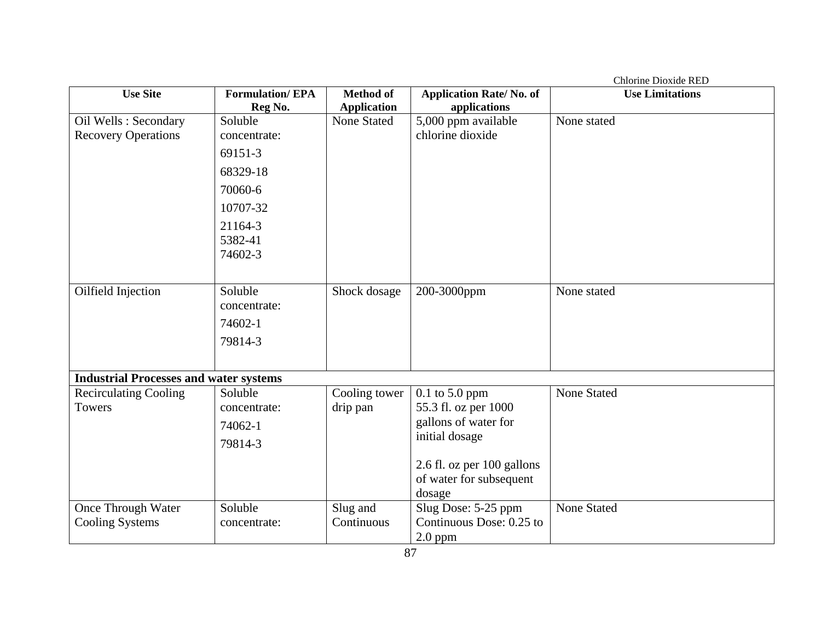| Chlorine Dioxide RED                          |                               |                    |                                       |                        |
|-----------------------------------------------|-------------------------------|--------------------|---------------------------------------|------------------------|
| <b>Use Site</b>                               | <b>Formulation/EPA</b>        | <b>Method of</b>   | <b>Application Rate/No. of</b>        | <b>Use Limitations</b> |
|                                               | Reg No.                       | <b>Application</b> | applications                          |                        |
| Oil Wells : Secondary                         | Soluble                       | None Stated        | 5,000 ppm available                   | None stated            |
| <b>Recovery Operations</b>                    | concentrate:                  |                    | chlorine dioxide                      |                        |
|                                               | 69151-3                       |                    |                                       |                        |
|                                               | 68329-18                      |                    |                                       |                        |
|                                               | 70060-6                       |                    |                                       |                        |
|                                               | 10707-32                      |                    |                                       |                        |
|                                               | 21164-3<br>5382-41<br>74602-3 |                    |                                       |                        |
| Oilfield Injection                            | Soluble                       | Shock dosage       | 200-3000ppm                           | None stated            |
|                                               | concentrate:                  |                    |                                       |                        |
|                                               | 74602-1                       |                    |                                       |                        |
|                                               | 79814-3                       |                    |                                       |                        |
|                                               |                               |                    |                                       |                        |
| <b>Industrial Processes and water systems</b> |                               |                    |                                       |                        |
| <b>Recirculating Cooling</b>                  | Soluble                       | Cooling tower      | $0.1$ to 5.0 ppm                      | <b>None Stated</b>     |
| Towers                                        | concentrate:                  | drip pan           | 55.3 fl. oz per 1000                  |                        |
|                                               | 74062-1                       |                    | gallons of water for                  |                        |
|                                               | 79814-3                       |                    | initial dosage                        |                        |
|                                               |                               |                    | 2.6 fl. oz per 100 gallons            |                        |
|                                               |                               |                    | of water for subsequent               |                        |
|                                               |                               |                    | dosage                                |                        |
| Once Through Water                            | Soluble                       | Slug and           | Slug Dose: 5-25 ppm                   | <b>None Stated</b>     |
| <b>Cooling Systems</b>                        | concentrate:                  | Continuous         | Continuous Dose: 0.25 to<br>$2.0$ ppm |                        |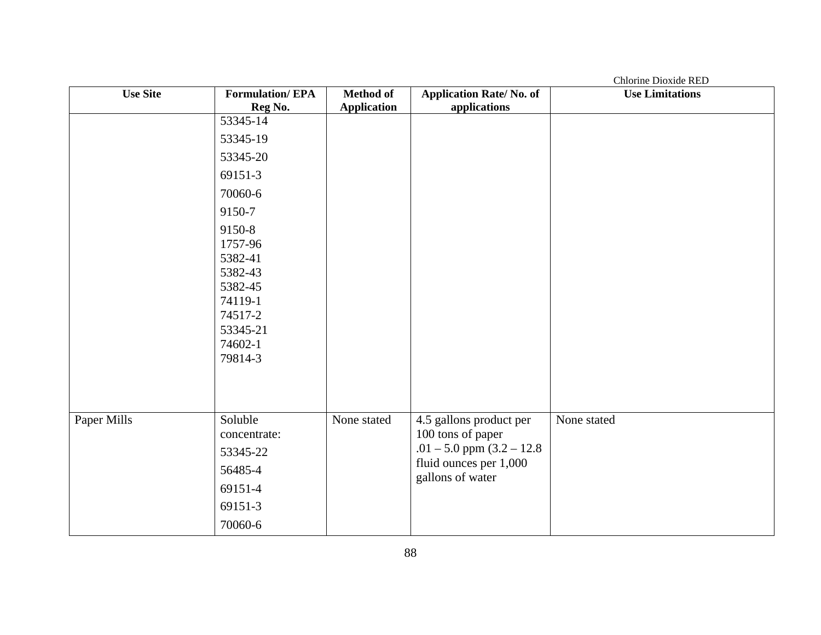Chlorine Dioxide RED Use Site **Formulation**/ EPA **Reg No. Method of Application Application Rate/ No. of applications Use Limitations**  53345-14 53345-19 53345-20 69151-3 70060-6 9150-7 9150-8 1757-96 5382-41 5382-43 5382-45 74119-1 74517-2 53345-21 74602-1 79814-3 Paper Mills Soluble concentrate: 53345-22 56485-4 69151-4 69151-3 70060-6 None stated 4.5 gallons product per 100 tons of paper  $.01 - 5.0$  ppm  $(3.2 - 12.8)$ fluid ounces per 1,000 gallons of water None stated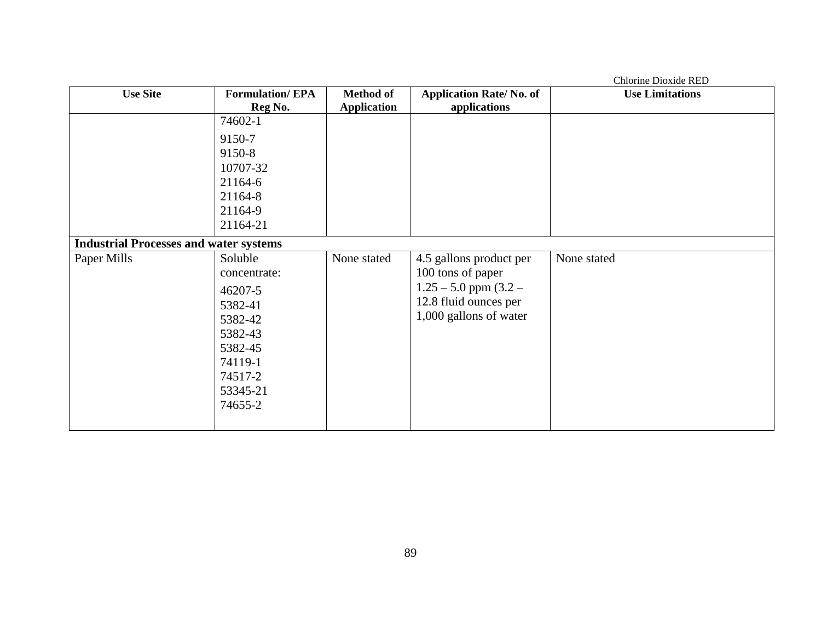|                                               |                                                                                                                             |                    |                                                                                                                              | Chlorine Dioxide RED   |
|-----------------------------------------------|-----------------------------------------------------------------------------------------------------------------------------|--------------------|------------------------------------------------------------------------------------------------------------------------------|------------------------|
| <b>Use Site</b>                               | <b>Formulation/EPA</b>                                                                                                      | <b>Method of</b>   | <b>Application Rate/No. of</b>                                                                                               | <b>Use Limitations</b> |
|                                               | Reg No.                                                                                                                     | <b>Application</b> | applications                                                                                                                 |                        |
|                                               | 74602-1                                                                                                                     |                    |                                                                                                                              |                        |
|                                               | 9150-7                                                                                                                      |                    |                                                                                                                              |                        |
|                                               | 9150-8                                                                                                                      |                    |                                                                                                                              |                        |
|                                               | 10707-32                                                                                                                    |                    |                                                                                                                              |                        |
|                                               | 21164-6                                                                                                                     |                    |                                                                                                                              |                        |
|                                               | 21164-8                                                                                                                     |                    |                                                                                                                              |                        |
|                                               | 21164-9                                                                                                                     |                    |                                                                                                                              |                        |
|                                               | 21164-21                                                                                                                    |                    |                                                                                                                              |                        |
| <b>Industrial Processes and water systems</b> |                                                                                                                             |                    |                                                                                                                              |                        |
| Paper Mills                                   | Soluble<br>concentrate:<br>46207-5<br>5382-41<br>5382-42<br>5382-43<br>5382-45<br>74119-1<br>74517-2<br>53345-21<br>74655-2 | None stated        | 4.5 gallons product per<br>100 tons of paper<br>$1.25 - 5.0$ ppm $(3.2 -$<br>12.8 fluid ounces per<br>1,000 gallons of water | None stated            |
|                                               |                                                                                                                             |                    |                                                                                                                              |                        |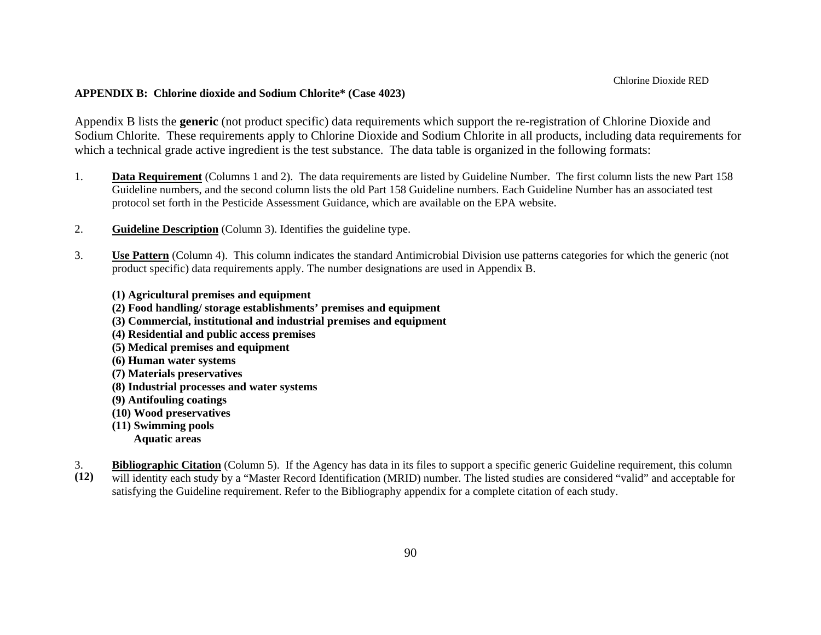#### **APPENDIX B: Chlorine dioxide and Sodium Chlorite\* (Case 4023)**

Appendix B lists the **generic** (not product specific) data requirements which support the re-registration of Chlorine Dioxide and Sodium Chlorite. These requirements apply to Chlorine Dioxide and Sodium Chlorite in all products, including data requirements for which a technical grade active ingredient is the test substance. The data table is organized in the following formats:

- 1. **Data Requirement** (Columns 1 and 2). The data requirements are listed by Guideline Number. The first column lists the new Part 158 Guideline numbers, and the second column lists the old Part 158 Guideline numbers. Each Guideline Number has an associated test protocol set forth in the Pesticide Assessment Guidance, which are available on the EPA website.
- 2.**Guideline Description** (Column 3). Identifies the guideline type.
- 3. **Use Pattern** (Column 4). This column indicates the standard Antimicrobial Division use patterns categories for which the generic (not product specific) data requirements apply. The number designations are used in Appendix B.
	- **(1) Agricultural premises and equipment**
	- **(2) Food handling/ storage establishments' premises and equipment**
	- **(3) Commercial, institutional and industrial premises and equipment**
	- **(4) Residential and public access premises**
	- **(5) Medical premises and equipment**
	- **(6) Human water systems**
	- **(7) Materials preservatives**
	- **(8) Industrial processes and water systems**
	- **(9) Antifouling coatings**
	- **(10) Wood preservatives**
	- **(11) Swimming pools Aquatic areas**
- **(12)**  3.**Bibliographic Citation** (Column 5). If the Agency has data in its files to support a specific generic Guideline requirement, this column will identity each study by a "Master Record Identification (MRID) number. The listed studies are considered "valid" and acceptable for satisfying the Guideline requirement. Refer to the Bibliography appendix for a complete citation of each study.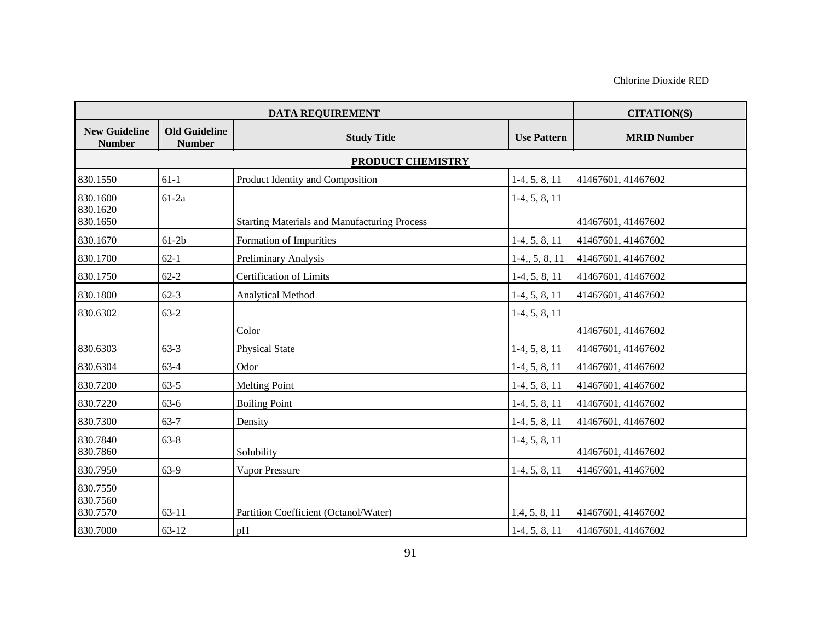| <b>DATA REQUIREMENT</b>               |                                       |                                                     |                    | <b>CITATION(S)</b> |  |  |
|---------------------------------------|---------------------------------------|-----------------------------------------------------|--------------------|--------------------|--|--|
| <b>New Guideline</b><br><b>Number</b> | <b>Old Guideline</b><br><b>Number</b> | <b>Study Title</b>                                  | <b>Use Pattern</b> | <b>MRID Number</b> |  |  |
|                                       | PRODUCT CHEMISTRY                     |                                                     |                    |                    |  |  |
| 830.1550                              | $61-1$                                | Product Identity and Composition                    | $1-4, 5, 8, 11$    | 41467601, 41467602 |  |  |
| 830.1600                              | $61-2a$                               |                                                     | $1-4, 5, 8, 11$    |                    |  |  |
| 830.1620<br>830.1650                  |                                       | <b>Starting Materials and Manufacturing Process</b> |                    | 41467601, 41467602 |  |  |
| 830.1670                              | $61-2b$                               | Formation of Impurities                             | $1-4, 5, 8, 11$    | 41467601, 41467602 |  |  |
| 830.1700                              | $62 - 1$                              | Preliminary Analysis                                | $1-4, 5, 8, 11$    | 41467601, 41467602 |  |  |
| 830.1750                              | $62 - 2$                              | <b>Certification of Limits</b>                      | $1-4, 5, 8, 11$    | 41467601, 41467602 |  |  |
| 830.1800                              | $62 - 3$                              | Analytical Method                                   | $1-4, 5, 8, 11$    | 41467601, 41467602 |  |  |
| 830.6302                              | $63-2$                                |                                                     | $1-4, 5, 8, 11$    |                    |  |  |
|                                       |                                       | Color                                               |                    | 41467601, 41467602 |  |  |
| 830.6303                              | $63-3$                                | <b>Physical State</b>                               | $1-4, 5, 8, 11$    | 41467601, 41467602 |  |  |
| 830.6304                              | $63-4$                                | Odor                                                | $1-4, 5, 8, 11$    | 41467601, 41467602 |  |  |
| 830.7200                              | $63-5$                                | <b>Melting Point</b>                                | $1-4, 5, 8, 11$    | 41467601, 41467602 |  |  |
| 830.7220                              | $63-6$                                | <b>Boiling Point</b>                                | $1-4, 5, 8, 11$    | 41467601, 41467602 |  |  |
| 830.7300                              | $63 - 7$                              | Density                                             | $1-4, 5, 8, 11$    | 41467601, 41467602 |  |  |
| 830.7840<br>830.7860                  | $63 - 8$                              | Solubility                                          | $1-4, 5, 8, 11$    | 41467601, 41467602 |  |  |
| 830.7950                              | 63-9                                  | <b>Vapor Pressure</b>                               | $1-4, 5, 8, 11$    | 41467601, 41467602 |  |  |
| 830.7550<br>830.7560<br>830.7570      | $63 - 11$                             | Partition Coefficient (Octanol/Water)               | 1,4,5,8,11         | 41467601, 41467602 |  |  |
| 830.7000                              | $63-12$                               | pH                                                  | $1-4, 5, 8, 11$    | 41467601, 41467602 |  |  |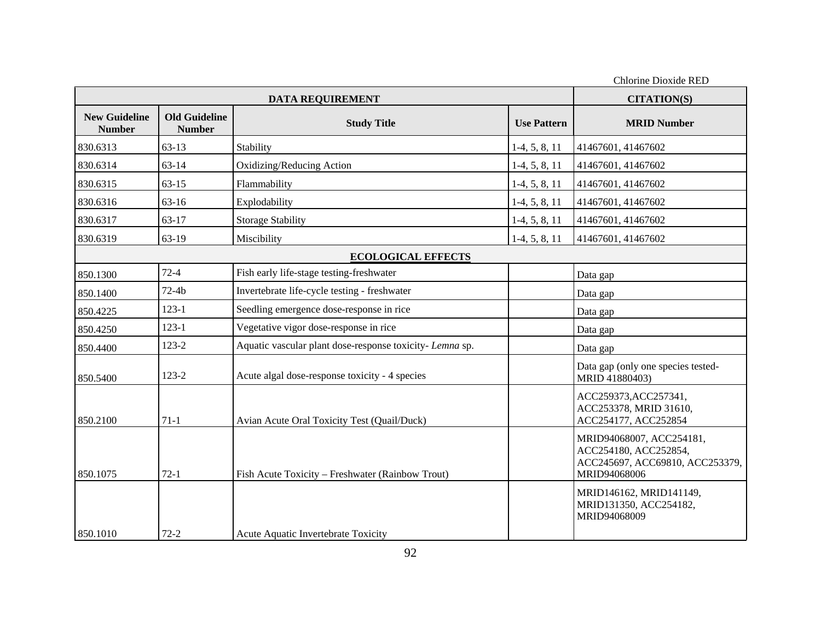|                                       |                                       | <b>DATA REQUIREMENT</b>                                  |                    | Chlorine Dioxide RED<br><b>CITATION(S)</b>                                                           |
|---------------------------------------|---------------------------------------|----------------------------------------------------------|--------------------|------------------------------------------------------------------------------------------------------|
| <b>New Guideline</b><br><b>Number</b> | <b>Old Guideline</b><br><b>Number</b> | <b>Study Title</b>                                       | <b>Use Pattern</b> | <b>MRID Number</b>                                                                                   |
| 830.6313                              | $63-13$                               | Stability                                                | $1-4, 5, 8, 11$    | 41467601, 41467602                                                                                   |
| 830.6314                              | $63 - 14$                             | Oxidizing/Reducing Action                                | $1-4, 5, 8, 11$    | 41467601, 41467602                                                                                   |
| 830.6315                              | $63 - 15$                             | Flammability                                             | $1-4, 5, 8, 11$    | 41467601, 41467602                                                                                   |
| 830.6316                              | 63-16                                 | Explodability                                            | $1-4, 5, 8, 11$    | 41467601, 41467602                                                                                   |
| 830.6317                              | 63-17                                 | <b>Storage Stability</b>                                 | $1-4, 5, 8, 11$    | 41467601, 41467602                                                                                   |
| 830.6319                              | 63-19                                 | Miscibility                                              | $1-4, 5, 8, 11$    | 41467601, 41467602                                                                                   |
|                                       |                                       | <b>ECOLOGICAL EFFECTS</b>                                |                    |                                                                                                      |
| 850.1300                              | $72-4$                                | Fish early life-stage testing-freshwater                 |                    | Data gap                                                                                             |
| 850.1400                              | $72-4b$                               | Invertebrate life-cycle testing - freshwater             |                    | Data gap                                                                                             |
| 850.4225                              | $123 - 1$                             | Seedling emergence dose-response in rice                 |                    | Data gap                                                                                             |
| 850.4250                              | $123 - 1$                             | Vegetative vigor dose-response in rice                   |                    | Data gap                                                                                             |
| 850.4400                              | 123-2                                 | Aquatic vascular plant dose-response toxicity- Lemna sp. |                    | Data gap                                                                                             |
| 850.5400                              | $123 - 2$                             | Acute algal dose-response toxicity - 4 species           |                    | Data gap (only one species tested-<br>MRID 41880403)                                                 |
| 850.2100                              | $71-1$                                | Avian Acute Oral Toxicity Test (Quail/Duck)              |                    | ACC259373, ACC257341,<br>ACC253378, MRID 31610,<br>ACC254177, ACC252854                              |
| 850.1075                              | $72-1$                                | Fish Acute Toxicity - Freshwater (Rainbow Trout)         |                    | MRID94068007, ACC254181,<br>ACC254180, ACC252854,<br>ACC245697, ACC69810, ACC253379,<br>MRID94068006 |
| 850.1010                              | $72 - 2$                              | Acute Aquatic Invertebrate Toxicity                      |                    | MRID146162, MRID141149,<br>MRID131350, ACC254182,<br>MRID94068009                                    |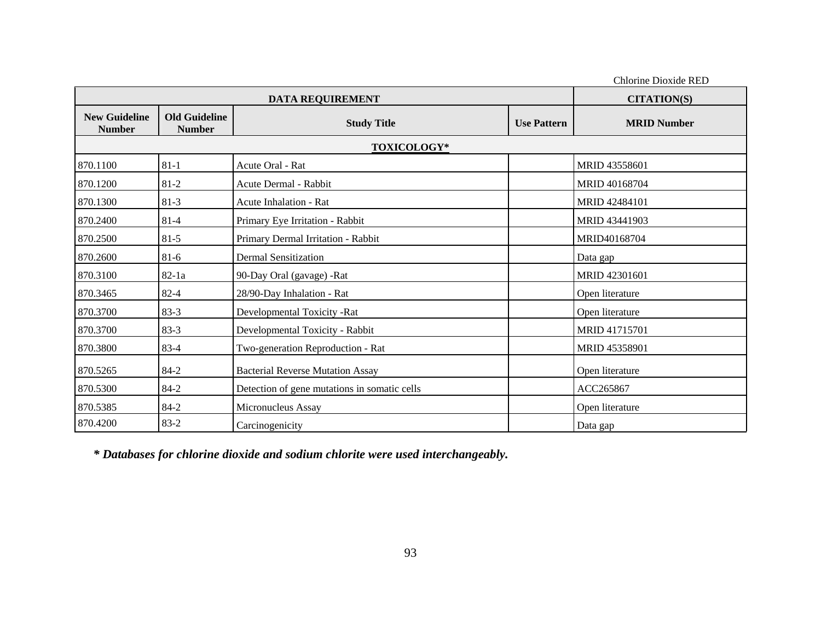Chlorine Dioxide RED **DATA REQUIREMENT CITATION(S) CITATION(S) New Guideline Number Old Guideline Number Study Title Study Title 1 Use Pattern MRID Number 1 Use Pattern 2 MRID Number TOXICOLOGY\***  870.1100 81-1 Acute Oral - Rat MRID 43558601 870.1200 81-2 Acute Dermal - Rabbit MRID 40168704  $870.1300$   $81-3$  Acute Inhalation - Rat MRID 42484101 870.2400 81-4 Primary Eye Irritation - Rabbit MRID 43441903 870.2500 81-5 Primary Dermal Irritation - Rabbit MRID40168704 870.2600 81-6 Dermal Sensitization Burns and Data gap 870.3100 82-1a 90-Day Oral (gavage) -Rat MRID 42301601 870.3465 82-4 28/90-Day Inhalation - Rat Open literature 870.3700 83-3 Developmental Toxicity -Rat Open literature 870.3700 83-3 Developmental Toxicity - Rabbit MRID 41715701 870.3800 83-4 Two-generation Reproduction - Rat MRID 45358901 870.5265 84-2 Bacterial Reverse Mutation Assay Open literature 870.5300 84-2 Detection of gene mutations in somatic cells ACC265867 870.5385 84-2 Micronucleus Assay Open literature 870.4200 83-2 Carcinogenicity Data gap

*\* Databases for chlorine dioxide and sodium chlorite were used interchangeably.*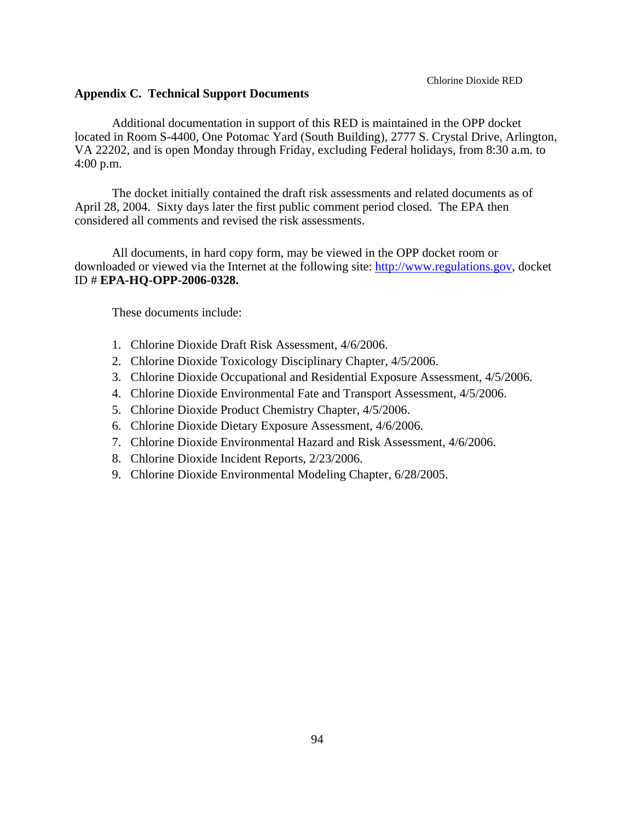#### **Appendix C. Technical Support Documents**

Additional documentation in support of this RED is maintained in the OPP docket located in Room S-4400, One Potomac Yard (South Building), 2777 S. Crystal Drive, Arlington, VA 22202, and is open Monday through Friday, excluding Federal holidays, from 8:30 a.m. to 4:00 p.m.

The docket initially contained the draft risk assessments and related documents as of April 28, 2004. Sixty days later the first public comment period closed. The EPA then considered all comments and revised the risk assessments.

All documents, in hard copy form, may be viewed in the OPP docket room or downloaded or viewed via the Internet at the following site: http://www.regulations.gov, docket ID # **EPA-HQ-OPP-2006-0328.** 

These documents include:

- 1. Chlorine Dioxide Draft Risk Assessment, 4/6/2006.
- 2. Chlorine Dioxide Toxicology Disciplinary Chapter, 4/5/2006.
- 3. Chlorine Dioxide Occupational and Residential Exposure Assessment, 4/5/2006.
- 4. Chlorine Dioxide Environmental Fate and Transport Assessment, 4/5/2006.
- 5. Chlorine Dioxide Product Chemistry Chapter, 4/5/2006.
- 6. Chlorine Dioxide Dietary Exposure Assessment, 4/6/2006.
- 7. Chlorine Dioxide Environmental Hazard and Risk Assessment, 4/6/2006.
- 8. Chlorine Dioxide Incident Reports, 2/23/2006.
- 9. Chlorine Dioxide Environmental Modeling Chapter, 6/28/2005.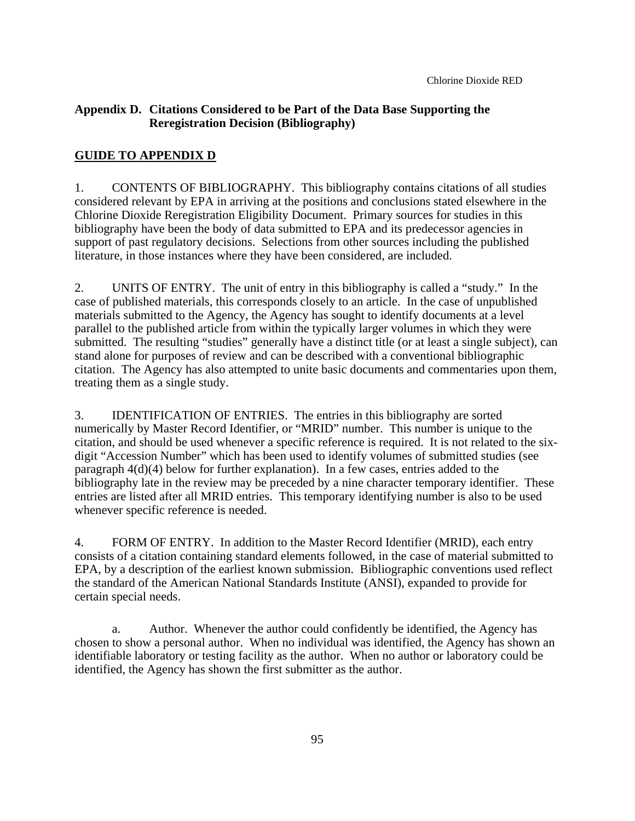#### **Appendix D. Citations Considered to be Part of the Data Base Supporting the Reregistration Decision (Bibliography)**

#### **GUIDE TO APPENDIX D**

1. CONTENTS OF BIBLIOGRAPHY. This bibliography contains citations of all studies considered relevant by EPA in arriving at the positions and conclusions stated elsewhere in the Chlorine Dioxide Reregistration Eligibility Document. Primary sources for studies in this bibliography have been the body of data submitted to EPA and its predecessor agencies in support of past regulatory decisions. Selections from other sources including the published literature, in those instances where they have been considered, are included.

2. UNITS OF ENTRY. The unit of entry in this bibliography is called a "study." In the case of published materials, this corresponds closely to an article. In the case of unpublished materials submitted to the Agency, the Agency has sought to identify documents at a level parallel to the published article from within the typically larger volumes in which they were submitted. The resulting "studies" generally have a distinct title (or at least a single subject), can stand alone for purposes of review and can be described with a conventional bibliographic citation. The Agency has also attempted to unite basic documents and commentaries upon them, treating them as a single study.

3. IDENTIFICATION OF ENTRIES. The entries in this bibliography are sorted numerically by Master Record Identifier, or "MRID" number. This number is unique to the citation, and should be used whenever a specific reference is required. It is not related to the sixdigit "Accession Number" which has been used to identify volumes of submitted studies (see paragraph 4(d)(4) below for further explanation). In a few cases, entries added to the bibliography late in the review may be preceded by a nine character temporary identifier. These entries are listed after all MRID entries. This temporary identifying number is also to be used whenever specific reference is needed.

4. FORM OF ENTRY. In addition to the Master Record Identifier (MRID), each entry consists of a citation containing standard elements followed, in the case of material submitted to EPA, by a description of the earliest known submission. Bibliographic conventions used reflect the standard of the American National Standards Institute (ANSI), expanded to provide for certain special needs.

a. Author. Whenever the author could confidently be identified, the Agency has chosen to show a personal author. When no individual was identified, the Agency has shown an identifiable laboratory or testing facility as the author. When no author or laboratory could be identified, the Agency has shown the first submitter as the author.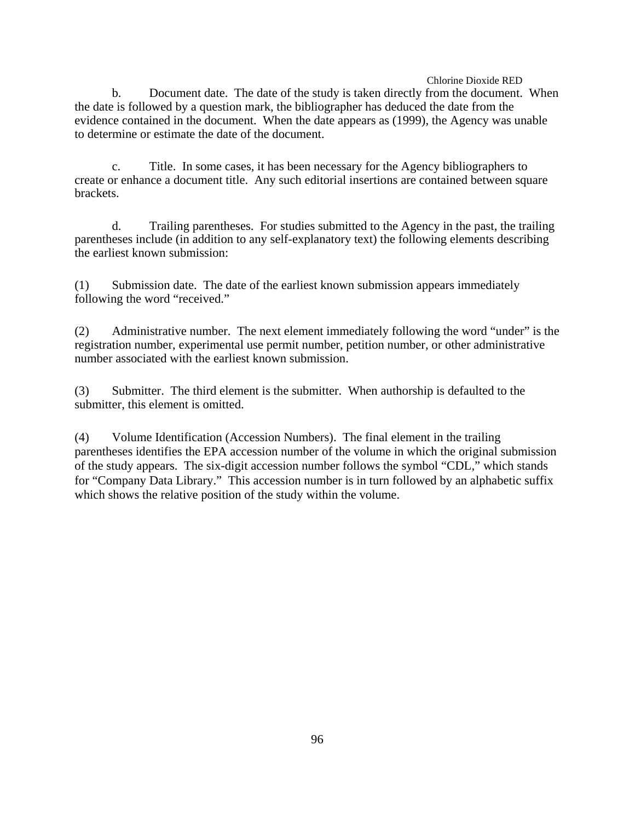b. Document date. The date of the study is taken directly from the document. When the date is followed by a question mark, the bibliographer has deduced the date from the evidence contained in the document. When the date appears as (1999), the Agency was unable to determine or estimate the date of the document.

c. Title. In some cases, it has been necessary for the Agency bibliographers to create or enhance a document title. Any such editorial insertions are contained between square brackets.

d. Trailing parentheses. For studies submitted to the Agency in the past, the trailing parentheses include (in addition to any self-explanatory text) the following elements describing the earliest known submission:

(1) Submission date. The date of the earliest known submission appears immediately following the word "received."

(2) Administrative number. The next element immediately following the word "under" is the registration number, experimental use permit number, petition number, or other administrative number associated with the earliest known submission.

(3) Submitter. The third element is the submitter. When authorship is defaulted to the submitter, this element is omitted.

(4) Volume Identification (Accession Numbers). The final element in the trailing parentheses identifies the EPA accession number of the volume in which the original submission of the study appears. The six-digit accession number follows the symbol "CDL," which stands for "Company Data Library." This accession number is in turn followed by an alphabetic suffix which shows the relative position of the study within the volume.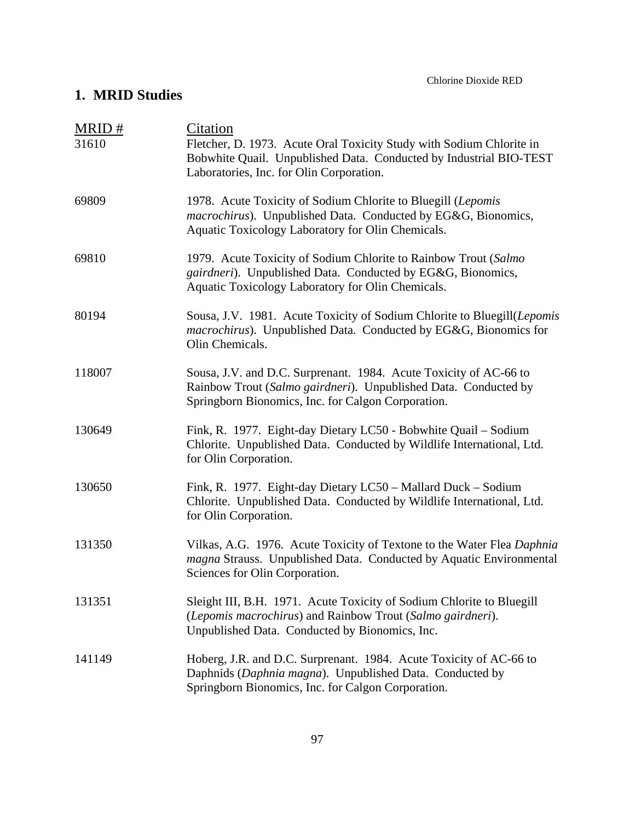### **1. MRID Studies**

| MRID#  | Citation                                                                                                                                                                                   |  |  |
|--------|--------------------------------------------------------------------------------------------------------------------------------------------------------------------------------------------|--|--|
| 31610  | Fletcher, D. 1973. Acute Oral Toxicity Study with Sodium Chlorite in<br>Bobwhite Quail. Unpublished Data. Conducted by Industrial BIO-TEST<br>Laboratories, Inc. for Olin Corporation.     |  |  |
| 69809  | 1978. Acute Toxicity of Sodium Chlorite to Bluegill (Lepomis<br>macrochirus). Unpublished Data. Conducted by EG&G, Bionomics,<br>Aquatic Toxicology Laboratory for Olin Chemicals.         |  |  |
| 69810  | 1979. Acute Toxicity of Sodium Chlorite to Rainbow Trout (Salmo<br>gairdneri). Unpublished Data. Conducted by EG&G, Bionomics,<br>Aquatic Toxicology Laboratory for Olin Chemicals.        |  |  |
| 80194  | Sousa, J.V. 1981. Acute Toxicity of Sodium Chlorite to Bluegill(Lepomis<br>macrochirus). Unpublished Data. Conducted by EG&G, Bionomics for<br>Olin Chemicals.                             |  |  |
| 118007 | Sousa, J.V. and D.C. Surprenant. 1984. Acute Toxicity of AC-66 to<br>Rainbow Trout (Salmo gairdneri). Unpublished Data. Conducted by<br>Springborn Bionomics, Inc. for Calgon Corporation. |  |  |
| 130649 | Fink, R. 1977. Eight-day Dietary LC50 - Bobwhite Quail - Sodium<br>Chlorite. Unpublished Data. Conducted by Wildlife International, Ltd.<br>for Olin Corporation.                          |  |  |
| 130650 | Fink, R. 1977. Eight-day Dietary LC50 - Mallard Duck - Sodium<br>Chlorite. Unpublished Data. Conducted by Wildlife International, Ltd.<br>for Olin Corporation.                            |  |  |
| 131350 | Vilkas, A.G. 1976. Acute Toxicity of Textone to the Water Flea Daphnia<br>magna Strauss. Unpublished Data. Conducted by Aquatic Environmental<br>Sciences for Olin Corporation.            |  |  |
| 131351 | Sleight III, B.H. 1971. Acute Toxicity of Sodium Chlorite to Bluegill<br>(Lepomis macrochirus) and Rainbow Trout (Salmo gairdneri).<br>Unpublished Data. Conducted by Bionomics, Inc.      |  |  |
| 141149 | Hoberg, J.R. and D.C. Surprenant. 1984. Acute Toxicity of AC-66 to<br>Daphnids (Daphnia magna). Unpublished Data. Conducted by<br>Springborn Bionomics, Inc. for Calgon Corporation.       |  |  |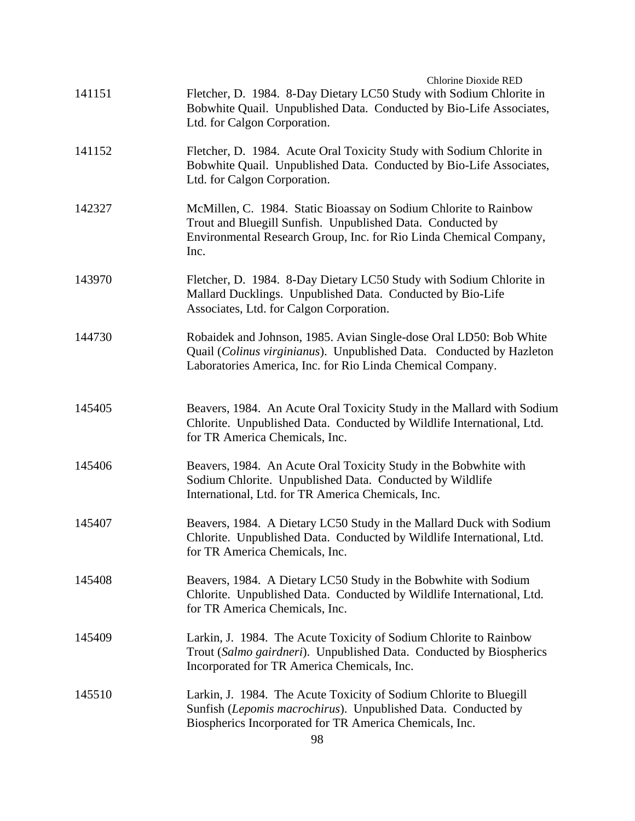| 141151 | <b>Chlorine Dioxide RED</b><br>Fletcher, D. 1984. 8-Day Dietary LC50 Study with Sodium Chlorite in<br>Bobwhite Quail. Unpublished Data. Conducted by Bio-Life Associates,<br>Ltd. for Calgon Corporation.    |
|--------|--------------------------------------------------------------------------------------------------------------------------------------------------------------------------------------------------------------|
| 141152 | Fletcher, D. 1984. Acute Oral Toxicity Study with Sodium Chlorite in<br>Bobwhite Quail. Unpublished Data. Conducted by Bio-Life Associates,<br>Ltd. for Calgon Corporation.                                  |
| 142327 | McMillen, C. 1984. Static Bioassay on Sodium Chlorite to Rainbow<br>Trout and Bluegill Sunfish. Unpublished Data. Conducted by<br>Environmental Research Group, Inc. for Rio Linda Chemical Company,<br>Inc. |
| 143970 | Fletcher, D. 1984. 8-Day Dietary LC50 Study with Sodium Chlorite in<br>Mallard Ducklings. Unpublished Data. Conducted by Bio-Life<br>Associates, Ltd. for Calgon Corporation.                                |
| 144730 | Robaidek and Johnson, 1985. Avian Single-dose Oral LD50: Bob White<br>Quail (Colinus virginianus). Unpublished Data. Conducted by Hazleton<br>Laboratories America, Inc. for Rio Linda Chemical Company.     |
| 145405 | Beavers, 1984. An Acute Oral Toxicity Study in the Mallard with Sodium<br>Chlorite. Unpublished Data. Conducted by Wildlife International, Ltd.<br>for TR America Chemicals, Inc.                            |
| 145406 | Beavers, 1984. An Acute Oral Toxicity Study in the Bobwhite with<br>Sodium Chlorite. Unpublished Data. Conducted by Wildlife<br>International, Ltd. for TR America Chemicals, Inc.                           |
| 145407 | Beavers, 1984. A Dietary LC50 Study in the Mallard Duck with Sodium<br>Chlorite. Unpublished Data. Conducted by Wildlife International, Ltd.<br>for TR America Chemicals, Inc.                               |
| 145408 | Beavers, 1984. A Dietary LC50 Study in the Bobwhite with Sodium<br>Chlorite. Unpublished Data. Conducted by Wildlife International, Ltd.<br>for TR America Chemicals, Inc.                                   |
| 145409 | Larkin, J. 1984. The Acute Toxicity of Sodium Chlorite to Rainbow<br>Trout (Salmo gairdneri). Unpublished Data. Conducted by Biospherics<br>Incorporated for TR America Chemicals, Inc.                      |
| 145510 | Larkin, J. 1984. The Acute Toxicity of Sodium Chlorite to Bluegill<br>Sunfish (Lepomis macrochirus). Unpublished Data. Conducted by<br>Biospherics Incorporated for TR America Chemicals, Inc.               |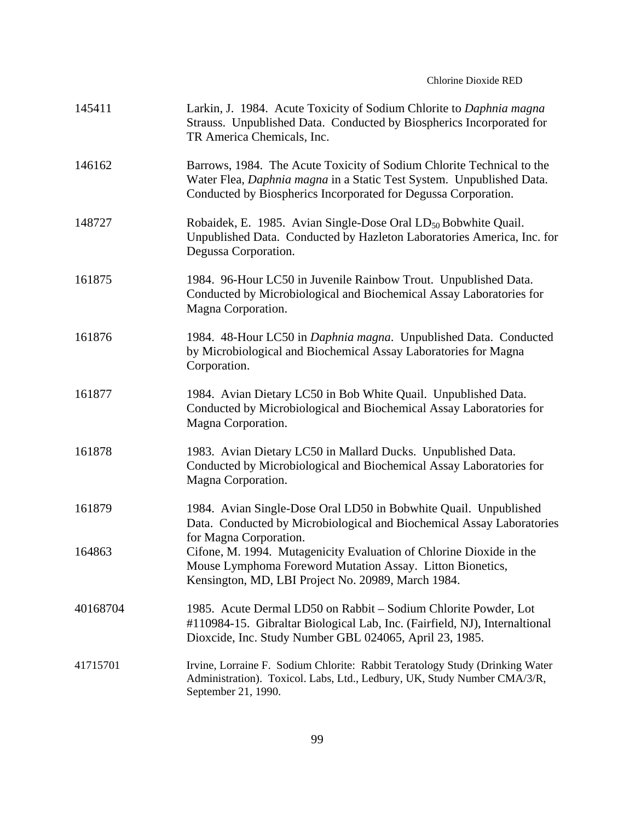### Chlorine Dioxide RED

| 145411   | Larkin, J. 1984. Acute Toxicity of Sodium Chlorite to Daphnia magna<br>Strauss. Unpublished Data. Conducted by Biospherics Incorporated for<br>TR America Chemicals, Inc.                                       |
|----------|-----------------------------------------------------------------------------------------------------------------------------------------------------------------------------------------------------------------|
| 146162   | Barrows, 1984. The Acute Toxicity of Sodium Chlorite Technical to the<br>Water Flea, Daphnia magna in a Static Test System. Unpublished Data.<br>Conducted by Biospherics Incorporated for Degussa Corporation. |
| 148727   | Robaidek, E. 1985. Avian Single-Dose Oral LD <sub>50</sub> Bobwhite Quail.<br>Unpublished Data. Conducted by Hazleton Laboratories America, Inc. for<br>Degussa Corporation.                                    |
| 161875   | 1984. 96-Hour LC50 in Juvenile Rainbow Trout. Unpublished Data.<br>Conducted by Microbiological and Biochemical Assay Laboratories for<br>Magna Corporation.                                                    |
| 161876   | 1984. 48-Hour LC50 in Daphnia magna. Unpublished Data. Conducted<br>by Microbiological and Biochemical Assay Laboratories for Magna<br>Corporation.                                                             |
| 161877   | 1984. Avian Dietary LC50 in Bob White Quail. Unpublished Data.<br>Conducted by Microbiological and Biochemical Assay Laboratories for<br>Magna Corporation.                                                     |
| 161878   | 1983. Avian Dietary LC50 in Mallard Ducks. Unpublished Data.<br>Conducted by Microbiological and Biochemical Assay Laboratories for<br>Magna Corporation.                                                       |
| 161879   | 1984. Avian Single-Dose Oral LD50 in Bobwhite Quail. Unpublished<br>Data. Conducted by Microbiological and Biochemical Assay Laboratories<br>for Magna Corporation.                                             |
| 164863   | Cifone, M. 1994. Mutagenicity Evaluation of Chlorine Dioxide in the<br>Mouse Lymphoma Foreword Mutation Assay. Litton Bionetics,<br>Kensington, MD, LBI Project No. 20989, March 1984.                          |
| 40168704 | 1985. Acute Dermal LD50 on Rabbit – Sodium Chlorite Powder, Lot<br>#110984-15. Gibraltar Biological Lab, Inc. (Fairfield, NJ), Internaltional<br>Dioxcide, Inc. Study Number GBL 024065, April 23, 1985.        |
| 41715701 | Irvine, Lorraine F. Sodium Chlorite: Rabbit Teratology Study (Drinking Water<br>Administration). Toxicol. Labs, Ltd., Ledbury, UK, Study Number CMA/3/R,<br>September 21, 1990.                                 |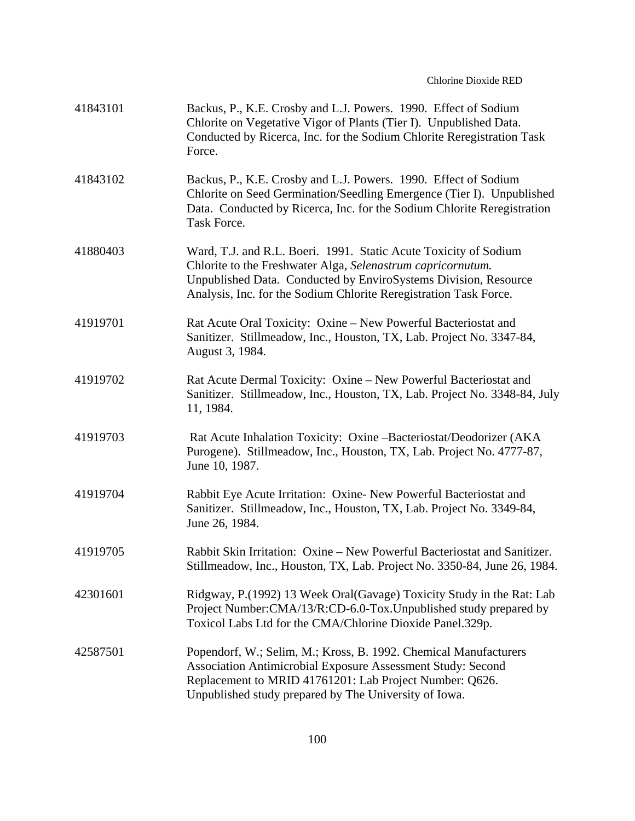| 41843101 | Backus, P., K.E. Crosby and L.J. Powers. 1990. Effect of Sodium<br>Chlorite on Vegetative Vigor of Plants (Tier I). Unpublished Data.<br>Conducted by Ricerca, Inc. for the Sodium Chlorite Reregistration Task<br>Force.                                               |
|----------|-------------------------------------------------------------------------------------------------------------------------------------------------------------------------------------------------------------------------------------------------------------------------|
| 41843102 | Backus, P., K.E. Crosby and L.J. Powers. 1990. Effect of Sodium<br>Chlorite on Seed Germination/Seedling Emergence (Tier I). Unpublished<br>Data. Conducted by Ricerca, Inc. for the Sodium Chlorite Reregistration<br>Task Force.                                      |
| 41880403 | Ward, T.J. and R.L. Boeri. 1991. Static Acute Toxicity of Sodium<br>Chlorite to the Freshwater Alga, Selenastrum capricornutum.<br>Unpublished Data. Conducted by EnviroSystems Division, Resource<br>Analysis, Inc. for the Sodium Chlorite Reregistration Task Force. |
| 41919701 | Rat Acute Oral Toxicity: Oxine – New Powerful Bacteriostat and<br>Sanitizer. Stillmeadow, Inc., Houston, TX, Lab. Project No. 3347-84,<br>August 3, 1984.                                                                                                               |
| 41919702 | Rat Acute Dermal Toxicity: Oxine – New Powerful Bacteriostat and<br>Sanitizer. Stillmeadow, Inc., Houston, TX, Lab. Project No. 3348-84, July<br>11, 1984.                                                                                                              |
| 41919703 | Rat Acute Inhalation Toxicity: Oxine -Bacteriostat/Deodorizer (AKA<br>Purogene). Stillmeadow, Inc., Houston, TX, Lab. Project No. 4777-87,<br>June 10, 1987.                                                                                                            |
| 41919704 | Rabbit Eye Acute Irritation: Oxine- New Powerful Bacteriostat and<br>Sanitizer. Stillmeadow, Inc., Houston, TX, Lab. Project No. 3349-84,<br>June 26, 1984.                                                                                                             |
| 41919705 | Rabbit Skin Irritation: Oxine – New Powerful Bacteriostat and Sanitizer.<br>Stillmeadow, Inc., Houston, TX, Lab. Project No. 3350-84, June 26, 1984.                                                                                                                    |
| 42301601 | Ridgway, P.(1992) 13 Week Oral(Gavage) Toxicity Study in the Rat: Lab<br>Project Number:CMA/13/R:CD-6.0-Tox.Unpublished study prepared by<br>Toxicol Labs Ltd for the CMA/Chlorine Dioxide Panel.329p.                                                                  |
| 42587501 | Popendorf, W.; Selim, M.; Kross, B. 1992. Chemical Manufacturers<br>Association Antimicrobial Exposure Assessment Study: Second<br>Replacement to MRID 41761201: Lab Project Number: Q626.<br>Unpublished study prepared by The University of Iowa.                     |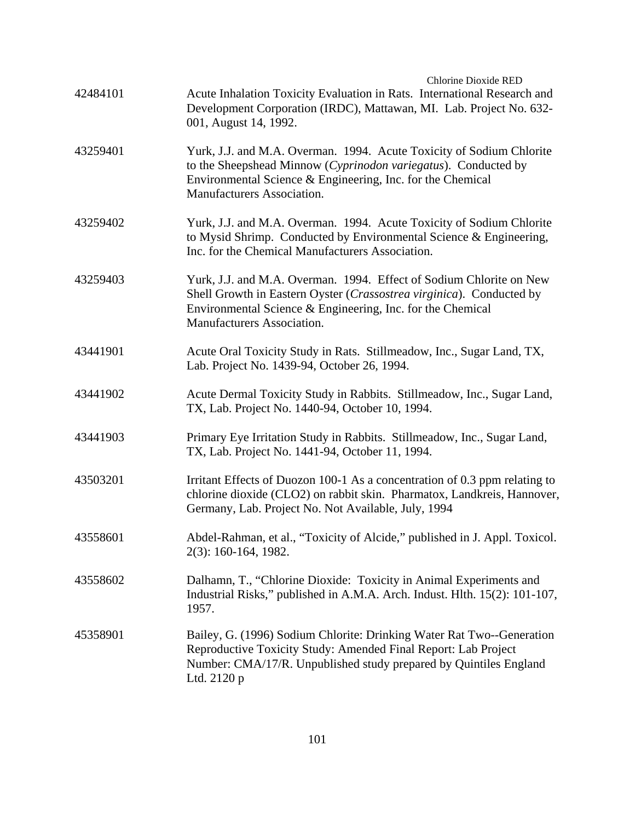| 42484101 | <b>Chlorine Dioxide RED</b><br>Acute Inhalation Toxicity Evaluation in Rats. International Research and<br>Development Corporation (IRDC), Mattawan, MI. Lab. Project No. 632-<br>001, August 14, 1992.                                 |
|----------|-----------------------------------------------------------------------------------------------------------------------------------------------------------------------------------------------------------------------------------------|
| 43259401 | Yurk, J.J. and M.A. Overman. 1994. Acute Toxicity of Sodium Chlorite<br>to the Sheepshead Minnow (Cyprinodon variegatus). Conducted by<br>Environmental Science & Engineering, Inc. for the Chemical<br>Manufacturers Association.      |
| 43259402 | Yurk, J.J. and M.A. Overman. 1994. Acute Toxicity of Sodium Chlorite<br>to Mysid Shrimp. Conducted by Environmental Science & Engineering,<br>Inc. for the Chemical Manufacturers Association.                                          |
| 43259403 | Yurk, J.J. and M.A. Overman. 1994. Effect of Sodium Chlorite on New<br>Shell Growth in Eastern Oyster (Crassostrea virginica). Conducted by<br>Environmental Science & Engineering, Inc. for the Chemical<br>Manufacturers Association. |
| 43441901 | Acute Oral Toxicity Study in Rats. Stillmeadow, Inc., Sugar Land, TX,<br>Lab. Project No. 1439-94, October 26, 1994.                                                                                                                    |
| 43441902 | Acute Dermal Toxicity Study in Rabbits. Stillmeadow, Inc., Sugar Land,<br>TX, Lab. Project No. 1440-94, October 10, 1994.                                                                                                               |
| 43441903 | Primary Eye Irritation Study in Rabbits. Stillmeadow, Inc., Sugar Land,<br>TX, Lab. Project No. 1441-94, October 11, 1994.                                                                                                              |
| 43503201 | Irritant Effects of Duozon 100-1 As a concentration of 0.3 ppm relating to<br>chlorine dioxide (CLO2) on rabbit skin. Pharmatox, Landkreis, Hannover,<br>Germany, Lab. Project No. Not Available, July, 1994                            |
| 43558601 | Abdel-Rahman, et al., "Toxicity of Alcide," published in J. Appl. Toxicol.<br>2(3): 160-164, 1982.                                                                                                                                      |
| 43558602 | Dalhamn, T., "Chlorine Dioxide: Toxicity in Animal Experiments and<br>Industrial Risks," published in A.M.A. Arch. Indust. Hlth. 15(2): 101-107,<br>1957.                                                                               |
| 45358901 | Bailey, G. (1996) Sodium Chlorite: Drinking Water Rat Two--Generation<br>Reproductive Toxicity Study: Amended Final Report: Lab Project<br>Number: CMA/17/R. Unpublished study prepared by Quintiles England<br>Ltd. 2120 p             |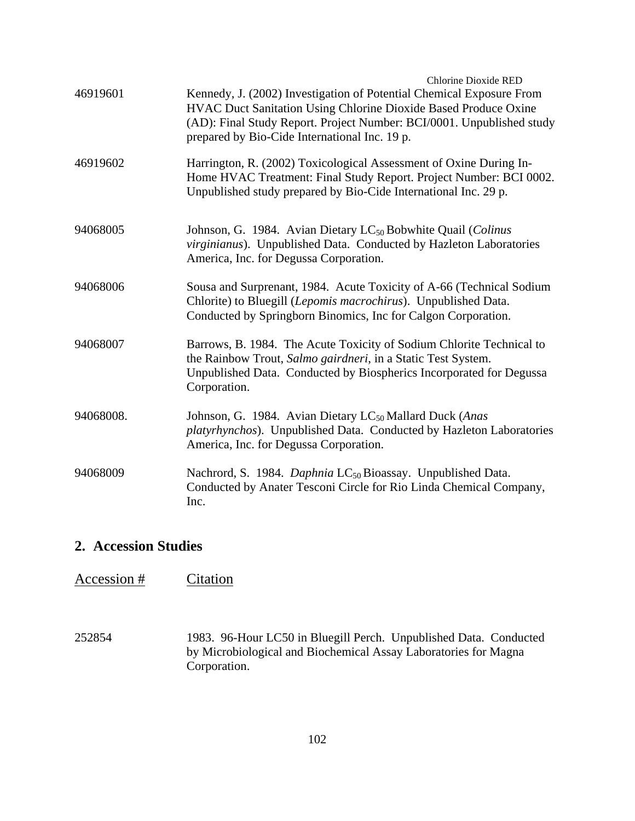|           | <b>Chlorine Dioxide RED</b>                                                                                                                                                                                                                                       |
|-----------|-------------------------------------------------------------------------------------------------------------------------------------------------------------------------------------------------------------------------------------------------------------------|
| 46919601  | Kennedy, J. (2002) Investigation of Potential Chemical Exposure From<br>HVAC Duct Sanitation Using Chlorine Dioxide Based Produce Oxine<br>(AD): Final Study Report. Project Number: BCI/0001. Unpublished study<br>prepared by Bio-Cide International Inc. 19 p. |
| 46919602  | Harrington, R. (2002) Toxicological Assessment of Oxine During In-<br>Home HVAC Treatment: Final Study Report. Project Number: BCI 0002.<br>Unpublished study prepared by Bio-Cide International Inc. 29 p.                                                       |
| 94068005  | Johnson, G. 1984. Avian Dietary LC <sub>50</sub> Bobwhite Quail (Colinus<br>virginianus). Unpublished Data. Conducted by Hazleton Laboratories<br>America, Inc. for Degussa Corporation.                                                                          |
| 94068006  | Sousa and Surprenant, 1984. Acute Toxicity of A-66 (Technical Sodium<br>Chlorite) to Bluegill (Lepomis macrochirus). Unpublished Data.<br>Conducted by Springborn Binomics, Inc for Calgon Corporation.                                                           |
| 94068007  | Barrows, B. 1984. The Acute Toxicity of Sodium Chlorite Technical to<br>the Rainbow Trout, Salmo gairdneri, in a Static Test System.<br>Unpublished Data. Conducted by Biospherics Incorporated for Degussa<br>Corporation.                                       |
| 94068008. | Johnson, G. 1984. Avian Dietary LC <sub>50</sub> Mallard Duck (Anas<br>platyrhynchos). Unpublished Data. Conducted by Hazleton Laboratories<br>America, Inc. for Degussa Corporation.                                                                             |
| 94068009  | Nachrord, S. 1984. Daphnia LC <sub>50</sub> Bioassay. Unpublished Data.<br>Conducted by Anater Tesconi Circle for Rio Linda Chemical Company,<br>Inc.                                                                                                             |

## **2. Accession Studies**

# Accession # Citation

252854 1983. 96-Hour LC50 in Bluegill Perch. Unpublished Data. Conducted by Microbiological and Biochemical Assay Laboratories for Magna Corporation.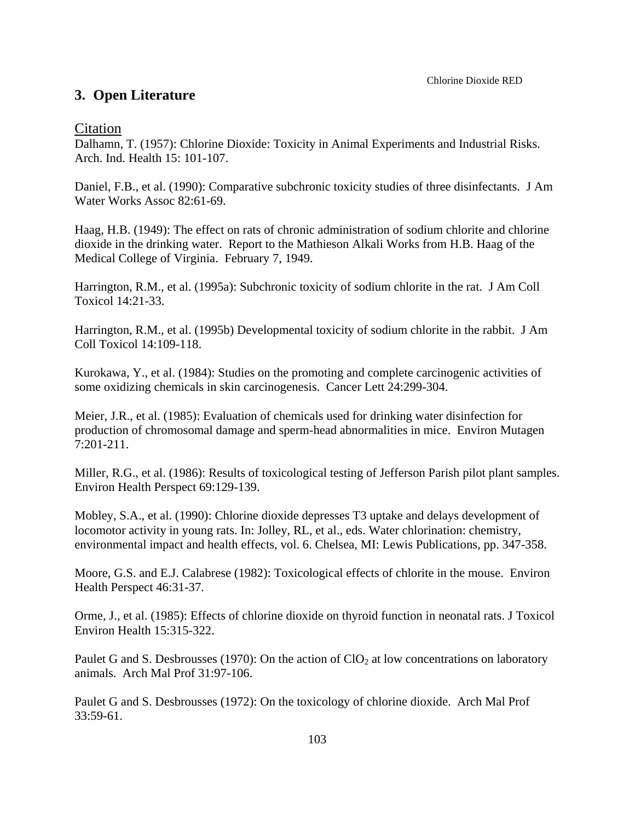## **3. Open Literature**

## Citation

Dalhamn, T. (1957): Chlorine Dioxide: Toxicity in Animal Experiments and Industrial Risks. Arch. Ind. Health 15: 101-107.

Daniel, F.B., et al. (1990): Comparative subchronic toxicity studies of three disinfectants. J Am Water Works Assoc 82:61-69.

Haag, H.B. (1949): The effect on rats of chronic administration of sodium chlorite and chlorine dioxide in the drinking water. Report to the Mathieson Alkali Works from H.B. Haag of the Medical College of Virginia. February 7, 1949.

Harrington, R.M., et al. (1995a): Subchronic toxicity of sodium chlorite in the rat. J Am Coll Toxicol 14:21-33.

Harrington, R.M., et al. (1995b) Developmental toxicity of sodium chlorite in the rabbit. J Am Coll Toxicol 14:109-118.

Kurokawa, Y., et al. (1984): Studies on the promoting and complete carcinogenic activities of some oxidizing chemicals in skin carcinogenesis. Cancer Lett 24:299-304.

Meier, J.R., et al. (1985): Evaluation of chemicals used for drinking water disinfection for production of chromosomal damage and sperm-head abnormalities in mice. Environ Mutagen 7:201-211.

Miller, R.G., et al. (1986): Results of toxicological testing of Jefferson Parish pilot plant samples. Environ Health Perspect 69:129-139.

Mobley, S.A., et al. (1990): Chlorine dioxide depresses T3 uptake and delays development of locomotor activity in young rats. In: Jolley, RL, et al., eds. Water chlorination: chemistry, environmental impact and health effects, vol. 6. Chelsea, MI: Lewis Publications, pp. 347-358.

Moore, G.S. and E.J. Calabrese (1982): Toxicological effects of chlorite in the mouse. Environ Health Perspect 46:31-37.

Orme, J., et al. (1985): Effects of chlorine dioxide on thyroid function in neonatal rats. J Toxicol Environ Health 15:315-322.

Paulet G and S. Desbrousses (1970): On the action of  $ClO<sub>2</sub>$  at low concentrations on laboratory animals. Arch Mal Prof 31:97-106.

Paulet G and S. Desbrousses (1972): On the toxicology of chlorine dioxide. Arch Mal Prof 33:59-61.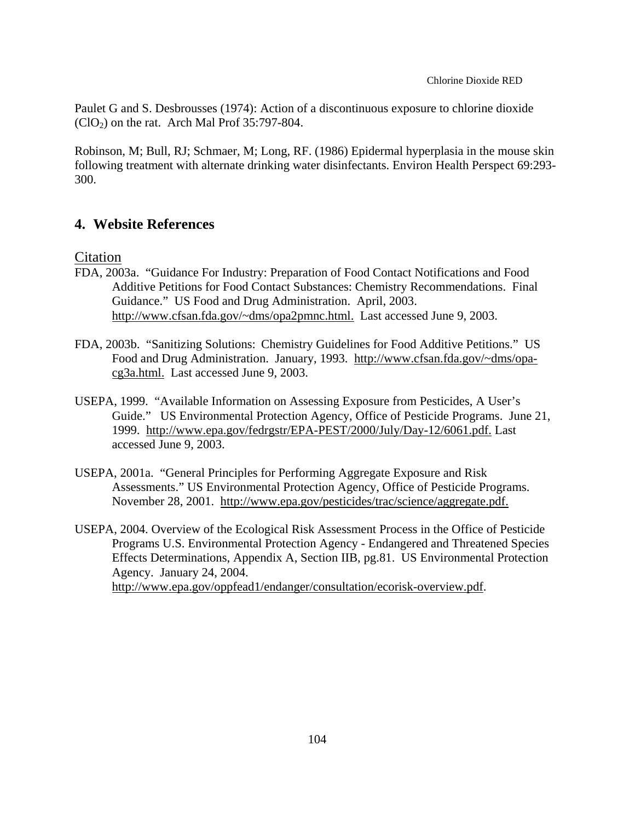Paulet G and S. Desbrousses (1974): Action of a discontinuous exposure to chlorine dioxide  $(CIO<sub>2</sub>)$  on the rat. Arch Mal Prof 35:797-804.

Robinson, M; Bull, RJ; Schmaer, M; Long, RF. (1986) Epidermal hyperplasia in the mouse skin following treatment with alternate drinking water disinfectants. Environ Health Perspect 69:293 300.

## **4. Website References**

Citation

- FDA, 2003a. "Guidance For Industry: Preparation of Food Contact Notifications and Food Additive Petitions for Food Contact Substances: Chemistry Recommendations. Final Guidance." US Food and Drug Administration. April, 2003. http://www.cfsan.fda.gov/~dms/opa2pmnc.html. Last accessed June 9, 2003.
- FDA, 2003b. "Sanitizing Solutions: Chemistry Guidelines for Food Additive Petitions." US Food and Drug Administration. January, 1993. http://www.cfsan.fda.gov/~dms/opacg3a.html. Last accessed June 9, 2003.
- USEPA, 1999. "Available Information on Assessing Exposure from Pesticides, A User's Guide." US Environmental Protection Agency, Office of Pesticide Programs. June 21, 1999. http://www.epa.gov/fedrgstr/EPA-PEST/2000/July/Day-12/6061.pdf. Last accessed June 9, 2003.
- USEPA, 2001a. "General Principles for Performing Aggregate Exposure and Risk Assessments." US Environmental Protection Agency, Office of Pesticide Programs. November 28, 2001. http://www.epa.gov/pesticides/trac/science/aggregate.pdf.
- USEPA, 2004. Overview of the Ecological Risk Assessment Process in the Office of Pesticide Programs U.S. Environmental Protection Agency - Endangered and Threatened Species Effects Determinations, Appendix A, Section IIB, pg.81. US Environmental Protection Agency. January 24, 2004. http://www.epa.gov/oppfead1/endanger/consultation/ecorisk-overview.pdf.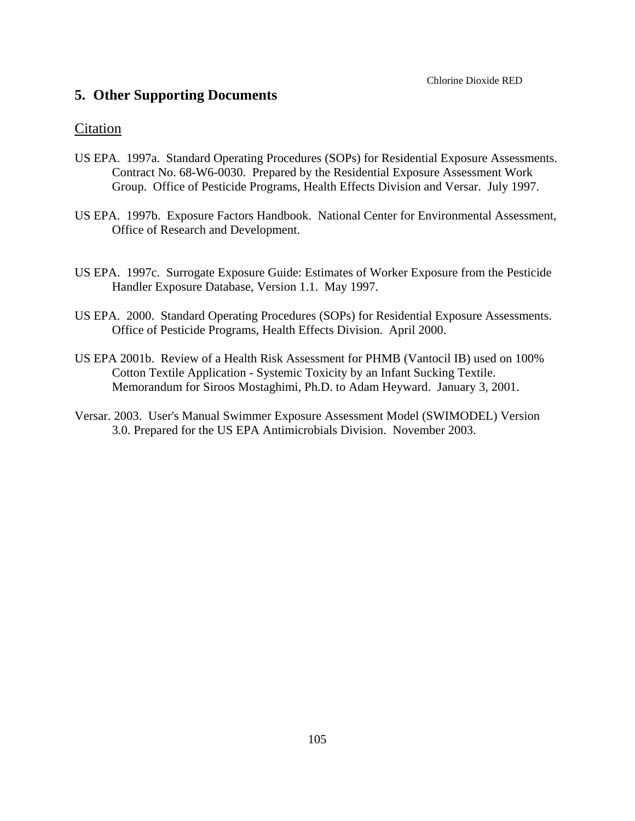## **5. Other Supporting Documents**

### Citation

- US EPA. 1997a. Standard Operating Procedures (SOPs) for Residential Exposure Assessments. Contract No. 68-W6-0030. Prepared by the Residential Exposure Assessment Work Group. Office of Pesticide Programs, Health Effects Division and Versar. July 1997.
- US EPA. 1997b. Exposure Factors Handbook. National Center for Environmental Assessment, Office of Research and Development.
- US EPA. 1997c. Surrogate Exposure Guide: Estimates of Worker Exposure from the Pesticide Handler Exposure Database, Version 1.1. May 1997.
- US EPA. 2000. Standard Operating Procedures (SOPs) for Residential Exposure Assessments. Office of Pesticide Programs, Health Effects Division. April 2000.
- US EPA 2001b. Review of a Health Risk Assessment for PHMB (Vantocil IB) used on 100% Cotton Textile Application - Systemic Toxicity by an Infant Sucking Textile. Memorandum for Siroos Mostaghimi, Ph.D. to Adam Heyward. January 3, 2001.
- Versar. 2003. User's Manual Swimmer Exposure Assessment Model (SWIMODEL) Version 3.0. Prepared for the US EPA Antimicrobials Division. November 2003.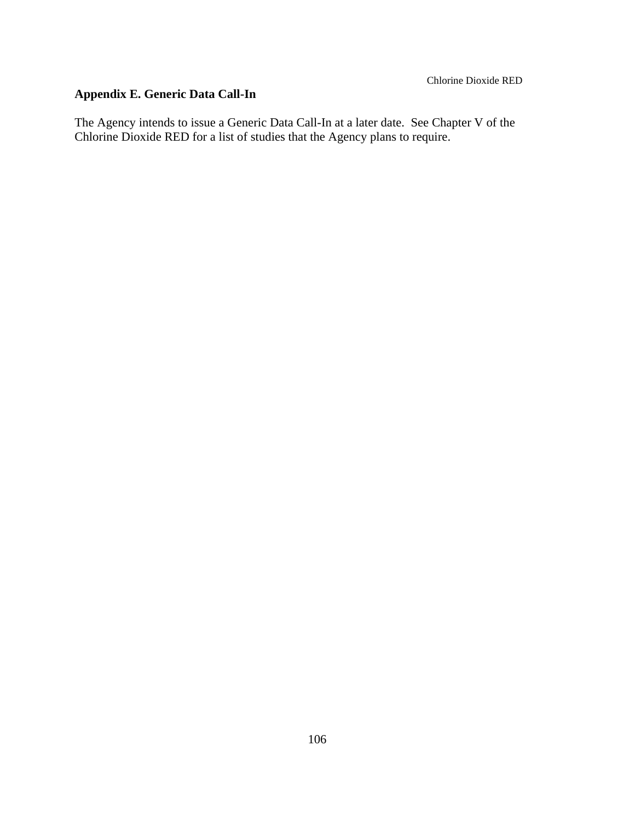# **Appendix E. Generic Data Call-In**

The Agency intends to issue a Generic Data Call-In at a later date. See Chapter V of the Chlorine Dioxide RED for a list of studies that the Agency plans to require.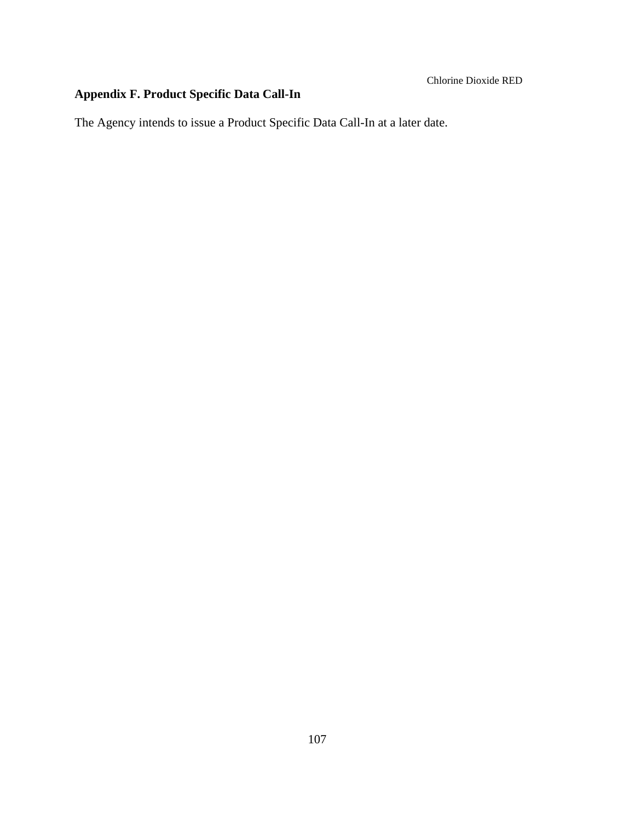# **Appendix F. Product Specific Data Call-In**

The Agency intends to issue a Product Specific Data Call-In at a later date.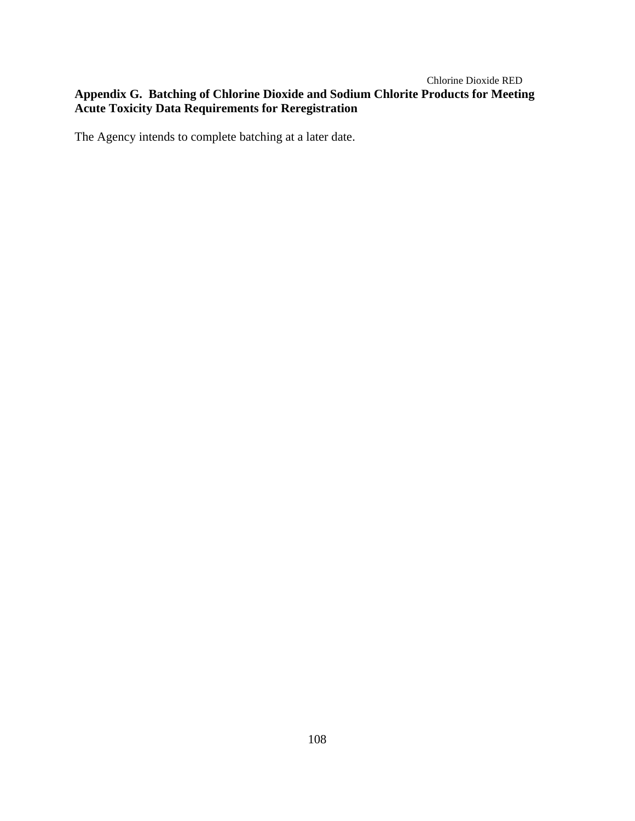### Chlorine Dioxide RED **Appendix G. Batching of Chlorine Dioxide and Sodium Chlorite Products for Meeting Acute Toxicity Data Requirements for Reregistration**

The Agency intends to complete batching at a later date.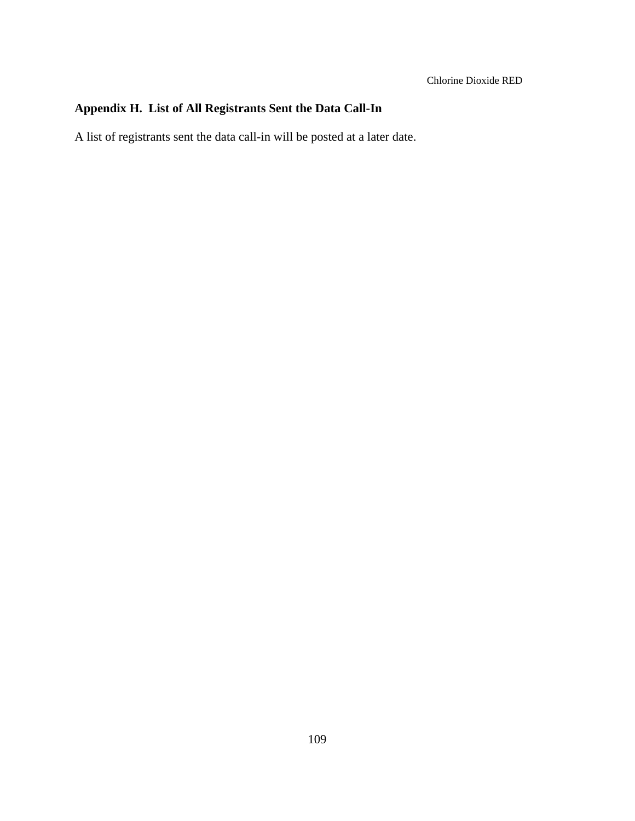## **Appendix H. List of All Registrants Sent the Data Call-In**

A list of registrants sent the data call-in will be posted at a later date.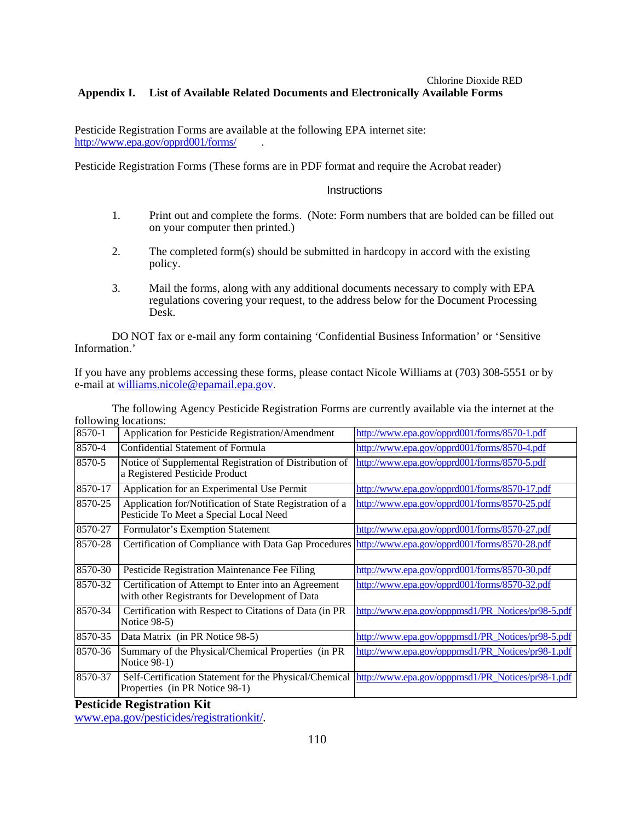### Chlorine Dioxide RED **Appendix I. List of Available Related Documents and Electronically Available Forms**

Pesticide Registration Forms are available at the following EPA internet site: http://www.epa.gov/opprd001/forms/ .

Pesticide Registration Forms (These forms are in PDF format and require the Acrobat reader)

### **Instructions**

- 1. Print out and complete the forms. (Note: Form numbers that are bolded can be filled out on your computer then printed.)
- 2. The completed form(s) should be submitted in hardcopy in accord with the existing policy.
- 3. Mail the forms, along with any additional documents necessary to comply with EPA regulations covering your request, to the address below for the Document Processing Desk.

DO NOT fax or e-mail any form containing 'Confidential Business Information' or 'Sensitive Information.'

If you have any problems accessing these forms, please contact Nicole Williams at (703) 308-5551 or by e-mail at williams.nicole@epamail.epa.gov.

| TOITO WIITE TOUGHOIIS.                                                                                |                                                                                                                                                                                                                    |
|-------------------------------------------------------------------------------------------------------|--------------------------------------------------------------------------------------------------------------------------------------------------------------------------------------------------------------------|
| Application for Pesticide Registration/Amendment                                                      | http://www.epa.gov/opprd001/forms/8570-1.pdf                                                                                                                                                                       |
| <b>Confidential Statement of Formula</b>                                                              | http://www.epa.gov/opprd001/forms/8570-4.pdf                                                                                                                                                                       |
| Notice of Supplemental Registration of Distribution of<br>a Registered Pesticide Product              | http://www.epa.gov/opprd001/forms/8570-5.pdf                                                                                                                                                                       |
| Application for an Experimental Use Permit                                                            | http://www.epa.gov/opprd001/forms/8570-17.pdf                                                                                                                                                                      |
| Application for/Notification of State Registration of a<br>Pesticide To Meet a Special Local Need     | http://www.epa.gov/opprd001/forms/8570-25.pdf                                                                                                                                                                      |
| Formulator's Exemption Statement                                                                      | http://www.epa.gov/opprd001/forms/8570-27.pdf                                                                                                                                                                      |
|                                                                                                       |                                                                                                                                                                                                                    |
| Pesticide Registration Maintenance Fee Filing                                                         | http://www.epa.gov/opprd001/forms/8570-30.pdf                                                                                                                                                                      |
| Certification of Attempt to Enter into an Agreement<br>with other Registrants for Development of Data | http://www.epa.gov/opprd001/forms/8570-32.pdf                                                                                                                                                                      |
| Certification with Respect to Citations of Data (in PR<br>Notice 98-5)                                | http://www.epa.gov/opppmsd1/PR_Notices/pr98-5.pdf                                                                                                                                                                  |
| Data Matrix (in PR Notice 98-5)                                                                       | http://www.epa.gov/opppmsd1/PR Notices/pr98-5.pdf                                                                                                                                                                  |
| Summary of the Physical/Chemical Properties (in PR<br>Notice 98-1)                                    | http://www.epa.gov/opppmsd1/PR_Notices/pr98-1.pdf                                                                                                                                                                  |
| Properties (in PR Notice 98-1)                                                                        |                                                                                                                                                                                                                    |
|                                                                                                       | Certification of Compliance with Data Gap Procedures   http://www.epa.gov/opprd001/forms/8570-28.pdf<br>Self-Certification Statement for the Physical/Chemical   http://www.epa.gov/opppmsd1/PR_Notices/pr98-1.pdf |

The following Agency Pesticide Registration Forms are currently available via the internet at the following locations:

**Pesticide Registration Kit**

www.epa.gov/pesticides/registrationkit/.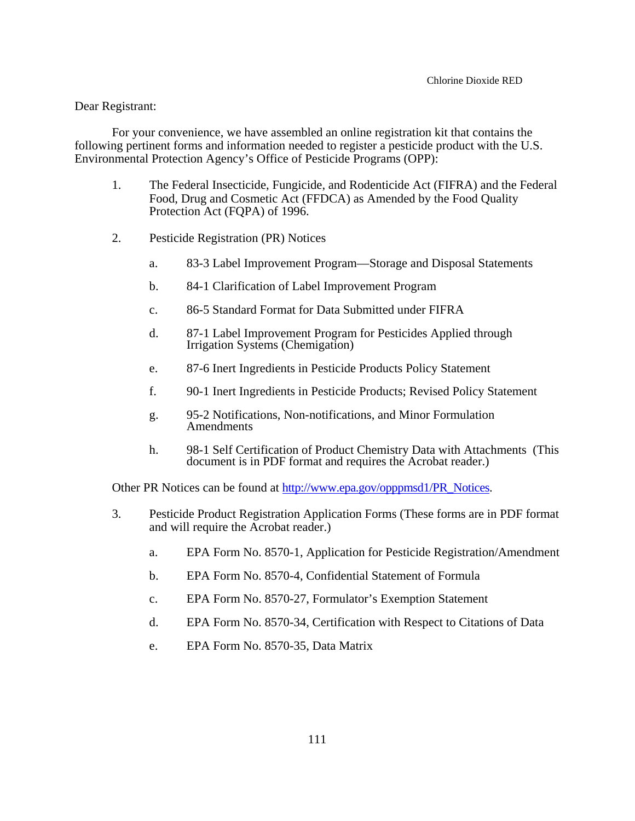### Dear Registrant:

For your convenience, we have assembled an online registration kit that contains the following pertinent forms and information needed to register a pesticide product with the U.S. Environmental Protection Agency's Office of Pesticide Programs (OPP):

- 1. The Federal Insecticide, Fungicide, and Rodenticide Act (FIFRA) and the Federal Food, Drug and Cosmetic Act (FFDCA) as Amended by the Food Quality Protection Act (FQPA) of 1996.
- 2. Pesticide Registration (PR) Notices
	- a. 83-3 Label Improvement Program—Storage and Disposal Statements
	- b. 84-1 Clarification of Label Improvement Program
	- c. 86-5 Standard Format for Data Submitted under FIFRA
	- d. 87-1 Label Improvement Program for Pesticides Applied through Irrigation Systems (Chemigation)
	- e. 87-6 Inert Ingredients in Pesticide Products Policy Statement
	- f. 90-1 Inert Ingredients in Pesticide Products; Revised Policy Statement
	- g. 95-2 Notifications, Non-notifications, and Minor Formulation Amendments
	- h. 98-1 Self Certification of Product Chemistry Data with Attachments (This document is in PDF format and requires the Acrobat reader.)

Other PR Notices can be found at http://www.epa.gov/opppmsd1/PR\_Notices.

- 3. Pesticide Product Registration Application Forms (These forms are in PDF format and will require the Acrobat reader.)
	- a. EPA Form No. 8570-1, Application for Pesticide Registration/Amendment
	- b. EPA Form No. 8570-4, Confidential Statement of Formula
	- c. EPA Form No. 8570-27, Formulator's Exemption Statement
	- d. EPA Form No. 8570-34, Certification with Respect to Citations of Data
	- e. EPA Form No. 8570-35, Data Matrix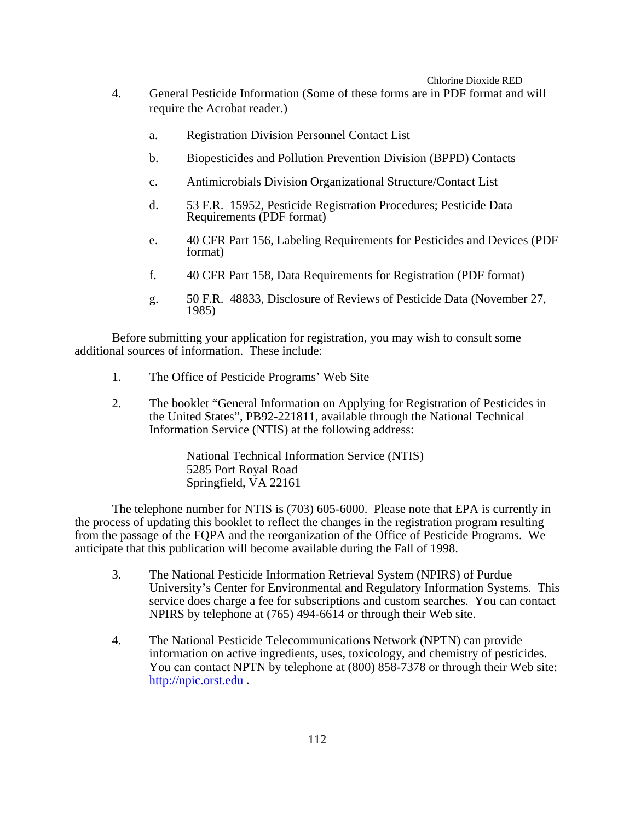#### Chlorine Dioxide RED

- 4. General Pesticide Information (Some of these forms are in PDF format and will require the Acrobat reader.)
	- a. Registration Division Personnel Contact List
	- b. Biopesticides and Pollution Prevention Division (BPPD) Contacts
	- c. Antimicrobials Division Organizational Structure/Contact List
	- d. 53 F.R. 15952, Pesticide Registration Procedures; Pesticide Data Requirements (PDF format)
	- e. 40 CFR Part 156, Labeling Requirements for Pesticides and Devices (PDF format)
	- f. 40 CFR Part 158, Data Requirements for Registration (PDF format)
	- g. 50 F.R. 48833, Disclosure of Reviews of Pesticide Data (November 27, 1985)

Before submitting your application for registration, you may wish to consult some additional sources of information. These include:

- 1. The Office of Pesticide Programs' Web Site
- 2. The booklet "General Information on Applying for Registration of Pesticides in the United States", PB92-221811, available through the National Technical Information Service (NTIS) at the following address:

National Technical Information Service (NTIS) 5285 Port Royal Road Springfield, VA 22161

The telephone number for NTIS is (703) 605-6000. Please note that EPA is currently in the process of updating this booklet to reflect the changes in the registration program resulting from the passage of the FQPA and the reorganization of the Office of Pesticide Programs. We anticipate that this publication will become available during the Fall of 1998.

- 3. The National Pesticide Information Retrieval System (NPIRS) of Purdue University's Center for Environmental and Regulatory Information Systems. This service does charge a fee for subscriptions and custom searches. You can contact NPIRS by telephone at (765) 494-6614 or through their Web site.
- 4. The National Pesticide Telecommunications Network (NPTN) can provide information on active ingredients, uses, toxicology, and chemistry of pesticides. You can contact NPTN by telephone at (800) 858-7378 or through their Web site: http://npic.orst.edu .